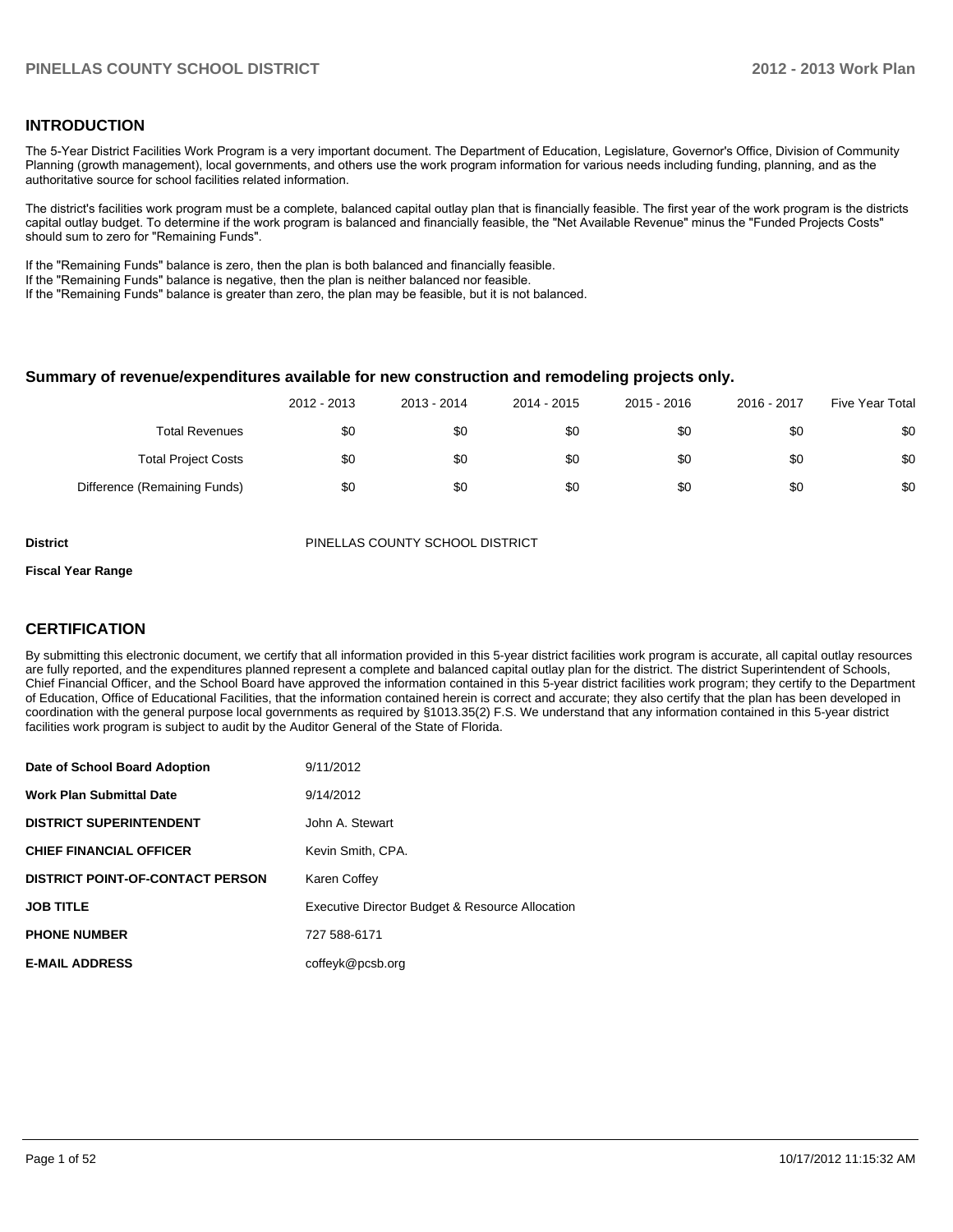#### **INTRODUCTION**

The 5-Year District Facilities Work Program is a very important document. The Department of Education, Legislature, Governor's Office, Division of Community Planning (growth management), local governments, and others use the work program information for various needs including funding, planning, and as the authoritative source for school facilities related information.

The district's facilities work program must be a complete, balanced capital outlay plan that is financially feasible. The first year of the work program is the districts capital outlay budget. To determine if the work program is balanced and financially feasible, the "Net Available Revenue" minus the "Funded Projects Costs" should sum to zero for "Remaining Funds".

If the "Remaining Funds" balance is zero, then the plan is both balanced and financially feasible.

If the "Remaining Funds" balance is negative, then the plan is neither balanced nor feasible.

If the "Remaining Funds" balance is greater than zero, the plan may be feasible, but it is not balanced.

#### **Summary of revenue/expenditures available for new construction and remodeling projects only.**

|                              | 2012 - 2013 | 2013 - 2014 | 2014 - 2015 | 2015 - 2016 | 2016 - 2017 | Five Year Total |
|------------------------------|-------------|-------------|-------------|-------------|-------------|-----------------|
| Total Revenues               | \$0         | \$0         | \$0         | \$0         | \$0         | \$0             |
| <b>Total Project Costs</b>   | \$0         | \$0         | \$0         | \$0         | \$0         | \$0             |
| Difference (Remaining Funds) | \$0         | \$0         | \$0         | \$0         | \$0         | \$0             |

**District** PINELLAS COUNTY SCHOOL DISTRICT

#### **Fiscal Year Range**

#### **CERTIFICATION**

By submitting this electronic document, we certify that all information provided in this 5-year district facilities work program is accurate, all capital outlay resources are fully reported, and the expenditures planned represent a complete and balanced capital outlay plan for the district. The district Superintendent of Schools, Chief Financial Officer, and the School Board have approved the information contained in this 5-year district facilities work program; they certify to the Department of Education, Office of Educational Facilities, that the information contained herein is correct and accurate; they also certify that the plan has been developed in coordination with the general purpose local governments as required by §1013.35(2) F.S. We understand that any information contained in this 5-year district facilities work program is subject to audit by the Auditor General of the State of Florida.

| Date of School Board Adoption           | 9/11/2012                                       |
|-----------------------------------------|-------------------------------------------------|
| <b>Work Plan Submittal Date</b>         | 9/14/2012                                       |
| <b>DISTRICT SUPERINTENDENT</b>          | John A. Stewart                                 |
| <b>CHIEF FINANCIAL OFFICER</b>          | Kevin Smith, CPA.                               |
| <b>DISTRICT POINT-OF-CONTACT PERSON</b> | Karen Coffey                                    |
| <b>JOB TITLE</b>                        | Executive Director Budget & Resource Allocation |
| <b>PHONE NUMBER</b>                     | 727 588-6171                                    |
| <b>E-MAIL ADDRESS</b>                   | coffeyk@pcsb.org                                |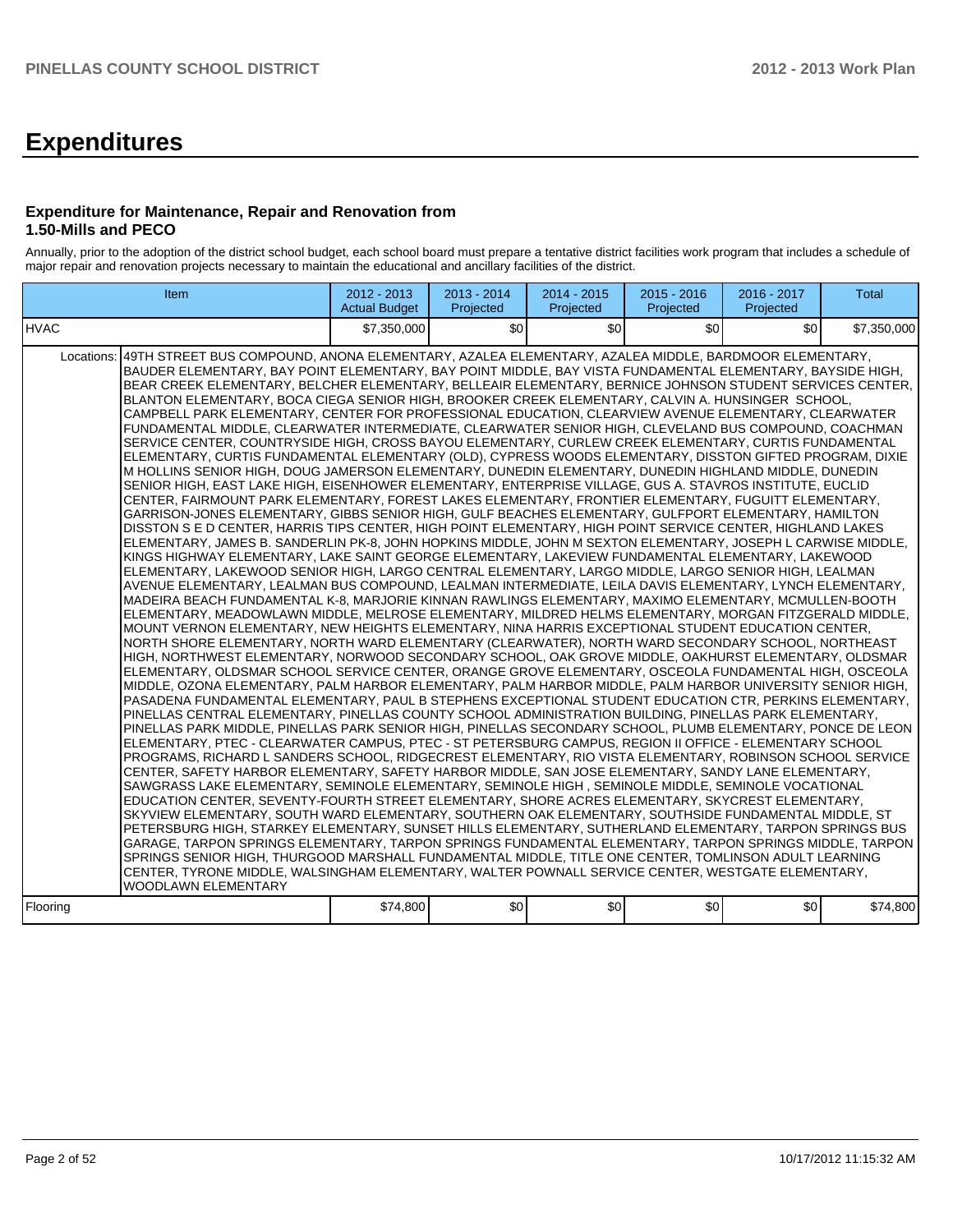# **Expenditures**

#### **Expenditure for Maintenance, Repair and Renovation from 1.50-Mills and PECO**

Annually, prior to the adoption of the district school budget, each school board must prepare a tentative district facilities work program that includes a schedule of major repair and renovation projects necessary to maintain the educational and ancillary facilities of the district.

| <b>Item</b>                                                                                                                                                                                                                                                                                                                                                                                                                                                                                                                                                                                                                                                                                                                                                                                                                                                                                                                                                                                                                                                                                                                                                                                                                                                                                                                                                                                                                                                                                                                                                                                                                                                                                                                                                                                                                                                                                                                                                                                                                                                                                                                                                                                                                                                                                                                                                                                                                                                                                                                                                                                                                                                                                                                                                                                                                                                                                                                                                                                                                                                                                                                                                                                                                                                                                                                                                                                                                                                                                                                                                                                                                                                                                                                                                                                                                                                                                                                                                                                                                                                                                          | 2012 - 2013<br><b>Actual Budget</b> | 2013 - 2014<br>Projected | $2014 - 2015$<br>Projected | $2015 - 2016$<br>Projected | 2016 - 2017<br>Projected | Total       |
|------------------------------------------------------------------------------------------------------------------------------------------------------------------------------------------------------------------------------------------------------------------------------------------------------------------------------------------------------------------------------------------------------------------------------------------------------------------------------------------------------------------------------------------------------------------------------------------------------------------------------------------------------------------------------------------------------------------------------------------------------------------------------------------------------------------------------------------------------------------------------------------------------------------------------------------------------------------------------------------------------------------------------------------------------------------------------------------------------------------------------------------------------------------------------------------------------------------------------------------------------------------------------------------------------------------------------------------------------------------------------------------------------------------------------------------------------------------------------------------------------------------------------------------------------------------------------------------------------------------------------------------------------------------------------------------------------------------------------------------------------------------------------------------------------------------------------------------------------------------------------------------------------------------------------------------------------------------------------------------------------------------------------------------------------------------------------------------------------------------------------------------------------------------------------------------------------------------------------------------------------------------------------------------------------------------------------------------------------------------------------------------------------------------------------------------------------------------------------------------------------------------------------------------------------------------------------------------------------------------------------------------------------------------------------------------------------------------------------------------------------------------------------------------------------------------------------------------------------------------------------------------------------------------------------------------------------------------------------------------------------------------------------------------------------------------------------------------------------------------------------------------------------------------------------------------------------------------------------------------------------------------------------------------------------------------------------------------------------------------------------------------------------------------------------------------------------------------------------------------------------------------------------------------------------------------------------------------------------------------------------------------------------------------------------------------------------------------------------------------------------------------------------------------------------------------------------------------------------------------------------------------------------------------------------------------------------------------------------------------------------------------------------------------------------------------------------------------------------|-------------------------------------|--------------------------|----------------------------|----------------------------|--------------------------|-------------|
| IHVAC                                                                                                                                                                                                                                                                                                                                                                                                                                                                                                                                                                                                                                                                                                                                                                                                                                                                                                                                                                                                                                                                                                                                                                                                                                                                                                                                                                                                                                                                                                                                                                                                                                                                                                                                                                                                                                                                                                                                                                                                                                                                                                                                                                                                                                                                                                                                                                                                                                                                                                                                                                                                                                                                                                                                                                                                                                                                                                                                                                                                                                                                                                                                                                                                                                                                                                                                                                                                                                                                                                                                                                                                                                                                                                                                                                                                                                                                                                                                                                                                                                                                                                | \$7,350,000                         | \$0                      | \$0                        | \$0                        | \$0 <sub>1</sub>         | \$7,350,000 |
| 49TH STREET BUS COMPOUND, ANONA ELEMENTARY, AZALEA ELEMENTARY, AZALEA MIDDLE, BARDMOOR ELEMENTARY,<br>Locations:<br>BAUDER ELEMENTARY, BAY POINT ELEMENTARY, BAY POINT MIDDLE, BAY VISTA FUNDAMENTAL ELEMENTARY, BAYSIDE HIGH,<br>BEAR CREEK ELEMENTARY, BELCHER ELEMENTARY, BELLEAIR ELEMENTARY, BERNICE JOHNSON STUDENT SERVICES CENTER,<br>BLANTON ELEMENTARY, BOCA CIEGA SENIOR HIGH, BROOKER CREEK ELEMENTARY, CALVIN A. HUNSINGER SCHOOL,<br>CAMPBELL PARK ELEMENTARY, CENTER FOR PROFESSIONAL EDUCATION, CLEARVIEW AVENUE ELEMENTARY, CLEARWATER<br>FUNDAMENTAL MIDDLE, CLEARWATER INTERMEDIATE, CLEARWATER SENIOR HIGH, CLEVELAND BUS COMPOUND, COACHMAN<br>SERVICE CENTER, COUNTRYSIDE HIGH, CROSS BAYOU ELEMENTARY, CURLEW CREEK ELEMENTARY, CURTIS FUNDAMENTAL<br>ELEMENTARY, CURTIS FUNDAMENTAL ELEMENTARY (OLD), CYPRESS WOODS ELEMENTARY, DISSTON GIFTED PROGRAM, DIXIE<br>M HOLLINS SENIOR HIGH, DOUG JAMERSON ELEMENTARY, DUNEDIN ELEMENTARY, DUNEDIN HIGHLAND MIDDLE, DUNEDIN<br>SENIOR HIGH, EAST LAKE HIGH, EISENHOWER ELEMENTARY, ENTERPRISE VILLAGE, GUS A. STAVROS INSTITUTE, EUCLID<br>CENTER, FAIRMOUNT PARK ELEMENTARY, FOREST LAKES ELEMENTARY, FRONTIER ELEMENTARY, FUGUITT ELEMENTARY,<br>GARRISON-JONES ELEMENTARY, GIBBS SENIOR HIGH, GULF BEACHES ELEMENTARY, GULFPORT ELEMENTARY, HAMILTON<br>DISSTON S E D CENTER, HARRIS TIPS CENTER, HIGH POINT ELEMENTARY, HIGH POINT SERVICE CENTER, HIGHLAND LAKES<br>ELEMENTARY, JAMES B. SANDERLIN PK-8, JOHN HOPKINS MIDDLE, JOHN M SEXTON ELEMENTARY, JOSEPH L CARWISE MIDDLE,<br>KINGS HIGHWAY ELEMENTARY, LAKE SAINT GEORGE ELEMENTARY, LAKEVIEW FUNDAMENTAL ELEMENTARY, LAKEWOOD<br>ELEMENTARY, LAKEWOOD SENIOR HIGH, LARGO CENTRAL ELEMENTARY, LARGO MIDDLE, LARGO SENIOR HIGH, LEALMAN<br>AVENUE ELEMENTARY, LEALMAN BUS COMPOUND, LEALMAN INTERMEDIATE, LEILA DAVIS ELEMENTARY, LYNCH ELEMENTARY,<br>MADEIRA BEACH FUNDAMENTAL K-8, MARJORIE KINNAN RAWLINGS ELEMENTARY, MAXIMO ELEMENTARY, MCMULLEN-BOOTH<br>ELEMENTARY, MEADOWLAWN MIDDLE, MELROSE ELEMENTARY, MILDRED HELMS ELEMENTARY, MORGAN FITZGERALD MIDDLE,<br>MOUNT VERNON ELEMENTARY, NEW HEIGHTS ELEMENTARY, NINA HARRIS EXCEPTIONAL STUDENT EDUCATION CENTER,<br>NORTH SHORE ELEMENTARY, NORTH WARD ELEMENTARY (CLEARWATER), NORTH WARD SECONDARY SCHOOL, NORTHEAST<br>HIGH, NORTHWEST ELEMENTARY, NORWOOD SECONDARY SCHOOL, OAK GROVE MIDDLE, OAKHURST ELEMENTARY, OLDSMAR<br>ELEMENTARY, OLDSMAR SCHOOL SERVICE CENTER, ORANGE GROVE ELEMENTARY, OSCEOLA FUNDAMENTAL HIGH, OSCEOLA<br>MIDDLE, OZONA ELEMENTARY, PALM HARBOR ELEMENTARY, PALM HARBOR MIDDLE, PALM HARBOR UNIVERSITY SENIOR HIGH,<br>PASADENA FUNDAMENTAL ELEMENTARY, PAUL B STEPHENS EXCEPTIONAL STUDENT EDUCATION CTR, PERKINS ELEMENTARY,<br>PINELLAS CENTRAL ELEMENTARY, PINELLAS COUNTY SCHOOL ADMINISTRATION BUILDING, PINELLAS PARK ELEMENTARY,<br>PINELLAS PARK MIDDLE, PINELLAS PARK SENIOR HIGH, PINELLAS SECONDARY SCHOOL, PLUMB ELEMENTARY, PONCE DE LEON<br>ELEMENTARY, PTEC - CLEARWATER CAMPUS, PTEC - ST PETERSBURG CAMPUS, REGION II OFFICE - ELEMENTARY SCHOOL<br>PROGRAMS, RICHARD L SANDERS SCHOOL, RIDGECREST ELEMENTARY, RIO VISTA ELEMENTARY, ROBINSON SCHOOL SERVICE<br>CENTER, SAFETY HARBOR ELEMENTARY, SAFETY HARBOR MIDDLE, SAN JOSE ELEMENTARY, SANDY LANE ELEMENTARY,<br>SAWGRASS LAKE ELEMENTARY, SEMINOLE ELEMENTARY, SEMINOLE HIGH, SEMINOLE MIDDLE, SEMINOLE VOCATIONAL<br>EDUCATION CENTER, SEVENTY-FOURTH STREET ELEMENTARY, SHORE ACRES ELEMENTARY, SKYCREST ELEMENTARY,<br>SKYVIEW ELEMENTARY, SOUTH WARD ELEMENTARY, SOUTHERN OAK ELEMENTARY, SOUTHSIDE FUNDAMENTAL MIDDLE, ST<br>PETERSBURG HIGH, STARKEY ELEMENTARY, SUNSET HILLS ELEMENTARY, SUTHERLAND ELEMENTARY, TARPON SPRINGS BUS<br>GARAGE, TARPON SPRINGS ELEMENTARY, TARPON SPRINGS FUNDAMENTAL ELEMENTARY, TARPON SPRINGS MIDDLE, TARPON<br>SPRINGS SENIOR HIGH, THURGOOD MARSHALL FUNDAMENTAL MIDDLE, TITLE ONE CENTER, TOMLINSON ADULT LEARNING<br>CENTER, TYRONE MIDDLE, WALSINGHAM ELEMENTARY, WALTER POWNALL SERVICE CENTER, WESTGATE ELEMENTARY,<br><b>WOODLAWN ELEMENTARY</b> |                                     |                          |                            |                            |                          |             |
| Flooring                                                                                                                                                                                                                                                                                                                                                                                                                                                                                                                                                                                                                                                                                                                                                                                                                                                                                                                                                                                                                                                                                                                                                                                                                                                                                                                                                                                                                                                                                                                                                                                                                                                                                                                                                                                                                                                                                                                                                                                                                                                                                                                                                                                                                                                                                                                                                                                                                                                                                                                                                                                                                                                                                                                                                                                                                                                                                                                                                                                                                                                                                                                                                                                                                                                                                                                                                                                                                                                                                                                                                                                                                                                                                                                                                                                                                                                                                                                                                                                                                                                                                             | \$74,800                            | 30                       | \$0                        | \$0                        | \$0                      | \$74,800    |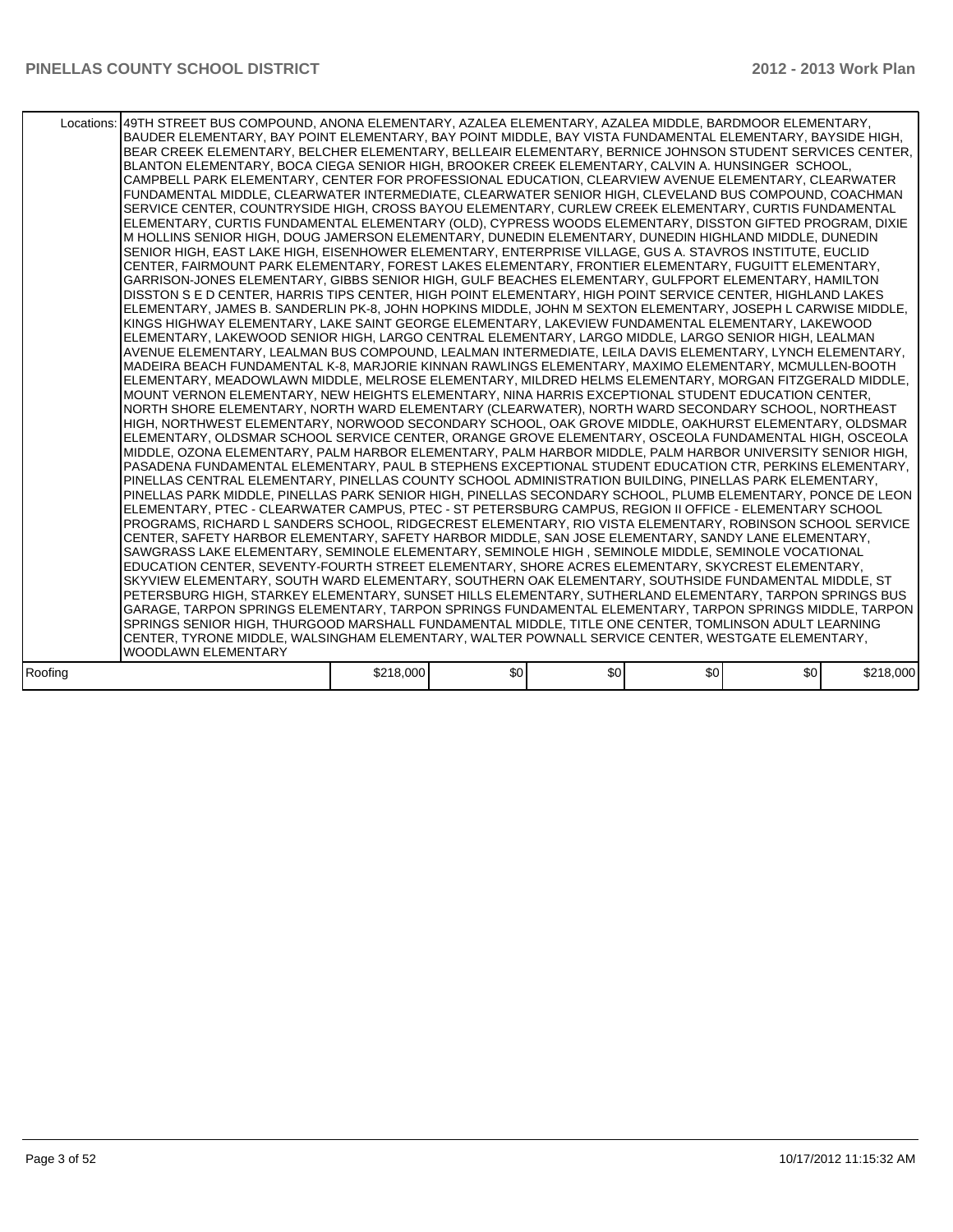|         | Locations:   49TH STREET BUS COMPOUND, ANONA ELEMENTARY, AZALEA ELEMENTARY, AZALEA MIDDLE, BARDMOOR ELEMENTARY,<br>BAUDER ELEMENTARY, BAY POINT ELEMENTARY, BAY POINT MIDDLE, BAY VISTA FUNDAMENTAL ELEMENTARY, BAYSIDE HIGH,<br>BEAR CREEK ELEMENTARY, BELCHER ELEMENTARY, BELLEAIR ELEMENTARY, BERNICE JOHNSON STUDENT SERVICES CENTER,<br>BLANTON ELEMENTARY, BOCA CIEGA SENIOR HIGH, BROOKER CREEK ELEMENTARY, CALVIN A. HUNSINGER SCHOOL,<br>CAMPBELL PARK ELEMENTARY, CENTER FOR PROFESSIONAL EDUCATION, CLEARVIEW AVENUE ELEMENTARY, CLEARWATER<br>FUNDAMENTAL MIDDLE, CLEARWATER INTERMEDIATE, CLEARWATER SENIOR HIGH, CLEVELAND BUS COMPOUND, COACHMAN<br>SERVICE CENTER, COUNTRYSIDE HIGH, CROSS BAYOU ELEMENTARY, CURLEW CREEK ELEMENTARY, CURTIS FUNDAMENTAL<br>ELEMENTARY, CURTIS FUNDAMENTAL ELEMENTARY (OLD), CYPRESS WOODS ELEMENTARY, DISSTON GIFTED PROGRAM, DIXIE<br>M HOLLINS SENIOR HIGH, DOUG JAMERSON ELEMENTARY, DUNEDIN ELEMENTARY, DUNEDIN HIGHLAND MIDDLE, DUNEDIN<br>SENIOR HIGH, EAST LAKE HIGH, EISENHOWER ELEMENTARY, ENTERPRISE VILLAGE, GUS A. STAVROS INSTITUTE, EUCLID<br>CENTER, FAIRMOUNT PARK ELEMENTARY, FOREST LAKES ELEMENTARY, FRONTIER ELEMENTARY, FUGUITT ELEMENTARY,<br>GARRISON-JONES ELEMENTARY, GIBBS SENIOR HIGH, GULF BEACHES ELEMENTARY, GULFPORT ELEMENTARY, HAMILTON<br>DISSTON S E D CENTER, HARRIS TIPS CENTER, HIGH POINT ELEMENTARY, HIGH POINT SERVICE CENTER, HIGHLAND LAKES<br>ELEMENTARY, JAMES B. SANDERLIN PK-8, JOHN HOPKINS MIDDLE, JOHN M SEXTON ELEMENTARY, JOSEPH L CARWISE MIDDLE,<br>KINGS HIGHWAY ELEMENTARY, LAKE SAINT GEORGE ELEMENTARY, LAKEVIEW FUNDAMENTAL ELEMENTARY, LAKEWOOD<br>ELEMENTARY. LAKEWOOD SENIOR HIGH. LARGO CENTRAL ELEMENTARY. LARGO MIDDLE. LARGO SENIOR HIGH. LEALMAN<br>AVENUE ELEMENTARY, LEALMAN BUS COMPOUND, LEALMAN INTERMEDIATE, LEILA DAVIS ELEMENTARY, LYNCH ELEMENTARY,<br>MADEIRA BEACH FUNDAMENTAL K-8, MARJORIE KINNAN RAWLINGS ELEMENTARY, MAXIMO ELEMENTARY, MCMULLEN-BOOTH<br>ELEMENTARY, MEADOWLAWN MIDDLE, MELROSE ELEMENTARY, MILDRED HELMS ELEMENTARY, MORGAN FITZGERALD MIDDLE,<br>MOUNT VERNON ELEMENTARY, NEW HEIGHTS ELEMENTARY, NINA HARRIS EXCEPTIONAL STUDENT EDUCATION CENTER,<br>NORTH SHORE ELEMENTARY, NORTH WARD ELEMENTARY (CLEARWATER), NORTH WARD SECONDARY SCHOOL, NORTHEAST<br>HIGH, NORTHWEST ELEMENTARY, NORWOOD SECONDARY SCHOOL, OAK GROVE MIDDLE, OAKHURST ELEMENTARY, OLDSMAR<br>ELEMENTARY, OLDSMAR SCHOOL SERVICE CENTER, ORANGE GROVE ELEMENTARY, OSCEOLA FUNDAMENTAL HIGH, OSCEOLA<br>MIDDLE, OZONA ELEMENTARY, PALM HARBOR ELEMENTARY, PALM HARBOR MIDDLE, PALM HARBOR UNIVERSITY SENIOR HIGH,<br>PASADENA FUNDAMENTAL ELEMENTARY. PAUL B STEPHENS EXCEPTIONAL STUDENT EDUCATION CTR. PERKINS ELEMENTARY.<br>PINELLAS CENTRAL ELEMENTARY, PINELLAS COUNTY SCHOOL ADMINISTRATION BUILDING, PINELLAS PARK ELEMENTARY,<br>PINELLAS PARK MIDDLE, PINELLAS PARK SENIOR HIGH, PINELLAS SECONDARY SCHOOL, PLUMB ELEMENTARY, PONCE DE LEON<br>ELEMENTARY, PTEC - CLEARWATER CAMPUS, PTEC - ST PETERSBURG CAMPUS, REGION II OFFICE - ELEMENTARY SCHOOL<br>PROGRAMS, RICHARD L SANDERS SCHOOL, RIDGECREST ELEMENTARY, RIO VISTA ELEMENTARY, ROBINSON SCHOOL SERVICE<br>CENTER, SAFETY HARBOR ELEMENTARY, SAFETY HARBOR MIDDLE, SAN JOSE ELEMENTARY, SANDY LANE ELEMENTARY,<br>SAWGRASS LAKE ELEMENTARY, SEMINOLE ELEMENTARY, SEMINOLE HIGH, SEMINOLE MIDDLE, SEMINOLE VOCATIONAL<br>EDUCATION CENTER, SEVENTY-FOURTH STREET ELEMENTARY, SHORE ACRES ELEMENTARY, SKYCREST ELEMENTARY,<br>SKYVIEW ELEMENTARY, SOUTH WARD ELEMENTARY, SOUTHERN OAK ELEMENTARY, SOUTHSIDE FUNDAMENTAL MIDDLE, ST<br>PETERSBURG HIGH, STARKEY ELEMENTARY, SUNSET HILLS ELEMENTARY, SUTHERLAND ELEMENTARY, TARPON SPRINGS BUS<br>GARAGE, TARPON SPRINGS ELEMENTARY, TARPON SPRINGS FUNDAMENTAL ELEMENTARY, TARPON SPRINGS MIDDLE, TARPON<br>SPRINGS SENIOR HIGH, THURGOOD MARSHALL FUNDAMENTAL MIDDLE, TITLE ONE CENTER, TOMLINSON ADULT LEARNING<br>CENTER, TYRONE MIDDLE, WALSINGHAM ELEMENTARY, WALTER POWNALL SERVICE CENTER, WESTGATE ELEMENTARY, |           |     |     |     |     |           |
|---------|-----------------------------------------------------------------------------------------------------------------------------------------------------------------------------------------------------------------------------------------------------------------------------------------------------------------------------------------------------------------------------------------------------------------------------------------------------------------------------------------------------------------------------------------------------------------------------------------------------------------------------------------------------------------------------------------------------------------------------------------------------------------------------------------------------------------------------------------------------------------------------------------------------------------------------------------------------------------------------------------------------------------------------------------------------------------------------------------------------------------------------------------------------------------------------------------------------------------------------------------------------------------------------------------------------------------------------------------------------------------------------------------------------------------------------------------------------------------------------------------------------------------------------------------------------------------------------------------------------------------------------------------------------------------------------------------------------------------------------------------------------------------------------------------------------------------------------------------------------------------------------------------------------------------------------------------------------------------------------------------------------------------------------------------------------------------------------------------------------------------------------------------------------------------------------------------------------------------------------------------------------------------------------------------------------------------------------------------------------------------------------------------------------------------------------------------------------------------------------------------------------------------------------------------------------------------------------------------------------------------------------------------------------------------------------------------------------------------------------------------------------------------------------------------------------------------------------------------------------------------------------------------------------------------------------------------------------------------------------------------------------------------------------------------------------------------------------------------------------------------------------------------------------------------------------------------------------------------------------------------------------------------------------------------------------------------------------------------------------------------------------------------------------------------------------------------------------------------------------------------------------------------------------------------------------------------------------------------------------------------------------------------------------------------------------------------------------------------------------------------------------------------------------------------------------------------------------------------------------------------------------------------------------------------------------------------------------------------------------------------------------------------------------------------------------------------------|-----------|-----|-----|-----|-----|-----------|
|         | <b>WOODLAWN ELEMENTARY</b>                                                                                                                                                                                                                                                                                                                                                                                                                                                                                                                                                                                                                                                                                                                                                                                                                                                                                                                                                                                                                                                                                                                                                                                                                                                                                                                                                                                                                                                                                                                                                                                                                                                                                                                                                                                                                                                                                                                                                                                                                                                                                                                                                                                                                                                                                                                                                                                                                                                                                                                                                                                                                                                                                                                                                                                                                                                                                                                                                                                                                                                                                                                                                                                                                                                                                                                                                                                                                                                                                                                                                                                                                                                                                                                                                                                                                                                                                                                                                                                                                                            |           |     |     |     |     |           |
|         |                                                                                                                                                                                                                                                                                                                                                                                                                                                                                                                                                                                                                                                                                                                                                                                                                                                                                                                                                                                                                                                                                                                                                                                                                                                                                                                                                                                                                                                                                                                                                                                                                                                                                                                                                                                                                                                                                                                                                                                                                                                                                                                                                                                                                                                                                                                                                                                                                                                                                                                                                                                                                                                                                                                                                                                                                                                                                                                                                                                                                                                                                                                                                                                                                                                                                                                                                                                                                                                                                                                                                                                                                                                                                                                                                                                                                                                                                                                                                                                                                                                                       |           |     |     |     |     |           |
| Roofing |                                                                                                                                                                                                                                                                                                                                                                                                                                                                                                                                                                                                                                                                                                                                                                                                                                                                                                                                                                                                                                                                                                                                                                                                                                                                                                                                                                                                                                                                                                                                                                                                                                                                                                                                                                                                                                                                                                                                                                                                                                                                                                                                                                                                                                                                                                                                                                                                                                                                                                                                                                                                                                                                                                                                                                                                                                                                                                                                                                                                                                                                                                                                                                                                                                                                                                                                                                                                                                                                                                                                                                                                                                                                                                                                                                                                                                                                                                                                                                                                                                                                       | \$218,000 | \$0 | \$0 | \$O | \$0 | \$218,000 |
|         |                                                                                                                                                                                                                                                                                                                                                                                                                                                                                                                                                                                                                                                                                                                                                                                                                                                                                                                                                                                                                                                                                                                                                                                                                                                                                                                                                                                                                                                                                                                                                                                                                                                                                                                                                                                                                                                                                                                                                                                                                                                                                                                                                                                                                                                                                                                                                                                                                                                                                                                                                                                                                                                                                                                                                                                                                                                                                                                                                                                                                                                                                                                                                                                                                                                                                                                                                                                                                                                                                                                                                                                                                                                                                                                                                                                                                                                                                                                                                                                                                                                                       |           |     |     |     |     |           |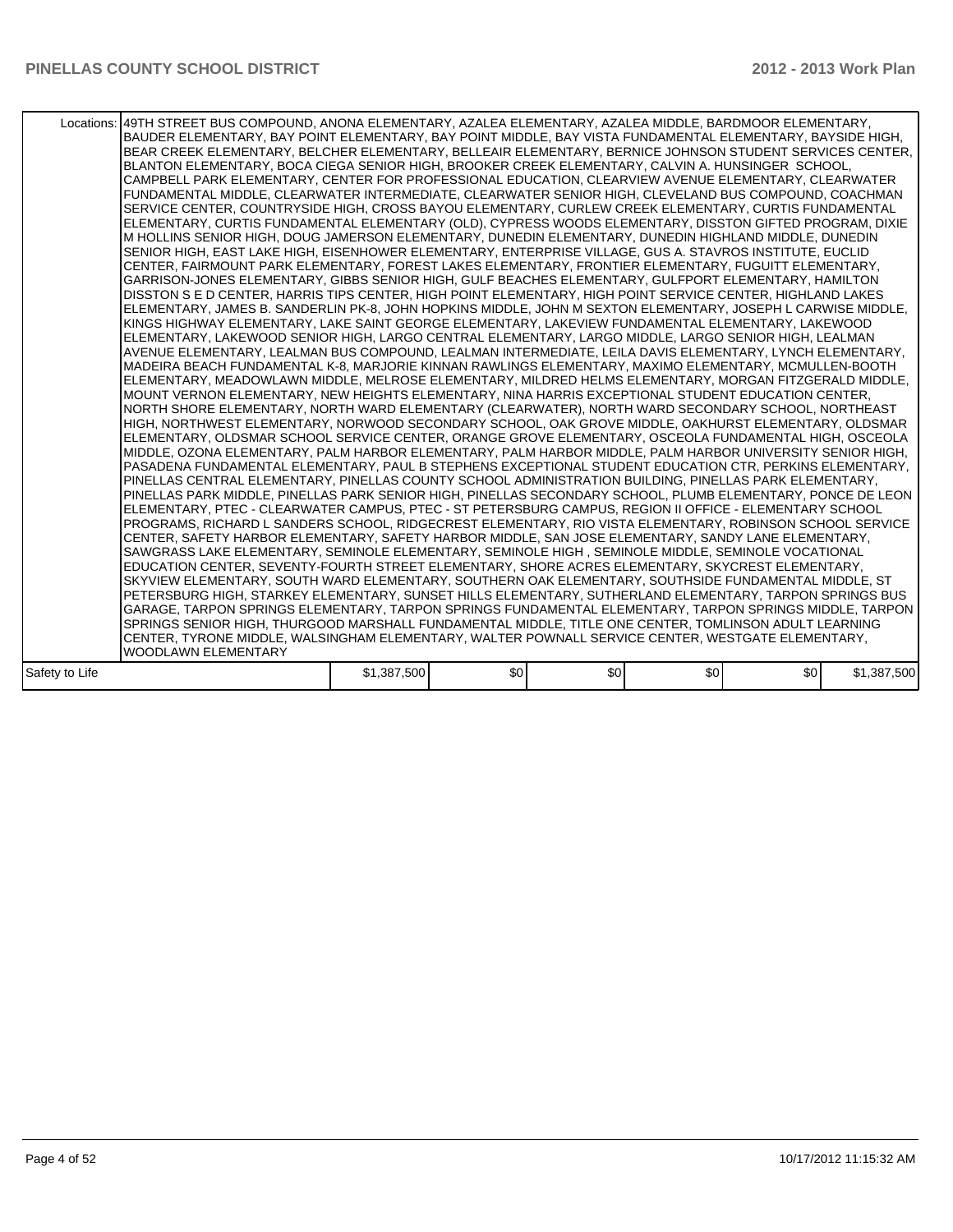|                | Locations: 149TH STREET BUS COMPOUND, ANONA ELEMENTARY, AZALEA ELEMENTARY, AZALEA MIDDLE, BARDMOOR ELEMENTARY,<br>BAUDER ELEMENTARY, BAY POINT ELEMENTARY, BAY POINT MIDDLE, BAY VISTA FUNDAMENTAL ELEMENTARY, BAYSIDE HIGH,<br>BEAR CREEK ELEMENTARY, BELCHER ELEMENTARY, BELLEAIR ELEMENTARY, BERNICE JOHNSON STUDENT SERVICES CENTER,<br>BLANTON ELEMENTARY, BOCA CIEGA SENIOR HIGH, BROOKER CREEK ELEMENTARY, CALVIN A. HUNSINGER SCHOOL,<br>CAMPBELL PARK ELEMENTARY, CENTER FOR PROFESSIONAL EDUCATION, CLEARVIEW AVENUE ELEMENTARY, CLEARWATER<br>FUNDAMENTAL MIDDLE, CLEARWATER INTERMEDIATE, CLEARWATER SENIOR HIGH, CLEVELAND BUS COMPOUND, COACHMAN<br>SERVICE CENTER, COUNTRYSIDE HIGH, CROSS BAYOU ELEMENTARY, CURLEW CREEK ELEMENTARY, CURTIS FUNDAMENTAL<br>ELEMENTARY, CURTIS FUNDAMENTAL ELEMENTARY (OLD), CYPRESS WOODS ELEMENTARY, DISSTON GIFTED PROGRAM, DIXIE<br>M HOLLINS SENIOR HIGH, DOUG JAMERSON ELEMENTARY, DUNEDIN ELEMENTARY, DUNEDIN HIGHLAND MIDDLE, DUNEDIN<br>SENIOR HIGH, EAST LAKE HIGH, EISENHOWER ELEMENTARY, ENTERPRISE VILLAGE, GUS A. STAVROS INSTITUTE, EUCLID<br>CENTER, FAIRMOUNT PARK ELEMENTARY, FOREST LAKES ELEMENTARY, FRONTIER ELEMENTARY, FUGUITT ELEMENTARY,<br>GARRISON-JONES ELEMENTARY, GIBBS SENIOR HIGH, GULF BEACHES ELEMENTARY, GULFPORT ELEMENTARY, HAMILTON<br>DISSTON S E D CENTER, HARRIS TIPS CENTER, HIGH POINT ELEMENTARY, HIGH POINT SERVICE CENTER, HIGHLAND LAKES<br>ELEMENTARY, JAMES B. SANDERLIN PK-8. JOHN HOPKINS MIDDLE, JOHN M SEXTON ELEMENTARY, JOSEPH L CARWISE MIDDLE.<br>KINGS HIGHWAY ELEMENTARY, LAKE SAINT GEORGE ELEMENTARY, LAKEVIEW FUNDAMENTAL ELEMENTARY, LAKEWOOD<br>ELEMENTARY, LAKEWOOD SENIOR HIGH, LARGO CENTRAL ELEMENTARY, LARGO MIDDLE, LARGO SENIOR HIGH, LEALMAN<br>AVENUE ELEMENTARY, LEALMAN BUS COMPOUND, LEALMAN INTERMEDIATE, LEILA DAVIS ELEMENTARY, LYNCH ELEMENTARY,<br>MADEIRA BEACH FUNDAMENTAL K-8, MARJORIE KINNAN RAWLINGS ELEMENTARY, MAXIMO ELEMENTARY, MCMULLEN-BOOTH<br>ELEMENTARY, MEADOWLAWN MIDDLE, MELROSE ELEMENTARY, MILDRED HELMS ELEMENTARY, MORGAN FITZGERALD MIDDLE,<br>MOUNT VERNON ELEMENTARY, NEW HEIGHTS ELEMENTARY, NINA HARRIS EXCEPTIONAL STUDENT EDUCATION CENTER,<br>NORTH SHORE ELEMENTARY, NORTH WARD ELEMENTARY (CLEARWATER), NORTH WARD SECONDARY SCHOOL, NORTHEAST<br>HIGH, NORTHWEST ELEMENTARY, NORWOOD SECONDARY SCHOOL, OAK GROVE MIDDLE, OAKHURST ELEMENTARY, OLDSMAR<br>ELEMENTARY, OLDSMAR SCHOOL SERVICE CENTER, ORANGE GROVE ELEMENTARY, OSCEOLA FUNDAMENTAL HIGH, OSCEOLA<br>MIDDLE, OZONA ELEMENTARY, PALM HARBOR ELEMENTARY, PALM HARBOR MIDDLE, PALM HARBOR UNIVERSITY SENIOR HIGH,<br>PASADENA FUNDAMENTAL ELEMENTARY. PAUL B STEPHENS EXCEPTIONAL STUDENT EDUCATION CTR. PERKINS ELEMENTARY.<br>PINELLAS CENTRAL ELEMENTARY, PINELLAS COUNTY SCHOOL ADMINISTRATION BUILDING, PINELLAS PARK ELEMENTARY,<br>PINELLAS PARK MIDDLE, PINELLAS PARK SENIOR HIGH, PINELLAS SECONDARY SCHOOL, PLUMB ELEMENTARY, PONCE DE LEON<br>IELEMENTARY, PTEC - CLEARWATER CAMPUS, PTEC - ST PETERSBURG CAMPUS, REGION II OFFICE - ELEMENTARY SCHOOL<br>PROGRAMS, RICHARD L SANDERS SCHOOL, RIDGECREST ELEMENTARY, RIO VISTA ELEMENTARY, ROBINSON SCHOOL SERVICE<br>CENTER, SAFETY HARBOR ELEMENTARY, SAFETY HARBOR MIDDLE, SAN JOSE ELEMENTARY, SANDY LANE ELEMENTARY,<br>SAWGRASS LAKE ELEMENTARY, SEMINOLE ELEMENTARY, SEMINOLE HIGH, SEMINOLE MIDDLE, SEMINOLE VOCATIONAL<br>EDUCATION CENTER. SEVENTY-FOURTH STREET ELEMENTARY, SHORE ACRES ELEMENTARY, SKYCREST ELEMENTARY.<br>SKYVIEW ELEMENTARY, SOUTH WARD ELEMENTARY, SOUTHERN OAK ELEMENTARY, SOUTHSIDE FUNDAMENTAL MIDDLE, ST<br>PETERSBURG HIGH, STARKEY ELEMENTARY, SUNSET HILLS ELEMENTARY, SUTHERLAND ELEMENTARY, TARPON SPRINGS BUS<br>GARAGE, TARPON SPRINGS ELEMENTARY, TARPON SPRINGS FUNDAMENTAL ELEMENTARY, TARPON SPRINGS MIDDLE, TARPON<br>SPRINGS SENIOR HIGH, THURGOOD MARSHALL FUNDAMENTAL MIDDLE, TITLE ONE CENTER, TOMLINSON ADULT LEARNING<br>CENTER, TYRONE MIDDLE, WALSINGHAM ELEMENTARY, WALTER POWNALL SERVICE CENTER, WESTGATE ELEMENTARY, |             |     |     |     |     |             |
|----------------|-----------------------------------------------------------------------------------------------------------------------------------------------------------------------------------------------------------------------------------------------------------------------------------------------------------------------------------------------------------------------------------------------------------------------------------------------------------------------------------------------------------------------------------------------------------------------------------------------------------------------------------------------------------------------------------------------------------------------------------------------------------------------------------------------------------------------------------------------------------------------------------------------------------------------------------------------------------------------------------------------------------------------------------------------------------------------------------------------------------------------------------------------------------------------------------------------------------------------------------------------------------------------------------------------------------------------------------------------------------------------------------------------------------------------------------------------------------------------------------------------------------------------------------------------------------------------------------------------------------------------------------------------------------------------------------------------------------------------------------------------------------------------------------------------------------------------------------------------------------------------------------------------------------------------------------------------------------------------------------------------------------------------------------------------------------------------------------------------------------------------------------------------------------------------------------------------------------------------------------------------------------------------------------------------------------------------------------------------------------------------------------------------------------------------------------------------------------------------------------------------------------------------------------------------------------------------------------------------------------------------------------------------------------------------------------------------------------------------------------------------------------------------------------------------------------------------------------------------------------------------------------------------------------------------------------------------------------------------------------------------------------------------------------------------------------------------------------------------------------------------------------------------------------------------------------------------------------------------------------------------------------------------------------------------------------------------------------------------------------------------------------------------------------------------------------------------------------------------------------------------------------------------------------------------------------------------------------------------------------------------------------------------------------------------------------------------------------------------------------------------------------------------------------------------------------------------------------------------------------------------------------------------------------------------------------------------------------------------------------------------------------------------------------------------------------------------|-------------|-----|-----|-----|-----|-------------|
|                | WOODLAWN ELEMENTARY                                                                                                                                                                                                                                                                                                                                                                                                                                                                                                                                                                                                                                                                                                                                                                                                                                                                                                                                                                                                                                                                                                                                                                                                                                                                                                                                                                                                                                                                                                                                                                                                                                                                                                                                                                                                                                                                                                                                                                                                                                                                                                                                                                                                                                                                                                                                                                                                                                                                                                                                                                                                                                                                                                                                                                                                                                                                                                                                                                                                                                                                                                                                                                                                                                                                                                                                                                                                                                                                                                                                                                                                                                                                                                                                                                                                                                                                                                                                                                                                                                                   |             |     |     |     |     |             |
|                |                                                                                                                                                                                                                                                                                                                                                                                                                                                                                                                                                                                                                                                                                                                                                                                                                                                                                                                                                                                                                                                                                                                                                                                                                                                                                                                                                                                                                                                                                                                                                                                                                                                                                                                                                                                                                                                                                                                                                                                                                                                                                                                                                                                                                                                                                                                                                                                                                                                                                                                                                                                                                                                                                                                                                                                                                                                                                                                                                                                                                                                                                                                                                                                                                                                                                                                                                                                                                                                                                                                                                                                                                                                                                                                                                                                                                                                                                                                                                                                                                                                                       |             |     |     |     |     |             |
| Safety to Life |                                                                                                                                                                                                                                                                                                                                                                                                                                                                                                                                                                                                                                                                                                                                                                                                                                                                                                                                                                                                                                                                                                                                                                                                                                                                                                                                                                                                                                                                                                                                                                                                                                                                                                                                                                                                                                                                                                                                                                                                                                                                                                                                                                                                                                                                                                                                                                                                                                                                                                                                                                                                                                                                                                                                                                                                                                                                                                                                                                                                                                                                                                                                                                                                                                                                                                                                                                                                                                                                                                                                                                                                                                                                                                                                                                                                                                                                                                                                                                                                                                                                       | \$1,387,500 | \$0 | \$0 | \$0 | \$0 | \$1,387,500 |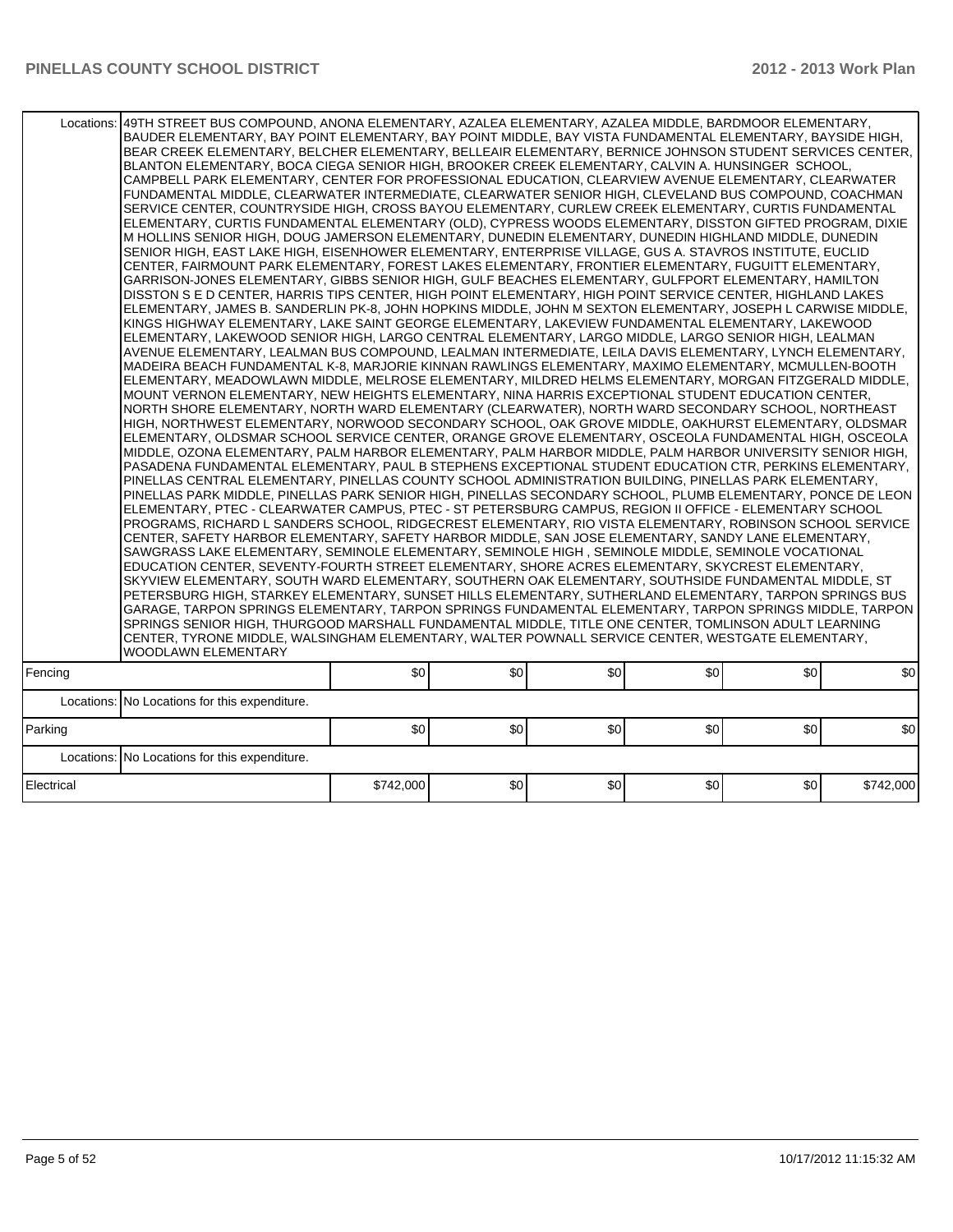| Locations: | . 49TH STREET BUS COMPOUND, ANONA ELEMENTARY, AZALEA ELEMENTARY, AZALEA MIDDLE, BARDMOOR ELEMENTARY,<br>BAUDER ELEMENTARY, BAY POINT ELEMENTARY, BAY POINT MIDDLE, BAY VISTA FUNDAMENTAL ELEMENTARY, BAYSIDE HIGH,<br>BEAR CREEK ELEMENTARY, BELCHER ELEMENTARY, BELLEAIR ELEMENTARY, BERNICE JOHNSON STUDENT SERVICES CENTER,<br>BLANTON ELEMENTARY, BOCA CIEGA SENIOR HIGH, BROOKER CREEK ELEMENTARY, CALVIN A. HUNSINGER SCHOOL,<br>CAMPBELL PARK ELEMENTARY, CENTER FOR PROFESSIONAL EDUCATION, CLEARVIEW AVENUE ELEMENTARY, CLEARWATER<br>FUNDAMENTAL MIDDLE, CLEARWATER INTERMEDIATE, CLEARWATER SENIOR HIGH, CLEVELAND BUS COMPOUND, COACHMAN<br>SERVICE CENTER, COUNTRYSIDE HIGH, CROSS BAYOU ELEMENTARY, CURLEW CREEK ELEMENTARY, CURTIS FUNDAMENTAL<br>ELEMENTARY, CURTIS FUNDAMENTAL ELEMENTARY (OLD), CYPRESS WOODS ELEMENTARY, DISSTON GIFTED PROGRAM, DIXIE<br>M HOLLINS SENIOR HIGH, DOUG JAMERSON ELEMENTARY, DUNEDIN ELEMENTARY, DUNEDIN HIGHLAND MIDDLE, DUNEDIN<br>SENIOR HIGH. EAST LAKE HIGH. EISENHOWER ELEMENTARY. ENTERPRISE VILLAGE. GUS A. STAVROS INSTITUTE. EUCLID<br>CENTER, FAIRMOUNT PARK ELEMENTARY, FOREST LAKES ELEMENTARY, FRONTIER ELEMENTARY, FUGUITT ELEMENTARY,<br>GARRISON-JONES ELEMENTARY, GIBBS SENIOR HIGH, GULF BEACHES ELEMENTARY, GULFPORT ELEMENTARY, HAMILTON<br>DISSTON S E D CENTER, HARRIS TIPS CENTER, HIGH POINT ELEMENTARY, HIGH POINT SERVICE CENTER, HIGHLAND LAKES<br>ELEMENTARY, JAMES B. SANDERLIN PK-8, JOHN HOPKINS MIDDLE, JOHN M SEXTON ELEMENTARY, JOSEPH L CARWISE MIDDLE,<br>KINGS HIGHWAY ELEMENTARY, LAKE SAINT GEORGE ELEMENTARY, LAKEVIEW FUNDAMENTAL ELEMENTARY, LAKEWOOD<br>ELEMENTARY, LAKEWOOD SENIOR HIGH, LARGO CENTRAL ELEMENTARY, LARGO MIDDLE, LARGO SENIOR HIGH, LEALMAN<br>AVENUE ELEMENTARY, LEALMAN BUS COMPOUND, LEALMAN INTERMEDIATE, LEILA DAVIS ELEMENTARY, LYNCH ELEMENTARY,<br>MADEIRA BEACH FUNDAMENTAL K-8, MARJORIE KINNAN RAWLINGS ELEMENTARY, MAXIMO ELEMENTARY, MCMULLEN-BOOTH<br>ELEMENTARY. MEADOWLAWN MIDDLE. MELROSE ELEMENTARY. MILDRED HELMS ELEMENTARY. MORGAN FITZGERALD MIDDLE.<br>MOUNT VERNON ELEMENTARY, NEW HEIGHTS ELEMENTARY, NINA HARRIS EXCEPTIONAL STUDENT EDUCATION CENTER,<br>NORTH SHORE ELEMENTARY, NORTH WARD ELEMENTARY (CLEARWATER), NORTH WARD SECONDARY SCHOOL, NORTHEAST<br>HIGH, NORTHWEST ELEMENTARY, NORWOOD SECONDARY SCHOOL, OAK GROVE MIDDLE, OAKHURST ELEMENTARY, OLDSMAR<br>ELEMENTARY, OLDSMAR SCHOOL SERVICE CENTER, ORANGE GROVE ELEMENTARY, OSCEOLA FUNDAMENTAL HIGH, OSCEOLA<br>MIDDLE, OZONA ELEMENTARY, PALM HARBOR ELEMENTARY, PALM HARBOR MIDDLE, PALM HARBOR UNIVERSITY SENIOR HIGH,<br>PASADENA FUNDAMENTAL ELEMENTARY, PAUL B STEPHENS EXCEPTIONAL STUDENT EDUCATION CTR, PERKINS ELEMENTARY,<br>PINELLAS CENTRAL ELEMENTARY, PINELLAS COUNTY SCHOOL ADMINISTRATION BUILDING, PINELLAS PARK ELEMENTARY,<br>PINELLAS PARK MIDDLE, PINELLAS PARK SENIOR HIGH, PINELLAS SECONDARY SCHOOL, PLUMB ELEMENTARY, PONCE DE LEON<br>ELEMENTARY, PTEC - CLEARWATER CAMPUS, PTEC - ST PETERSBURG CAMPUS, REGION II OFFICE - ELEMENTARY SCHOOL<br>PROGRAMS, RICHARD L SANDERS SCHOOL, RIDGECREST ELEMENTARY, RIO VISTA ELEMENTARY, ROBINSON SCHOOL SERVICE<br>CENTER, SAFETY HARBOR ELEMENTARY, SAFETY HARBOR MIDDLE, SAN JOSE ELEMENTARY, SANDY LANE ELEMENTARY,<br>SAWGRASS LAKE ELEMENTARY, SEMINOLE ELEMENTARY, SEMINOLE HIGH, SEMINOLE MIDDLE, SEMINOLE VOCATIONAL<br>EDUCATION CENTER, SEVENTY-FOURTH STREET ELEMENTARY, SHORE ACRES ELEMENTARY, SKYCREST ELEMENTARY,<br>SKYVIEW ELEMENTARY, SOUTH WARD ELEMENTARY, SOUTHERN OAK ELEMENTARY, SOUTHSIDE FUNDAMENTAL MIDDLE, ST<br>PETERSBURG HIGH, STARKEY ELEMENTARY, SUNSET HILLS ELEMENTARY, SUTHERLAND ELEMENTARY, TARPON SPRINGS BUS<br>GARAGE, TARPON SPRINGS ELEMENTARY, TARPON SPRINGS FUNDAMENTAL ELEMENTARY, TARPON SPRINGS MIDDLE, TARPON<br>SPRINGS SENIOR HIGH, THURGOOD MARSHALL FUNDAMENTAL MIDDLE, TITLE ONE CENTER, TOMLINSON ADULT LEARNING<br>CENTER, TYRONE MIDDLE, WALSINGHAM ELEMENTARY, WALTER POWNALL SERVICE CENTER, WESTGATE ELEMENTARY,<br>WOODLAWN ELEMENTARY |           |     |     |     |     |           |  |  |
|------------|-----------------------------------------------------------------------------------------------------------------------------------------------------------------------------------------------------------------------------------------------------------------------------------------------------------------------------------------------------------------------------------------------------------------------------------------------------------------------------------------------------------------------------------------------------------------------------------------------------------------------------------------------------------------------------------------------------------------------------------------------------------------------------------------------------------------------------------------------------------------------------------------------------------------------------------------------------------------------------------------------------------------------------------------------------------------------------------------------------------------------------------------------------------------------------------------------------------------------------------------------------------------------------------------------------------------------------------------------------------------------------------------------------------------------------------------------------------------------------------------------------------------------------------------------------------------------------------------------------------------------------------------------------------------------------------------------------------------------------------------------------------------------------------------------------------------------------------------------------------------------------------------------------------------------------------------------------------------------------------------------------------------------------------------------------------------------------------------------------------------------------------------------------------------------------------------------------------------------------------------------------------------------------------------------------------------------------------------------------------------------------------------------------------------------------------------------------------------------------------------------------------------------------------------------------------------------------------------------------------------------------------------------------------------------------------------------------------------------------------------------------------------------------------------------------------------------------------------------------------------------------------------------------------------------------------------------------------------------------------------------------------------------------------------------------------------------------------------------------------------------------------------------------------------------------------------------------------------------------------------------------------------------------------------------------------------------------------------------------------------------------------------------------------------------------------------------------------------------------------------------------------------------------------------------------------------------------------------------------------------------------------------------------------------------------------------------------------------------------------------------------------------------------------------------------------------------------------------------------------------------------------------------------------------------------------------------------------------------------------------------------------------------------------------------------------------------------------|-----------|-----|-----|-----|-----|-----------|--|--|
| Fencing    |                                                                                                                                                                                                                                                                                                                                                                                                                                                                                                                                                                                                                                                                                                                                                                                                                                                                                                                                                                                                                                                                                                                                                                                                                                                                                                                                                                                                                                                                                                                                                                                                                                                                                                                                                                                                                                                                                                                                                                                                                                                                                                                                                                                                                                                                                                                                                                                                                                                                                                                                                                                                                                                                                                                                                                                                                                                                                                                                                                                                                                                                                                                                                                                                                                                                                                                                                                                                                                                                                                                                                                                                                                                                                                                                                                                                                                                                                                                                                                                                                                                                                   | \$0       | \$0 | \$0 | \$0 | \$0 | \$0       |  |  |
|            | Locations: No Locations for this expenditure.                                                                                                                                                                                                                                                                                                                                                                                                                                                                                                                                                                                                                                                                                                                                                                                                                                                                                                                                                                                                                                                                                                                                                                                                                                                                                                                                                                                                                                                                                                                                                                                                                                                                                                                                                                                                                                                                                                                                                                                                                                                                                                                                                                                                                                                                                                                                                                                                                                                                                                                                                                                                                                                                                                                                                                                                                                                                                                                                                                                                                                                                                                                                                                                                                                                                                                                                                                                                                                                                                                                                                                                                                                                                                                                                                                                                                                                                                                                                                                                                                                     |           |     |     |     |     |           |  |  |
| Parking    |                                                                                                                                                                                                                                                                                                                                                                                                                                                                                                                                                                                                                                                                                                                                                                                                                                                                                                                                                                                                                                                                                                                                                                                                                                                                                                                                                                                                                                                                                                                                                                                                                                                                                                                                                                                                                                                                                                                                                                                                                                                                                                                                                                                                                                                                                                                                                                                                                                                                                                                                                                                                                                                                                                                                                                                                                                                                                                                                                                                                                                                                                                                                                                                                                                                                                                                                                                                                                                                                                                                                                                                                                                                                                                                                                                                                                                                                                                                                                                                                                                                                                   | \$0       | \$0 | \$0 | \$0 | \$0 | \$0       |  |  |
|            | Locations: No Locations for this expenditure.                                                                                                                                                                                                                                                                                                                                                                                                                                                                                                                                                                                                                                                                                                                                                                                                                                                                                                                                                                                                                                                                                                                                                                                                                                                                                                                                                                                                                                                                                                                                                                                                                                                                                                                                                                                                                                                                                                                                                                                                                                                                                                                                                                                                                                                                                                                                                                                                                                                                                                                                                                                                                                                                                                                                                                                                                                                                                                                                                                                                                                                                                                                                                                                                                                                                                                                                                                                                                                                                                                                                                                                                                                                                                                                                                                                                                                                                                                                                                                                                                                     |           |     |     |     |     |           |  |  |
| Electrical |                                                                                                                                                                                                                                                                                                                                                                                                                                                                                                                                                                                                                                                                                                                                                                                                                                                                                                                                                                                                                                                                                                                                                                                                                                                                                                                                                                                                                                                                                                                                                                                                                                                                                                                                                                                                                                                                                                                                                                                                                                                                                                                                                                                                                                                                                                                                                                                                                                                                                                                                                                                                                                                                                                                                                                                                                                                                                                                                                                                                                                                                                                                                                                                                                                                                                                                                                                                                                                                                                                                                                                                                                                                                                                                                                                                                                                                                                                                                                                                                                                                                                   | \$742,000 | \$0 | \$0 | \$0 | \$0 | \$742,000 |  |  |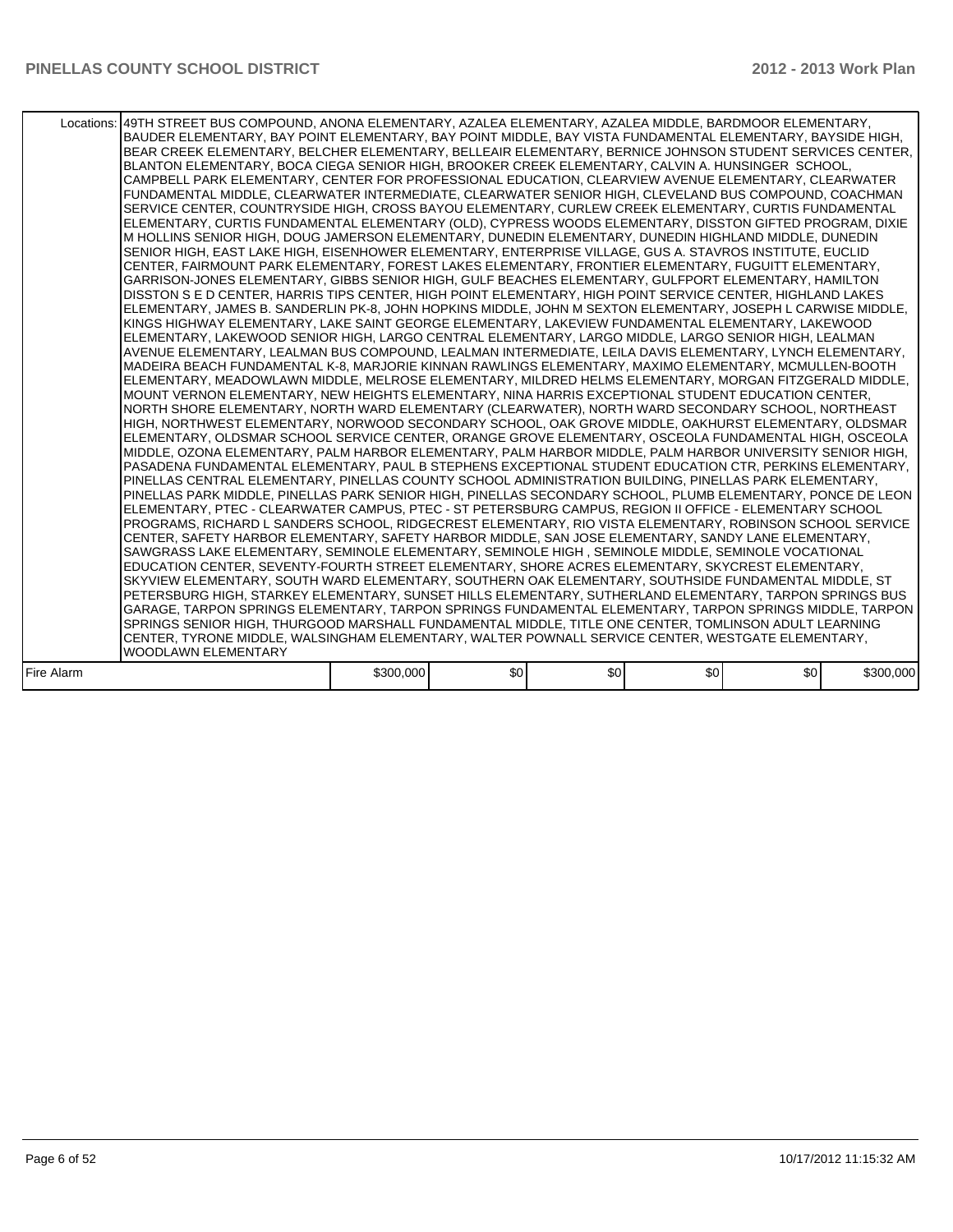|            | Locations:   49TH STREET BUS COMPOUND, ANONA ELEMENTARY, AZALEA ELEMENTARY, AZALEA MIDDLE, BARDMOOR ELEMENTARY,<br>BAUDER ELEMENTARY, BAY POINT ELEMENTARY, BAY POINT MIDDLE, BAY VISTA FUNDAMENTAL ELEMENTARY, BAYSIDE HIGH,<br>BEAR CREEK ELEMENTARY, BELCHER ELEMENTARY, BELLEAIR ELEMENTARY, BERNICE JOHNSON STUDENT SERVICES CENTER,<br>BLANTON ELEMENTARY, BOCA CIEGA SENIOR HIGH, BROOKER CREEK ELEMENTARY, CALVIN A. HUNSINGER SCHOOL,<br>CAMPBELL PARK ELEMENTARY. CENTER FOR PROFESSIONAL EDUCATION. CLEARVIEW AVENUE ELEMENTARY. CLEARWATER<br>FUNDAMENTAL MIDDLE, CLEARWATER INTERMEDIATE, CLEARWATER SENIOR HIGH, CLEVELAND BUS COMPOUND, COACHMAN<br>SERVICE CENTER, COUNTRYSIDE HIGH, CROSS BAYOU ELEMENTARY, CURLEW CREEK ELEMENTARY, CURTIS FUNDAMENTAL<br>ELEMENTARY, CURTIS FUNDAMENTAL ELEMENTARY (OLD), CYPRESS WOODS ELEMENTARY, DISSTON GIFTED PROGRAM, DIXIE<br>M HOLLINS SENIOR HIGH, DOUG JAMERSON ELEMENTARY, DUNEDIN ELEMENTARY, DUNEDIN HIGHLAND MIDDLE, DUNEDIN<br>SENIOR HIGH, EAST LAKE HIGH, EISENHOWER ELEMENTARY, ENTERPRISE VILLAGE, GUS A. STAVROS INSTITUTE, EUCLID<br>CENTER, FAIRMOUNT PARK ELEMENTARY, FOREST LAKES ELEMENTARY, FRONTIER ELEMENTARY, FUGUITT ELEMENTARY,<br>GARRISON-JONES ELEMENTARY, GIBBS SENIOR HIGH, GULF BEACHES ELEMENTARY, GULFPORT ELEMENTARY, HAMILTON<br>DISSTON S E D CENTER, HARRIS TIPS CENTER, HIGH POINT ELEMENTARY, HIGH POINT SERVICE CENTER, HIGHLAND LAKES<br>ELEMENTARY, JAMES B. SANDERLIN PK-8, JOHN HOPKINS MIDDLE, JOHN M SEXTON ELEMENTARY, JOSEPH L CARWISE MIDDLE,<br>KINGS HIGHWAY ELEMENTARY, LAKE SAINT GEORGE ELEMENTARY, LAKEVIEW FUNDAMENTAL ELEMENTARY, LAKEWOOD<br>ELEMENTARY, LAKEWOOD SENIOR HIGH, LARGO CENTRAL ELEMENTARY, LARGO MIDDLE, LARGO SENIOR HIGH, LEALMAN<br>AVENUE ELEMENTARY, LEALMAN BUS COMPOUND, LEALMAN INTERMEDIATE, LEILA DAVIS ELEMENTARY, LYNCH ELEMENTARY,<br>MADEIRA BEACH FUNDAMENTAL K-8, MARJORIE KINNAN RAWLINGS ELEMENTARY, MAXIMO ELEMENTARY, MCMULLEN-BOOTH<br>ELEMENTARY, MEADOWLAWN MIDDLE, MELROSE ELEMENTARY, MILDRED HELMS ELEMENTARY, MORGAN FITZGERALD MIDDLE,<br>MOUNT VERNON ELEMENTARY, NEW HEIGHTS ELEMENTARY, NINA HARRIS EXCEPTIONAL STUDENT EDUCATION CENTER,<br>NORTH SHORE ELEMENTARY, NORTH WARD ELEMENTARY (CLEARWATER), NORTH WARD SECONDARY SCHOOL, NORTHEAST<br>HIGH, NORTHWEST ELEMENTARY, NORWOOD SECONDARY SCHOOL, OAK GROVE MIDDLE, OAKHURST ELEMENTARY, OLDSMAR<br>ELEMENTARY, OLDSMAR SCHOOL SERVICE CENTER, ORANGE GROVE ELEMENTARY, OSCEOLA FUNDAMENTAL HIGH, OSCEOLA<br>MIDDLE, OZONA ELEMENTARY, PALM HARBOR ELEMENTARY, PALM HARBOR MIDDLE, PALM HARBOR UNIVERSITY SENIOR HIGH,<br>PASADENA FUNDAMENTAL ELEMENTARY, PAUL B STEPHENS EXCEPTIONAL STUDENT EDUCATION CTR, PERKINS ELEMENTARY,<br>PINELLAS CENTRAL ELEMENTARY, PINELLAS COUNTY SCHOOL ADMINISTRATION BUILDING, PINELLAS PARK ELEMENTARY,<br>PINELLAS PARK MIDDLE, PINELLAS PARK SENIOR HIGH, PINELLAS SECONDARY SCHOOL, PLUMB ELEMENTARY, PONCE DE LEON<br>ELEMENTARY, PTEC - CLEARWATER CAMPUS, PTEC - ST PETERSBURG CAMPUS, REGION II OFFICE - ELEMENTARY SCHOOL<br>PROGRAMS, RICHARD L SANDERS SCHOOL, RIDGECREST ELEMENTARY, RIO VISTA ELEMENTARY, ROBINSON SCHOOL SERVICE<br>CENTER, SAFETY HARBOR ELEMENTARY, SAFETY HARBOR MIDDLE, SAN JOSE ELEMENTARY, SANDY LANE ELEMENTARY,<br>SAWGRASS LAKE ELEMENTARY, SEMINOLE ELEMENTARY, SEMINOLE HIGH, SEMINOLE MIDDLE, SEMINOLE VOCATIONAL<br>EDUCATION CENTER, SEVENTY-FOURTH STREET ELEMENTARY, SHORE ACRES ELEMENTARY, SKYCREST ELEMENTARY,<br>SKYVIEW ELEMENTARY, SOUTH WARD ELEMENTARY, SOUTHERN OAK ELEMENTARY, SOUTHSIDE FUNDAMENTAL MIDDLE, ST<br>PETERSBURG HIGH, STARKEY ELEMENTARY, SUNSET HILLS ELEMENTARY, SUTHERLAND ELEMENTARY, TARPON SPRINGS BUS<br>GARAGE, TARPON SPRINGS ELEMENTARY, TARPON SPRINGS FUNDAMENTAL ELEMENTARY, TARPON SPRINGS MIDDLE, TARPON<br>SPRINGS SENIOR HIGH, THURGOOD MARSHALL FUNDAMENTAL MIDDLE, TITLE ONE CENTER, TOMLINSON ADULT LEARNING<br>CENTER, TYRONE MIDDLE, WALSINGHAM ELEMENTARY, WALTER POWNALL SERVICE CENTER, WESTGATE ELEMENTARY, |           |     |     |     |     |           |
|------------|-----------------------------------------------------------------------------------------------------------------------------------------------------------------------------------------------------------------------------------------------------------------------------------------------------------------------------------------------------------------------------------------------------------------------------------------------------------------------------------------------------------------------------------------------------------------------------------------------------------------------------------------------------------------------------------------------------------------------------------------------------------------------------------------------------------------------------------------------------------------------------------------------------------------------------------------------------------------------------------------------------------------------------------------------------------------------------------------------------------------------------------------------------------------------------------------------------------------------------------------------------------------------------------------------------------------------------------------------------------------------------------------------------------------------------------------------------------------------------------------------------------------------------------------------------------------------------------------------------------------------------------------------------------------------------------------------------------------------------------------------------------------------------------------------------------------------------------------------------------------------------------------------------------------------------------------------------------------------------------------------------------------------------------------------------------------------------------------------------------------------------------------------------------------------------------------------------------------------------------------------------------------------------------------------------------------------------------------------------------------------------------------------------------------------------------------------------------------------------------------------------------------------------------------------------------------------------------------------------------------------------------------------------------------------------------------------------------------------------------------------------------------------------------------------------------------------------------------------------------------------------------------------------------------------------------------------------------------------------------------------------------------------------------------------------------------------------------------------------------------------------------------------------------------------------------------------------------------------------------------------------------------------------------------------------------------------------------------------------------------------------------------------------------------------------------------------------------------------------------------------------------------------------------------------------------------------------------------------------------------------------------------------------------------------------------------------------------------------------------------------------------------------------------------------------------------------------------------------------------------------------------------------------------------------------------------------------------------------------------------------------------------------------------------------------------------------|-----------|-----|-----|-----|-----|-----------|
|            | WOODLAWN ELEMENTARY                                                                                                                                                                                                                                                                                                                                                                                                                                                                                                                                                                                                                                                                                                                                                                                                                                                                                                                                                                                                                                                                                                                                                                                                                                                                                                                                                                                                                                                                                                                                                                                                                                                                                                                                                                                                                                                                                                                                                                                                                                                                                                                                                                                                                                                                                                                                                                                                                                                                                                                                                                                                                                                                                                                                                                                                                                                                                                                                                                                                                                                                                                                                                                                                                                                                                                                                                                                                                                                                                                                                                                                                                                                                                                                                                                                                                                                                                                                                                                                                                                                   |           |     |     |     |     |           |
| Fire Alarm |                                                                                                                                                                                                                                                                                                                                                                                                                                                                                                                                                                                                                                                                                                                                                                                                                                                                                                                                                                                                                                                                                                                                                                                                                                                                                                                                                                                                                                                                                                                                                                                                                                                                                                                                                                                                                                                                                                                                                                                                                                                                                                                                                                                                                                                                                                                                                                                                                                                                                                                                                                                                                                                                                                                                                                                                                                                                                                                                                                                                                                                                                                                                                                                                                                                                                                                                                                                                                                                                                                                                                                                                                                                                                                                                                                                                                                                                                                                                                                                                                                                                       | \$300,000 | \$0 | \$0 | \$0 | \$0 | \$300,000 |
|            |                                                                                                                                                                                                                                                                                                                                                                                                                                                                                                                                                                                                                                                                                                                                                                                                                                                                                                                                                                                                                                                                                                                                                                                                                                                                                                                                                                                                                                                                                                                                                                                                                                                                                                                                                                                                                                                                                                                                                                                                                                                                                                                                                                                                                                                                                                                                                                                                                                                                                                                                                                                                                                                                                                                                                                                                                                                                                                                                                                                                                                                                                                                                                                                                                                                                                                                                                                                                                                                                                                                                                                                                                                                                                                                                                                                                                                                                                                                                                                                                                                                                       |           |     |     |     |     |           |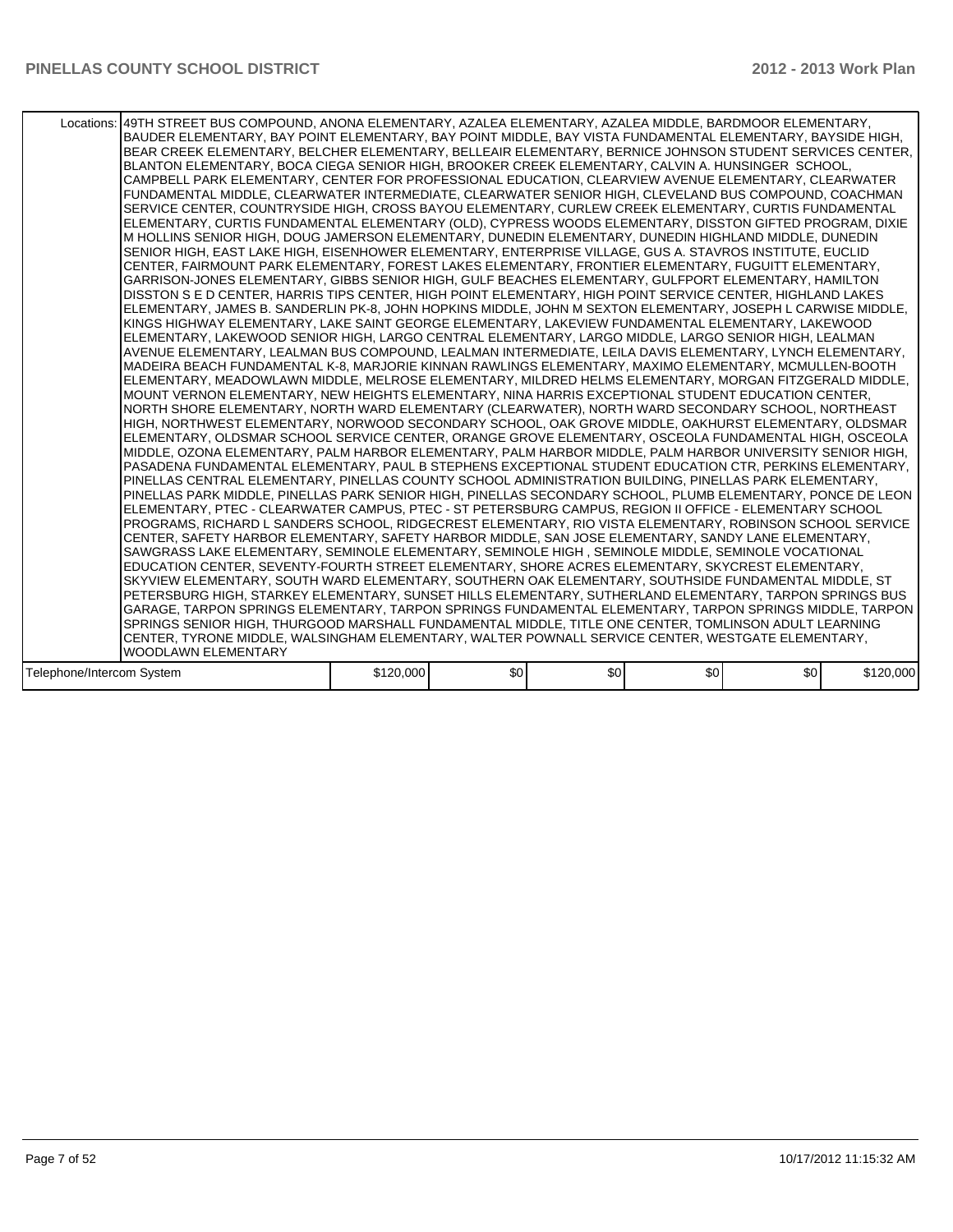| Locations: 149TH STREET BUS COMPOUND, ANONA ELEMENTARY, AZALEA ELEMENTARY, AZALEA MIDDLE, BARDMOOR ELEMENTARY, | BAUDER ELEMENTARY, BAY POINT ELEMENTARY, BAY POINT MIDDLE, BAY VISTA FUNDAMENTAL ELEMENTARY, BAYSIDE HIGH,<br>BEAR CREEK ELEMENTARY, BELCHER ELEMENTARY, BELLEAIR ELEMENTARY, BERNICE JOHNSON STUDENT SERVICES CENTER,<br>BLANTON ELEMENTARY, BOCA CIEGA SENIOR HIGH, BROOKER CREEK ELEMENTARY, CALVIN A. HUNSINGER SCHOOL,<br>CAMPBELL PARK ELEMENTARY, CENTER FOR PROFESSIONAL EDUCATION, CLEARVIEW AVENUE ELEMENTARY, CLEARWATER<br>FUNDAMENTAL MIDDLE, CLEARWATER INTERMEDIATE, CLEARWATER SENIOR HIGH, CLEVELAND BUS COMPOUND, COACHMAN<br>SERVICE CENTER, COUNTRYSIDE HIGH, CROSS BAYOU ELEMENTARY, CURLEW CREEK ELEMENTARY, CURTIS FUNDAMENTAL<br>ELEMENTARY, CURTIS FUNDAMENTAL ELEMENTARY (OLD), CYPRESS WOODS ELEMENTARY, DISSTON GIFTED PROGRAM, DIXIE<br>M HOLLINS SENIOR HIGH, DOUG JAMERSON ELEMENTARY, DUNEDIN ELEMENTARY, DUNEDIN HIGHLAND MIDDLE, DUNEDIN<br>SENIOR HIGH, EAST LAKE HIGH, EISENHOWER ELEMENTARY, ENTERPRISE VILLAGE, GUS A. STAVROS INSTITUTE, EUCLID<br>CENTER, FAIRMOUNT PARK ELEMENTARY, FOREST LAKES ELEMENTARY, FRONTIER ELEMENTARY, FUGUITT ELEMENTARY,<br>GARRISON-JONES ELEMENTARY, GIBBS SENIOR HIGH, GULF BEACHES ELEMENTARY, GULFPORT ELEMENTARY, HAMILTON<br>DISSTON S E D CENTER, HARRIS TIPS CENTER, HIGH POINT ELEMENTARY, HIGH POINT SERVICE CENTER, HIGHLAND LAKES<br> ELEMENTARY, JAMES B. SANDERLIN PK-8, JOHN HOPKINS MIDDLE, JOHN M SEXTON ELEMENTARY, JOSEPH L CARWISE MIDDLE,<br>KINGS HIGHWAY ELEMENTARY, LAKE SAINT GEORGE ELEMENTARY, LAKEVIEW FUNDAMENTAL ELEMENTARY, LAKEWOOD<br>ELEMENTARY, LAKEWOOD SENIOR HIGH, LARGO CENTRAL ELEMENTARY, LARGO MIDDLE, LARGO SENIOR HIGH, LEALMAN<br>AVENUE ELEMENTARY, LEALMAN BUS COMPOUND, LEALMAN INTERMEDIATE, LEILA DAVIS ELEMENTARY, LYNCH ELEMENTARY,<br>MADEIRA BEACH FUNDAMENTAL K-8, MARJORIE KINNAN RAWLINGS ELEMENTARY, MAXIMO ELEMENTARY, MCMULLEN-BOOTH<br>ELEMENTARY. MEADOWLAWN MIDDLE. MELROSE ELEMENTARY. MILDRED HELMS ELEMENTARY. MORGAN FITZGERALD MIDDLE.<br>MOUNT VERNON ELEMENTARY. NEW HEIGHTS ELEMENTARY. NINA HARRIS EXCEPTIONAL STUDENT EDUCATION CENTER.<br>NORTH SHORE ELEMENTARY, NORTH WARD ELEMENTARY (CLEARWATER), NORTH WARD SECONDARY SCHOOL, NORTHEAST<br>HIGH, NORTHWEST ELEMENTARY, NORWOOD SECONDARY SCHOOL, OAK GROVE MIDDLE, OAKHURST ELEMENTARY, OLDSMAR<br>ELEMENTARY, OLDSMAR SCHOOL SERVICE CENTER, ORANGE GROVE ELEMENTARY, OSCEOLA FUNDAMENTAL HIGH, OSCEOLA<br>MIDDLE, OZONA ELEMENTARY, PALM HARBOR ELEMENTARY, PALM HARBOR MIDDLE, PALM HARBOR UNIVERSITY SENIOR HIGH,<br>PASADENA FUNDAMENTAL ELEMENTARY, PAUL B STEPHENS EXCEPTIONAL STUDENT EDUCATION CTR, PERKINS ELEMENTARY,<br>PINELLAS CENTRAL ELEMENTARY, PINELLAS COUNTY SCHOOL ADMINISTRATION BUILDING, PINELLAS PARK ELEMENTARY,<br>PINELLAS PARK MIDDLE, PINELLAS PARK SENIOR HIGH, PINELLAS SECONDARY SCHOOL, PLUMB ELEMENTARY, PONCE DE LEON<br>ELEMENTARY, PTEC - CLEARWATER CAMPUS, PTEC - ST PETERSBURG CAMPUS, REGION II OFFICE - ELEMENTARY SCHOOL<br>PROGRAMS, RICHARD L SANDERS SCHOOL, RIDGECREST ELEMENTARY, RIO VISTA ELEMENTARY, ROBINSON SCHOOL SERVICE<br>CENTER, SAFETY HARBOR ELEMENTARY, SAFETY HARBOR MIDDLE, SAN JOSE ELEMENTARY, SANDY LANE ELEMENTARY,<br>SAWGRASS LAKE ELEMENTARY, SEMINOLE ELEMENTARY, SEMINOLE HIGH, SEMINOLE MIDDLE, SEMINOLE VOCATIONAL<br>EDUCATION CENTER. SEVENTY-FOURTH STREET ELEMENTARY, SHORE ACRES ELEMENTARY, SKYCREST ELEMENTARY.<br>SKYVIEW ELEMENTARY, SOUTH WARD ELEMENTARY, SOUTHERN OAK ELEMENTARY, SOUTHSIDE FUNDAMENTAL MIDDLE, ST<br>PETERSBURG HIGH, STARKEY ELEMENTARY, SUNSET HILLS ELEMENTARY, SUTHERLAND ELEMENTARY, TARPON SPRINGS BUS<br>GARAGE, TARPON SPRINGS ELEMENTARY, TARPON SPRINGS FUNDAMENTAL ELEMENTARY, TARPON SPRINGS MIDDLE, TARPON<br>SPRINGS SENIOR HIGH, THURGOOD MARSHALL FUNDAMENTAL MIDDLE, TITLE ONE CENTER, TOMLINSON ADULT LEARNING<br>CENTER, TYRONE MIDDLE, WALSINGHAM ELEMENTARY, WALTER POWNALL SERVICE CENTER, WESTGATE ELEMENTARY,<br><b>WOODLAWN ELEMENTARY</b> |           |     |     |     |     |           |
|----------------------------------------------------------------------------------------------------------------|-----------------------------------------------------------------------------------------------------------------------------------------------------------------------------------------------------------------------------------------------------------------------------------------------------------------------------------------------------------------------------------------------------------------------------------------------------------------------------------------------------------------------------------------------------------------------------------------------------------------------------------------------------------------------------------------------------------------------------------------------------------------------------------------------------------------------------------------------------------------------------------------------------------------------------------------------------------------------------------------------------------------------------------------------------------------------------------------------------------------------------------------------------------------------------------------------------------------------------------------------------------------------------------------------------------------------------------------------------------------------------------------------------------------------------------------------------------------------------------------------------------------------------------------------------------------------------------------------------------------------------------------------------------------------------------------------------------------------------------------------------------------------------------------------------------------------------------------------------------------------------------------------------------------------------------------------------------------------------------------------------------------------------------------------------------------------------------------------------------------------------------------------------------------------------------------------------------------------------------------------------------------------------------------------------------------------------------------------------------------------------------------------------------------------------------------------------------------------------------------------------------------------------------------------------------------------------------------------------------------------------------------------------------------------------------------------------------------------------------------------------------------------------------------------------------------------------------------------------------------------------------------------------------------------------------------------------------------------------------------------------------------------------------------------------------------------------------------------------------------------------------------------------------------------------------------------------------------------------------------------------------------------------------------------------------------------------------------------------------------------------------------------------------------------------------------------------------------------------------------------------------------------------------------------------------------------------------------------------------------------------------------------------------------------------------------------------------------------------------------------------------------------------------------------------------------------------------------------------------------------------------------------------------------------------------------------------------------------------------|-----------|-----|-----|-----|-----|-----------|
| Telephone/Intercom System                                                                                      |                                                                                                                                                                                                                                                                                                                                                                                                                                                                                                                                                                                                                                                                                                                                                                                                                                                                                                                                                                                                                                                                                                                                                                                                                                                                                                                                                                                                                                                                                                                                                                                                                                                                                                                                                                                                                                                                                                                                                                                                                                                                                                                                                                                                                                                                                                                                                                                                                                                                                                                                                                                                                                                                                                                                                                                                                                                                                                                                                                                                                                                                                                                                                                                                                                                                                                                                                                                                                                                                                                                                                                                                                                                                                                                                                                                                                                                                                                                                                                                   |           | \$0 | \$0 | \$0 | \$0 | \$120,000 |
|                                                                                                                |                                                                                                                                                                                                                                                                                                                                                                                                                                                                                                                                                                                                                                                                                                                                                                                                                                                                                                                                                                                                                                                                                                                                                                                                                                                                                                                                                                                                                                                                                                                                                                                                                                                                                                                                                                                                                                                                                                                                                                                                                                                                                                                                                                                                                                                                                                                                                                                                                                                                                                                                                                                                                                                                                                                                                                                                                                                                                                                                                                                                                                                                                                                                                                                                                                                                                                                                                                                                                                                                                                                                                                                                                                                                                                                                                                                                                                                                                                                                                                                   | \$120,000 |     |     |     |     |           |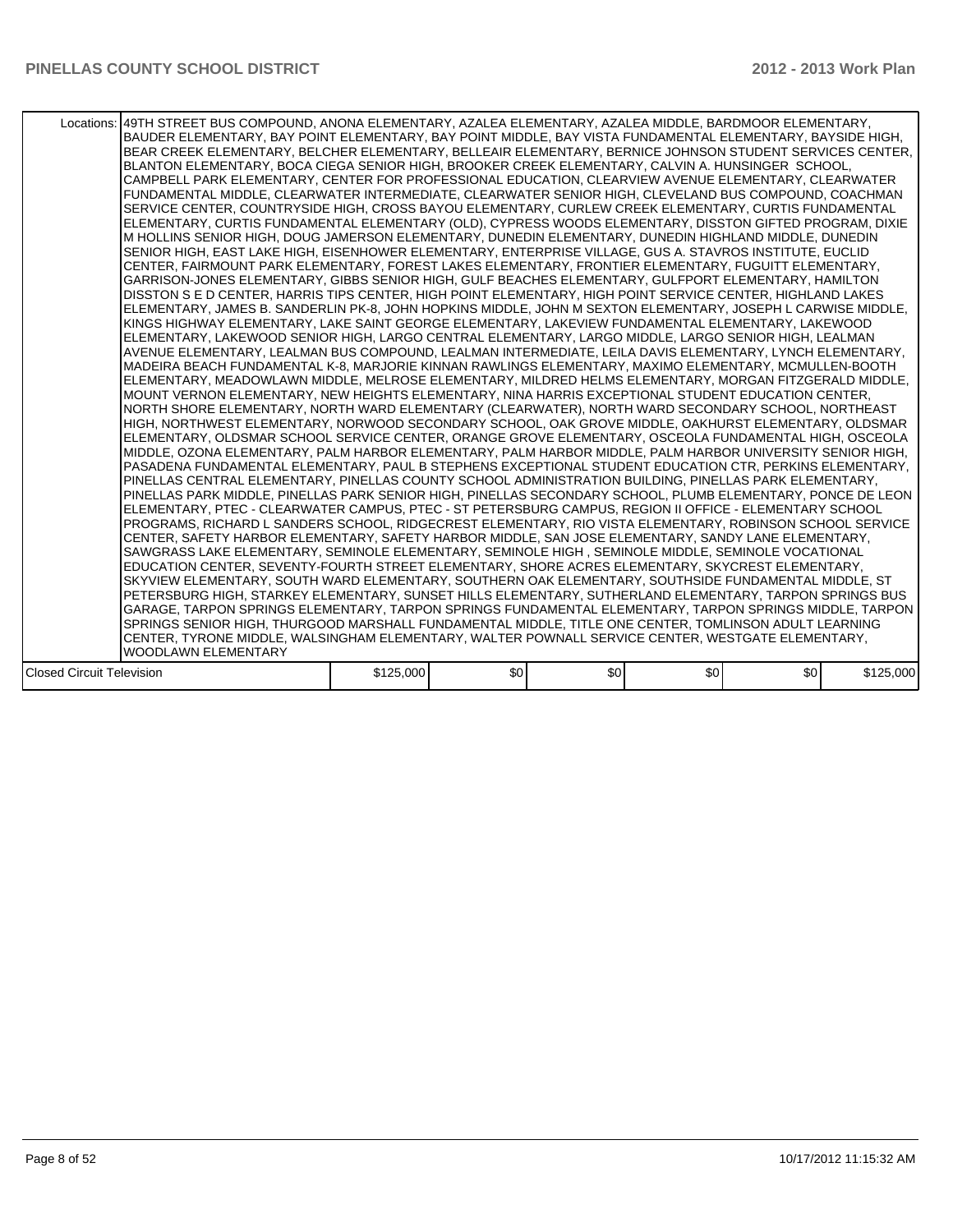|                                  | Locations: 49TH STREET BUS COMPOUND, ANONA ELEMENTARY, AZALEA ELEMENTARY, AZALEA MIDDLE, BARDMOOR ELEMENTARY,<br>BAUDER ELEMENTARY, BAY POINT ELEMENTARY, BAY POINT MIDDLE, BAY VISTA FUNDAMENTAL ELEMENTARY, BAYSIDE HIGH,<br>BEAR CREEK ELEMENTARY, BELCHER ELEMENTARY, BELLEAIR ELEMENTARY, BERNICE JOHNSON STUDENT SERVICES CENTER,<br>BLANTON ELEMENTARY, BOCA CIEGA SENIOR HIGH, BROOKER CREEK ELEMENTARY, CALVIN A. HUNSINGER SCHOOL,<br>CAMPBELL PARK ELEMENTARY, CENTER FOR PROFESSIONAL EDUCATION, CLEARVIEW AVENUE ELEMENTARY, CLEARWATER<br>FUNDAMENTAL MIDDLE, CLEARWATER INTERMEDIATE, CLEARWATER SENIOR HIGH, CLEVELAND BUS COMPOUND, COACHMAN<br>SERVICE CENTER, COUNTRYSIDE HIGH, CROSS BAYOU ELEMENTARY, CURLEW CREEK ELEMENTARY, CURTIS FUNDAMENTAL<br>ELEMENTARY, CURTIS FUNDAMENTAL ELEMENTARY (OLD), CYPRESS WOODS ELEMENTARY, DISSTON GIFTED PROGRAM, DIXIE<br>M HOLLINS SENIOR HIGH, DOUG JAMERSON ELEMENTARY, DUNEDIN ELEMENTARY, DUNEDIN HIGHLAND MIDDLE, DUNEDIN<br>SENIOR HIGH, EAST LAKE HIGH, EISENHOWER ELEMENTARY, ENTERPRISE VILLAGE, GUS A. STAVROS INSTITUTE, EUCLID<br>CENTER, FAIRMOUNT PARK ELEMENTARY, FOREST LAKES ELEMENTARY, FRONTIER ELEMENTARY, FUGUITT ELEMENTARY,<br>GARRISON-JONES ELEMENTARY, GIBBS SENIOR HIGH, GULF BEACHES ELEMENTARY, GULFPORT ELEMENTARY, HAMILTON<br>DISSTON S E D CENTER, HARRIS TIPS CENTER, HIGH POINT ELEMENTARY, HIGH POINT SERVICE CENTER, HIGHLAND LAKES<br> ELEMENTARY, JAMES B. SANDERLIN PK-8, JOHN HOPKINS MIDDLE, JOHN M SEXTON ELEMENTARY, JOSEPH L CARWISE MIDDLE,<br>KINGS HIGHWAY ELEMENTARY, LAKE SAINT GEORGE ELEMENTARY, LAKEVIEW FUNDAMENTAL ELEMENTARY, LAKEWOOD<br>ELEMENTARY, LAKEWOOD SENIOR HIGH, LARGO CENTRAL ELEMENTARY, LARGO MIDDLE, LARGO SENIOR HIGH, LEALMAN<br>AVENUE ELEMENTARY, LEALMAN BUS COMPOUND, LEALMAN INTERMEDIATE, LEILA DAVIS ELEMENTARY, LYNCH ELEMENTARY,<br>MADEIRA BEACH FUNDAMENTAL K-8, MARJORIE KINNAN RAWLINGS ELEMENTARY, MAXIMO ELEMENTARY, MCMULLEN-BOOTH<br>ELEMENTARY. MEADOWLAWN MIDDLE, MELROSE ELEMENTARY, MILDRED HELMS ELEMENTARY, MORGAN FITZGERALD MIDDLE.<br>MOUNT VERNON ELEMENTARY. NEW HEIGHTS ELEMENTARY. NINA HARRIS EXCEPTIONAL STUDENT EDUCATION CENTER.<br>NORTH SHORE ELEMENTARY, NORTH WARD ELEMENTARY (CLEARWATER), NORTH WARD SECONDARY SCHOOL, NORTHEAST<br>HIGH, NORTHWEST ELEMENTARY, NORWOOD SECONDARY SCHOOL, OAK GROVE MIDDLE, OAKHURST ELEMENTARY, OLDSMAR<br>ELEMENTARY, OLDSMAR SCHOOL SERVICE CENTER, ORANGE GROVE ELEMENTARY, OSCEOLA FUNDAMENTAL HIGH, OSCEOLA<br>MIDDLE, OZONA ELEMENTARY, PALM HARBOR ELEMENTARY, PALM HARBOR MIDDLE, PALM HARBOR UNIVERSITY SENIOR HIGH,<br>PASADENA FUNDAMENTAL ELEMENTARY, PAUL B STEPHENS EXCEPTIONAL STUDENT EDUCATION CTR, PERKINS ELEMENTARY,<br>PINELLAS CENTRAL ELEMENTARY, PINELLAS COUNTY SCHOOL ADMINISTRATION BUILDING, PINELLAS PARK ELEMENTARY,<br>PINELLAS PARK MIDDLE. PINELLAS PARK SENIOR HIGH. PINELLAS SECONDARY SCHOOL. PLUMB ELEMENTARY. PONCE DE LEON<br>ELEMENTARY, PTEC - CLEARWATER CAMPUS, PTEC - ST PETERSBURG CAMPUS, REGION II OFFICE - ELEMENTARY SCHOOL<br>PROGRAMS, RICHARD L SANDERS SCHOOL, RIDGECREST ELEMENTARY, RIO VISTA ELEMENTARY, ROBINSON SCHOOL SERVICE<br>CENTER, SAFETY HARBOR ELEMENTARY, SAFETY HARBOR MIDDLE, SAN JOSE ELEMENTARY, SANDY LANE ELEMENTARY,<br>SAWGRASS LAKE ELEMENTARY, SEMINOLE ELEMENTARY, SEMINOLE HIGH , SEMINOLE MIDDLE, SEMINOLE VOCATIONAL<br>EDUCATION CENTER, SEVENTY-FOURTH STREET ELEMENTARY, SHORE ACRES ELEMENTARY, SKYCREST ELEMENTARY,<br>SKYVIEW ELEMENTARY, SOUTH WARD ELEMENTARY, SOUTHERN OAK ELEMENTARY, SOUTHSIDE FUNDAMENTAL MIDDLE, ST<br>PETERSBURG HIGH, STARKEY ELEMENTARY, SUNSET HILLS ELEMENTARY, SUTHERLAND ELEMENTARY, TARPON SPRINGS BUS<br>GARAGE, TARPON SPRINGS ELEMENTARY, TARPON SPRINGS FUNDAMENTAL ELEMENTARY, TARPON SPRINGS MIDDLE, TARPON<br>SPRINGS SENIOR HIGH, THURGOOD MARSHALL FUNDAMENTAL MIDDLE, TITLE ONE CENTER, TOMLINSON ADULT LEARNING<br>CENTER, TYRONE MIDDLE, WALSINGHAM ELEMENTARY, WALTER POWNALL SERVICE CENTER, WESTGATE ELEMENTARY, |           |     |     |     |     |           |
|----------------------------------|-----------------------------------------------------------------------------------------------------------------------------------------------------------------------------------------------------------------------------------------------------------------------------------------------------------------------------------------------------------------------------------------------------------------------------------------------------------------------------------------------------------------------------------------------------------------------------------------------------------------------------------------------------------------------------------------------------------------------------------------------------------------------------------------------------------------------------------------------------------------------------------------------------------------------------------------------------------------------------------------------------------------------------------------------------------------------------------------------------------------------------------------------------------------------------------------------------------------------------------------------------------------------------------------------------------------------------------------------------------------------------------------------------------------------------------------------------------------------------------------------------------------------------------------------------------------------------------------------------------------------------------------------------------------------------------------------------------------------------------------------------------------------------------------------------------------------------------------------------------------------------------------------------------------------------------------------------------------------------------------------------------------------------------------------------------------------------------------------------------------------------------------------------------------------------------------------------------------------------------------------------------------------------------------------------------------------------------------------------------------------------------------------------------------------------------------------------------------------------------------------------------------------------------------------------------------------------------------------------------------------------------------------------------------------------------------------------------------------------------------------------------------------------------------------------------------------------------------------------------------------------------------------------------------------------------------------------------------------------------------------------------------------------------------------------------------------------------------------------------------------------------------------------------------------------------------------------------------------------------------------------------------------------------------------------------------------------------------------------------------------------------------------------------------------------------------------------------------------------------------------------------------------------------------------------------------------------------------------------------------------------------------------------------------------------------------------------------------------------------------------------------------------------------------------------------------------------------------------------------------------------------------------------------------------------------------------------------------------------------------------------------------------------------------------------------------------|-----------|-----|-----|-----|-----|-----------|
|                                  | <b>WOODLAWN ELEMENTARY</b>                                                                                                                                                                                                                                                                                                                                                                                                                                                                                                                                                                                                                                                                                                                                                                                                                                                                                                                                                                                                                                                                                                                                                                                                                                                                                                                                                                                                                                                                                                                                                                                                                                                                                                                                                                                                                                                                                                                                                                                                                                                                                                                                                                                                                                                                                                                                                                                                                                                                                                                                                                                                                                                                                                                                                                                                                                                                                                                                                                                                                                                                                                                                                                                                                                                                                                                                                                                                                                                                                                                                                                                                                                                                                                                                                                                                                                                                                                                                                                                                                                            |           |     |     |     |     |           |
| <b>Closed Circuit Television</b> |                                                                                                                                                                                                                                                                                                                                                                                                                                                                                                                                                                                                                                                                                                                                                                                                                                                                                                                                                                                                                                                                                                                                                                                                                                                                                                                                                                                                                                                                                                                                                                                                                                                                                                                                                                                                                                                                                                                                                                                                                                                                                                                                                                                                                                                                                                                                                                                                                                                                                                                                                                                                                                                                                                                                                                                                                                                                                                                                                                                                                                                                                                                                                                                                                                                                                                                                                                                                                                                                                                                                                                                                                                                                                                                                                                                                                                                                                                                                                                                                                                                                       | \$125,000 | \$0 | \$0 | \$0 | \$0 | \$125,000 |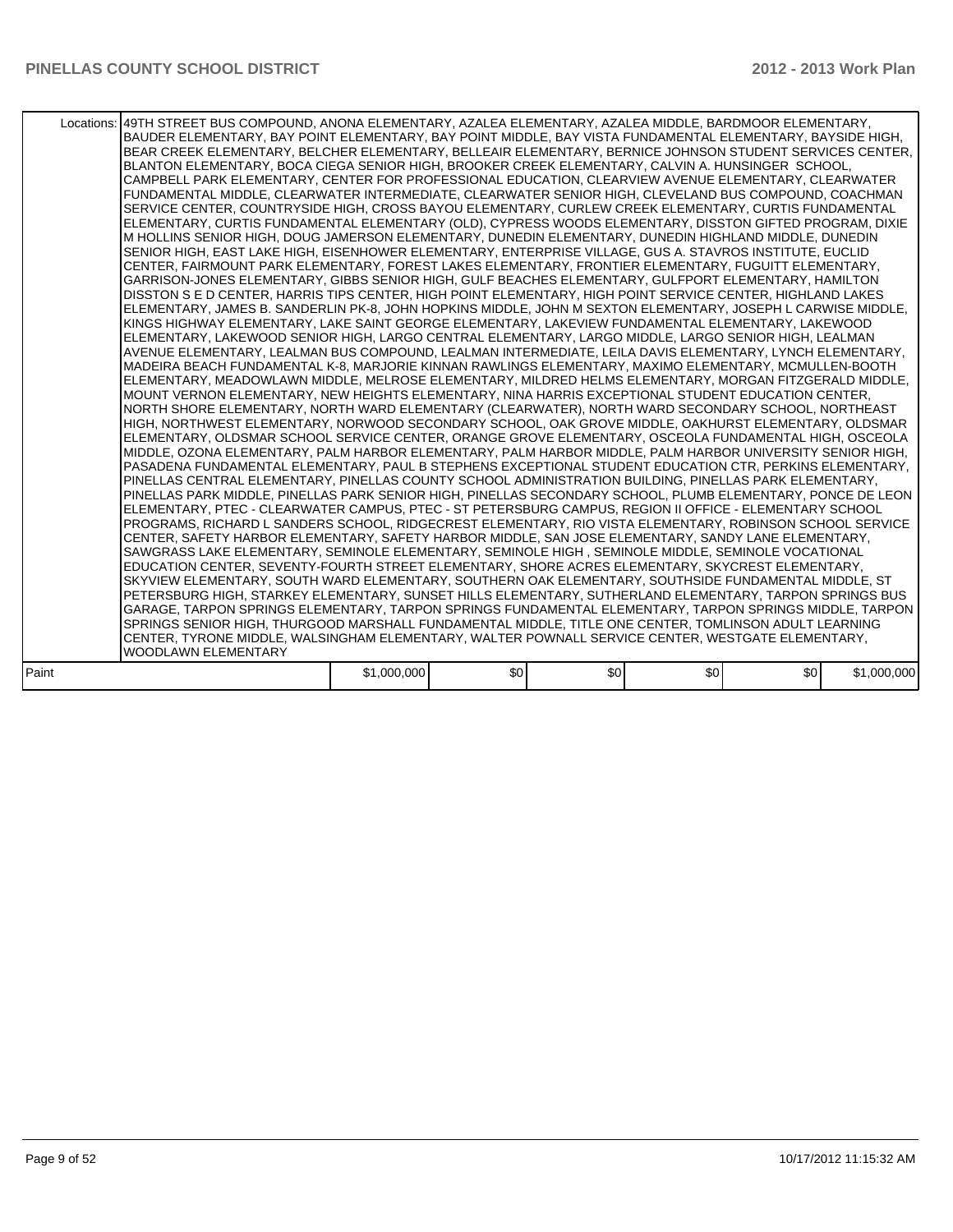|       | Locations:   49TH STREET BUS COMPOUND, ANONA ELEMENTARY, AZALEA ELEMENTARY, AZALEA MIDDLE, BARDMOOR ELEMENTARY,<br>BAUDER ELEMENTARY, BAY POINT ELEMENTARY, BAY POINT MIDDLE, BAY VISTA FUNDAMENTAL ELEMENTARY, BAYSIDE HIGH,<br>BEAR CREEK ELEMENTARY, BELCHER ELEMENTARY, BELLEAIR ELEMENTARY, BERNICE JOHNSON STUDENT SERVICES CENTER,<br>BLANTON ELEMENTARY, BOCA CIEGA SENIOR HIGH, BROOKER CREEK ELEMENTARY, CALVIN A. HUNSINGER SCHOOL,<br>CAMPBELL PARK ELEMENTARY. CENTER FOR PROFESSIONAL EDUCATION. CLEARVIEW AVENUE ELEMENTARY. CLEARWATER<br>FUNDAMENTAL MIDDLE, CLEARWATER INTERMEDIATE, CLEARWATER SENIOR HIGH, CLEVELAND BUS COMPOUND, COACHMAN<br>SERVICE CENTER, COUNTRYSIDE HIGH, CROSS BAYOU ELEMENTARY, CURLEW CREEK ELEMENTARY, CURTIS FUNDAMENTAL<br>ELEMENTARY, CURTIS FUNDAMENTAL ELEMENTARY (OLD), CYPRESS WOODS ELEMENTARY, DISSTON GIFTED PROGRAM, DIXIE<br>M HOLLINS SENIOR HIGH, DOUG JAMERSON ELEMENTARY, DUNEDIN ELEMENTARY, DUNEDIN HIGHLAND MIDDLE, DUNEDIN<br>SENIOR HIGH, EAST LAKE HIGH, EISENHOWER ELEMENTARY, ENTERPRISE VILLAGE, GUS A. STAVROS INSTITUTE, EUCLID<br>CENTER, FAIRMOUNT PARK ELEMENTARY, FOREST LAKES ELEMENTARY, FRONTIER ELEMENTARY, FUGUITT ELEMENTARY,<br>GARRISON-JONES ELEMENTARY, GIBBS SENIOR HIGH, GULF BEACHES ELEMENTARY, GULFPORT ELEMENTARY, HAMILTON<br>DISSTON S E D CENTER, HARRIS TIPS CENTER, HIGH POINT ELEMENTARY, HIGH POINT SERVICE CENTER, HIGHLAND LAKES<br>ELEMENTARY, JAMES B. SANDERLIN PK-8, JOHN HOPKINS MIDDLE, JOHN M SEXTON ELEMENTARY, JOSEPH L CARWISE MIDDLE,<br>KINGS HIGHWAY ELEMENTARY, LAKE SAINT GEORGE ELEMENTARY, LAKEVIEW FUNDAMENTAL ELEMENTARY, LAKEWOOD<br>ELEMENTARY, LAKEWOOD SENIOR HIGH, LARGO CENTRAL ELEMENTARY, LARGO MIDDLE, LARGO SENIOR HIGH, LEALMAN<br>AVENUE ELEMENTARY, LEALMAN BUS COMPOUND, LEALMAN INTERMEDIATE, LEILA DAVIS ELEMENTARY, LYNCH ELEMENTARY,<br>MADEIRA BEACH FUNDAMENTAL K-8, MARJORIE KINNAN RAWLINGS ELEMENTARY, MAXIMO ELEMENTARY, MCMULLEN-BOOTH<br>ELEMENTARY, MEADOWLAWN MIDDLE, MELROSE ELEMENTARY, MILDRED HELMS ELEMENTARY, MORGAN FITZGERALD MIDDLE,<br>MOUNT VERNON ELEMENTARY, NEW HEIGHTS ELEMENTARY, NINA HARRIS EXCEPTIONAL STUDENT EDUCATION CENTER,<br>NORTH SHORE ELEMENTARY, NORTH WARD ELEMENTARY (CLEARWATER), NORTH WARD SECONDARY SCHOOL, NORTHEAST<br>HIGH, NORTHWEST ELEMENTARY, NORWOOD SECONDARY SCHOOL, OAK GROVE MIDDLE, OAKHURST ELEMENTARY, OLDSMAR<br>ELEMENTARY, OLDSMAR SCHOOL SERVICE CENTER, ORANGE GROVE ELEMENTARY, OSCEOLA FUNDAMENTAL HIGH, OSCEOLA<br>MIDDLE, OZONA ELEMENTARY, PALM HARBOR ELEMENTARY, PALM HARBOR MIDDLE, PALM HARBOR UNIVERSITY SENIOR HIGH,<br>PASADENA FUNDAMENTAL ELEMENTARY, PAUL B STEPHENS EXCEPTIONAL STUDENT EDUCATION CTR, PERKINS ELEMENTARY,<br>PINELLAS CENTRAL ELEMENTARY, PINELLAS COUNTY SCHOOL ADMINISTRATION BUILDING, PINELLAS PARK ELEMENTARY,<br>PINELLAS PARK MIDDLE, PINELLAS PARK SENIOR HIGH, PINELLAS SECONDARY SCHOOL, PLUMB ELEMENTARY, PONCE DE LEON<br>ELEMENTARY, PTEC - CLEARWATER CAMPUS, PTEC - ST PETERSBURG CAMPUS, REGION II OFFICE - ELEMENTARY SCHOOL<br>PROGRAMS, RICHARD L SANDERS SCHOOL, RIDGECREST ELEMENTARY, RIO VISTA ELEMENTARY, ROBINSON SCHOOL SERVICE<br>CENTER, SAFETY HARBOR ELEMENTARY, SAFETY HARBOR MIDDLE, SAN JOSE ELEMENTARY, SANDY LANE ELEMENTARY,<br>SAWGRASS LAKE ELEMENTARY, SEMINOLE ELEMENTARY, SEMINOLE HIGH, SEMINOLE MIDDLE, SEMINOLE VOCATIONAL<br>EDUCATION CENTER, SEVENTY-FOURTH STREET ELEMENTARY, SHORE ACRES ELEMENTARY, SKYCREST ELEMENTARY,<br>SKYVIEW ELEMENTARY, SOUTH WARD ELEMENTARY, SOUTHERN OAK ELEMENTARY, SOUTHSIDE FUNDAMENTAL MIDDLE, ST<br>PETERSBURG HIGH, STARKEY ELEMENTARY, SUNSET HILLS ELEMENTARY, SUTHERLAND ELEMENTARY, TARPON SPRINGS BUS<br>GARAGE, TARPON SPRINGS ELEMENTARY, TARPON SPRINGS FUNDAMENTAL ELEMENTARY, TARPON SPRINGS MIDDLE, TARPON<br>SPRINGS SENIOR HIGH, THURGOOD MARSHALL FUNDAMENTAL MIDDLE, TITLE ONE CENTER, TOMLINSON ADULT LEARNING<br>CENTER, TYRONE MIDDLE, WALSINGHAM ELEMENTARY, WALTER POWNALL SERVICE CENTER, WESTGATE ELEMENTARY, |             |     |     |     |     |             |
|-------|-----------------------------------------------------------------------------------------------------------------------------------------------------------------------------------------------------------------------------------------------------------------------------------------------------------------------------------------------------------------------------------------------------------------------------------------------------------------------------------------------------------------------------------------------------------------------------------------------------------------------------------------------------------------------------------------------------------------------------------------------------------------------------------------------------------------------------------------------------------------------------------------------------------------------------------------------------------------------------------------------------------------------------------------------------------------------------------------------------------------------------------------------------------------------------------------------------------------------------------------------------------------------------------------------------------------------------------------------------------------------------------------------------------------------------------------------------------------------------------------------------------------------------------------------------------------------------------------------------------------------------------------------------------------------------------------------------------------------------------------------------------------------------------------------------------------------------------------------------------------------------------------------------------------------------------------------------------------------------------------------------------------------------------------------------------------------------------------------------------------------------------------------------------------------------------------------------------------------------------------------------------------------------------------------------------------------------------------------------------------------------------------------------------------------------------------------------------------------------------------------------------------------------------------------------------------------------------------------------------------------------------------------------------------------------------------------------------------------------------------------------------------------------------------------------------------------------------------------------------------------------------------------------------------------------------------------------------------------------------------------------------------------------------------------------------------------------------------------------------------------------------------------------------------------------------------------------------------------------------------------------------------------------------------------------------------------------------------------------------------------------------------------------------------------------------------------------------------------------------------------------------------------------------------------------------------------------------------------------------------------------------------------------------------------------------------------------------------------------------------------------------------------------------------------------------------------------------------------------------------------------------------------------------------------------------------------------------------------------------------------------------------------------------------------------------------------|-------------|-----|-----|-----|-----|-------------|
|       | WOODLAWN ELEMENTARY                                                                                                                                                                                                                                                                                                                                                                                                                                                                                                                                                                                                                                                                                                                                                                                                                                                                                                                                                                                                                                                                                                                                                                                                                                                                                                                                                                                                                                                                                                                                                                                                                                                                                                                                                                                                                                                                                                                                                                                                                                                                                                                                                                                                                                                                                                                                                                                                                                                                                                                                                                                                                                                                                                                                                                                                                                                                                                                                                                                                                                                                                                                                                                                                                                                                                                                                                                                                                                                                                                                                                                                                                                                                                                                                                                                                                                                                                                                                                                                                                                                   |             |     |     |     |     |             |
| Paint |                                                                                                                                                                                                                                                                                                                                                                                                                                                                                                                                                                                                                                                                                                                                                                                                                                                                                                                                                                                                                                                                                                                                                                                                                                                                                                                                                                                                                                                                                                                                                                                                                                                                                                                                                                                                                                                                                                                                                                                                                                                                                                                                                                                                                                                                                                                                                                                                                                                                                                                                                                                                                                                                                                                                                                                                                                                                                                                                                                                                                                                                                                                                                                                                                                                                                                                                                                                                                                                                                                                                                                                                                                                                                                                                                                                                                                                                                                                                                                                                                                                                       | \$1,000,000 | \$0 | \$0 | \$0 | \$0 | \$1,000,000 |
|       |                                                                                                                                                                                                                                                                                                                                                                                                                                                                                                                                                                                                                                                                                                                                                                                                                                                                                                                                                                                                                                                                                                                                                                                                                                                                                                                                                                                                                                                                                                                                                                                                                                                                                                                                                                                                                                                                                                                                                                                                                                                                                                                                                                                                                                                                                                                                                                                                                                                                                                                                                                                                                                                                                                                                                                                                                                                                                                                                                                                                                                                                                                                                                                                                                                                                                                                                                                                                                                                                                                                                                                                                                                                                                                                                                                                                                                                                                                                                                                                                                                                                       |             |     |     |     |     |             |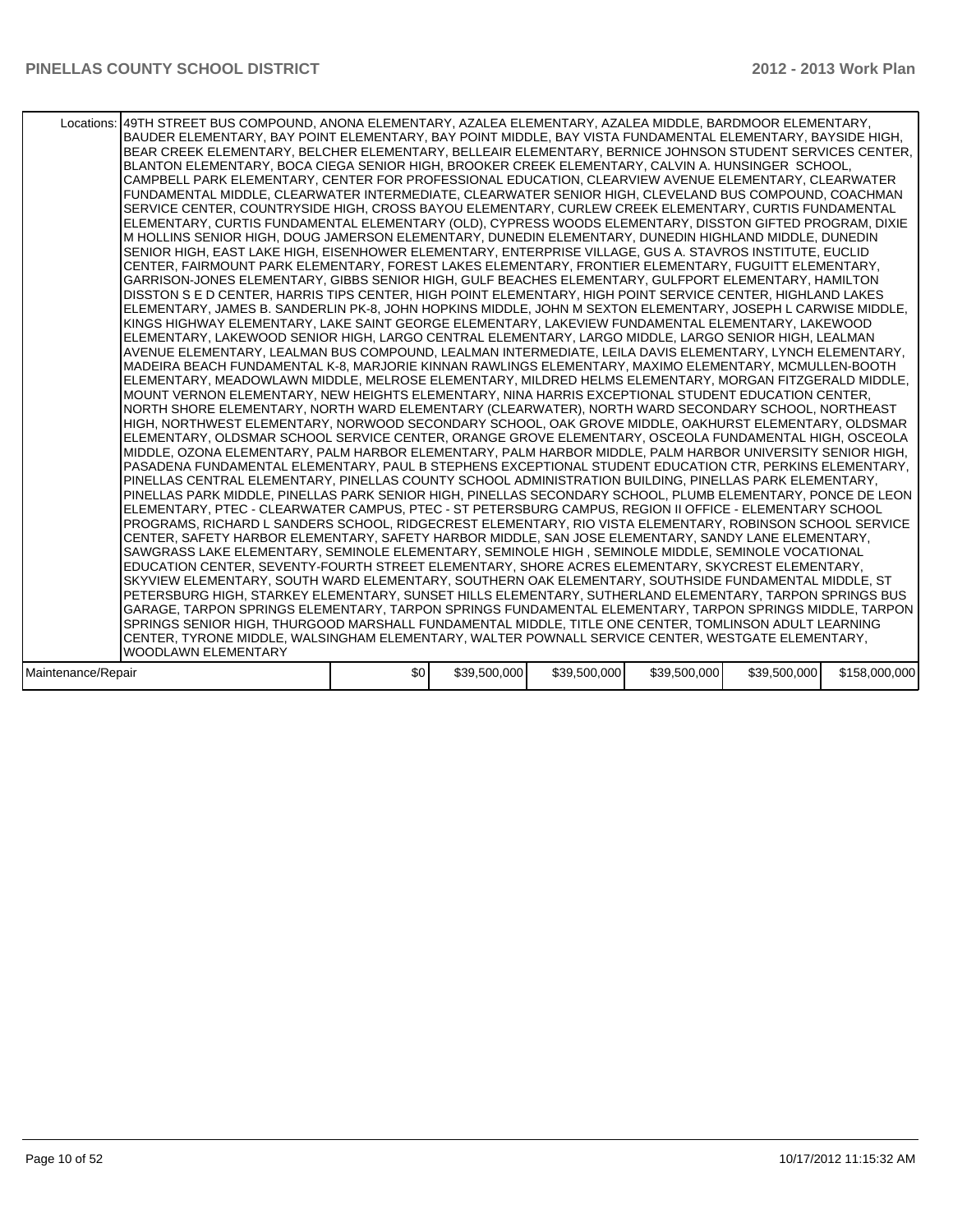|                    | Locations:   49TH STREET BUS COMPOUND, ANONA ELEMENTARY, AZALEA ELEMENTARY, AZALEA MIDDLE, BARDMOOR ELEMENTARY,<br>BAUDER ELEMENTARY, BAY POINT ELEMENTARY, BAY POINT MIDDLE, BAY VISTA FUNDAMENTAL ELEMENTARY, BAYSIDE HIGH,<br>BEAR CREEK ELEMENTARY, BELCHER ELEMENTARY, BELLEAIR ELEMENTARY, BERNICE JOHNSON STUDENT SERVICES CENTER,<br>BLANTON ELEMENTARY, BOCA CIEGA SENIOR HIGH, BROOKER CREEK ELEMENTARY, CALVIN A. HUNSINGER SCHOOL,<br>CAMPBELL PARK ELEMENTARY, CENTER FOR PROFESSIONAL EDUCATION, CLEARVIEW AVENUE ELEMENTARY, CLEARWATER<br>FUNDAMENTAL MIDDLE, CLEARWATER INTERMEDIATE, CLEARWATER SENIOR HIGH, CLEVELAND BUS COMPOUND, COACHMAN<br>SERVICE CENTER, COUNTRYSIDE HIGH, CROSS BAYOU ELEMENTARY, CURLEW CREEK ELEMENTARY, CURTIS FUNDAMENTAL<br>ELEMENTARY, CURTIS FUNDAMENTAL ELEMENTARY (OLD), CYPRESS WOODS ELEMENTARY, DISSTON GIFTED PROGRAM, DIXIE<br>M HOLLINS SENIOR HIGH, DOUG JAMERSON ELEMENTARY, DUNEDIN ELEMENTARY, DUNEDIN HIGHLAND MIDDLE, DUNEDIN<br>SENIOR HIGH, EAST LAKE HIGH, EISENHOWER ELEMENTARY, ENTERPRISE VILLAGE, GUS A. STAVROS INSTITUTE, EUCLID<br>CENTER, FAIRMOUNT PARK ELEMENTARY, FOREST LAKES ELEMENTARY, FRONTIER ELEMENTARY, FUGUITT ELEMENTARY,<br>GARRISON-JONES ELEMENTARY, GIBBS SENIOR HIGH, GULF BEACHES ELEMENTARY, GULFPORT ELEMENTARY, HAMILTON<br>DISSTON S E D CENTER, HARRIS TIPS CENTER, HIGH POINT ELEMENTARY, HIGH POINT SERVICE CENTER, HIGHLAND LAKES<br>ELEMENTARY, JAMES B. SANDERLIN PK-8, JOHN HOPKINS MIDDLE, JOHN M SEXTON ELEMENTARY, JOSEPH L CARWISE MIDDLE,<br>KINGS HIGHWAY ELEMENTARY, LAKE SAINT GEORGE ELEMENTARY, LAKEVIEW FUNDAMENTAL ELEMENTARY, LAKEWOOD<br>ELEMENTARY, LAKEWOOD SENIOR HIGH, LARGO CENTRAL ELEMENTARY, LARGO MIDDLE, LARGO SENIOR HIGH, LEALMAN<br>AVENUE ELEMENTARY, LEALMAN BUS COMPOUND, LEALMAN INTERMEDIATE, LEILA DAVIS ELEMENTARY, LYNCH ELEMENTARY,<br>MADEIRA BEACH FUNDAMENTAL K-8, MARJORIE KINNAN RAWLINGS ELEMENTARY, MAXIMO ELEMENTARY, MCMULLEN-BOOTH<br>ELEMENTARY, MEADOWLAWN MIDDLE, MELROSE ELEMENTARY, MILDRED HELMS ELEMENTARY, MORGAN FITZGERALD MIDDLE,<br>MOUNT VERNON ELEMENTARY, NEW HEIGHTS ELEMENTARY, NINA HARRIS EXCEPTIONAL STUDENT EDUCATION CENTER,<br>NORTH SHORE ELEMENTARY, NORTH WARD ELEMENTARY (CLEARWATER), NORTH WARD SECONDARY SCHOOL, NORTHEAST<br>HIGH, NORTHWEST ELEMENTARY, NORWOOD SECONDARY SCHOOL, OAK GROVE MIDDLE, OAKHURST ELEMENTARY, OLDSMAR<br>ELEMENTARY, OLDSMAR SCHOOL SERVICE CENTER, ORANGE GROVE ELEMENTARY, OSCEOLA FUNDAMENTAL HIGH, OSCEOLA<br>MIDDLE, OZONA ELEMENTARY, PALM HARBOR ELEMENTARY, PALM HARBOR MIDDLE, PALM HARBOR UNIVERSITY SENIOR HIGH,<br>PASADENA FUNDAMENTAL ELEMENTARY, PAUL B STEPHENS EXCEPTIONAL STUDENT EDUCATION CTR, PERKINS ELEMENTARY,<br>PINELLAS CENTRAL ELEMENTARY, PINELLAS COUNTY SCHOOL ADMINISTRATION BUILDING, PINELLAS PARK ELEMENTARY,<br>PINELLAS PARK MIDDLE. PINELLAS PARK SENIOR HIGH. PINELLAS SECONDARY SCHOOL. PLUMB ELEMENTARY. PONCE DE LEON<br>ELEMENTARY, PTEC - CLEARWATER CAMPUS, PTEC - ST PETERSBURG CAMPUS, REGION II OFFICE - ELEMENTARY SCHOOL<br>PROGRAMS, RICHARD L SANDERS SCHOOL, RIDGECREST ELEMENTARY, RIO VISTA ELEMENTARY, ROBINSON SCHOOL SERVICE<br>CENTER, SAFETY HARBOR ELEMENTARY, SAFETY HARBOR MIDDLE, SAN JOSE ELEMENTARY, SANDY LANE ELEMENTARY,<br>SAWGRASS LAKE ELEMENTARY, SEMINOLE ELEMENTARY, SEMINOLE HIGH, SEMINOLE MIDDLE, SEMINOLE VOCATIONAL<br>EDUCATION CENTER, SEVENTY-FOURTH STREET ELEMENTARY, SHORE ACRES ELEMENTARY, SKYCREST ELEMENTARY,<br>SKYVIEW ELEMENTARY, SOUTH WARD ELEMENTARY, SOUTHERN OAK ELEMENTARY, SOUTHSIDE FUNDAMENTAL MIDDLE, ST<br>PETERSBURG HIGH, STARKEY ELEMENTARY, SUNSET HILLS ELEMENTARY, SUTHERLAND ELEMENTARY, TARPON SPRINGS BUS<br>GARAGE, TARPON SPRINGS ELEMENTARY, TARPON SPRINGS FUNDAMENTAL ELEMENTARY, TARPON SPRINGS MIDDLE, TARPON<br>SPRINGS SENIOR HIGH. THURGOOD MARSHALL FUNDAMENTAL MIDDLE. TITLE ONE CENTER, TOMLINSON ADULT LEARNING<br>CENTER, TYRONE MIDDLE, WALSINGHAM ELEMENTARY, WALTER POWNALL SERVICE CENTER, WESTGATE ELEMENTARY, |     |              |              |              |              |               |
|--------------------|-----------------------------------------------------------------------------------------------------------------------------------------------------------------------------------------------------------------------------------------------------------------------------------------------------------------------------------------------------------------------------------------------------------------------------------------------------------------------------------------------------------------------------------------------------------------------------------------------------------------------------------------------------------------------------------------------------------------------------------------------------------------------------------------------------------------------------------------------------------------------------------------------------------------------------------------------------------------------------------------------------------------------------------------------------------------------------------------------------------------------------------------------------------------------------------------------------------------------------------------------------------------------------------------------------------------------------------------------------------------------------------------------------------------------------------------------------------------------------------------------------------------------------------------------------------------------------------------------------------------------------------------------------------------------------------------------------------------------------------------------------------------------------------------------------------------------------------------------------------------------------------------------------------------------------------------------------------------------------------------------------------------------------------------------------------------------------------------------------------------------------------------------------------------------------------------------------------------------------------------------------------------------------------------------------------------------------------------------------------------------------------------------------------------------------------------------------------------------------------------------------------------------------------------------------------------------------------------------------------------------------------------------------------------------------------------------------------------------------------------------------------------------------------------------------------------------------------------------------------------------------------------------------------------------------------------------------------------------------------------------------------------------------------------------------------------------------------------------------------------------------------------------------------------------------------------------------------------------------------------------------------------------------------------------------------------------------------------------------------------------------------------------------------------------------------------------------------------------------------------------------------------------------------------------------------------------------------------------------------------------------------------------------------------------------------------------------------------------------------------------------------------------------------------------------------------------------------------------------------------------------------------------------------------------------------------------------------------------------------------------------------------------------------------------------------------------|-----|--------------|--------------|--------------|--------------|---------------|
|                    | <b>WOODLAWN ELEMENTARY</b>                                                                                                                                                                                                                                                                                                                                                                                                                                                                                                                                                                                                                                                                                                                                                                                                                                                                                                                                                                                                                                                                                                                                                                                                                                                                                                                                                                                                                                                                                                                                                                                                                                                                                                                                                                                                                                                                                                                                                                                                                                                                                                                                                                                                                                                                                                                                                                                                                                                                                                                                                                                                                                                                                                                                                                                                                                                                                                                                                                                                                                                                                                                                                                                                                                                                                                                                                                                                                                                                                                                                                                                                                                                                                                                                                                                                                                                                                                                                                                                                                                            |     |              |              |              |              |               |
|                    |                                                                                                                                                                                                                                                                                                                                                                                                                                                                                                                                                                                                                                                                                                                                                                                                                                                                                                                                                                                                                                                                                                                                                                                                                                                                                                                                                                                                                                                                                                                                                                                                                                                                                                                                                                                                                                                                                                                                                                                                                                                                                                                                                                                                                                                                                                                                                                                                                                                                                                                                                                                                                                                                                                                                                                                                                                                                                                                                                                                                                                                                                                                                                                                                                                                                                                                                                                                                                                                                                                                                                                                                                                                                                                                                                                                                                                                                                                                                                                                                                                                                       |     |              |              |              |              |               |
| Maintenance/Repair |                                                                                                                                                                                                                                                                                                                                                                                                                                                                                                                                                                                                                                                                                                                                                                                                                                                                                                                                                                                                                                                                                                                                                                                                                                                                                                                                                                                                                                                                                                                                                                                                                                                                                                                                                                                                                                                                                                                                                                                                                                                                                                                                                                                                                                                                                                                                                                                                                                                                                                                                                                                                                                                                                                                                                                                                                                                                                                                                                                                                                                                                                                                                                                                                                                                                                                                                                                                                                                                                                                                                                                                                                                                                                                                                                                                                                                                                                                                                                                                                                                                                       | \$0 | \$39,500,000 | \$39,500,000 | \$39,500,000 | \$39,500,000 | \$158,000,000 |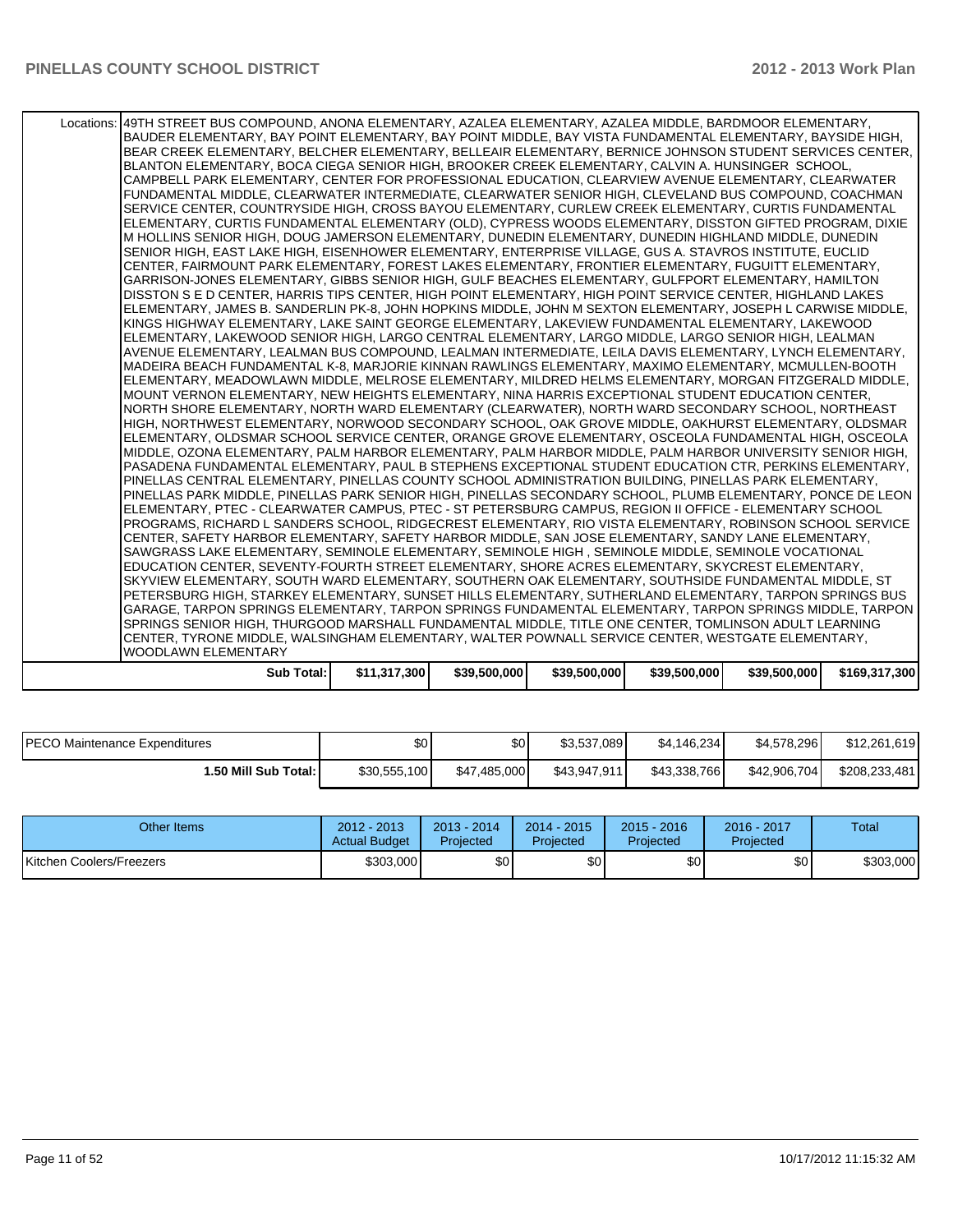| Sub Total:                                                                                                                                                                                                       | \$11,317,300 | \$39,500,000 | \$39,500,000 | \$39,500,000 | \$39,500,000 | \$169,317,300 |
|------------------------------------------------------------------------------------------------------------------------------------------------------------------------------------------------------------------|--------------|--------------|--------------|--------------|--------------|---------------|
| <b>WOODLAWN ELEMENTARY</b>                                                                                                                                                                                       |              |              |              |              |              |               |
| CENTER, TYRONE MIDDLE, WALSINGHAM ELEMENTARY, WALTER POWNALL SERVICE CENTER, WESTGATE ELEMENTARY,                                                                                                                |              |              |              |              |              |               |
| SPRINGS SENIOR HIGH. THURGOOD MARSHALL FUNDAMENTAL MIDDLE. TITLE ONE CENTER. TOMLINSON ADULT LEARNING                                                                                                            |              |              |              |              |              |               |
| GARAGE, TARPON SPRINGS ELEMENTARY, TARPON SPRINGS FUNDAMENTAL ELEMENTARY, TARPON SPRINGS MIDDLE, TARPON                                                                                                          |              |              |              |              |              |               |
| PETERSBURG HIGH, STARKEY ELEMENTARY, SUNSET HILLS ELEMENTARY, SUTHERLAND ELEMENTARY, TARPON SPRINGS BUS                                                                                                          |              |              |              |              |              |               |
| SKYVIEW ELEMENTARY, SOUTH WARD ELEMENTARY, SOUTHERN OAK ELEMENTARY, SOUTHSIDE FUNDAMENTAL MIDDLE, ST                                                                                                             |              |              |              |              |              |               |
| EDUCATION CENTER, SEVENTY-FOURTH STREET ELEMENTARY, SHORE ACRES ELEMENTARY, SKYCREST ELEMENTARY,                                                                                                                 |              |              |              |              |              |               |
| SAWGRASS LAKE ELEMENTARY, SEMINOLE ELEMENTARY, SEMINOLE HIGH, SEMINOLE MIDDLE, SEMINOLE VOCATIONAL                                                                                                               |              |              |              |              |              |               |
| CENTER, SAFETY HARBOR ELEMENTARY, SAFETY HARBOR MIDDLE, SAN JOSE ELEMENTARY, SANDY LANE ELEMENTARY,                                                                                                              |              |              |              |              |              |               |
| PROGRAMS, RICHARD L SANDERS SCHOOL, RIDGECREST ELEMENTARY, RIO VISTA ELEMENTARY, ROBINSON SCHOOL SERVICE                                                                                                         |              |              |              |              |              |               |
| ELEMENTARY, PTEC - CLEARWATER CAMPUS, PTEC - ST PETERSBURG CAMPUS, REGION II OFFICE - ELEMENTARY SCHOOL                                                                                                          |              |              |              |              |              |               |
| PINELLAS PARK MIDDLE, PINELLAS PARK SENIOR HIGH, PINELLAS SECONDARY SCHOOL, PLUMB ELEMENTARY, PONCE DE LEON                                                                                                      |              |              |              |              |              |               |
| PINELLAS CENTRAL ELEMENTARY, PINELLAS COUNTY SCHOOL ADMINISTRATION BUILDING, PINELLAS PARK ELEMENTARY,                                                                                                           |              |              |              |              |              |               |
| PASADENA FUNDAMENTAL ELEMENTARY, PAUL B STEPHENS EXCEPTIONAL STUDENT EDUCATION CTR, PERKINS ELEMENTARY,                                                                                                          |              |              |              |              |              |               |
| MIDDLE, OZONA ELEMENTARY, PALM HARBOR ELEMENTARY, PALM HARBOR MIDDLE, PALM HARBOR UNIVERSITY SENIOR HIGH,                                                                                                        |              |              |              |              |              |               |
| ELEMENTARY, OLDSMAR SCHOOL SERVICE CENTER, ORANGE GROVE ELEMENTARY, OSCEOLA FUNDAMENTAL HIGH, OSCEOLA                                                                                                            |              |              |              |              |              |               |
| HIGH, NORTHWEST ELEMENTARY, NORWOOD SECONDARY SCHOOL, OAK GROVE MIDDLE, OAKHURST ELEMENTARY, OLDSMAR                                                                                                             |              |              |              |              |              |               |
| NORTH SHORE ELEMENTARY, NORTH WARD ELEMENTARY (CLEARWATER), NORTH WARD SECONDARY SCHOOL, NORTHEAST                                                                                                               |              |              |              |              |              |               |
| MOUNT VERNON ELEMENTARY, NEW HEIGHTS ELEMENTARY, NINA HARRIS EXCEPTIONAL STUDENT EDUCATION CENTER,                                                                                                               |              |              |              |              |              |               |
| ELEMENTARY, MEADOWLAWN MIDDLE, MELROSE ELEMENTARY, MILDRED HELMS ELEMENTARY, MORGAN FITZGERALD MIDDLE,                                                                                                           |              |              |              |              |              |               |
| MADEIRA BEACH FUNDAMENTAL K-8, MARJORIE KINNAN RAWLINGS ELEMENTARY, MAXIMO ELEMENTARY, MCMULLEN-BOOTH                                                                                                            |              |              |              |              |              |               |
| ELEMENTARY, LAKEWOOD SENIOR HIGH, LARGO CENTRAL ELEMENTARY, LARGO MIDDLE, LARGO SENIOR HIGH, LEALMAN<br>AVENUE ELEMENTARY, LEALMAN BUS COMPOUND, LEALMAN INTERMEDIATE, LEILA DAVIS ELEMENTARY, LYNCH ELEMENTARY, |              |              |              |              |              |               |
| KINGS HIGHWAY ELEMENTARY, LAKE SAINT GEORGE ELEMENTARY, LAKEVIEW FUNDAMENTAL ELEMENTARY, LAKEWOOD                                                                                                                |              |              |              |              |              |               |
| ELEMENTARY, JAMES B. SANDERLIN PK-8, JOHN HOPKINS MIDDLE, JOHN M SEXTON ELEMENTARY, JOSEPH L CARWISE MIDDLE,                                                                                                     |              |              |              |              |              |               |
| DISSTON S E D CENTER, HARRIS TIPS CENTER, HIGH POINT ELEMENTARY, HIGH POINT SERVICE CENTER, HIGHLAND LAKES                                                                                                       |              |              |              |              |              |               |
| GARRISON-JONES ELEMENTARY, GIBBS SENIOR HIGH, GULF BEACHES ELEMENTARY, GULFPORT ELEMENTARY, HAMILTON                                                                                                             |              |              |              |              |              |               |
| CENTER, FAIRMOUNT PARK ELEMENTARY, FOREST LAKES ELEMENTARY, FRONTIER ELEMENTARY, FUGUITT ELEMENTARY,                                                                                                             |              |              |              |              |              |               |
| SENIOR HIGH, EAST LAKE HIGH, EISENHOWER ELEMENTARY, ENTERPRISE VILLAGE, GUS A. STAVROS INSTITUTE, EUCLID                                                                                                         |              |              |              |              |              |               |
| M HOLLINS SENIOR HIGH, DOUG JAMERSON ELEMENTARY, DUNEDIN ELEMENTARY, DUNEDIN HIGHLAND MIDDLE, DUNEDIN                                                                                                            |              |              |              |              |              |               |
| ELEMENTARY, CURTIS FUNDAMENTAL ELEMENTARY (OLD), CYPRESS WOODS ELEMENTARY, DISSTON GIFTED PROGRAM, DIXIE                                                                                                         |              |              |              |              |              |               |
| SERVICE CENTER. COUNTRYSIDE HIGH. CROSS BAYOU ELEMENTARY. CURLEW CREEK ELEMENTARY. CURTIS FUNDAMENTAL                                                                                                            |              |              |              |              |              |               |
| FUNDAMENTAL MIDDLE, CLEARWATER INTERMEDIATE, CLEARWATER SENIOR HIGH, CLEVELAND BUS COMPOUND, COACHMAN                                                                                                            |              |              |              |              |              |               |
| CAMPBELL PARK ELEMENTARY. CENTER FOR PROFESSIONAL EDUCATION. CLEARVIEW AVENUE ELEMENTARY. CLEARWATER                                                                                                             |              |              |              |              |              |               |
| BLANTON ELEMENTARY, BOCA CIEGA SENIOR HIGH, BROOKER CREEK ELEMENTARY, CALVIN A. HUNSINGER SCHOOL,                                                                                                                |              |              |              |              |              |               |
| BEAR CREEK ELEMENTARY, BELCHER ELEMENTARY, BELLEAIR ELEMENTARY, BERNICE JOHNSON STUDENT SERVICES CENTER,                                                                                                         |              |              |              |              |              |               |
| BAUDER ELEMENTARY, BAY POINT ELEMENTARY, BAY POINT MIDDLE, BAY VISTA FUNDAMENTAL ELEMENTARY, BAYSIDE HIGH,                                                                                                       |              |              |              |              |              |               |
| Locations: 149TH STREET BUS COMPOUND, ANONA ELEMENTARY, AZALEA ELEMENTARY, AZALEA MIDDLE, BARDMOOR ELEMENTARY,                                                                                                   |              |              |              |              |              |               |
|                                                                                                                                                                                                                  |              |              |              |              |              |               |

| <b>IPECO Maintenance Expenditures</b> | \$0 <sub>1</sub> | \$0          | \$3,537,089  | \$4.146.234  | \$4.578.296  | \$12,261,619  |
|---------------------------------------|------------------|--------------|--------------|--------------|--------------|---------------|
| 1.50 Mill Sub Total: I                | \$30,555,100     | \$47,485,000 | \$43,947,911 | \$43,338,766 | \$42,906,704 | \$208,233,481 |

| Other Items              | $2012 - 2013$<br><b>Actual Budget</b> | $2013 - 2014$<br>Projected | $2014 - 2015$<br>Proiected | $2015 - 2016$<br>Projected | 2016 - 2017<br>Projected | Total     |
|--------------------------|---------------------------------------|----------------------------|----------------------------|----------------------------|--------------------------|-----------|
| Kitchen Coolers/Freezers | \$303,000                             | \$0l                       | \$0                        | \$0                        | \$0                      | \$303,000 |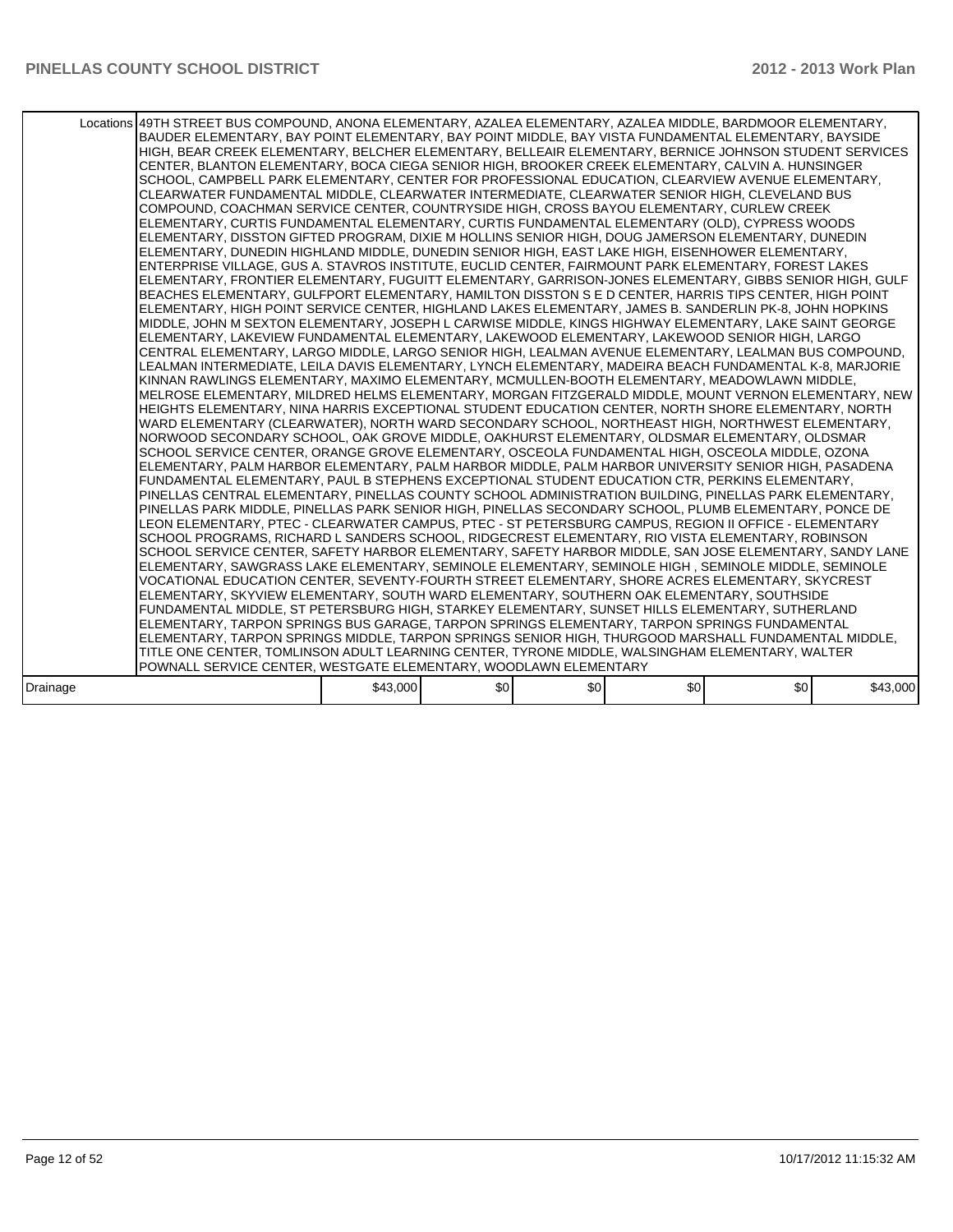|          | Locations 49TH STREET BUS COMPOUND, ANONA ELEMENTARY, AZALEA ELEMENTARY, AZALEA MIDDLE, BARDMOOR ELEMENTARY,<br>BAUDER ELEMENTARY, BAY POINT ELEMENTARY, BAY POINT MIDDLE, BAY VISTA FUNDAMENTAL ELEMENTARY, BAYSIDE<br>HIGH, BEAR CREEK ELEMENTARY, BELCHER ELEMENTARY, BELLEAIR ELEMENTARY, BERNICE JOHNSON STUDENT SERVICES<br>CENTER, BLANTON ELEMENTARY, BOCA CIEGA SENIOR HIGH, BROOKER CREEK ELEMENTARY, CALVIN A. HUNSINGER<br>SCHOOL, CAMPBELL PARK ELEMENTARY, CENTER FOR PROFESSIONAL EDUCATION, CLEARVIEW AVENUE ELEMENTARY,<br>CLEARWATER FUNDAMENTAL MIDDLE, CLEARWATER INTERMEDIATE, CLEARWATER SENIOR HIGH, CLEVELAND BUS<br>COMPOUND, COACHMAN SERVICE CENTER, COUNTRYSIDE HIGH, CROSS BAYOU ELEMENTARY, CURLEW CREEK<br>ELEMENTARY, CURTIS FUNDAMENTAL ELEMENTARY, CURTIS FUNDAMENTAL ELEMENTARY (OLD), CYPRESS WOODS<br>ELEMENTARY, DISSTON GIFTED PROGRAM, DIXIE M HOLLINS SENIOR HIGH, DOUG JAMERSON ELEMENTARY, DUNEDIN<br>ELEMENTARY, DUNEDIN HIGHLAND MIDDLE, DUNEDIN SENIOR HIGH, EAST LAKE HIGH, EISENHOWER ELEMENTARY,<br>ENTERPRISE VILLAGE, GUS A. STAVROS INSTITUTE, EUCLID CENTER, FAIRMOUNT PARK ELEMENTARY, FOREST LAKES<br>ELEMENTARY, FRONTIER ELEMENTARY, FUGUITT ELEMENTARY, GARRISON-JONES ELEMENTARY, GIBBS SENIOR HIGH, GULF<br>BEACHES ELEMENTARY, GULFPORT ELEMENTARY, HAMILTON DISSTON S E D CENTER, HARRIS TIPS CENTER, HIGH POINT<br>ELEMENTARY, HIGH POINT SERVICE CENTER, HIGHLAND LAKES ELEMENTARY, JAMES B. SANDERLIN PK-8, JOHN HOPKINS<br>MIDDLE, JOHN M SEXTON ELEMENTARY, JOSEPH L CARWISE MIDDLE, KINGS HIGHWAY ELEMENTARY, LAKE SAINT GEORGE  <br>ELEMENTARY, LAKEVIEW FUNDAMENTAL ELEMENTARY, LAKEWOOD ELEMENTARY, LAKEWOOD SENIOR HIGH, LARGO<br> CENTRAL ELEMENTARY, LARGO MIDDLE, LARGO SENIOR HIGH, LEALMAN AVENUE ELEMENTARY, LEALMAN BUS COMPOUND,<br>LEALMAN INTERMEDIATE, LEILA DAVIS ELEMENTARY, LYNCH ELEMENTARY, MADEIRA BEACH FUNDAMENTAL K-8, MARJORIE<br>KINNAN RAWLINGS ELEMENTARY, MAXIMO ELEMENTARY, MCMULLEN-BOOTH ELEMENTARY, MEADOWLAWN MIDDLE,<br>MELROSE ELEMENTARY, MILDRED HELMS ELEMENTARY, MORGAN FITZGERALD MIDDLE, MOUNT VERNON ELEMENTARY, NEW<br>HEIGHTS ELEMENTARY, NINA HARRIS EXCEPTIONAL STUDENT EDUCATION CENTER, NORTH SHORE ELEMENTARY, NORTH<br>WARD ELEMENTARY (CLEARWATER), NORTH WARD SECONDARY SCHOOL, NORTHEAST HIGH, NORTHWEST ELEMENTARY,<br>NORWOOD SECONDARY SCHOOL, OAK GROVE MIDDLE, OAKHURST ELEMENTARY, OLDSMAR ELEMENTARY, OLDSMAR<br>SCHOOL SERVICE CENTER, ORANGE GROVE ELEMENTARY, OSCEOLA FUNDAMENTAL HIGH, OSCEOLA MIDDLE, OZONA<br>ELEMENTARY, PALM HARBOR ELEMENTARY, PALM HARBOR MIDDLE, PALM HARBOR UNIVERSITY SENIOR HIGH, PASADENA<br>FUNDAMENTAL ELEMENTARY, PAUL B STEPHENS EXCEPTIONAL STUDENT EDUCATION CTR, PERKINS ELEMENTARY,<br>PINELLAS CENTRAL ELEMENTARY, PINELLAS COUNTY SCHOOL ADMINISTRATION BUILDING, PINELLAS PARK ELEMENTARY,<br>PINELLAS PARK MIDDLE, PINELLAS PARK SENIOR HIGH, PINELLAS SECONDARY SCHOOL, PLUMB ELEMENTARY, PONCE DE<br>LEON ELEMENTARY, PTEC - CLEARWATER CAMPUS, PTEC - ST PETERSBURG CAMPUS, REGION II OFFICE - ELEMENTARY<br>SCHOOL PROGRAMS, RICHARD L SANDERS SCHOOL, RIDGECREST ELEMENTARY, RIO VISTA ELEMENTARY, ROBINSON<br>SCHOOL SERVICE CENTER, SAFETY HARBOR ELEMENTARY, SAFETY HARBOR MIDDLE, SAN JOSE ELEMENTARY, SANDY LANE<br>ELEMENTARY, SAWGRASS LAKE ELEMENTARY, SEMINOLE ELEMENTARY, SEMINOLE HIGH, SEMINOLE MIDDLE, SEMINOLE<br>VOCATIONAL EDUCATION CENTER, SEVENTY-FOURTH STREET ELEMENTARY, SHORE ACRES ELEMENTARY, SKYCREST<br>ELEMENTARY, SKYVIEW ELEMENTARY, SOUTH WARD ELEMENTARY, SOUTHERN OAK ELEMENTARY, SOUTHSIDE<br>FUNDAMENTAL MIDDLE, ST PETERSBURG HIGH, STARKEY ELEMENTARY, SUNSET HILLS ELEMENTARY, SUTHERLAND<br>ELEMENTARY, TARPON SPRINGS BUS GARAGE, TARPON SPRINGS ELEMENTARY, TARPON SPRINGS FUNDAMENTAL<br>ELEMENTARY, TARPON SPRINGS MIDDLE, TARPON SPRINGS SENIOR HIGH, THURGOOD MARSHALL FUNDAMENTAL MIDDLE,<br>TITLE ONE CENTER, TOMLINSON ADULT LEARNING CENTER, TYRONE MIDDLE, WALSINGHAM ELEMENTARY, WALTER<br>POWNALL SERVICE CENTER, WESTGATE ELEMENTARY, WOODLAWN ELEMENTARY |          |     |     |     |     |          |
|----------|-------------------------------------------------------------------------------------------------------------------------------------------------------------------------------------------------------------------------------------------------------------------------------------------------------------------------------------------------------------------------------------------------------------------------------------------------------------------------------------------------------------------------------------------------------------------------------------------------------------------------------------------------------------------------------------------------------------------------------------------------------------------------------------------------------------------------------------------------------------------------------------------------------------------------------------------------------------------------------------------------------------------------------------------------------------------------------------------------------------------------------------------------------------------------------------------------------------------------------------------------------------------------------------------------------------------------------------------------------------------------------------------------------------------------------------------------------------------------------------------------------------------------------------------------------------------------------------------------------------------------------------------------------------------------------------------------------------------------------------------------------------------------------------------------------------------------------------------------------------------------------------------------------------------------------------------------------------------------------------------------------------------------------------------------------------------------------------------------------------------------------------------------------------------------------------------------------------------------------------------------------------------------------------------------------------------------------------------------------------------------------------------------------------------------------------------------------------------------------------------------------------------------------------------------------------------------------------------------------------------------------------------------------------------------------------------------------------------------------------------------------------------------------------------------------------------------------------------------------------------------------------------------------------------------------------------------------------------------------------------------------------------------------------------------------------------------------------------------------------------------------------------------------------------------------------------------------------------------------------------------------------------------------------------------------------------------------------------------------------------------------------------------------------------------------------------------------------------------------------------------------------------------------------------------------------------------------------------------------------------------------------------------------------------------------------------------------------------------------------------------------------------------------------------------------------------------------------------------------------------------------------------------------------------------------------------------------------------------------------------------------------------------------------------------------------------------------------------------|----------|-----|-----|-----|-----|----------|
| Drainage |                                                                                                                                                                                                                                                                                                                                                                                                                                                                                                                                                                                                                                                                                                                                                                                                                                                                                                                                                                                                                                                                                                                                                                                                                                                                                                                                                                                                                                                                                                                                                                                                                                                                                                                                                                                                                                                                                                                                                                                                                                                                                                                                                                                                                                                                                                                                                                                                                                                                                                                                                                                                                                                                                                                                                                                                                                                                                                                                                                                                                                                                                                                                                                                                                                                                                                                                                                                                                                                                                                                                                                                                                                                                                                                                                                                                                                                                                                                                                                                                                                                                                                 | \$43,000 | \$0 | \$0 | \$0 | \$0 | \$43,000 |
|          |                                                                                                                                                                                                                                                                                                                                                                                                                                                                                                                                                                                                                                                                                                                                                                                                                                                                                                                                                                                                                                                                                                                                                                                                                                                                                                                                                                                                                                                                                                                                                                                                                                                                                                                                                                                                                                                                                                                                                                                                                                                                                                                                                                                                                                                                                                                                                                                                                                                                                                                                                                                                                                                                                                                                                                                                                                                                                                                                                                                                                                                                                                                                                                                                                                                                                                                                                                                                                                                                                                                                                                                                                                                                                                                                                                                                                                                                                                                                                                                                                                                                                                 |          |     |     |     |     |          |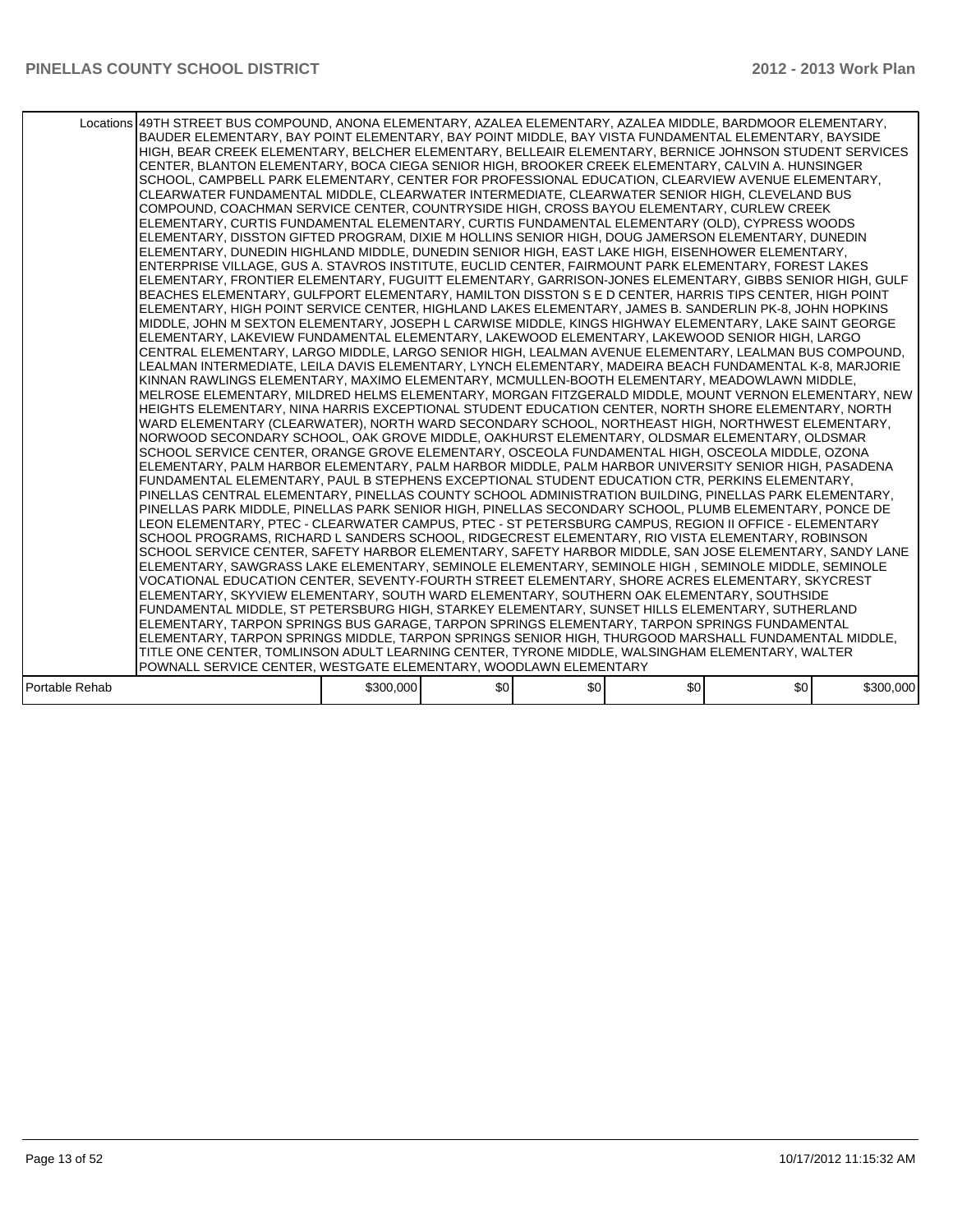|                | Locations 49TH STREET BUS COMPOUND, ANONA ELEMENTARY, AZALEA ELEMENTARY, AZALEA MIDDLE, BARDMOOR ELEMENTARY,<br>BAUDER ELEMENTARY, BAY POINT ELEMENTARY, BAY POINT MIDDLE, BAY VISTA FUNDAMENTAL ELEMENTARY, BAYSIDE<br>HIGH, BEAR CREEK ELEMENTARY, BELCHER ELEMENTARY, BELLEAIR ELEMENTARY, BERNICE JOHNSON STUDENT SERVICES<br>CENTER, BLANTON ELEMENTARY, BOCA CIEGA SENIOR HIGH, BROOKER CREEK ELEMENTARY, CALVIN A. HUNSINGER<br>SCHOOL, CAMPBELL PARK ELEMENTARY, CENTER FOR PROFESSIONAL EDUCATION, CLEARVIEW AVENUE ELEMENTARY,<br>CLEARWATER FUNDAMENTAL MIDDLE, CLEARWATER INTERMEDIATE, CLEARWATER SENIOR HIGH, CLEVELAND BUS<br>COMPOUND, COACHMAN SERVICE CENTER, COUNTRYSIDE HIGH, CROSS BAYOU ELEMENTARY, CURLEW CREEK<br>ELEMENTARY. CURTIS FUNDAMENTAL ELEMENTARY. CURTIS FUNDAMENTAL ELEMENTARY (OLD). CYPRESS WOODS<br>ELEMENTARY, DISSTON GIFTED PROGRAM, DIXIE M HOLLINS SENIOR HIGH, DOUG JAMERSON ELEMENTARY, DUNEDIN<br>ELEMENTARY, DUNEDIN HIGHLAND MIDDLE, DUNEDIN SENIOR HIGH, EAST LAKE HIGH, EISENHOWER ELEMENTARY,<br>ENTERPRISE VILLAGE, GUS A. STAVROS INSTITUTE, EUCLID CENTER, FAIRMOUNT PARK ELEMENTARY, FOREST LAKES<br>ELEMENTARY, FRONTIER ELEMENTARY, FUGUITT ELEMENTARY, GARRISON-JONES ELEMENTARY, GIBBS SENIOR HIGH, GULF<br>BEACHES ELEMENTARY, GULFPORT ELEMENTARY, HAMILTON DISSTON S E D CENTER, HARRIS TIPS CENTER, HIGH POINT<br>ELEMENTARY, HIGH POINT SERVICE CENTER, HIGHLAND LAKES ELEMENTARY, JAMES B. SANDERLIN PK-8, JOHN HOPKINS<br>MIDDLE, JOHN M SEXTON ELEMENTARY, JOSEPH L CARWISE MIDDLE, KINGS HIGHWAY ELEMENTARY, LAKE SAINT GEORGE<br>ELEMENTARY, LAKEVIEW FUNDAMENTAL ELEMENTARY, LAKEWOOD ELEMENTARY, LAKEWOOD SENIOR HIGH, LARGO<br> CENTRAL ELEMENTARY, LARGO MIDDLE, LARGO SENIOR HIGH, LEALMAN AVENUE ELEMENTARY, LEALMAN BUS COMPOUND,<br>LEALMAN INTERMEDIATE, LEILA DAVIS ELEMENTARY, LYNCH ELEMENTARY, MADEIRA BEACH FUNDAMENTAL K-8, MARJORIE<br>KINNAN RAWLINGS ELEMENTARY, MAXIMO ELEMENTARY, MCMULLEN-BOOTH ELEMENTARY, MEADOWLAWN MIDDLE,<br>MELROSE ELEMENTARY, MILDRED HELMS ELEMENTARY, MORGAN FITZGERALD MIDDLE, MOUNT VERNON ELEMENTARY, NEW<br>HEIGHTS ELEMENTARY, NINA HARRIS EXCEPTIONAL STUDENT EDUCATION CENTER, NORTH SHORE ELEMENTARY, NORTH<br>WARD ELEMENTARY (CLEARWATER), NORTH WARD SECONDARY SCHOOL, NORTHEAST HIGH, NORTHWEST ELEMENTARY,<br>INORWOOD SECONDARY SCHOOL, OAK GROVE MIDDLE, OAKHURST ELEMENTARY, OLDSMAR ELEMENTARY, OLDSMAR<br>SCHOOL SERVICE CENTER, ORANGE GROVE ELEMENTARY, OSCEOLA FUNDAMENTAL HIGH, OSCEOLA MIDDLE, OZONA<br>ELEMENTARY, PALM HARBOR ELEMENTARY, PALM HARBOR MIDDLE, PALM HARBOR UNIVERSITY SENIOR HIGH, PASADENA<br>FUNDAMENTAL ELEMENTARY, PAUL B STEPHENS EXCEPTIONAL STUDENT EDUCATION CTR, PERKINS ELEMENTARY,<br>PINELLAS CENTRAL ELEMENTARY. PINELLAS COUNTY SCHOOL ADMINISTRATION BUILDING. PINELLAS PARK ELEMENTARY.<br>PINELLAS PARK MIDDLE, PINELLAS PARK SENIOR HIGH, PINELLAS SECONDARY SCHOOL, PLUMB ELEMENTARY, PONCE DE<br>LEON ELEMENTARY, PTEC - CLEARWATER CAMPUS, PTEC - ST PETERSBURG CAMPUS, REGION II OFFICE - ELEMENTARY<br>SCHOOL PROGRAMS, RICHARD L SANDERS SCHOOL, RIDGECREST ELEMENTARY, RIO VISTA ELEMENTARY, ROBINSON<br>SCHOOL SERVICE CENTER, SAFETY HARBOR ELEMENTARY, SAFETY HARBOR MIDDLE, SAN JOSE ELEMENTARY, SANDY LANE<br>ELEMENTARY, SAWGRASS LAKE ELEMENTARY, SEMINOLE ELEMENTARY, SEMINOLE HIGH, SEMINOLE MIDDLE, SEMINOLE<br>VOCATIONAL EDUCATION CENTER, SEVENTY-FOURTH STREET ELEMENTARY, SHORE ACRES ELEMENTARY, SKYCREST<br>ELEMENTARY, SKYVIEW ELEMENTARY, SOUTH WARD ELEMENTARY, SOUTHERN OAK ELEMENTARY, SOUTHSIDE<br>FUNDAMENTAL MIDDLE, ST PETERSBURG HIGH, STARKEY ELEMENTARY, SUNSET HILLS ELEMENTARY, SUTHERLAND<br>ELEMENTARY, TARPON SPRINGS BUS GARAGE, TARPON SPRINGS ELEMENTARY, TARPON SPRINGS FUNDAMENTAL<br>ELEMENTARY, TARPON SPRINGS MIDDLE, TARPON SPRINGS SENIOR HIGH, THURGOOD MARSHALL FUNDAMENTAL MIDDLE,<br>TITLE ONE CENTER, TOMLINSON ADULT LEARNING CENTER, TYRONE MIDDLE, WALSINGHAM ELEMENTARY, WALTER<br>POWNALL SERVICE CENTER, WESTGATE ELEMENTARY, WOODLAWN ELEMENTARY |           |     |     |     |     |           |
|----------------|------------------------------------------------------------------------------------------------------------------------------------------------------------------------------------------------------------------------------------------------------------------------------------------------------------------------------------------------------------------------------------------------------------------------------------------------------------------------------------------------------------------------------------------------------------------------------------------------------------------------------------------------------------------------------------------------------------------------------------------------------------------------------------------------------------------------------------------------------------------------------------------------------------------------------------------------------------------------------------------------------------------------------------------------------------------------------------------------------------------------------------------------------------------------------------------------------------------------------------------------------------------------------------------------------------------------------------------------------------------------------------------------------------------------------------------------------------------------------------------------------------------------------------------------------------------------------------------------------------------------------------------------------------------------------------------------------------------------------------------------------------------------------------------------------------------------------------------------------------------------------------------------------------------------------------------------------------------------------------------------------------------------------------------------------------------------------------------------------------------------------------------------------------------------------------------------------------------------------------------------------------------------------------------------------------------------------------------------------------------------------------------------------------------------------------------------------------------------------------------------------------------------------------------------------------------------------------------------------------------------------------------------------------------------------------------------------------------------------------------------------------------------------------------------------------------------------------------------------------------------------------------------------------------------------------------------------------------------------------------------------------------------------------------------------------------------------------------------------------------------------------------------------------------------------------------------------------------------------------------------------------------------------------------------------------------------------------------------------------------------------------------------------------------------------------------------------------------------------------------------------------------------------------------------------------------------------------------------------------------------------------------------------------------------------------------------------------------------------------------------------------------------------------------------------------------------------------------------------------------------------------------------------------------------------------------------------------------------------------------------------------------------------------------------------------------------------------------------|-----------|-----|-----|-----|-----|-----------|
| Portable Rehab |                                                                                                                                                                                                                                                                                                                                                                                                                                                                                                                                                                                                                                                                                                                                                                                                                                                                                                                                                                                                                                                                                                                                                                                                                                                                                                                                                                                                                                                                                                                                                                                                                                                                                                                                                                                                                                                                                                                                                                                                                                                                                                                                                                                                                                                                                                                                                                                                                                                                                                                                                                                                                                                                                                                                                                                                                                                                                                                                                                                                                                                                                                                                                                                                                                                                                                                                                                                                                                                                                                                                                                                                                                                                                                                                                                                                                                                                                                                                                                                                                                                                                                | \$300,000 | \$0 | \$0 | \$0 | \$0 | \$300,000 |
|                |                                                                                                                                                                                                                                                                                                                                                                                                                                                                                                                                                                                                                                                                                                                                                                                                                                                                                                                                                                                                                                                                                                                                                                                                                                                                                                                                                                                                                                                                                                                                                                                                                                                                                                                                                                                                                                                                                                                                                                                                                                                                                                                                                                                                                                                                                                                                                                                                                                                                                                                                                                                                                                                                                                                                                                                                                                                                                                                                                                                                                                                                                                                                                                                                                                                                                                                                                                                                                                                                                                                                                                                                                                                                                                                                                                                                                                                                                                                                                                                                                                                                                                |           |     |     |     |     |           |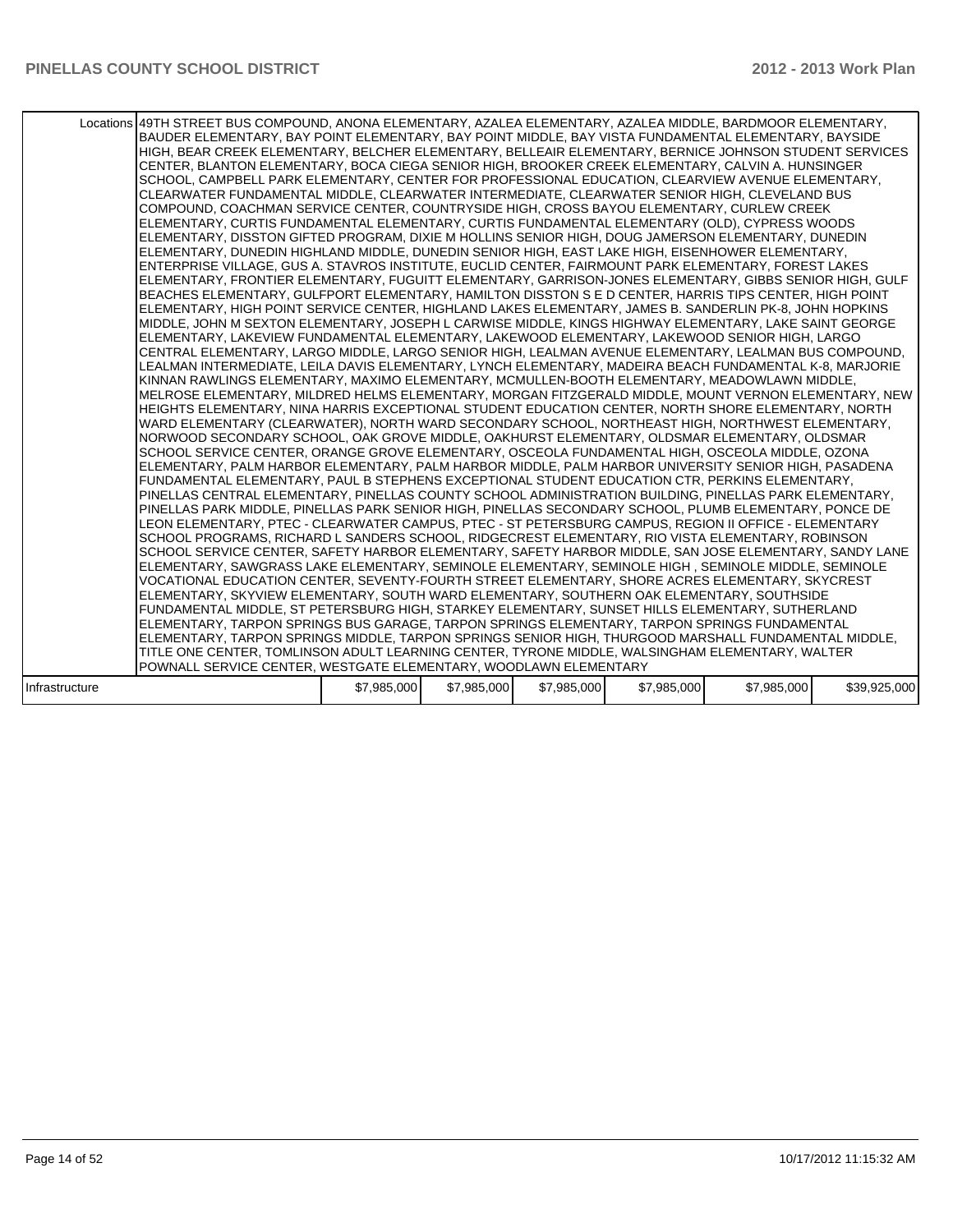|                | Locations 49TH STREET BUS COMPOUND, ANONA ELEMENTARY, AZALEA ELEMENTARY, AZALEA MIDDLE, BARDMOOR ELEMENTARY,<br>BAUDER ELEMENTARY, BAY POINT ELEMENTARY, BAY POINT MIDDLE, BAY VISTA FUNDAMENTAL ELEMENTARY, BAYSIDE<br>HIGH, BEAR CREEK ELEMENTARY, BELCHER ELEMENTARY, BELLEAIR ELEMENTARY, BERNICE JOHNSON STUDENT SERVICES<br>CENTER, BLANTON ELEMENTARY, BOCA CIEGA SENIOR HIGH, BROOKER CREEK ELEMENTARY, CALVIN A. HUNSINGER<br>SCHOOL, CAMPBELL PARK ELEMENTARY, CENTER FOR PROFESSIONAL EDUCATION, CLEARVIEW AVENUE ELEMENTARY,<br>CLEARWATER FUNDAMENTAL MIDDLE, CLEARWATER INTERMEDIATE, CLEARWATER SENIOR HIGH, CLEVELAND BUS<br>COMPOUND, COACHMAN SERVICE CENTER, COUNTRYSIDE HIGH, CROSS BAYOU ELEMENTARY, CURLEW CREEK<br>ELEMENTARY, CURTIS FUNDAMENTAL ELEMENTARY, CURTIS FUNDAMENTAL ELEMENTARY (OLD), CYPRESS WOODS<br>ELEMENTARY, DISSTON GIFTED PROGRAM, DIXIE M HOLLINS SENIOR HIGH, DOUG JAMERSON ELEMENTARY, DUNEDIN<br>ELEMENTARY, DUNEDIN HIGHLAND MIDDLE, DUNEDIN SENIOR HIGH, EAST LAKE HIGH, EISENHOWER ELEMENTARY,<br>ENTERPRISE VILLAGE, GUS A. STAVROS INSTITUTE, EUCLID CENTER, FAIRMOUNT PARK ELEMENTARY, FOREST LAKES<br>ELEMENTARY, FRONTIER ELEMENTARY, FUGUITT ELEMENTARY, GARRISON-JONES ELEMENTARY, GIBBS SENIOR HIGH, GULF<br>BEACHES ELEMENTARY, GULFPORT ELEMENTARY, HAMILTON DISSTON S E D CENTER, HARRIS TIPS CENTER, HIGH POINT<br>ELEMENTARY, HIGH POINT SERVICE CENTER, HIGHLAND LAKES ELEMENTARY, JAMES B. SANDERLIN PK-8, JOHN HOPKINS<br>MIDDLE, JOHN M SEXTON ELEMENTARY, JOSEPH L CARWISE MIDDLE, KINGS HIGHWAY ELEMENTARY, LAKE SAINT GEORGE<br>ELEMENTARY, LAKEVIEW FUNDAMENTAL ELEMENTARY, LAKEWOOD ELEMENTARY, LAKEWOOD SENIOR HIGH, LARGO<br>CENTRAL ELEMENTARY, LARGO MIDDLE, LARGO SENIOR HIGH, LEALMAN AVENUE ELEMENTARY, LEALMAN BUS COMPOUND,<br>LEALMAN INTERMEDIATE, LEILA DAVIS ELEMENTARY, LYNCH ELEMENTARY, MADEIRA BEACH FUNDAMENTAL K-8, MARJORIE<br>KINNAN RAWLINGS ELEMENTARY, MAXIMO ELEMENTARY, MCMULLEN-BOOTH ELEMENTARY, MEADOWLAWN MIDDLE,<br>MELROSE ELEMENTARY, MILDRED HELMS ELEMENTARY, MORGAN FITZGERALD MIDDLE, MOUNT VERNON ELEMENTARY, NEW<br>HEIGHTS ELEMENTARY, NINA HARRIS EXCEPTIONAL STUDENT EDUCATION CENTER, NORTH SHORE ELEMENTARY, NORTH<br>WARD ELEMENTARY (CLEARWATER), NORTH WARD SECONDARY SCHOOL, NORTHEAST HIGH, NORTHWEST ELEMENTARY,<br>NORWOOD SECONDARY SCHOOL, OAK GROVE MIDDLE, OAKHURST ELEMENTARY, OLDSMAR ELEMENTARY, OLDSMAR<br>SCHOOL SERVICE CENTER, ORANGE GROVE ELEMENTARY, OSCEOLA FUNDAMENTAL HIGH, OSCEOLA MIDDLE, OZONA<br>ELEMENTARY, PALM HARBOR ELEMENTARY, PALM HARBOR MIDDLE, PALM HARBOR UNIVERSITY SENIOR HIGH, PASADENA<br>FUNDAMENTAL ELEMENTARY, PAUL B STEPHENS EXCEPTIONAL STUDENT EDUCATION CTR, PERKINS ELEMENTARY,<br>PINELLAS CENTRAL ELEMENTARY, PINELLAS COUNTY SCHOOL ADMINISTRATION BUILDING, PINELLAS PARK ELEMENTARY,<br>PINELLAS PARK MIDDLE, PINELLAS PARK SENIOR HIGH, PINELLAS SECONDARY SCHOOL, PLUMB ELEMENTARY, PONCE DE<br>LEON ELEMENTARY, PTEC - CLEARWATER CAMPUS, PTEC - ST PETERSBURG CAMPUS, REGION II OFFICE - ELEMENTARY<br>SCHOOL PROGRAMS, RICHARD L SANDERS SCHOOL, RIDGECREST ELEMENTARY, RIO VISTA ELEMENTARY, ROBINSON<br>SCHOOL SERVICE CENTER, SAFETY HARBOR ELEMENTARY, SAFETY HARBOR MIDDLE, SAN JOSE ELEMENTARY, SANDY LANE<br>ELEMENTARY, SAWGRASS LAKE ELEMENTARY, SEMINOLE ELEMENTARY, SEMINOLE HIGH, SEMINOLE MIDDLE, SEMINOLE<br>VOCATIONAL EDUCATION CENTER, SEVENTY-FOURTH STREET ELEMENTARY, SHORE ACRES ELEMENTARY, SKYCREST<br>ELEMENTARY, SKYVIEW ELEMENTARY, SOUTH WARD ELEMENTARY, SOUTHERN OAK ELEMENTARY, SOUTHSIDE<br>FUNDAMENTAL MIDDLE, ST PETERSBURG HIGH, STARKEY ELEMENTARY, SUNSET HILLS ELEMENTARY, SUTHERLAND<br>ELEMENTARY, TARPON SPRINGS BUS GARAGE, TARPON SPRINGS ELEMENTARY, TARPON SPRINGS FUNDAMENTAL<br>ELEMENTARY, TARPON SPRINGS MIDDLE, TARPON SPRINGS SENIOR HIGH, THURGOOD MARSHALL FUNDAMENTAL MIDDLE,<br>TITLE ONE CENTER, TOMLINSON ADULT LEARNING CENTER, TYRONE MIDDLE, WALSINGHAM ELEMENTARY, WALTER<br>POWNALL SERVICE CENTER, WESTGATE ELEMENTARY, WOODLAWN ELEMENTARY |             |             |             |             |             |              |
|----------------|----------------------------------------------------------------------------------------------------------------------------------------------------------------------------------------------------------------------------------------------------------------------------------------------------------------------------------------------------------------------------------------------------------------------------------------------------------------------------------------------------------------------------------------------------------------------------------------------------------------------------------------------------------------------------------------------------------------------------------------------------------------------------------------------------------------------------------------------------------------------------------------------------------------------------------------------------------------------------------------------------------------------------------------------------------------------------------------------------------------------------------------------------------------------------------------------------------------------------------------------------------------------------------------------------------------------------------------------------------------------------------------------------------------------------------------------------------------------------------------------------------------------------------------------------------------------------------------------------------------------------------------------------------------------------------------------------------------------------------------------------------------------------------------------------------------------------------------------------------------------------------------------------------------------------------------------------------------------------------------------------------------------------------------------------------------------------------------------------------------------------------------------------------------------------------------------------------------------------------------------------------------------------------------------------------------------------------------------------------------------------------------------------------------------------------------------------------------------------------------------------------------------------------------------------------------------------------------------------------------------------------------------------------------------------------------------------------------------------------------------------------------------------------------------------------------------------------------------------------------------------------------------------------------------------------------------------------------------------------------------------------------------------------------------------------------------------------------------------------------------------------------------------------------------------------------------------------------------------------------------------------------------------------------------------------------------------------------------------------------------------------------------------------------------------------------------------------------------------------------------------------------------------------------------------------------------------------------------------------------------------------------------------------------------------------------------------------------------------------------------------------------------------------------------------------------------------------------------------------------------------------------------------------------------------------------------------------------------------------------------------------------------------------------------------------------------------------------------|-------------|-------------|-------------|-------------|-------------|--------------|
| Infrastructure |                                                                                                                                                                                                                                                                                                                                                                                                                                                                                                                                                                                                                                                                                                                                                                                                                                                                                                                                                                                                                                                                                                                                                                                                                                                                                                                                                                                                                                                                                                                                                                                                                                                                                                                                                                                                                                                                                                                                                                                                                                                                                                                                                                                                                                                                                                                                                                                                                                                                                                                                                                                                                                                                                                                                                                                                                                                                                                                                                                                                                                                                                                                                                                                                                                                                                                                                                                                                                                                                                                                                                                                                                                                                                                                                                                                                                                                                                                                                                                                                                                                                                              | \$7,985,000 | \$7,985,000 | \$7,985,000 | \$7,985,000 | \$7,985,000 | \$39,925,000 |
|                |                                                                                                                                                                                                                                                                                                                                                                                                                                                                                                                                                                                                                                                                                                                                                                                                                                                                                                                                                                                                                                                                                                                                                                                                                                                                                                                                                                                                                                                                                                                                                                                                                                                                                                                                                                                                                                                                                                                                                                                                                                                                                                                                                                                                                                                                                                                                                                                                                                                                                                                                                                                                                                                                                                                                                                                                                                                                                                                                                                                                                                                                                                                                                                                                                                                                                                                                                                                                                                                                                                                                                                                                                                                                                                                                                                                                                                                                                                                                                                                                                                                                                              |             |             |             |             |             |              |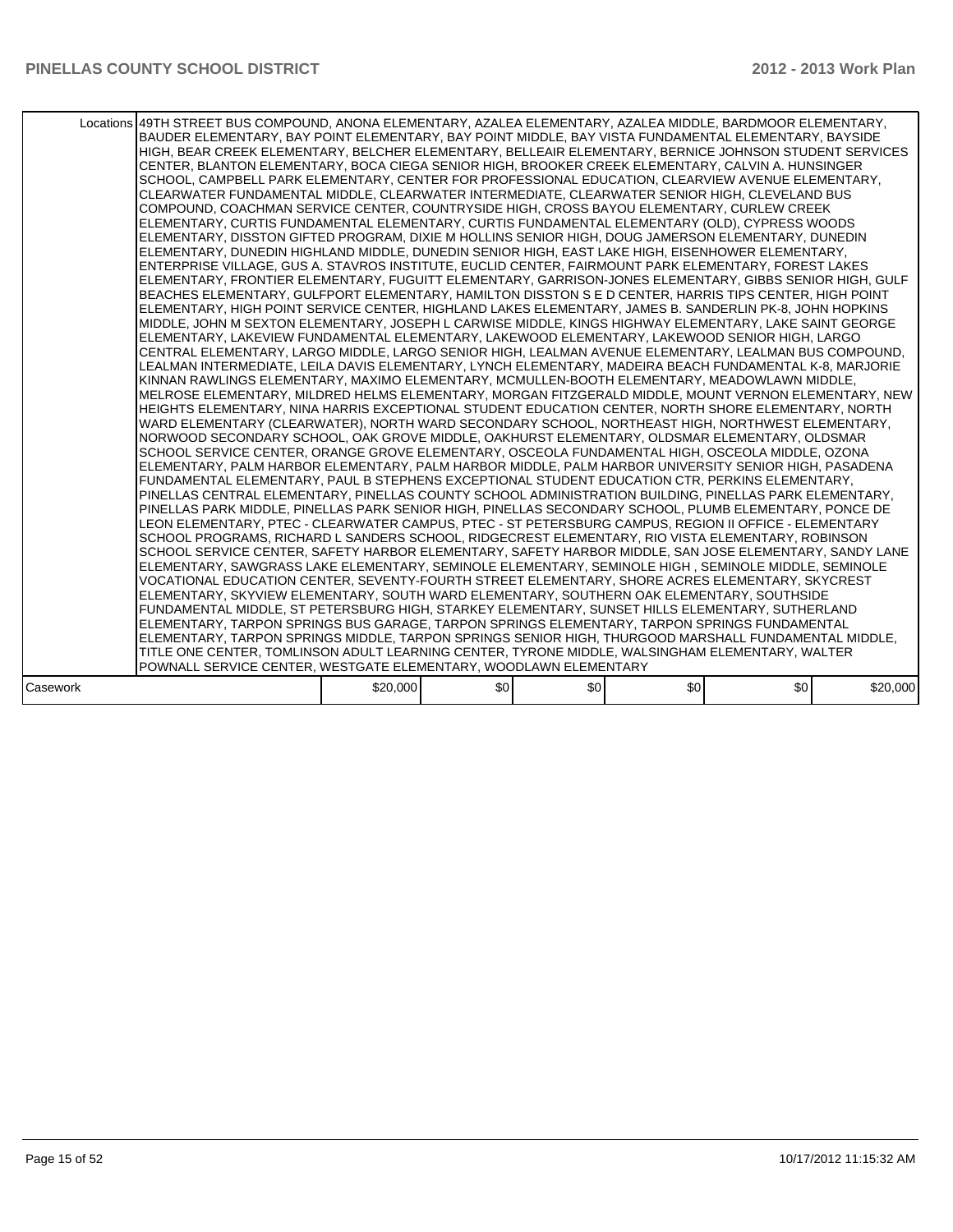|          | Locations 49TH STREET BUS COMPOUND, ANONA ELEMENTARY, AZALEA ELEMENTARY, AZALEA MIDDLE, BARDMOOR ELEMENTARY,<br>BAUDER ELEMENTARY, BAY POINT ELEMENTARY, BAY POINT MIDDLE, BAY VISTA FUNDAMENTAL ELEMENTARY, BAYSIDE<br>HIGH, BEAR CREEK ELEMENTARY, BELCHER ELEMENTARY, BELLEAIR ELEMENTARY, BERNICE JOHNSON STUDENT SERVICES<br>CENTER, BLANTON ELEMENTARY, BOCA CIEGA SENIOR HIGH, BROOKER CREEK ELEMENTARY, CALVIN A. HUNSINGER<br>SCHOOL, CAMPBELL PARK ELEMENTARY, CENTER FOR PROFESSIONAL EDUCATION, CLEARVIEW AVENUE ELEMENTARY,<br>CLEARWATER FUNDAMENTAL MIDDLE, CLEARWATER INTERMEDIATE, CLEARWATER SENIOR HIGH, CLEVELAND BUS<br>COMPOUND, COACHMAN SERVICE CENTER, COUNTRYSIDE HIGH, CROSS BAYOU ELEMENTARY, CURLEW CREEK<br>ELEMENTARY, CURTIS FUNDAMENTAL ELEMENTARY, CURTIS FUNDAMENTAL ELEMENTARY (OLD), CYPRESS WOODS<br>ELEMENTARY, DISSTON GIFTED PROGRAM, DIXIE M HOLLINS SENIOR HIGH, DOUG JAMERSON ELEMENTARY, DUNEDIN<br>ELEMENTARY, DUNEDIN HIGHLAND MIDDLE, DUNEDIN SENIOR HIGH, EAST LAKE HIGH, EISENHOWER ELEMENTARY,<br>ENTERPRISE VILLAGE, GUS A. STAVROS INSTITUTE, EUCLID CENTER, FAIRMOUNT PARK ELEMENTARY, FOREST LAKES<br>ELEMENTARY, FRONTIER ELEMENTARY, FUGUITT ELEMENTARY, GARRISON-JONES ELEMENTARY, GIBBS SENIOR HIGH, GULF<br>BEACHES ELEMENTARY, GULFPORT ELEMENTARY, HAMILTON DISSTON S E D CENTER, HARRIS TIPS CENTER, HIGH POINT<br>ELEMENTARY, HIGH POINT SERVICE CENTER, HIGHLAND LAKES ELEMENTARY, JAMES B. SANDERLIN PK-8, JOHN HOPKINS<br>MIDDLE, JOHN M SEXTON ELEMENTARY, JOSEPH L CARWISE MIDDLE, KINGS HIGHWAY ELEMENTARY, LAKE SAINT GEORGE<br>ELEMENTARY, LAKEVIEW FUNDAMENTAL ELEMENTARY, LAKEWOOD ELEMENTARY, LAKEWOOD SENIOR HIGH, LARGO<br>CENTRAL ELEMENTARY, LARGO MIDDLE, LARGO SENIOR HIGH, LEALMAN AVENUE ELEMENTARY, LEALMAN BUS COMPOUND,<br>LEALMAN INTERMEDIATE, LEILA DAVIS ELEMENTARY, LYNCH ELEMENTARY, MADEIRA BEACH FUNDAMENTAL K-8, MARJORIE<br>KINNAN RAWLINGS ELEMENTARY, MAXIMO ELEMENTARY, MCMULLEN-BOOTH ELEMENTARY, MEADOWLAWN MIDDLE,<br>MELROSE ELEMENTARY, MILDRED HELMS ELEMENTARY, MORGAN FITZGERALD MIDDLE, MOUNT VERNON ELEMENTARY, NEW<br>HEIGHTS ELEMENTARY, NINA HARRIS EXCEPTIONAL STUDENT EDUCATION CENTER, NORTH SHORE ELEMENTARY, NORTH<br>WARD ELEMENTARY (CLEARWATER), NORTH WARD SECONDARY SCHOOL, NORTHEAST HIGH, NORTHWEST ELEMENTARY,<br>NORWOOD SECONDARY SCHOOL, OAK GROVE MIDDLE, OAKHURST ELEMENTARY, OLDSMAR ELEMENTARY, OLDSMAR<br>SCHOOL SERVICE CENTER, ORANGE GROVE ELEMENTARY, OSCEOLA FUNDAMENTAL HIGH, OSCEOLA MIDDLE, OZONA<br>ELEMENTARY, PALM HARBOR ELEMENTARY, PALM HARBOR MIDDLE, PALM HARBOR UNIVERSITY SENIOR HIGH, PASADENA<br>FUNDAMENTAL ELEMENTARY, PAUL B STEPHENS EXCEPTIONAL STUDENT EDUCATION CTR, PERKINS ELEMENTARY,<br>PINELLAS CENTRAL ELEMENTARY, PINELLAS COUNTY SCHOOL ADMINISTRATION BUILDING, PINELLAS PARK ELEMENTARY,<br>PINELLAS PARK MIDDLE, PINELLAS PARK SENIOR HIGH, PINELLAS SECONDARY SCHOOL, PLUMB ELEMENTARY, PONCE DE<br>LEON ELEMENTARY, PTEC - CLEARWATER CAMPUS, PTEC - ST PETERSBURG CAMPUS, REGION II OFFICE - ELEMENTARY<br>SCHOOL PROGRAMS, RICHARD L SANDERS SCHOOL, RIDGECREST ELEMENTARY, RIO VISTA ELEMENTARY, ROBINSON<br>SCHOOL SERVICE CENTER, SAFETY HARBOR ELEMENTARY, SAFETY HARBOR MIDDLE, SAN JOSE ELEMENTARY, SANDY LANE<br>ELEMENTARY, SAWGRASS LAKE ELEMENTARY, SEMINOLE ELEMENTARY, SEMINOLE HIGH, SEMINOLE MIDDLE, SEMINOLE<br>VOCATIONAL EDUCATION CENTER, SEVENTY-FOURTH STREET ELEMENTARY, SHORE ACRES ELEMENTARY, SKYCREST<br>ELEMENTARY, SKYVIEW ELEMENTARY, SOUTH WARD ELEMENTARY, SOUTHERN OAK ELEMENTARY, SOUTHSIDE<br>FUNDAMENTAL MIDDLE, ST PETERSBURG HIGH, STARKEY ELEMENTARY, SUNSET HILLS ELEMENTARY, SUTHERLAND<br>ELEMENTARY, TARPON SPRINGS BUS GARAGE, TARPON SPRINGS ELEMENTARY, TARPON SPRINGS FUNDAMENTAL<br>ELEMENTARY, TARPON SPRINGS MIDDLE, TARPON SPRINGS SENIOR HIGH, THURGOOD MARSHALL FUNDAMENTAL MIDDLE,<br>TITLE ONE CENTER, TOMLINSON ADULT LEARNING CENTER, TYRONE MIDDLE, WALSINGHAM ELEMENTARY, WALTER<br>POWNALL SERVICE CENTER, WESTGATE ELEMENTARY, WOODLAWN ELEMENTARY |          |     |     |     |                  |          |
|----------|----------------------------------------------------------------------------------------------------------------------------------------------------------------------------------------------------------------------------------------------------------------------------------------------------------------------------------------------------------------------------------------------------------------------------------------------------------------------------------------------------------------------------------------------------------------------------------------------------------------------------------------------------------------------------------------------------------------------------------------------------------------------------------------------------------------------------------------------------------------------------------------------------------------------------------------------------------------------------------------------------------------------------------------------------------------------------------------------------------------------------------------------------------------------------------------------------------------------------------------------------------------------------------------------------------------------------------------------------------------------------------------------------------------------------------------------------------------------------------------------------------------------------------------------------------------------------------------------------------------------------------------------------------------------------------------------------------------------------------------------------------------------------------------------------------------------------------------------------------------------------------------------------------------------------------------------------------------------------------------------------------------------------------------------------------------------------------------------------------------------------------------------------------------------------------------------------------------------------------------------------------------------------------------------------------------------------------------------------------------------------------------------------------------------------------------------------------------------------------------------------------------------------------------------------------------------------------------------------------------------------------------------------------------------------------------------------------------------------------------------------------------------------------------------------------------------------------------------------------------------------------------------------------------------------------------------------------------------------------------------------------------------------------------------------------------------------------------------------------------------------------------------------------------------------------------------------------------------------------------------------------------------------------------------------------------------------------------------------------------------------------------------------------------------------------------------------------------------------------------------------------------------------------------------------------------------------------------------------------------------------------------------------------------------------------------------------------------------------------------------------------------------------------------------------------------------------------------------------------------------------------------------------------------------------------------------------------------------------------------------------------------------------------------------------------------------------------------------|----------|-----|-----|-----|------------------|----------|
| Casework |                                                                                                                                                                                                                                                                                                                                                                                                                                                                                                                                                                                                                                                                                                                                                                                                                                                                                                                                                                                                                                                                                                                                                                                                                                                                                                                                                                                                                                                                                                                                                                                                                                                                                                                                                                                                                                                                                                                                                                                                                                                                                                                                                                                                                                                                                                                                                                                                                                                                                                                                                                                                                                                                                                                                                                                                                                                                                                                                                                                                                                                                                                                                                                                                                                                                                                                                                                                                                                                                                                                                                                                                                                                                                                                                                                                                                                                                                                                                                                                                                                                                                              | \$20,000 | \$0 | \$0 | \$0 | \$0 <sub>1</sub> | \$20,000 |
|          |                                                                                                                                                                                                                                                                                                                                                                                                                                                                                                                                                                                                                                                                                                                                                                                                                                                                                                                                                                                                                                                                                                                                                                                                                                                                                                                                                                                                                                                                                                                                                                                                                                                                                                                                                                                                                                                                                                                                                                                                                                                                                                                                                                                                                                                                                                                                                                                                                                                                                                                                                                                                                                                                                                                                                                                                                                                                                                                                                                                                                                                                                                                                                                                                                                                                                                                                                                                                                                                                                                                                                                                                                                                                                                                                                                                                                                                                                                                                                                                                                                                                                              |          |     |     |     |                  |          |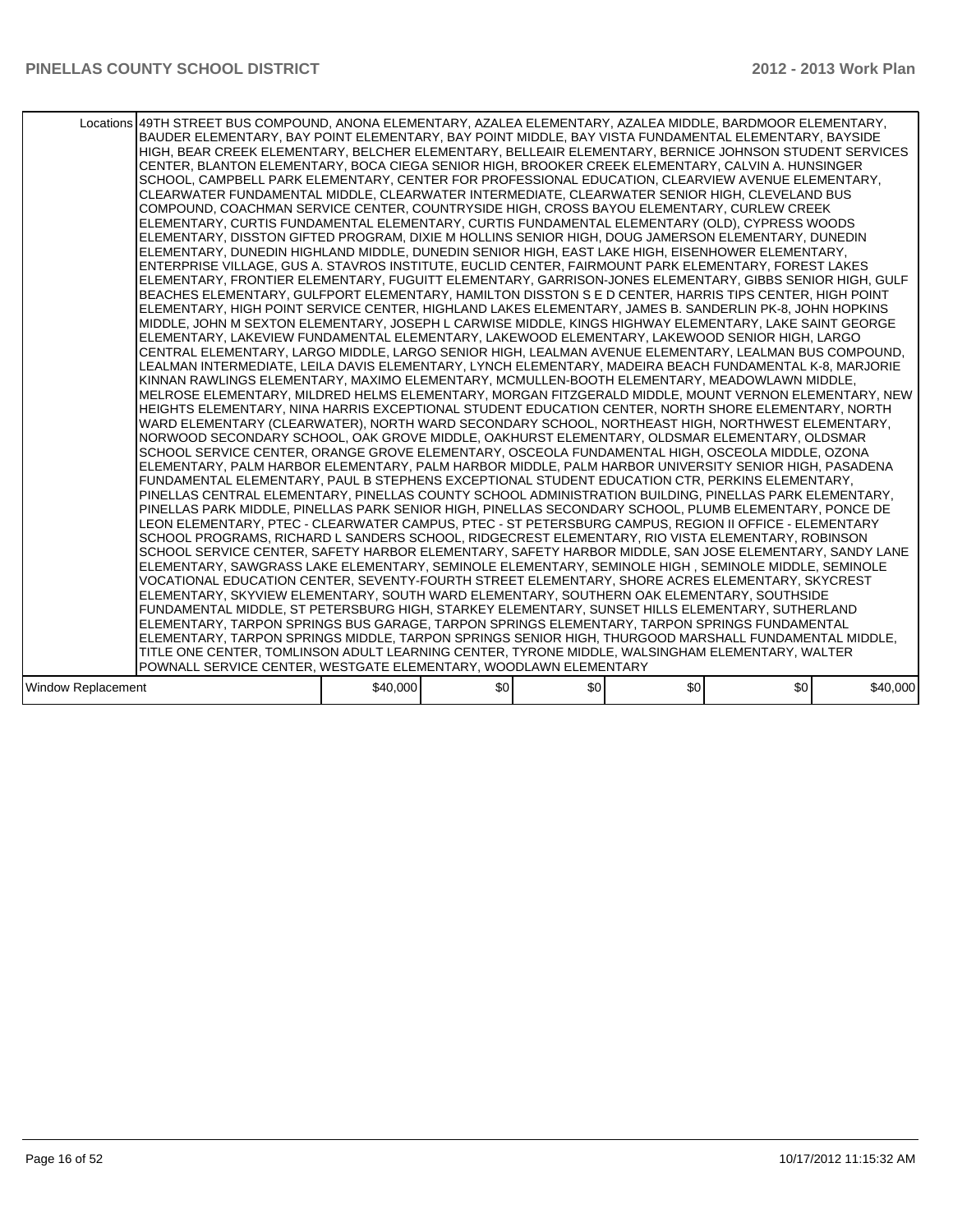|                    | Locations 49TH STREET BUS COMPOUND, ANONA ELEMENTARY, AZALEA ELEMENTARY, AZALEA MIDDLE, BARDMOOR ELEMENTARY,<br>BAUDER ELEMENTARY, BAY POINT ELEMENTARY, BAY POINT MIDDLE, BAY VISTA FUNDAMENTAL ELEMENTARY, BAYSIDE<br>HIGH, BEAR CREEK ELEMENTARY, BELCHER ELEMENTARY, BELLEAIR ELEMENTARY, BERNICE JOHNSON STUDENT SERVICES<br>CENTER, BLANTON ELEMENTARY, BOCA CIEGA SENIOR HIGH, BROOKER CREEK ELEMENTARY, CALVIN A. HUNSINGER<br>SCHOOL, CAMPBELL PARK ELEMENTARY, CENTER FOR PROFESSIONAL EDUCATION, CLEARVIEW AVENUE ELEMENTARY,<br>CLEARWATER FUNDAMENTAL MIDDLE, CLEARWATER INTERMEDIATE, CLEARWATER SENIOR HIGH, CLEVELAND BUS<br>COMPOUND, COACHMAN SERVICE CENTER, COUNTRYSIDE HIGH, CROSS BAYOU ELEMENTARY, CURLEW CREEK<br>ELEMENTARY, CURTIS FUNDAMENTAL ELEMENTARY, CURTIS FUNDAMENTAL ELEMENTARY (OLD), CYPRESS WOODS<br>ELEMENTARY, DISSTON GIFTED PROGRAM, DIXIE M HOLLINS SENIOR HIGH, DOUG JAMERSON ELEMENTARY, DUNEDIN<br>ELEMENTARY, DUNEDIN HIGHLAND MIDDLE, DUNEDIN SENIOR HIGH, EAST LAKE HIGH, EISENHOWER ELEMENTARY,<br>ENTERPRISE VILLAGE, GUS A. STAVROS INSTITUTE, EUCLID CENTER, FAIRMOUNT PARK ELEMENTARY, FOREST LAKES<br>ELEMENTARY, FRONTIER ELEMENTARY, FUGUITT ELEMENTARY, GARRISON-JONES ELEMENTARY, GIBBS SENIOR HIGH, GULF<br>BEACHES ELEMENTARY, GULFPORT ELEMENTARY, HAMILTON DISSTON S E D CENTER, HARRIS TIPS CENTER, HIGH POINT<br>ELEMENTARY, HIGH POINT SERVICE CENTER, HIGHLAND LAKES ELEMENTARY, JAMES B. SANDERLIN PK-8, JOHN HOPKINS<br>MIDDLE, JOHN M SEXTON ELEMENTARY, JOSEPH L CARWISE MIDDLE, KINGS HIGHWAY ELEMENTARY, LAKE SAINT GEORGE<br>ELEMENTARY, LAKEVIEW FUNDAMENTAL ELEMENTARY, LAKEWOOD ELEMENTARY, LAKEWOOD SENIOR HIGH, LARGO<br>CENTRAL ELEMENTARY, LARGO MIDDLE, LARGO SENIOR HIGH, LEALMAN AVENUE ELEMENTARY, LEALMAN BUS COMPOUND,<br>LEALMAN INTERMEDIATE, LEILA DAVIS ELEMENTARY, LYNCH ELEMENTARY, MADEIRA BEACH FUNDAMENTAL K-8, MARJORIE<br>KINNAN RAWLINGS ELEMENTARY, MAXIMO ELEMENTARY, MCMULLEN-BOOTH ELEMENTARY, MEADOWLAWN MIDDLE,<br>MELROSE ELEMENTARY, MILDRED HELMS ELEMENTARY, MORGAN FITZGERALD MIDDLE, MOUNT VERNON ELEMENTARY, NEW<br>HEIGHTS ELEMENTARY, NINA HARRIS EXCEPTIONAL STUDENT EDUCATION CENTER, NORTH SHORE ELEMENTARY, NORTH<br>WARD ELEMENTARY (CLEARWATER), NORTH WARD SECONDARY SCHOOL, NORTHEAST HIGH, NORTHWEST ELEMENTARY,<br>NORWOOD SECONDARY SCHOOL, OAK GROVE MIDDLE, OAKHURST ELEMENTARY, OLDSMAR ELEMENTARY, OLDSMAR<br>SCHOOL SERVICE CENTER, ORANGE GROVE ELEMENTARY, OSCEOLA FUNDAMENTAL HIGH, OSCEOLA MIDDLE, OZONA<br>ELEMENTARY, PALM HARBOR ELEMENTARY, PALM HARBOR MIDDLE, PALM HARBOR UNIVERSITY SENIOR HIGH, PASADENA<br>FUNDAMENTAL ELEMENTARY, PAUL B STEPHENS EXCEPTIONAL STUDENT EDUCATION CTR, PERKINS ELEMENTARY,<br>PINELLAS CENTRAL ELEMENTARY. PINELLAS COUNTY SCHOOL ADMINISTRATION BUILDING. PINELLAS PARK ELEMENTARY.<br>PINELLAS PARK MIDDLE, PINELLAS PARK SENIOR HIGH, PINELLAS SECONDARY SCHOOL, PLUMB ELEMENTARY, PONCE DE<br>LEON ELEMENTARY, PTEC - CLEARWATER CAMPUS, PTEC - ST PETERSBURG CAMPUS, REGION II OFFICE - ELEMENTARY<br>SCHOOL PROGRAMS, RICHARD L SANDERS SCHOOL, RIDGECREST ELEMENTARY, RIO VISTA ELEMENTARY, ROBINSON<br>SCHOOL SERVICE CENTER, SAFETY HARBOR ELEMENTARY, SAFETY HARBOR MIDDLE, SAN JOSE ELEMENTARY, SANDY LANE<br>ELEMENTARY, SAWGRASS LAKE ELEMENTARY, SEMINOLE ELEMENTARY, SEMINOLE HIGH, SEMINOLE MIDDLE, SEMINOLE<br>VOCATIONAL EDUCATION CENTER, SEVENTY-FOURTH STREET ELEMENTARY, SHORE ACRES ELEMENTARY, SKYCREST<br>ELEMENTARY, SKYVIEW ELEMENTARY, SOUTH WARD ELEMENTARY, SOUTHERN OAK ELEMENTARY, SOUTHSIDE<br>FUNDAMENTAL MIDDLE, ST PETERSBURG HIGH, STARKEY ELEMENTARY, SUNSET HILLS ELEMENTARY, SUTHERLAND<br>ELEMENTARY, TARPON SPRINGS BUS GARAGE, TARPON SPRINGS ELEMENTARY, TARPON SPRINGS FUNDAMENTAL<br>ELEMENTARY, TARPON SPRINGS MIDDLE, TARPON SPRINGS SENIOR HIGH, THURGOOD MARSHALL FUNDAMENTAL MIDDLE,<br>TITLE ONE CENTER, TOMLINSON ADULT LEARNING CENTER, TYRONE MIDDLE, WALSINGHAM ELEMENTARY, WALTER<br>POWNALL SERVICE CENTER, WESTGATE ELEMENTARY, WOODLAWN ELEMENTARY |          |     |     |     |                  |          |
|--------------------|----------------------------------------------------------------------------------------------------------------------------------------------------------------------------------------------------------------------------------------------------------------------------------------------------------------------------------------------------------------------------------------------------------------------------------------------------------------------------------------------------------------------------------------------------------------------------------------------------------------------------------------------------------------------------------------------------------------------------------------------------------------------------------------------------------------------------------------------------------------------------------------------------------------------------------------------------------------------------------------------------------------------------------------------------------------------------------------------------------------------------------------------------------------------------------------------------------------------------------------------------------------------------------------------------------------------------------------------------------------------------------------------------------------------------------------------------------------------------------------------------------------------------------------------------------------------------------------------------------------------------------------------------------------------------------------------------------------------------------------------------------------------------------------------------------------------------------------------------------------------------------------------------------------------------------------------------------------------------------------------------------------------------------------------------------------------------------------------------------------------------------------------------------------------------------------------------------------------------------------------------------------------------------------------------------------------------------------------------------------------------------------------------------------------------------------------------------------------------------------------------------------------------------------------------------------------------------------------------------------------------------------------------------------------------------------------------------------------------------------------------------------------------------------------------------------------------------------------------------------------------------------------------------------------------------------------------------------------------------------------------------------------------------------------------------------------------------------------------------------------------------------------------------------------------------------------------------------------------------------------------------------------------------------------------------------------------------------------------------------------------------------------------------------------------------------------------------------------------------------------------------------------------------------------------------------------------------------------------------------------------------------------------------------------------------------------------------------------------------------------------------------------------------------------------------------------------------------------------------------------------------------------------------------------------------------------------------------------------------------------------------------------------------------------------------------------------------------------|----------|-----|-----|-----|------------------|----------|
| Window Replacement |                                                                                                                                                                                                                                                                                                                                                                                                                                                                                                                                                                                                                                                                                                                                                                                                                                                                                                                                                                                                                                                                                                                                                                                                                                                                                                                                                                                                                                                                                                                                                                                                                                                                                                                                                                                                                                                                                                                                                                                                                                                                                                                                                                                                                                                                                                                                                                                                                                                                                                                                                                                                                                                                                                                                                                                                                                                                                                                                                                                                                                                                                                                                                                                                                                                                                                                                                                                                                                                                                                                                                                                                                                                                                                                                                                                                                                                                                                                                                                                                                                                                                              | \$40,000 | \$0 | \$0 | \$0 | \$0 <sub>1</sub> | \$40,000 |
|                    |                                                                                                                                                                                                                                                                                                                                                                                                                                                                                                                                                                                                                                                                                                                                                                                                                                                                                                                                                                                                                                                                                                                                                                                                                                                                                                                                                                                                                                                                                                                                                                                                                                                                                                                                                                                                                                                                                                                                                                                                                                                                                                                                                                                                                                                                                                                                                                                                                                                                                                                                                                                                                                                                                                                                                                                                                                                                                                                                                                                                                                                                                                                                                                                                                                                                                                                                                                                                                                                                                                                                                                                                                                                                                                                                                                                                                                                                                                                                                                                                                                                                                              |          |     |     |     |                  |          |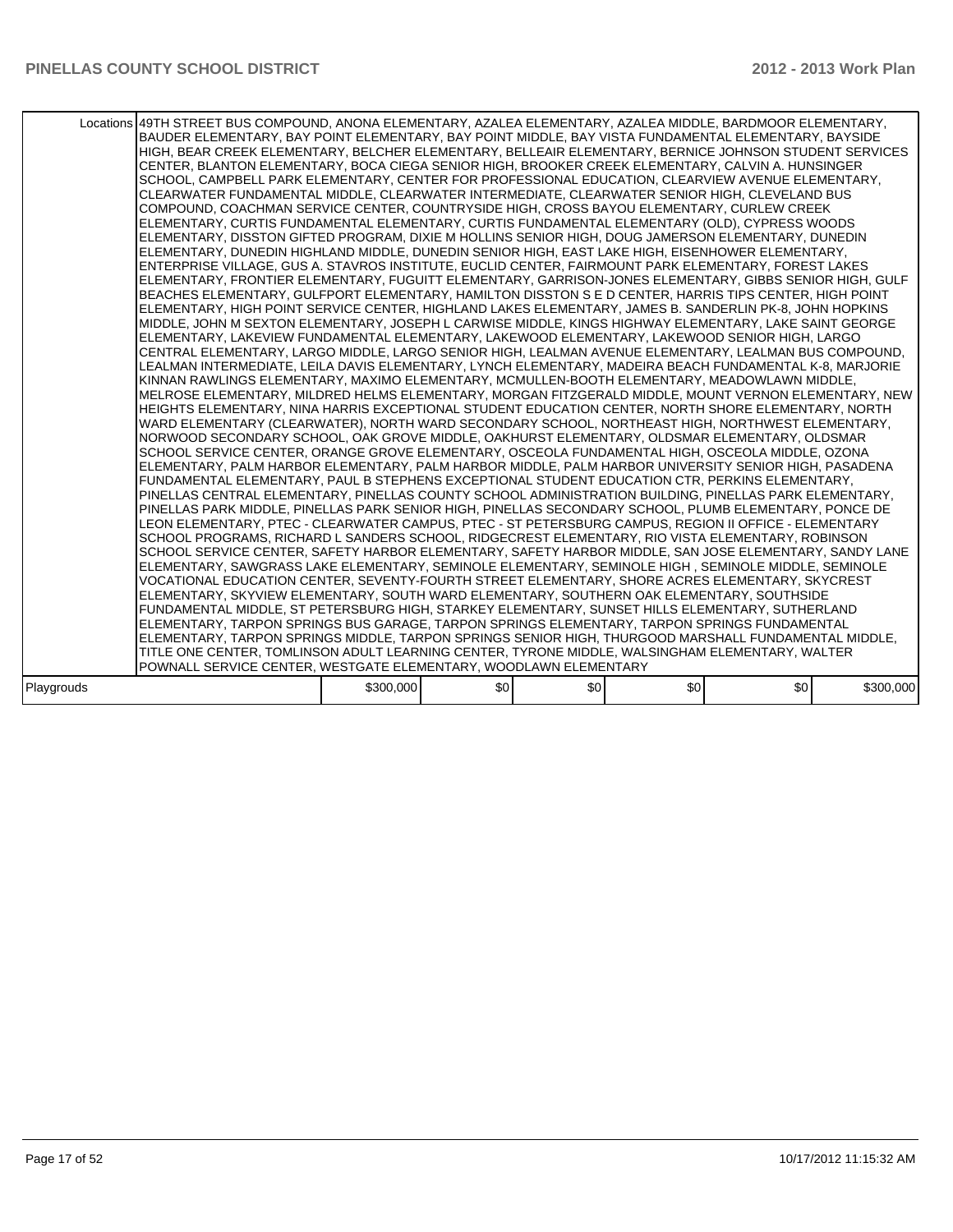|            | Locations 49TH STREET BUS COMPOUND, ANONA ELEMENTARY, AZALEA ELEMENTARY, AZALEA MIDDLE, BARDMOOR ELEMENTARY,<br>BAUDER ELEMENTARY, BAY POINT ELEMENTARY, BAY POINT MIDDLE, BAY VISTA FUNDAMENTAL ELEMENTARY, BAYSIDE<br>HIGH, BEAR CREEK ELEMENTARY, BELCHER ELEMENTARY, BELLEAIR ELEMENTARY, BERNICE JOHNSON STUDENT SERVICES<br>CENTER, BLANTON ELEMENTARY, BOCA CIEGA SENIOR HIGH, BROOKER CREEK ELEMENTARY, CALVIN A. HUNSINGER<br>SCHOOL, CAMPBELL PARK ELEMENTARY, CENTER FOR PROFESSIONAL EDUCATION, CLEARVIEW AVENUE ELEMENTARY,<br>CLEARWATER FUNDAMENTAL MIDDLE, CLEARWATER INTERMEDIATE, CLEARWATER SENIOR HIGH, CLEVELAND BUS<br>COMPOUND, COACHMAN SERVICE CENTER, COUNTRYSIDE HIGH, CROSS BAYOU ELEMENTARY, CURLEW CREEK<br>ELEMENTARY, CURTIS FUNDAMENTAL ELEMENTARY, CURTIS FUNDAMENTAL ELEMENTARY (OLD), CYPRESS WOODS<br>ELEMENTARY, DISSTON GIFTED PROGRAM, DIXIE M HOLLINS SENIOR HIGH, DOUG JAMERSON ELEMENTARY, DUNEDIN<br>ELEMENTARY, DUNEDIN HIGHLAND MIDDLE, DUNEDIN SENIOR HIGH, EAST LAKE HIGH, EISENHOWER ELEMENTARY,<br>ENTERPRISE VILLAGE, GUS A. STAVROS INSTITUTE, EUCLID CENTER, FAIRMOUNT PARK ELEMENTARY, FOREST LAKES<br>ELEMENTARY, FRONTIER ELEMENTARY, FUGUITT ELEMENTARY, GARRISON-JONES ELEMENTARY, GIBBS SENIOR HIGH, GULF<br>BEACHES ELEMENTARY, GULFPORT ELEMENTARY, HAMILTON DISSTON S E D CENTER, HARRIS TIPS CENTER, HIGH POINT<br>ELEMENTARY, HIGH POINT SERVICE CENTER, HIGHLAND LAKES ELEMENTARY, JAMES B. SANDERLIN PK-8, JOHN HOPKINS<br>MIDDLE, JOHN M SEXTON ELEMENTARY, JOSEPH L CARWISE MIDDLE, KINGS HIGHWAY ELEMENTARY, LAKE SAINT GEORGE<br>ELEMENTARY, LAKEVIEW FUNDAMENTAL ELEMENTARY, LAKEWOOD ELEMENTARY, LAKEWOOD SENIOR HIGH, LARGO<br>CENTRAL ELEMENTARY, LARGO MIDDLE, LARGO SENIOR HIGH, LEALMAN AVENUE ELEMENTARY, LEALMAN BUS COMPOUND,<br>LEALMAN INTERMEDIATE, LEILA DAVIS ELEMENTARY, LYNCH ELEMENTARY, MADEIRA BEACH FUNDAMENTAL K-8, MARJORIE<br>KINNAN RAWLINGS ELEMENTARY, MAXIMO ELEMENTARY, MCMULLEN-BOOTH ELEMENTARY, MEADOWLAWN MIDDLE,<br>MELROSE ELEMENTARY, MILDRED HELMS ELEMENTARY, MORGAN FITZGERALD MIDDLE, MOUNT VERNON ELEMENTARY, NEW<br>HEIGHTS ELEMENTARY, NINA HARRIS EXCEPTIONAL STUDENT EDUCATION CENTER, NORTH SHORE ELEMENTARY, NORTH<br>WARD ELEMENTARY (CLEARWATER), NORTH WARD SECONDARY SCHOOL, NORTHEAST HIGH, NORTHWEST ELEMENTARY,<br>NORWOOD SECONDARY SCHOOL, OAK GROVE MIDDLE, OAKHURST ELEMENTARY, OLDSMAR ELEMENTARY, OLDSMAR<br>SCHOOL SERVICE CENTER, ORANGE GROVE ELEMENTARY, OSCEOLA FUNDAMENTAL HIGH, OSCEOLA MIDDLE, OZONA<br>ELEMENTARY, PALM HARBOR ELEMENTARY, PALM HARBOR MIDDLE, PALM HARBOR UNIVERSITY SENIOR HIGH, PASADENA<br>FUNDAMENTAL ELEMENTARY, PAUL B STEPHENS EXCEPTIONAL STUDENT EDUCATION CTR, PERKINS ELEMENTARY,<br>PINELLAS CENTRAL ELEMENTARY, PINELLAS COUNTY SCHOOL ADMINISTRATION BUILDING, PINELLAS PARK ELEMENTARY,<br>PINELLAS PARK MIDDLE, PINELLAS PARK SENIOR HIGH, PINELLAS SECONDARY SCHOOL, PLUMB ELEMENTARY, PONCE DE<br>LEON ELEMENTARY, PTEC - CLEARWATER CAMPUS, PTEC - ST PETERSBURG CAMPUS, REGION II OFFICE - ELEMENTARY<br>SCHOOL PROGRAMS, RICHARD L SANDERS SCHOOL, RIDGECREST ELEMENTARY, RIO VISTA ELEMENTARY, ROBINSON<br>SCHOOL SERVICE CENTER, SAFETY HARBOR ELEMENTARY, SAFETY HARBOR MIDDLE, SAN JOSE ELEMENTARY, SANDY LANE<br>ELEMENTARY, SAWGRASS LAKE ELEMENTARY, SEMINOLE ELEMENTARY, SEMINOLE HIGH, SEMINOLE MIDDLE, SEMINOLE<br>VOCATIONAL EDUCATION CENTER, SEVENTY-FOURTH STREET ELEMENTARY, SHORE ACRES ELEMENTARY, SKYCREST<br>ELEMENTARY, SKYVIEW ELEMENTARY, SOUTH WARD ELEMENTARY, SOUTHERN OAK ELEMENTARY, SOUTHSIDE<br>FUNDAMENTAL MIDDLE, ST PETERSBURG HIGH, STARKEY ELEMENTARY, SUNSET HILLS ELEMENTARY, SUTHERLAND<br>ELEMENTARY, TARPON SPRINGS BUS GARAGE, TARPON SPRINGS ELEMENTARY, TARPON SPRINGS FUNDAMENTAL<br>ELEMENTARY, TARPON SPRINGS MIDDLE, TARPON SPRINGS SENIOR HIGH, THURGOOD MARSHALL FUNDAMENTAL MIDDLE,<br>TITLE ONE CENTER, TOMLINSON ADULT LEARNING CENTER, TYRONE MIDDLE, WALSINGHAM ELEMENTARY, WALTER<br>POWNALL SERVICE CENTER, WESTGATE ELEMENTARY, WOODLAWN ELEMENTARY |           |     |     |     |                  |           |
|------------|----------------------------------------------------------------------------------------------------------------------------------------------------------------------------------------------------------------------------------------------------------------------------------------------------------------------------------------------------------------------------------------------------------------------------------------------------------------------------------------------------------------------------------------------------------------------------------------------------------------------------------------------------------------------------------------------------------------------------------------------------------------------------------------------------------------------------------------------------------------------------------------------------------------------------------------------------------------------------------------------------------------------------------------------------------------------------------------------------------------------------------------------------------------------------------------------------------------------------------------------------------------------------------------------------------------------------------------------------------------------------------------------------------------------------------------------------------------------------------------------------------------------------------------------------------------------------------------------------------------------------------------------------------------------------------------------------------------------------------------------------------------------------------------------------------------------------------------------------------------------------------------------------------------------------------------------------------------------------------------------------------------------------------------------------------------------------------------------------------------------------------------------------------------------------------------------------------------------------------------------------------------------------------------------------------------------------------------------------------------------------------------------------------------------------------------------------------------------------------------------------------------------------------------------------------------------------------------------------------------------------------------------------------------------------------------------------------------------------------------------------------------------------------------------------------------------------------------------------------------------------------------------------------------------------------------------------------------------------------------------------------------------------------------------------------------------------------------------------------------------------------------------------------------------------------------------------------------------------------------------------------------------------------------------------------------------------------------------------------------------------------------------------------------------------------------------------------------------------------------------------------------------------------------------------------------------------------------------------------------------------------------------------------------------------------------------------------------------------------------------------------------------------------------------------------------------------------------------------------------------------------------------------------------------------------------------------------------------------------------------------------------------------------------------------------------------------------------------|-----------|-----|-----|-----|------------------|-----------|
| Playgrouds |                                                                                                                                                                                                                                                                                                                                                                                                                                                                                                                                                                                                                                                                                                                                                                                                                                                                                                                                                                                                                                                                                                                                                                                                                                                                                                                                                                                                                                                                                                                                                                                                                                                                                                                                                                                                                                                                                                                                                                                                                                                                                                                                                                                                                                                                                                                                                                                                                                                                                                                                                                                                                                                                                                                                                                                                                                                                                                                                                                                                                                                                                                                                                                                                                                                                                                                                                                                                                                                                                                                                                                                                                                                                                                                                                                                                                                                                                                                                                                                                                                                                                              | \$300,000 | \$0 | \$0 | \$0 | \$0 <sub>1</sub> | \$300,000 |
|            |                                                                                                                                                                                                                                                                                                                                                                                                                                                                                                                                                                                                                                                                                                                                                                                                                                                                                                                                                                                                                                                                                                                                                                                                                                                                                                                                                                                                                                                                                                                                                                                                                                                                                                                                                                                                                                                                                                                                                                                                                                                                                                                                                                                                                                                                                                                                                                                                                                                                                                                                                                                                                                                                                                                                                                                                                                                                                                                                                                                                                                                                                                                                                                                                                                                                                                                                                                                                                                                                                                                                                                                                                                                                                                                                                                                                                                                                                                                                                                                                                                                                                              |           |     |     |     |                  |           |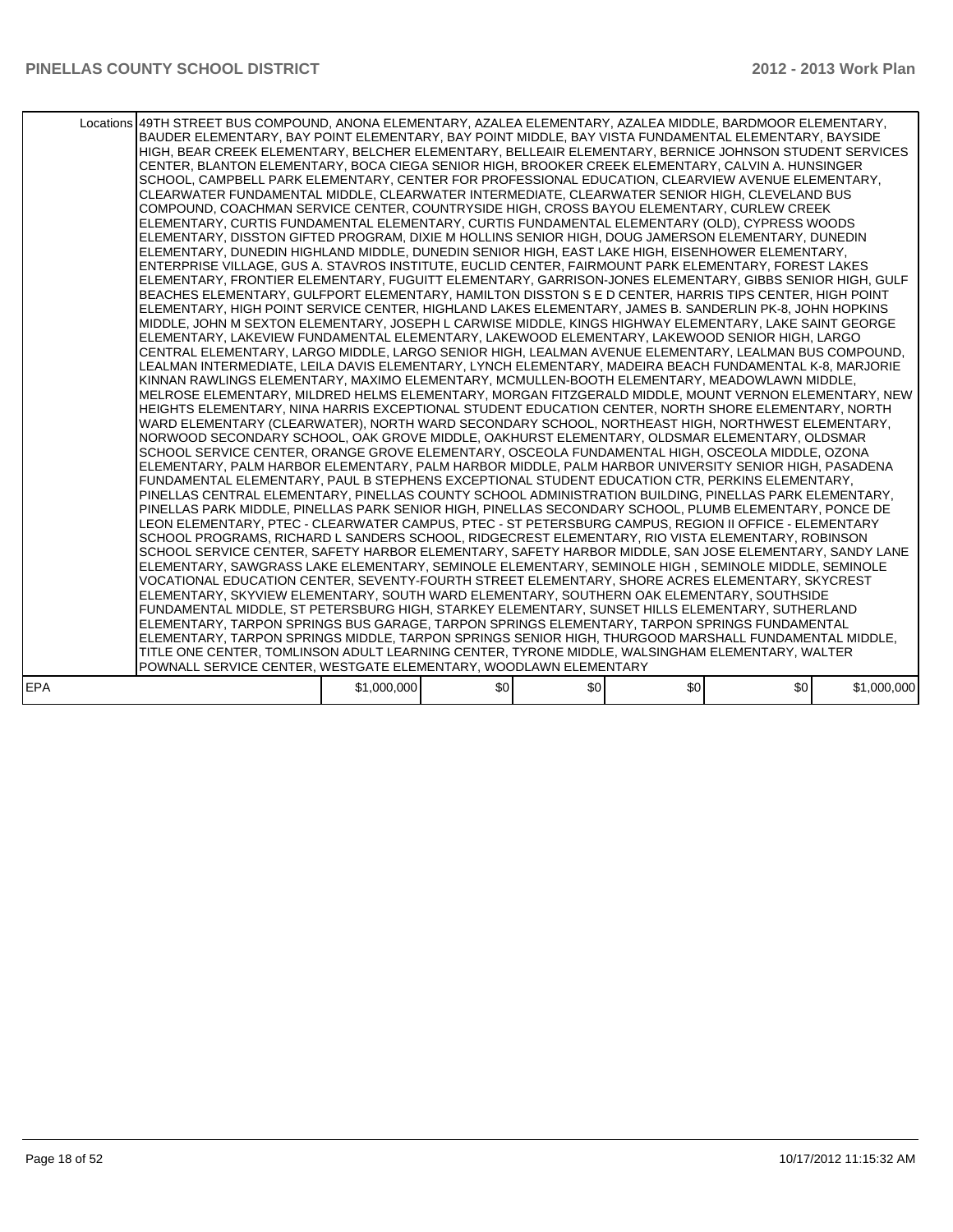|     | Locations 49TH STREET BUS COMPOUND, ANONA ELEMENTARY, AZALEA ELEMENTARY, AZALEA MIDDLE, BARDMOOR ELEMENTARY,<br>BAUDER ELEMENTARY, BAY POINT ELEMENTARY, BAY POINT MIDDLE, BAY VISTA FUNDAMENTAL ELEMENTARY, BAYSIDE<br>HIGH. BEAR CREEK ELEMENTARY. BELCHER ELEMENTARY. BELLEAIR ELEMENTARY. BERNICE JOHNSON STUDENT SERVICES<br>CENTER, BLANTON ELEMENTARY, BOCA CIEGA SENIOR HIGH, BROOKER CREEK ELEMENTARY, CALVIN A. HUNSINGER<br>SCHOOL, CAMPBELL PARK ELEMENTARY, CENTER FOR PROFESSIONAL EDUCATION, CLEARVIEW AVENUE ELEMENTARY,<br>CLEARWATER FUNDAMENTAL MIDDLE, CLEARWATER INTERMEDIATE, CLEARWATER SENIOR HIGH, CLEVELAND BUS<br>COMPOUND, COACHMAN SERVICE CENTER, COUNTRYSIDE HIGH, CROSS BAYOU ELEMENTARY, CURLEW CREEK<br>ELEMENTARY, CURTIS FUNDAMENTAL ELEMENTARY, CURTIS FUNDAMENTAL ELEMENTARY (OLD), CYPRESS WOODS<br>ELEMENTARY, DISSTON GIFTED PROGRAM, DIXIE M HOLLINS SENIOR HIGH, DOUG JAMERSON ELEMENTARY, DUNEDIN<br>ELEMENTARY, DUNEDIN HIGHLAND MIDDLE, DUNEDIN SENIOR HIGH, EAST LAKE HIGH, EISENHOWER ELEMENTARY,<br>ENTERPRISE VILLAGE, GUS A. STAVROS INSTITUTE, EUCLID CENTER, FAIRMOUNT PARK ELEMENTARY, FOREST LAKES<br>ELEMENTARY, FRONTIER ELEMENTARY, FUGUITT ELEMENTARY, GARRISON-JONES ELEMENTARY, GIBBS SENIOR HIGH, GULF<br>BEACHES ELEMENTARY, GULFPORT ELEMENTARY, HAMILTON DISSTON S E D CENTER, HARRIS TIPS CENTER, HIGH POINT<br>ELEMENTARY, HIGH POINT SERVICE CENTER, HIGHLAND LAKES ELEMENTARY, JAMES B. SANDERLIN PK-8, JOHN HOPKINS<br>MIDDLE, JOHN M SEXTON ELEMENTARY, JOSEPH L CARWISE MIDDLE, KINGS HIGHWAY ELEMENTARY, LAKE SAINT GEORGE<br>ELEMENTARY, LAKEVIEW FUNDAMENTAL ELEMENTARY, LAKEWOOD ELEMENTARY, LAKEWOOD SENIOR HIGH, LARGO<br>CENTRAL ELEMENTARY, LARGO MIDDLE, LARGO SENIOR HIGH, LEALMAN AVENUE ELEMENTARY, LEALMAN BUS COMPOUND,<br>LEALMAN INTERMEDIATE, LEILA DAVIS ELEMENTARY, LYNCH ELEMENTARY, MADEIRA BEACH FUNDAMENTAL K-8, MARJORIE<br>KINNAN RAWLINGS ELEMENTARY, MAXIMO ELEMENTARY, MCMULLEN-BOOTH ELEMENTARY, MEADOWLAWN MIDDLE,<br>MELROSE ELEMENTARY, MILDRED HELMS ELEMENTARY, MORGAN FITZGERALD MIDDLE, MOUNT VERNON ELEMENTARY, NEW<br>İHEIGHTS ELEMENTARY. NINA HARRIS EXCEPTIONAL STUDENT EDUCATION CENTER. NORTH SHORE ELEMENTARY. NORTH<br>WARD ELEMENTARY (CLEARWATER), NORTH WARD SECONDARY SCHOOL, NORTHEAST HIGH, NORTHWEST ELEMENTARY,<br>NORWOOD SECONDARY SCHOOL. OAK GROVE MIDDLE. OAKHURST ELEMENTARY. OLDSMAR ELEMENTARY. OLDSMAR<br>SCHOOL SERVICE CENTER, ORANGE GROVE ELEMENTARY, OSCEOLA FUNDAMENTAL HIGH, OSCEOLA MIDDLE, OZONA<br>ELEMENTARY, PALM HARBOR ELEMENTARY, PALM HARBOR MIDDLE, PALM HARBOR UNIVERSITY SENIOR HIGH, PASADENA<br>FUNDAMENTAL ELEMENTARY, PAUL B STEPHENS EXCEPTIONAL STUDENT EDUCATION CTR, PERKINS ELEMENTARY,<br>PINELLAS CENTRAL ELEMENTARY, PINELLAS COUNTY SCHOOL ADMINISTRATION BUILDING, PINELLAS PARK ELEMENTARY,<br>PINELLAS PARK MIDDLE, PINELLAS PARK SENIOR HIGH, PINELLAS SECONDARY SCHOOL, PLUMB ELEMENTARY, PONCE DE<br>LEON ELEMENTARY, PTEC - CLEARWATER CAMPUS, PTEC - ST PETERSBURG CAMPUS, REGION II OFFICE - ELEMENTARY<br>SCHOOL PROGRAMS, RICHARD L SANDERS SCHOOL, RIDGECREST ELEMENTARY, RIO VISTA ELEMENTARY, ROBINSON<br>SCHOOL SERVICE CENTER, SAFETY HARBOR ELEMENTARY, SAFETY HARBOR MIDDLE, SAN JOSE ELEMENTARY, SANDY LANE<br>ELEMENTARY, SAWGRASS LAKE ELEMENTARY, SEMINOLE ELEMENTARY, SEMINOLE HIGH, SEMINOLE MIDDLE, SEMINOLE<br>VOCATIONAL EDUCATION CENTER, SEVENTY-FOURTH STREET ELEMENTARY, SHORE ACRES ELEMENTARY, SKYCREST<br>ELEMENTARY, SKYVIEW ELEMENTARY, SOUTH WARD ELEMENTARY, SOUTHERN OAK ELEMENTARY, SOUTHSIDE<br>FUNDAMENTAL MIDDLE, ST PETERSBURG HIGH, STARKEY ELEMENTARY, SUNSET HILLS ELEMENTARY, SUTHERLAND<br>ELEMENTARY, TARPON SPRINGS BUS GARAGE, TARPON SPRINGS ELEMENTARY, TARPON SPRINGS FUNDAMENTAL<br>ELEMENTARY, TARPON SPRINGS MIDDLE, TARPON SPRINGS SENIOR HIGH, THURGOOD MARSHALL FUNDAMENTAL MIDDLE,<br>TITLE ONE CENTER, TOMLINSON ADULT LEARNING CENTER, TYRONE MIDDLE, WALSINGHAM ELEMENTARY, WALTER<br>POWNALL SERVICE CENTER, WESTGATE ELEMENTARY, WOODLAWN ELEMENTARY |             |     |     |                  |                  |             |
|-----|-----------------------------------------------------------------------------------------------------------------------------------------------------------------------------------------------------------------------------------------------------------------------------------------------------------------------------------------------------------------------------------------------------------------------------------------------------------------------------------------------------------------------------------------------------------------------------------------------------------------------------------------------------------------------------------------------------------------------------------------------------------------------------------------------------------------------------------------------------------------------------------------------------------------------------------------------------------------------------------------------------------------------------------------------------------------------------------------------------------------------------------------------------------------------------------------------------------------------------------------------------------------------------------------------------------------------------------------------------------------------------------------------------------------------------------------------------------------------------------------------------------------------------------------------------------------------------------------------------------------------------------------------------------------------------------------------------------------------------------------------------------------------------------------------------------------------------------------------------------------------------------------------------------------------------------------------------------------------------------------------------------------------------------------------------------------------------------------------------------------------------------------------------------------------------------------------------------------------------------------------------------------------------------------------------------------------------------------------------------------------------------------------------------------------------------------------------------------------------------------------------------------------------------------------------------------------------------------------------------------------------------------------------------------------------------------------------------------------------------------------------------------------------------------------------------------------------------------------------------------------------------------------------------------------------------------------------------------------------------------------------------------------------------------------------------------------------------------------------------------------------------------------------------------------------------------------------------------------------------------------------------------------------------------------------------------------------------------------------------------------------------------------------------------------------------------------------------------------------------------------------------------------------------------------------------------------------------------------------------------------------------------------------------------------------------------------------------------------------------------------------------------------------------------------------------------------------------------------------------------------------------------------------------------------------------------------------------------------------------------------------------------------------------------------------------------------------------------------|-------------|-----|-----|------------------|------------------|-------------|
| EPA |                                                                                                                                                                                                                                                                                                                                                                                                                                                                                                                                                                                                                                                                                                                                                                                                                                                                                                                                                                                                                                                                                                                                                                                                                                                                                                                                                                                                                                                                                                                                                                                                                                                                                                                                                                                                                                                                                                                                                                                                                                                                                                                                                                                                                                                                                                                                                                                                                                                                                                                                                                                                                                                                                                                                                                                                                                                                                                                                                                                                                                                                                                                                                                                                                                                                                                                                                                                                                                                                                                                                                                                                                                                                                                                                                                                                                                                                                                                                                                                                                                                                                               | \$1,000,000 | \$0 | \$0 | \$0 <sub>1</sub> | \$0 <sub>1</sub> | \$1,000,000 |
|     |                                                                                                                                                                                                                                                                                                                                                                                                                                                                                                                                                                                                                                                                                                                                                                                                                                                                                                                                                                                                                                                                                                                                                                                                                                                                                                                                                                                                                                                                                                                                                                                                                                                                                                                                                                                                                                                                                                                                                                                                                                                                                                                                                                                                                                                                                                                                                                                                                                                                                                                                                                                                                                                                                                                                                                                                                                                                                                                                                                                                                                                                                                                                                                                                                                                                                                                                                                                                                                                                                                                                                                                                                                                                                                                                                                                                                                                                                                                                                                                                                                                                                               |             |     |     |                  |                  |             |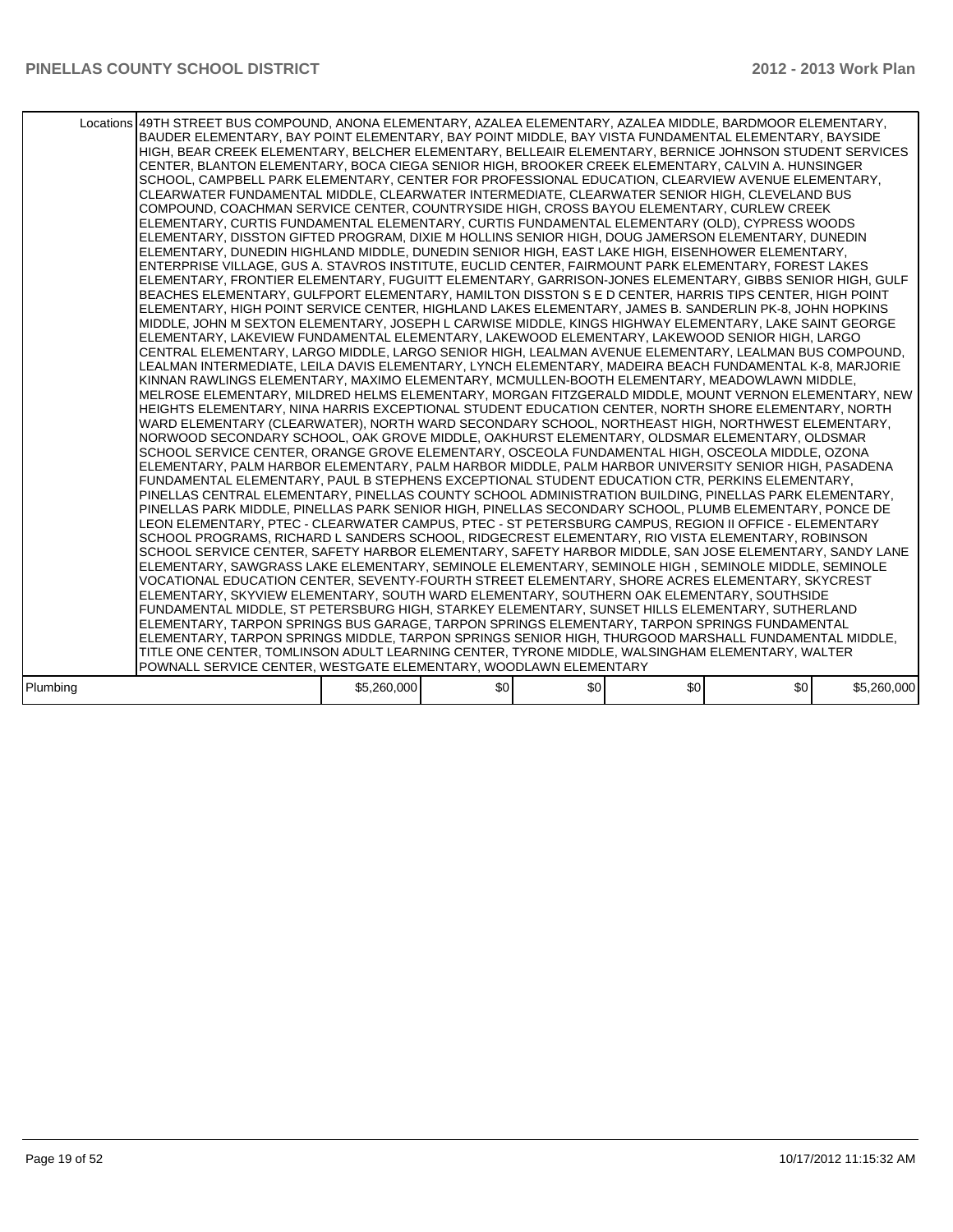| Locations 49TH STREET BUS COMPOUND, ANONA ELEMENTARY, AZALEA ELEMENTARY, AZALEA MIDDLE, BARDMOOR ELEMENTARY,<br>BAUDER ELEMENTARY, BAY POINT ELEMENTARY, BAY POINT MIDDLE, BAY VISTA FUNDAMENTAL ELEMENTARY, BAYSIDE<br>HIIGH. BEAR CREEK ELEMENTARY. BELCHER ELEMENTARY. BELLEAIR ELEMENTARY. BERNICE JOHNSON STUDENT SERVICES<br>CENTER, BLANTON ELEMENTARY, BOCA CIEGA SENIOR HIGH, BROOKER CREEK ELEMENTARY, CALVIN A. HUNSINGER<br>SCHOOL, CAMPBELL PARK ELEMENTARY, CENTER FOR PROFESSIONAL EDUCATION, CLEARVIEW AVENUE ELEMENTARY,<br>CLEARWATER FUNDAMENTAL MIDDLE, CLEARWATER INTERMEDIATE, CLEARWATER SENIOR HIGH, CLEVELAND BUS<br>COMPOUND, COACHMAN SERVICE CENTER, COUNTRYSIDE HIGH, CROSS BAYOU ELEMENTARY, CURLEW CREEK<br>ELEMENTARY, CURTIS FUNDAMENTAL ELEMENTARY, CURTIS FUNDAMENTAL ELEMENTARY (OLD), CYPRESS WOODS<br>ELEMENTARY, DISSTON GIFTED PROGRAM, DIXIE M HOLLINS SENIOR HIGH, DOUG JAMERSON ELEMENTARY, DUNEDIN<br>ELEMENTARY, DUNEDIN HIGHLAND MIDDLE, DUNEDIN SENIOR HIGH, EAST LAKE HIGH, EISENHOWER ELEMENTARY,<br>ENTERPRISE VILLAGE, GUS A. STAVROS INSTITUTE, EUCLID CENTER, FAIRMOUNT PARK ELEMENTARY, FOREST LAKES<br>IELEMENTARY, FRONTIER ELEMENTARY, FUGUITT ELEMENTARY, GARRISON-JONES ELEMENTARY, GIBBS SENIOR HIGH, GULF<br>BEACHES ELEMENTARY, GULFPORT ELEMENTARY, HAMILTON DISSTON S E D CENTER, HARRIS TIPS CENTER, HIGH POINT<br>ELEMENTARY, HIGH POINT SERVICE CENTER, HIGHLAND LAKES ELEMENTARY, JAMES B. SANDERLIN PK-8, JOHN HOPKINS<br>MIDDLE, JOHN M SEXTON ELEMENTARY, JOSEPH L CARWISE MIDDLE, KINGS HIGHWAY ELEMENTARY, LAKE SAINT GEORGE<br>ELEMENTARY, LAKEVIEW FUNDAMENTAL ELEMENTARY, LAKEWOOD ELEMENTARY, LAKEWOOD SENIOR HIGH, LARGO<br> CENTRAL ELEMENTARY, LARGO MIDDLE, LARGO SENIOR HIGH, LEALMAN AVENUE ELEMENTARY, LEALMAN BUS COMPOUND,<br>LEALMAN INTERMEDIATE, LEILA DAVIS ELEMENTARY, LYNCH ELEMENTARY, MADEIRA BEACH FUNDAMENTAL K-8, MARJORIE<br>KINNAN RAWLINGS ELEMENTARY, MAXIMO ELEMENTARY, MCMULLEN-BOOTH ELEMENTARY, MEADOWLAWN MIDDLE,<br>MELROSE ELEMENTARY, MILDRED HELMS ELEMENTARY, MORGAN FITZGERALD MIDDLE, MOUNT VERNON ELEMENTARY, NEW<br>HEIGHTS ELEMENTARY, NINA HARRIS EXCEPTIONAL STUDENT EDUCATION CENTER, NORTH SHORE ELEMENTARY, NORTH<br>WARD ELEMENTARY (CLEARWATER), NORTH WARD SECONDARY SCHOOL, NORTHEAST HIGH, NORTHWEST ELEMENTARY,<br>INORWOOD SECONDARY SCHOOL, OAK GROVE MIDDLE, OAKHURST ELEMENTARY, OLDSMAR ELEMENTARY, OLDSMAR<br>SCHOOL SERVICE CENTER, ORANGE GROVE ELEMENTARY, OSCEOLA FUNDAMENTAL HIGH, OSCEOLA MIDDLE, OZONA<br>ELEMENTARY, PALM HARBOR ELEMENTARY, PALM HARBOR MIDDLE, PALM HARBOR UNIVERSITY SENIOR HIGH, PASADENA<br>FUNDAMENTAL ELEMENTARY, PAUL B STEPHENS EXCEPTIONAL STUDENT EDUCATION CTR, PERKINS ELEMENTARY,<br>PINELLAS CENTRAL ELEMENTARY. PINELLAS COUNTY SCHOOL ADMINISTRATION BUILDING. PINELLAS PARK ELEMENTARY.<br>PINELLAS PARK MIDDLE, PINELLAS PARK SENIOR HIGH, PINELLAS SECONDARY SCHOOL, PLUMB ELEMENTARY, PONCE DE<br>LEON ELEMENTARY, PTEC - CLEARWATER CAMPUS, PTEC - ST PETERSBURG CAMPUS, REGION II OFFICE - ELEMENTARY<br>SCHOOL PROGRAMS, RICHARD L SANDERS SCHOOL, RIDGECREST ELEMENTARY, RIO VISTA ELEMENTARY, ROBINSON<br>SCHOOL SERVICE CENTER, SAFETY HARBOR ELEMENTARY, SAFETY HARBOR MIDDLE, SAN JOSE ELEMENTARY, SANDY LANE<br>ELEMENTARY, SAWGRASS LAKE ELEMENTARY, SEMINOLE ELEMENTARY, SEMINOLE HIGH, SEMINOLE MIDDLE, SEMINOLE<br>VOCATIONAL EDUCATION CENTER, SEVENTY-FOURTH STREET ELEMENTARY, SHORE ACRES ELEMENTARY, SKYCREST<br>ELEMENTARY, SKYVIEW ELEMENTARY, SOUTH WARD ELEMENTARY, SOUTHERN OAK ELEMENTARY, SOUTHSIDE<br>FUNDAMENTAL MIDDLE, ST PETERSBURG HIGH, STARKEY ELEMENTARY, SUNSET HILLS ELEMENTARY, SUTHERLAND<br>ELEMENTARY, TARPON SPRINGS BUS GARAGE, TARPON SPRINGS ELEMENTARY, TARPON SPRINGS FUNDAMENTAL<br>ELEMENTARY, TARPON SPRINGS MIDDLE, TARPON SPRINGS SENIOR HIGH, THURGOOD MARSHALL FUNDAMENTAL MIDDLE,<br>TITLE ONE CENTER, TOMLINSON ADULT LEARNING CENTER, TYRONE MIDDLE, WALSINGHAM ELEMENTARY, WALTER<br>POWNALL SERVICE CENTER, WESTGATE ELEMENTARY, WOODLAWN ELEMENTARY<br>\$0<br>\$0<br>\$0<br>\$0<br>Plumbing<br>\$5,260,000<br>\$5,260,000 |  |  |  |  |
|------------------------------------------------------------------------------------------------------------------------------------------------------------------------------------------------------------------------------------------------------------------------------------------------------------------------------------------------------------------------------------------------------------------------------------------------------------------------------------------------------------------------------------------------------------------------------------------------------------------------------------------------------------------------------------------------------------------------------------------------------------------------------------------------------------------------------------------------------------------------------------------------------------------------------------------------------------------------------------------------------------------------------------------------------------------------------------------------------------------------------------------------------------------------------------------------------------------------------------------------------------------------------------------------------------------------------------------------------------------------------------------------------------------------------------------------------------------------------------------------------------------------------------------------------------------------------------------------------------------------------------------------------------------------------------------------------------------------------------------------------------------------------------------------------------------------------------------------------------------------------------------------------------------------------------------------------------------------------------------------------------------------------------------------------------------------------------------------------------------------------------------------------------------------------------------------------------------------------------------------------------------------------------------------------------------------------------------------------------------------------------------------------------------------------------------------------------------------------------------------------------------------------------------------------------------------------------------------------------------------------------------------------------------------------------------------------------------------------------------------------------------------------------------------------------------------------------------------------------------------------------------------------------------------------------------------------------------------------------------------------------------------------------------------------------------------------------------------------------------------------------------------------------------------------------------------------------------------------------------------------------------------------------------------------------------------------------------------------------------------------------------------------------------------------------------------------------------------------------------------------------------------------------------------------------------------------------------------------------------------------------------------------------------------------------------------------------------------------------------------------------------------------------------------------------------------------------------------------------------------------------------------------------------------------------------------------------------------------------------------------------------------------------------------------------------------------------------------------------------------------------------------------------------------|--|--|--|--|
|                                                                                                                                                                                                                                                                                                                                                                                                                                                                                                                                                                                                                                                                                                                                                                                                                                                                                                                                                                                                                                                                                                                                                                                                                                                                                                                                                                                                                                                                                                                                                                                                                                                                                                                                                                                                                                                                                                                                                                                                                                                                                                                                                                                                                                                                                                                                                                                                                                                                                                                                                                                                                                                                                                                                                                                                                                                                                                                                                                                                                                                                                                                                                                                                                                                                                                                                                                                                                                                                                                                                                                                                                                                                                                                                                                                                                                                                                                                                                                                                                                                                                                                                                                        |  |  |  |  |
|                                                                                                                                                                                                                                                                                                                                                                                                                                                                                                                                                                                                                                                                                                                                                                                                                                                                                                                                                                                                                                                                                                                                                                                                                                                                                                                                                                                                                                                                                                                                                                                                                                                                                                                                                                                                                                                                                                                                                                                                                                                                                                                                                                                                                                                                                                                                                                                                                                                                                                                                                                                                                                                                                                                                                                                                                                                                                                                                                                                                                                                                                                                                                                                                                                                                                                                                                                                                                                                                                                                                                                                                                                                                                                                                                                                                                                                                                                                                                                                                                                                                                                                                                                        |  |  |  |  |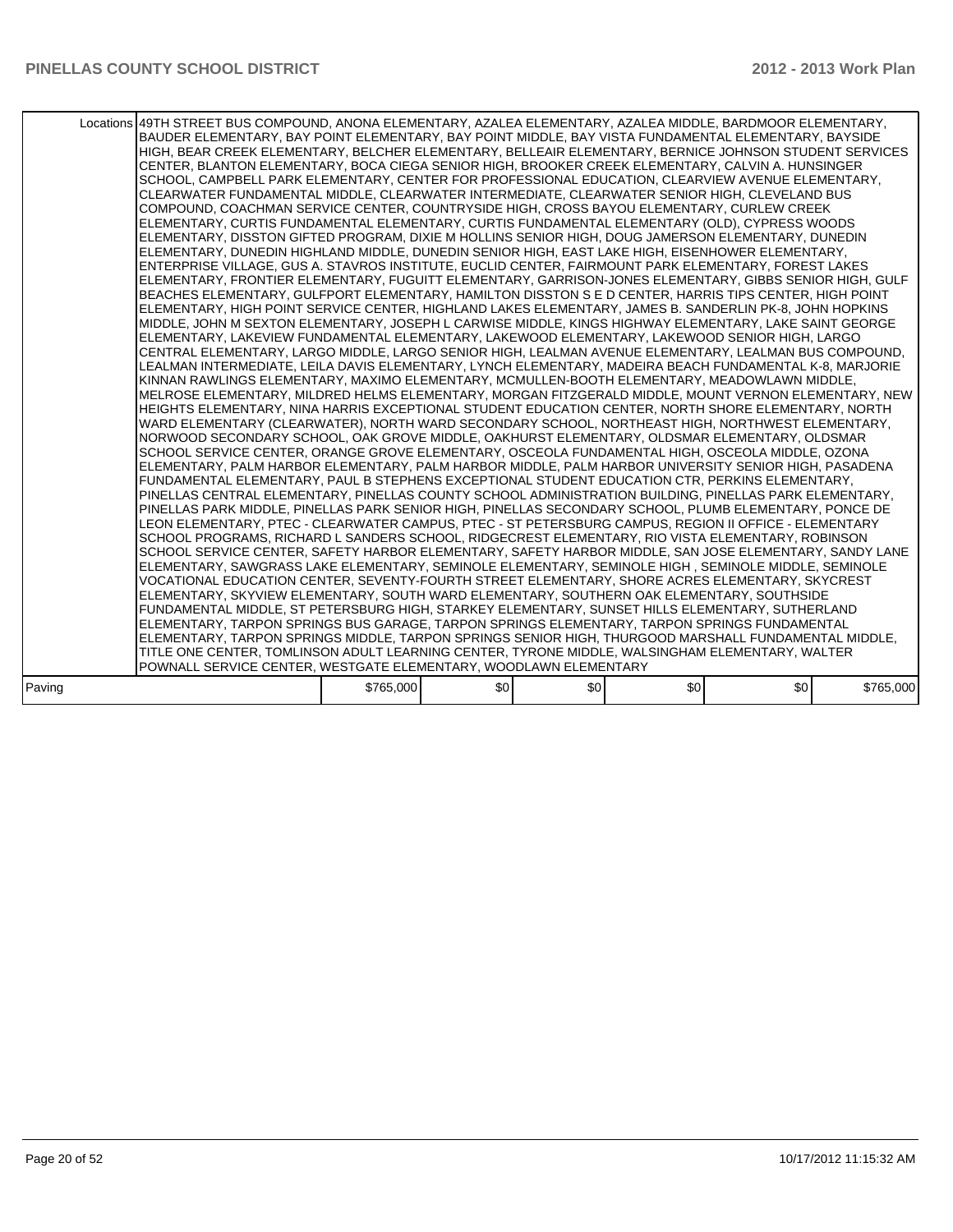|        | Locations 49TH STREET BUS COMPOUND, ANONA ELEMENTARY, AZALEA ELEMENTARY, AZALEA MIDDLE, BARDMOOR ELEMENTARY,<br>BAUDER ELEMENTARY, BAY POINT ELEMENTARY, BAY POINT MIDDLE, BAY VISTA FUNDAMENTAL ELEMENTARY, BAYSIDE<br>HIGH, BEAR CREEK ELEMENTARY, BELCHER ELEMENTARY, BELLEAIR ELEMENTARY, BERNICE JOHNSON STUDENT SERVICES<br>CENTER, BLANTON ELEMENTARY, BOCA CIEGA SENIOR HIGH, BROOKER CREEK ELEMENTARY, CALVIN A. HUNSINGER<br>SCHOOL, CAMPBELL PARK ELEMENTARY, CENTER FOR PROFESSIONAL EDUCATION, CLEARVIEW AVENUE ELEMENTARY,<br>CLEARWATER FUNDAMENTAL MIDDLE, CLEARWATER INTERMEDIATE, CLEARWATER SENIOR HIGH, CLEVELAND BUS<br>COMPOUND, COACHMAN SERVICE CENTER, COUNTRYSIDE HIGH, CROSS BAYOU ELEMENTARY, CURLEW CREEK<br>ELEMENTARY, CURTIS FUNDAMENTAL ELEMENTARY, CURTIS FUNDAMENTAL ELEMENTARY (OLD), CYPRESS WOODS<br>ELEMENTARY, DISSTON GIFTED PROGRAM, DIXIE M HOLLINS SENIOR HIGH, DOUG JAMERSON ELEMENTARY, DUNEDIN<br>ELEMENTARY, DUNEDIN HIGHLAND MIDDLE, DUNEDIN SENIOR HIGH, EAST LAKE HIGH, EISENHOWER ELEMENTARY,<br>ENTERPRISE VILLAGE, GUS A. STAVROS INSTITUTE, EUCLID CENTER, FAIRMOUNT PARK ELEMENTARY, FOREST LAKES<br>ELEMENTARY, FRONTIER ELEMENTARY, FUGUITT ELEMENTARY, GARRISON-JONES ELEMENTARY, GIBBS SENIOR HIGH, GULF<br>BEACHES ELEMENTARY, GULFPORT ELEMENTARY, HAMILTON DISSTON S E D CENTER, HARRIS TIPS CENTER, HIGH POINT<br>ELEMENTARY, HIGH POINT SERVICE CENTER, HIGHLAND LAKES ELEMENTARY, JAMES B. SANDERLIN PK-8, JOHN HOPKINS<br>MIDDLE, JOHN M SEXTON ELEMENTARY, JOSEPH L CARWISE MIDDLE, KINGS HIGHWAY ELEMENTARY, LAKE SAINT GEORGE  <br>ELEMENTARY, LAKEVIEW FUNDAMENTAL ELEMENTARY, LAKEWOOD ELEMENTARY, LAKEWOOD SENIOR HIGH, LARGO<br>CENTRAL ELEMENTARY, LARGO MIDDLE, LARGO SENIOR HIGH, LEALMAN AVENUE ELEMENTARY, LEALMAN BUS COMPOUND,<br>LEALMAN INTERMEDIATE, LEILA DAVIS ELEMENTARY, LYNCH ELEMENTARY, MADEIRA BEACH FUNDAMENTAL K-8, MARJORIE<br>KINNAN RAWLINGS ELEMENTARY, MAXIMO ELEMENTARY, MCMULLEN-BOOTH ELEMENTARY, MEADOWLAWN MIDDLE,<br>MELROSE ELEMENTARY, MILDRED HELMS ELEMENTARY, MORGAN FITZGERALD MIDDLE, MOUNT VERNON ELEMENTARY, NEW<br>HEIGHTS ELEMENTARY, NINA HARRIS EXCEPTIONAL STUDENT EDUCATION CENTER, NORTH SHORE ELEMENTARY, NORTH<br>WARD ELEMENTARY (CLEARWATER), NORTH WARD SECONDARY SCHOOL, NORTHEAST HIGH, NORTHWEST ELEMENTARY,<br>NORWOOD SECONDARY SCHOOL, OAK GROVE MIDDLE, OAKHURST ELEMENTARY, OLDSMAR ELEMENTARY, OLDSMAR<br>SCHOOL SERVICE CENTER, ORANGE GROVE ELEMENTARY, OSCEOLA FUNDAMENTAL HIGH, OSCEOLA MIDDLE, OZONA<br>ELEMENTARY, PALM HARBOR ELEMENTARY, PALM HARBOR MIDDLE, PALM HARBOR UNIVERSITY SENIOR HIGH, PASADENA<br>FUNDAMENTAL ELEMENTARY, PAUL B STEPHENS EXCEPTIONAL STUDENT EDUCATION CTR, PERKINS ELEMENTARY,<br>PINELLAS CENTRAL ELEMENTARY, PINELLAS COUNTY SCHOOL ADMINISTRATION BUILDING, PINELLAS PARK ELEMENTARY,<br>PINELLAS PARK MIDDLE, PINELLAS PARK SENIOR HIGH, PINELLAS SECONDARY SCHOOL, PLUMB ELEMENTARY, PONCE DE<br>LEON ELEMENTARY, PTEC - CLEARWATER CAMPUS, PTEC - ST PETERSBURG CAMPUS, REGION II OFFICE - ELEMENTARY<br>SCHOOL PROGRAMS, RICHARD L SANDERS SCHOOL, RIDGECREST ELEMENTARY, RIO VISTA ELEMENTARY, ROBINSON<br>SCHOOL SERVICE CENTER, SAFETY HARBOR ELEMENTARY, SAFETY HARBOR MIDDLE, SAN JOSE ELEMENTARY, SANDY LANE<br>ELEMENTARY, SAWGRASS LAKE ELEMENTARY, SEMINOLE ELEMENTARY, SEMINOLE HIGH, SEMINOLE MIDDLE, SEMINOLE<br>VOCATIONAL EDUCATION CENTER, SEVENTY-FOURTH STREET ELEMENTARY, SHORE ACRES ELEMENTARY, SKYCREST<br>ELEMENTARY, SKYVIEW ELEMENTARY, SOUTH WARD ELEMENTARY, SOUTHERN OAK ELEMENTARY, SOUTHSIDE<br>FUNDAMENTAL MIDDLE, ST PETERSBURG HIGH, STARKEY ELEMENTARY, SUNSET HILLS ELEMENTARY, SUTHERLAND<br>ELEMENTARY, TARPON SPRINGS BUS GARAGE, TARPON SPRINGS ELEMENTARY, TARPON SPRINGS FUNDAMENTAL<br>ELEMENTARY, TARPON SPRINGS MIDDLE, TARPON SPRINGS SENIOR HIGH, THURGOOD MARSHALL FUNDAMENTAL MIDDLE,<br>TITLE ONE CENTER, TOMLINSON ADULT LEARNING CENTER, TYRONE MIDDLE, WALSINGHAM ELEMENTARY, WALTER<br>POWNALL SERVICE CENTER, WESTGATE ELEMENTARY, WOODLAWN ELEMENTARY |           |     |     |     |     |           |
|--------|------------------------------------------------------------------------------------------------------------------------------------------------------------------------------------------------------------------------------------------------------------------------------------------------------------------------------------------------------------------------------------------------------------------------------------------------------------------------------------------------------------------------------------------------------------------------------------------------------------------------------------------------------------------------------------------------------------------------------------------------------------------------------------------------------------------------------------------------------------------------------------------------------------------------------------------------------------------------------------------------------------------------------------------------------------------------------------------------------------------------------------------------------------------------------------------------------------------------------------------------------------------------------------------------------------------------------------------------------------------------------------------------------------------------------------------------------------------------------------------------------------------------------------------------------------------------------------------------------------------------------------------------------------------------------------------------------------------------------------------------------------------------------------------------------------------------------------------------------------------------------------------------------------------------------------------------------------------------------------------------------------------------------------------------------------------------------------------------------------------------------------------------------------------------------------------------------------------------------------------------------------------------------------------------------------------------------------------------------------------------------------------------------------------------------------------------------------------------------------------------------------------------------------------------------------------------------------------------------------------------------------------------------------------------------------------------------------------------------------------------------------------------------------------------------------------------------------------------------------------------------------------------------------------------------------------------------------------------------------------------------------------------------------------------------------------------------------------------------------------------------------------------------------------------------------------------------------------------------------------------------------------------------------------------------------------------------------------------------------------------------------------------------------------------------------------------------------------------------------------------------------------------------------------------------------------------------------------------------------------------------------------------------------------------------------------------------------------------------------------------------------------------------------------------------------------------------------------------------------------------------------------------------------------------------------------------------------------------------------------------------------------------------------------------------------------------------------------------|-----------|-----|-----|-----|-----|-----------|
| Paving |                                                                                                                                                                                                                                                                                                                                                                                                                                                                                                                                                                                                                                                                                                                                                                                                                                                                                                                                                                                                                                                                                                                                                                                                                                                                                                                                                                                                                                                                                                                                                                                                                                                                                                                                                                                                                                                                                                                                                                                                                                                                                                                                                                                                                                                                                                                                                                                                                                                                                                                                                                                                                                                                                                                                                                                                                                                                                                                                                                                                                                                                                                                                                                                                                                                                                                                                                                                                                                                                                                                                                                                                                                                                                                                                                                                                                                                                                                                                                                                                                                                                                                | \$765,000 | \$0 | \$0 | \$0 | \$0 | \$765,000 |
|        |                                                                                                                                                                                                                                                                                                                                                                                                                                                                                                                                                                                                                                                                                                                                                                                                                                                                                                                                                                                                                                                                                                                                                                                                                                                                                                                                                                                                                                                                                                                                                                                                                                                                                                                                                                                                                                                                                                                                                                                                                                                                                                                                                                                                                                                                                                                                                                                                                                                                                                                                                                                                                                                                                                                                                                                                                                                                                                                                                                                                                                                                                                                                                                                                                                                                                                                                                                                                                                                                                                                                                                                                                                                                                                                                                                                                                                                                                                                                                                                                                                                                                                |           |     |     |     |     |           |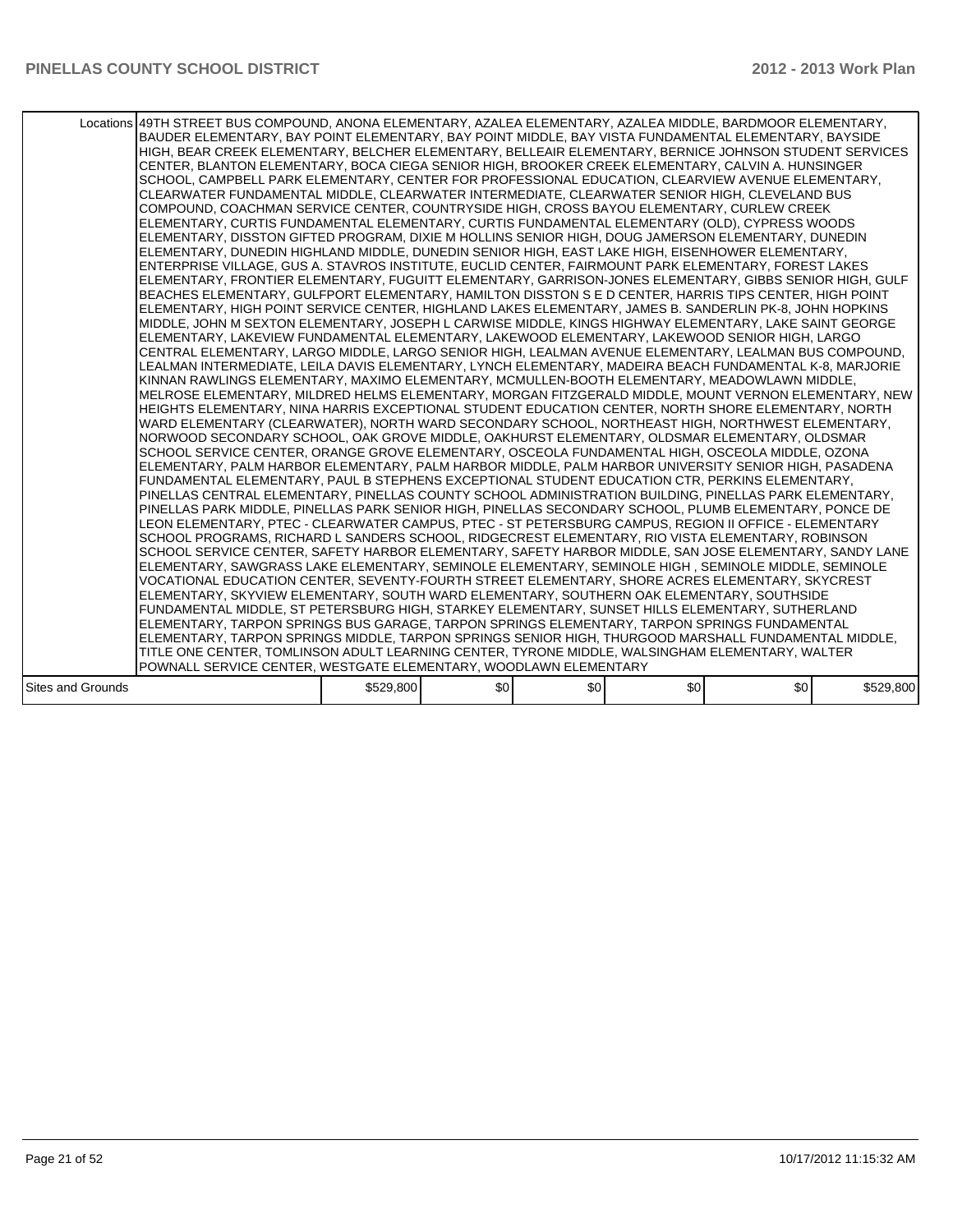|                          | Locations 49TH STREET BUS COMPOUND, ANONA ELEMENTARY, AZALEA ELEMENTARY, AZALEA MIDDLE, BARDMOOR ELEMENTARY,<br>BAUDER ELEMENTARY, BAY POINT ELEMENTARY, BAY POINT MIDDLE, BAY VISTA FUNDAMENTAL ELEMENTARY, BAYSIDE<br>HIGH, BEAR CREEK ELEMENTARY, BELCHER ELEMENTARY, BELLEAIR ELEMENTARY, BERNICE JOHNSON STUDENT SERVICES<br>CENTER, BLANTON ELEMENTARY, BOCA CIEGA SENIOR HIGH, BROOKER CREEK ELEMENTARY, CALVIN A. HUNSINGER<br>SCHOOL, CAMPBELL PARK ELEMENTARY, CENTER FOR PROFESSIONAL EDUCATION, CLEARVIEW AVENUE ELEMENTARY,<br>CLEARWATER FUNDAMENTAL MIDDLE, CLEARWATER INTERMEDIATE, CLEARWATER SENIOR HIGH, CLEVELAND BUS<br>COMPOUND, COACHMAN SERVICE CENTER, COUNTRYSIDE HIGH, CROSS BAYOU ELEMENTARY, CURLEW CREEK<br>ELEMENTARY, CURTIS FUNDAMENTAL ELEMENTARY, CURTIS FUNDAMENTAL ELEMENTARY (OLD), CYPRESS WOODS<br>ELEMENTARY, DISSTON GIFTED PROGRAM, DIXIE M HOLLINS SENIOR HIGH, DOUG JAMERSON ELEMENTARY, DUNEDIN<br>ELEMENTARY, DUNEDIN HIGHLAND MIDDLE, DUNEDIN SENIOR HIGH, EAST LAKE HIGH, EISENHOWER ELEMENTARY,<br>ENTERPRISE VILLAGE, GUS A. STAVROS INSTITUTE, EUCLID CENTER, FAIRMOUNT PARK ELEMENTARY, FOREST LAKES<br>ELEMENTARY, FRONTIER ELEMENTARY, FUGUITT ELEMENTARY, GARRISON-JONES ELEMENTARY, GIBBS SENIOR HIGH, GULF<br>BEACHES ELEMENTARY, GULFPORT ELEMENTARY, HAMILTON DISSTON S E D CENTER, HARRIS TIPS CENTER, HIGH POINT<br>ELEMENTARY, HIGH POINT SERVICE CENTER, HIGHLAND LAKES ELEMENTARY, JAMES B. SANDERLIN PK-8, JOHN HOPKINS<br>MIDDLE, JOHN M SEXTON ELEMENTARY, JOSEPH L CARWISE MIDDLE, KINGS HIGHWAY ELEMENTARY, LAKE SAINT GEORGE<br>ELEMENTARY, LAKEVIEW FUNDAMENTAL ELEMENTARY, LAKEWOOD ELEMENTARY, LAKEWOOD SENIOR HIGH, LARGO<br>CENTRAL ELEMENTARY, LARGO MIDDLE, LARGO SENIOR HIGH, LEALMAN AVENUE ELEMENTARY, LEALMAN BUS COMPOUND,<br>LEALMAN INTERMEDIATE, LEILA DAVIS ELEMENTARY, LYNCH ELEMENTARY, MADEIRA BEACH FUNDAMENTAL K-8, MARJORIE<br>KINNAN RAWLINGS ELEMENTARY, MAXIMO ELEMENTARY, MCMULLEN-BOOTH ELEMENTARY, MEADOWLAWN MIDDLE,<br>MELROSE ELEMENTARY, MILDRED HELMS ELEMENTARY, MORGAN FITZGERALD MIDDLE, MOUNT VERNON ELEMENTARY, NEW<br>HEIGHTS ELEMENTARY, NINA HARRIS EXCEPTIONAL STUDENT EDUCATION CENTER, NORTH SHORE ELEMENTARY, NORTH<br>WARD ELEMENTARY (CLEARWATER), NORTH WARD SECONDARY SCHOOL, NORTHEAST HIGH, NORTHWEST ELEMENTARY,<br>NORWOOD SECONDARY SCHOOL, OAK GROVE MIDDLE, OAKHURST ELEMENTARY, OLDSMAR ELEMENTARY, OLDSMAR<br>SCHOOL SERVICE CENTER, ORANGE GROVE ELEMENTARY, OSCEOLA FUNDAMENTAL HIGH, OSCEOLA MIDDLE, OZONA<br>ELEMENTARY, PALM HARBOR ELEMENTARY, PALM HARBOR MIDDLE, PALM HARBOR UNIVERSITY SENIOR HIGH, PASADENA<br>FUNDAMENTAL ELEMENTARY, PAUL B STEPHENS EXCEPTIONAL STUDENT EDUCATION CTR, PERKINS ELEMENTARY,<br>PINELLAS CENTRAL ELEMENTARY, PINELLAS COUNTY SCHOOL ADMINISTRATION BUILDING, PINELLAS PARK ELEMENTARY,<br>PINELLAS PARK MIDDLE, PINELLAS PARK SENIOR HIGH, PINELLAS SECONDARY SCHOOL, PLUMB ELEMENTARY, PONCE DE<br>LEON ELEMENTARY, PTEC - CLEARWATER CAMPUS, PTEC - ST PETERSBURG CAMPUS, REGION II OFFICE - ELEMENTARY<br>SCHOOL PROGRAMS, RICHARD L SANDERS SCHOOL, RIDGECREST ELEMENTARY, RIO VISTA ELEMENTARY, ROBINSON<br>SCHOOL SERVICE CENTER, SAFETY HARBOR ELEMENTARY, SAFETY HARBOR MIDDLE, SAN JOSE ELEMENTARY, SANDY LANE<br>ELEMENTARY, SAWGRASS LAKE ELEMENTARY, SEMINOLE ELEMENTARY, SEMINOLE HIGH, SEMINOLE MIDDLE, SEMINOLE<br>VOCATIONAL EDUCATION CENTER, SEVENTY-FOURTH STREET ELEMENTARY, SHORE ACRES ELEMENTARY, SKYCREST<br>ELEMENTARY, SKYVIEW ELEMENTARY, SOUTH WARD ELEMENTARY, SOUTHERN OAK ELEMENTARY, SOUTHSIDE<br>FUNDAMENTAL MIDDLE, ST PETERSBURG HIGH, STARKEY ELEMENTARY, SUNSET HILLS ELEMENTARY, SUTHERLAND<br>ELEMENTARY, TARPON SPRINGS BUS GARAGE, TARPON SPRINGS ELEMENTARY, TARPON SPRINGS FUNDAMENTAL<br>ELEMENTARY, TARPON SPRINGS MIDDLE, TARPON SPRINGS SENIOR HIGH, THURGOOD MARSHALL FUNDAMENTAL MIDDLE,<br>TITLE ONE CENTER, TOMLINSON ADULT LEARNING CENTER, TYRONE MIDDLE, WALSINGHAM ELEMENTARY, WALTER<br>POWNALL SERVICE CENTER, WESTGATE ELEMENTARY, WOODLAWN ELEMENTARY |           |     |     |     |     |           |
|--------------------------|----------------------------------------------------------------------------------------------------------------------------------------------------------------------------------------------------------------------------------------------------------------------------------------------------------------------------------------------------------------------------------------------------------------------------------------------------------------------------------------------------------------------------------------------------------------------------------------------------------------------------------------------------------------------------------------------------------------------------------------------------------------------------------------------------------------------------------------------------------------------------------------------------------------------------------------------------------------------------------------------------------------------------------------------------------------------------------------------------------------------------------------------------------------------------------------------------------------------------------------------------------------------------------------------------------------------------------------------------------------------------------------------------------------------------------------------------------------------------------------------------------------------------------------------------------------------------------------------------------------------------------------------------------------------------------------------------------------------------------------------------------------------------------------------------------------------------------------------------------------------------------------------------------------------------------------------------------------------------------------------------------------------------------------------------------------------------------------------------------------------------------------------------------------------------------------------------------------------------------------------------------------------------------------------------------------------------------------------------------------------------------------------------------------------------------------------------------------------------------------------------------------------------------------------------------------------------------------------------------------------------------------------------------------------------------------------------------------------------------------------------------------------------------------------------------------------------------------------------------------------------------------------------------------------------------------------------------------------------------------------------------------------------------------------------------------------------------------------------------------------------------------------------------------------------------------------------------------------------------------------------------------------------------------------------------------------------------------------------------------------------------------------------------------------------------------------------------------------------------------------------------------------------------------------------------------------------------------------------------------------------------------------------------------------------------------------------------------------------------------------------------------------------------------------------------------------------------------------------------------------------------------------------------------------------------------------------------------------------------------------------------------------------------------------------------------------------------------------|-----------|-----|-----|-----|-----|-----------|
| <b>Sites and Grounds</b> |                                                                                                                                                                                                                                                                                                                                                                                                                                                                                                                                                                                                                                                                                                                                                                                                                                                                                                                                                                                                                                                                                                                                                                                                                                                                                                                                                                                                                                                                                                                                                                                                                                                                                                                                                                                                                                                                                                                                                                                                                                                                                                                                                                                                                                                                                                                                                                                                                                                                                                                                                                                                                                                                                                                                                                                                                                                                                                                                                                                                                                                                                                                                                                                                                                                                                                                                                                                                                                                                                                                                                                                                                                                                                                                                                                                                                                                                                                                                                                                                                                                                                              | \$529,800 | \$0 | \$0 | \$0 | \$0 | \$529,800 |
|                          |                                                                                                                                                                                                                                                                                                                                                                                                                                                                                                                                                                                                                                                                                                                                                                                                                                                                                                                                                                                                                                                                                                                                                                                                                                                                                                                                                                                                                                                                                                                                                                                                                                                                                                                                                                                                                                                                                                                                                                                                                                                                                                                                                                                                                                                                                                                                                                                                                                                                                                                                                                                                                                                                                                                                                                                                                                                                                                                                                                                                                                                                                                                                                                                                                                                                                                                                                                                                                                                                                                                                                                                                                                                                                                                                                                                                                                                                                                                                                                                                                                                                                              |           |     |     |     |     |           |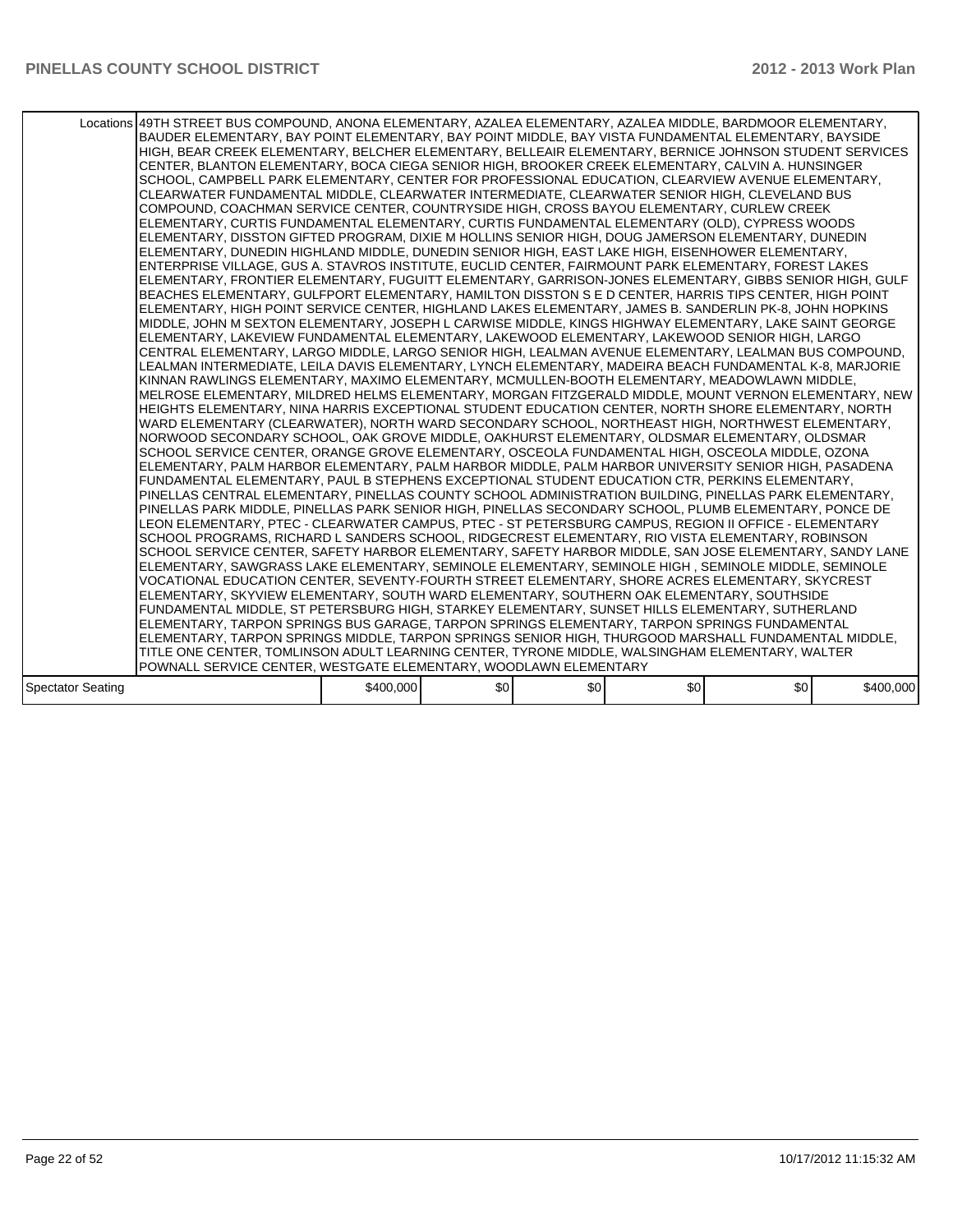|                          | Locations 49TH STREET BUS COMPOUND, ANONA ELEMENTARY, AZALEA ELEMENTARY, AZALEA MIDDLE, BARDMOOR ELEMENTARY,<br>BAUDER ELEMENTARY, BAY POINT ELEMENTARY, BAY POINT MIDDLE, BAY VISTA FUNDAMENTAL ELEMENTARY, BAYSIDE<br>HIGH, BEAR CREEK ELEMENTARY, BELCHER ELEMENTARY, BELLEAIR ELEMENTARY, BERNICE JOHNSON STUDENT SERVICES<br>CENTER, BLANTON ELEMENTARY, BOCA CIEGA SENIOR HIGH, BROOKER CREEK ELEMENTARY, CALVIN A. HUNSINGER<br>SCHOOL, CAMPBELL PARK ELEMENTARY, CENTER FOR PROFESSIONAL EDUCATION, CLEARVIEW AVENUE ELEMENTARY,<br>CLEARWATER FUNDAMENTAL MIDDLE, CLEARWATER INTERMEDIATE, CLEARWATER SENIOR HIGH, CLEVELAND BUS<br>COMPOUND, COACHMAN SERVICE CENTER, COUNTRYSIDE HIGH, CROSS BAYOU ELEMENTARY, CURLEW CREEK<br>ELEMENTARY, CURTIS FUNDAMENTAL ELEMENTARY, CURTIS FUNDAMENTAL ELEMENTARY (OLD), CYPRESS WOODS<br>ELEMENTARY, DISSTON GIFTED PROGRAM, DIXIE M HOLLINS SENIOR HIGH, DOUG JAMERSON ELEMENTARY, DUNEDIN<br>ELEMENTARY, DUNEDIN HIGHLAND MIDDLE, DUNEDIN SENIOR HIGH, EAST LAKE HIGH, EISENHOWER ELEMENTARY,<br>ENTERPRISE VILLAGE, GUS A. STAVROS INSTITUTE, EUCLID CENTER, FAIRMOUNT PARK ELEMENTARY, FOREST LAKES<br>ELEMENTARY, FRONTIER ELEMENTARY, FUGUITT ELEMENTARY, GARRISON-JONES ELEMENTARY, GIBBS SENIOR HIGH, GULF<br>BEACHES ELEMENTARY, GULFPORT ELEMENTARY, HAMILTON DISSTON S E D CENTER, HARRIS TIPS CENTER, HIGH POINT<br>ELEMENTARY, HIGH POINT SERVICE CENTER, HIGHLAND LAKES ELEMENTARY, JAMES B. SANDERLIN PK-8, JOHN HOPKINS<br>MIDDLE, JOHN M SEXTON ELEMENTARY, JOSEPH L CARWISE MIDDLE, KINGS HIGHWAY ELEMENTARY, LAKE SAINT GEORGE<br>ELEMENTARY, LAKEVIEW FUNDAMENTAL ELEMENTARY, LAKEWOOD ELEMENTARY, LAKEWOOD SENIOR HIGH, LARGO<br>CENTRAL ELEMENTARY, LARGO MIDDLE, LARGO SENIOR HIGH, LEALMAN AVENUE ELEMENTARY, LEALMAN BUS COMPOUND,<br>LEALMAN INTERMEDIATE, LEILA DAVIS ELEMENTARY, LYNCH ELEMENTARY, MADEIRA BEACH FUNDAMENTAL K-8, MARJORIE<br>KINNAN RAWLINGS ELEMENTARY, MAXIMO ELEMENTARY, MCMULLEN-BOOTH ELEMENTARY, MEADOWLAWN MIDDLE,<br>MELROSE ELEMENTARY, MILDRED HELMS ELEMENTARY, MORGAN FITZGERALD MIDDLE, MOUNT VERNON ELEMENTARY, NEW<br>HEIGHTS ELEMENTARY, NINA HARRIS EXCEPTIONAL STUDENT EDUCATION CENTER, NORTH SHORE ELEMENTARY, NORTH<br>WARD ELEMENTARY (CLEARWATER), NORTH WARD SECONDARY SCHOOL, NORTHEAST HIGH, NORTHWEST ELEMENTARY,<br>NORWOOD SECONDARY SCHOOL, OAK GROVE MIDDLE, OAKHURST ELEMENTARY, OLDSMAR ELEMENTARY, OLDSMAR<br>SCHOOL SERVICE CENTER, ORANGE GROVE ELEMENTARY, OSCEOLA FUNDAMENTAL HIGH, OSCEOLA MIDDLE, OZONA<br>ELEMENTARY, PALM HARBOR ELEMENTARY, PALM HARBOR MIDDLE, PALM HARBOR UNIVERSITY SENIOR HIGH, PASADENA<br>FUNDAMENTAL ELEMENTARY, PAUL B STEPHENS EXCEPTIONAL STUDENT EDUCATION CTR, PERKINS ELEMENTARY,<br>PINELLAS CENTRAL ELEMENTARY, PINELLAS COUNTY SCHOOL ADMINISTRATION BUILDING, PINELLAS PARK ELEMENTARY,<br>PINELLAS PARK MIDDLE, PINELLAS PARK SENIOR HIGH, PINELLAS SECONDARY SCHOOL, PLUMB ELEMENTARY, PONCE DE<br>LEON ELEMENTARY, PTEC - CLEARWATER CAMPUS, PTEC - ST PETERSBURG CAMPUS, REGION II OFFICE - ELEMENTARY<br>SCHOOL PROGRAMS, RICHARD L SANDERS SCHOOL, RIDGECREST ELEMENTARY, RIO VISTA ELEMENTARY, ROBINSON<br>SCHOOL SERVICE CENTER, SAFETY HARBOR ELEMENTARY, SAFETY HARBOR MIDDLE, SAN JOSE ELEMENTARY, SANDY LANE<br>ELEMENTARY, SAWGRASS LAKE ELEMENTARY, SEMINOLE ELEMENTARY, SEMINOLE HIGH, SEMINOLE MIDDLE, SEMINOLE<br>VOCATIONAL EDUCATION CENTER, SEVENTY-FOURTH STREET ELEMENTARY, SHORE ACRES ELEMENTARY, SKYCREST<br>ELEMENTARY, SKYVIEW ELEMENTARY, SOUTH WARD ELEMENTARY, SOUTHERN OAK ELEMENTARY, SOUTHSIDE<br>FUNDAMENTAL MIDDLE, ST PETERSBURG HIGH, STARKEY ELEMENTARY, SUNSET HILLS ELEMENTARY, SUTHERLAND<br>ELEMENTARY, TARPON SPRINGS BUS GARAGE, TARPON SPRINGS ELEMENTARY, TARPON SPRINGS FUNDAMENTAL<br>ELEMENTARY, TARPON SPRINGS MIDDLE, TARPON SPRINGS SENIOR HIGH, THURGOOD MARSHALL FUNDAMENTAL MIDDLE,<br>TITLE ONE CENTER, TOMLINSON ADULT LEARNING CENTER, TYRONE MIDDLE, WALSINGHAM ELEMENTARY, WALTER<br>POWNALL SERVICE CENTER, WESTGATE ELEMENTARY, WOODLAWN ELEMENTARY |           |     |     |     |                  |           |
|--------------------------|----------------------------------------------------------------------------------------------------------------------------------------------------------------------------------------------------------------------------------------------------------------------------------------------------------------------------------------------------------------------------------------------------------------------------------------------------------------------------------------------------------------------------------------------------------------------------------------------------------------------------------------------------------------------------------------------------------------------------------------------------------------------------------------------------------------------------------------------------------------------------------------------------------------------------------------------------------------------------------------------------------------------------------------------------------------------------------------------------------------------------------------------------------------------------------------------------------------------------------------------------------------------------------------------------------------------------------------------------------------------------------------------------------------------------------------------------------------------------------------------------------------------------------------------------------------------------------------------------------------------------------------------------------------------------------------------------------------------------------------------------------------------------------------------------------------------------------------------------------------------------------------------------------------------------------------------------------------------------------------------------------------------------------------------------------------------------------------------------------------------------------------------------------------------------------------------------------------------------------------------------------------------------------------------------------------------------------------------------------------------------------------------------------------------------------------------------------------------------------------------------------------------------------------------------------------------------------------------------------------------------------------------------------------------------------------------------------------------------------------------------------------------------------------------------------------------------------------------------------------------------------------------------------------------------------------------------------------------------------------------------------------------------------------------------------------------------------------------------------------------------------------------------------------------------------------------------------------------------------------------------------------------------------------------------------------------------------------------------------------------------------------------------------------------------------------------------------------------------------------------------------------------------------------------------------------------------------------------------------------------------------------------------------------------------------------------------------------------------------------------------------------------------------------------------------------------------------------------------------------------------------------------------------------------------------------------------------------------------------------------------------------------------------------------------------------------------------------------|-----------|-----|-----|-----|------------------|-----------|
| <b>Spectator Seating</b> |                                                                                                                                                                                                                                                                                                                                                                                                                                                                                                                                                                                                                                                                                                                                                                                                                                                                                                                                                                                                                                                                                                                                                                                                                                                                                                                                                                                                                                                                                                                                                                                                                                                                                                                                                                                                                                                                                                                                                                                                                                                                                                                                                                                                                                                                                                                                                                                                                                                                                                                                                                                                                                                                                                                                                                                                                                                                                                                                                                                                                                                                                                                                                                                                                                                                                                                                                                                                                                                                                                                                                                                                                                                                                                                                                                                                                                                                                                                                                                                                                                                                                              | \$400,000 | \$0 | \$0 | \$0 | \$0 <sub>1</sub> | \$400,000 |
|                          |                                                                                                                                                                                                                                                                                                                                                                                                                                                                                                                                                                                                                                                                                                                                                                                                                                                                                                                                                                                                                                                                                                                                                                                                                                                                                                                                                                                                                                                                                                                                                                                                                                                                                                                                                                                                                                                                                                                                                                                                                                                                                                                                                                                                                                                                                                                                                                                                                                                                                                                                                                                                                                                                                                                                                                                                                                                                                                                                                                                                                                                                                                                                                                                                                                                                                                                                                                                                                                                                                                                                                                                                                                                                                                                                                                                                                                                                                                                                                                                                                                                                                              |           |     |     |     |                  |           |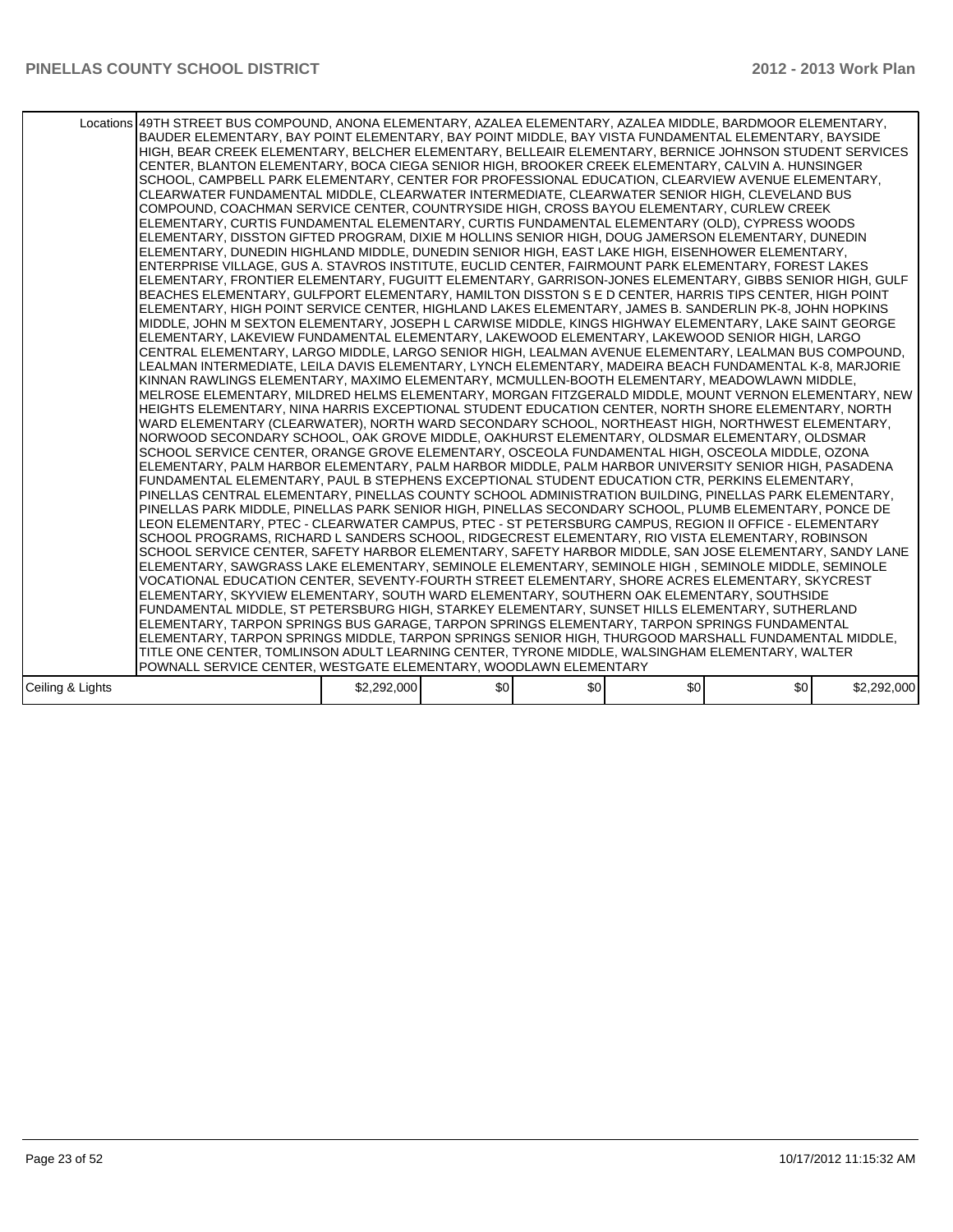|                  | Locations 49TH STREET BUS COMPOUND, ANONA ELEMENTARY, AZALEA ELEMENTARY, AZALEA MIDDLE, BARDMOOR ELEMENTARY,<br>BAUDER ELEMENTARY, BAY POINT ELEMENTARY, BAY POINT MIDDLE, BAY VISTA FUNDAMENTAL ELEMENTARY, BAYSIDE<br>HIGH, BEAR CREEK ELEMENTARY, BELCHER ELEMENTARY, BELLEAIR ELEMENTARY, BERNICE JOHNSON STUDENT SERVICES<br>CENTER, BLANTON ELEMENTARY, BOCA CIEGA SENIOR HIGH, BROOKER CREEK ELEMENTARY, CALVIN A. HUNSINGER<br>SCHOOL, CAMPBELL PARK ELEMENTARY, CENTER FOR PROFESSIONAL EDUCATION, CLEARVIEW AVENUE ELEMENTARY,<br>CLEARWATER FUNDAMENTAL MIDDLE, CLEARWATER INTERMEDIATE, CLEARWATER SENIOR HIGH, CLEVELAND BUS<br>COMPOUND, COACHMAN SERVICE CENTER, COUNTRYSIDE HIGH, CROSS BAYOU ELEMENTARY, CURLEW CREEK<br>ELEMENTARY, CURTIS FUNDAMENTAL ELEMENTARY, CURTIS FUNDAMENTAL ELEMENTARY (OLD), CYPRESS WOODS<br>ELEMENTARY, DISSTON GIFTED PROGRAM, DIXIE M HOLLINS SENIOR HIGH, DOUG JAMERSON ELEMENTARY, DUNEDIN<br>ELEMENTARY, DUNEDIN HIGHLAND MIDDLE, DUNEDIN SENIOR HIGH, EAST LAKE HIGH, EISENHOWER ELEMENTARY,<br>ENTERPRISE VILLAGE, GUS A. STAVROS INSTITUTE, EUCLID CENTER, FAIRMOUNT PARK ELEMENTARY, FOREST LAKES<br>ELEMENTARY, FRONTIER ELEMENTARY, FUGUITT ELEMENTARY, GARRISON-JONES ELEMENTARY, GIBBS SENIOR HIGH, GULF<br>BEACHES ELEMENTARY, GULFPORT ELEMENTARY, HAMILTON DISSTON S E D CENTER, HARRIS TIPS CENTER, HIGH POINT<br>ELEMENTARY, HIGH POINT SERVICE CENTER, HIGHLAND LAKES ELEMENTARY, JAMES B. SANDERLIN PK-8, JOHN HOPKINS<br>MIDDLE, JOHN M SEXTON ELEMENTARY, JOSEPH L CARWISE MIDDLE, KINGS HIGHWAY ELEMENTARY, LAKE SAINT GEORGE<br>ELEMENTARY, LAKEVIEW FUNDAMENTAL ELEMENTARY, LAKEWOOD ELEMENTARY, LAKEWOOD SENIOR HIGH, LARGO<br>CENTRAL ELEMENTARY, LARGO MIDDLE, LARGO SENIOR HIGH, LEALMAN AVENUE ELEMENTARY, LEALMAN BUS COMPOUND,<br>LEALMAN INTERMEDIATE, LEILA DAVIS ELEMENTARY, LYNCH ELEMENTARY, MADEIRA BEACH FUNDAMENTAL K-8, MARJORIE<br>KINNAN RAWLINGS ELEMENTARY, MAXIMO ELEMENTARY, MCMULLEN-BOOTH ELEMENTARY, MEADOWLAWN MIDDLE,<br>MELROSE ELEMENTARY, MILDRED HELMS ELEMENTARY, MORGAN FITZGERALD MIDDLE, MOUNT VERNON ELEMENTARY, NEW<br>HEIGHTS ELEMENTARY, NINA HARRIS EXCEPTIONAL STUDENT EDUCATION CENTER, NORTH SHORE ELEMENTARY, NORTH<br>WARD ELEMENTARY (CLEARWATER), NORTH WARD SECONDARY SCHOOL, NORTHEAST HIGH, NORTHWEST ELEMENTARY,<br>NORWOOD SECONDARY SCHOOL, OAK GROVE MIDDLE, OAKHURST ELEMENTARY, OLDSMAR ELEMENTARY, OLDSMAR<br>SCHOOL SERVICE CENTER, ORANGE GROVE ELEMENTARY, OSCEOLA FUNDAMENTAL HIGH, OSCEOLA MIDDLE, OZONA<br>ELEMENTARY, PALM HARBOR ELEMENTARY, PALM HARBOR MIDDLE, PALM HARBOR UNIVERSITY SENIOR HIGH, PASADENA<br>FUNDAMENTAL ELEMENTARY, PAUL B STEPHENS EXCEPTIONAL STUDENT EDUCATION CTR, PERKINS ELEMENTARY,<br>PINELLAS CENTRAL ELEMENTARY. PINELLAS COUNTY SCHOOL ADMINISTRATION BUILDING. PINELLAS PARK ELEMENTARY.<br>PINELLAS PARK MIDDLE, PINELLAS PARK SENIOR HIGH, PINELLAS SECONDARY SCHOOL, PLUMB ELEMENTARY, PONCE DE<br>LEON ELEMENTARY, PTEC - CLEARWATER CAMPUS, PTEC - ST PETERSBURG CAMPUS, REGION II OFFICE - ELEMENTARY<br>SCHOOL PROGRAMS, RICHARD L SANDERS SCHOOL, RIDGECREST ELEMENTARY, RIO VISTA ELEMENTARY, ROBINSON<br>SCHOOL SERVICE CENTER, SAFETY HARBOR ELEMENTARY, SAFETY HARBOR MIDDLE, SAN JOSE ELEMENTARY, SANDY LANE<br>ELEMENTARY, SAWGRASS LAKE ELEMENTARY, SEMINOLE ELEMENTARY, SEMINOLE HIGH, SEMINOLE MIDDLE, SEMINOLE<br>VOCATIONAL EDUCATION CENTER, SEVENTY-FOURTH STREET ELEMENTARY, SHORE ACRES ELEMENTARY, SKYCREST<br>ELEMENTARY, SKYVIEW ELEMENTARY, SOUTH WARD ELEMENTARY, SOUTHERN OAK ELEMENTARY, SOUTHSIDE<br>FUNDAMENTAL MIDDLE, ST PETERSBURG HIGH, STARKEY ELEMENTARY, SUNSET HILLS ELEMENTARY, SUTHERLAND<br>ELEMENTARY, TARPON SPRINGS BUS GARAGE, TARPON SPRINGS ELEMENTARY, TARPON SPRINGS FUNDAMENTAL<br>ELEMENTARY, TARPON SPRINGS MIDDLE, TARPON SPRINGS SENIOR HIGH, THURGOOD MARSHALL FUNDAMENTAL MIDDLE,<br>TITLE ONE CENTER, TOMLINSON ADULT LEARNING CENTER, TYRONE MIDDLE, WALSINGHAM ELEMENTARY, WALTER<br>POWNALL SERVICE CENTER, WESTGATE ELEMENTARY, WOODLAWN ELEMENTARY |             |     |     |     |                  |             |
|------------------|----------------------------------------------------------------------------------------------------------------------------------------------------------------------------------------------------------------------------------------------------------------------------------------------------------------------------------------------------------------------------------------------------------------------------------------------------------------------------------------------------------------------------------------------------------------------------------------------------------------------------------------------------------------------------------------------------------------------------------------------------------------------------------------------------------------------------------------------------------------------------------------------------------------------------------------------------------------------------------------------------------------------------------------------------------------------------------------------------------------------------------------------------------------------------------------------------------------------------------------------------------------------------------------------------------------------------------------------------------------------------------------------------------------------------------------------------------------------------------------------------------------------------------------------------------------------------------------------------------------------------------------------------------------------------------------------------------------------------------------------------------------------------------------------------------------------------------------------------------------------------------------------------------------------------------------------------------------------------------------------------------------------------------------------------------------------------------------------------------------------------------------------------------------------------------------------------------------------------------------------------------------------------------------------------------------------------------------------------------------------------------------------------------------------------------------------------------------------------------------------------------------------------------------------------------------------------------------------------------------------------------------------------------------------------------------------------------------------------------------------------------------------------------------------------------------------------------------------------------------------------------------------------------------------------------------------------------------------------------------------------------------------------------------------------------------------------------------------------------------------------------------------------------------------------------------------------------------------------------------------------------------------------------------------------------------------------------------------------------------------------------------------------------------------------------------------------------------------------------------------------------------------------------------------------------------------------------------------------------------------------------------------------------------------------------------------------------------------------------------------------------------------------------------------------------------------------------------------------------------------------------------------------------------------------------------------------------------------------------------------------------------------------------------------------------------------------------------------|-------------|-----|-----|-----|------------------|-------------|
| Ceiling & Lights |                                                                                                                                                                                                                                                                                                                                                                                                                                                                                                                                                                                                                                                                                                                                                                                                                                                                                                                                                                                                                                                                                                                                                                                                                                                                                                                                                                                                                                                                                                                                                                                                                                                                                                                                                                                                                                                                                                                                                                                                                                                                                                                                                                                                                                                                                                                                                                                                                                                                                                                                                                                                                                                                                                                                                                                                                                                                                                                                                                                                                                                                                                                                                                                                                                                                                                                                                                                                                                                                                                                                                                                                                                                                                                                                                                                                                                                                                                                                                                                                                                                                                              | \$2,292,000 | \$0 | \$0 | \$0 | \$0 <sub>1</sub> | \$2,292,000 |
|                  |                                                                                                                                                                                                                                                                                                                                                                                                                                                                                                                                                                                                                                                                                                                                                                                                                                                                                                                                                                                                                                                                                                                                                                                                                                                                                                                                                                                                                                                                                                                                                                                                                                                                                                                                                                                                                                                                                                                                                                                                                                                                                                                                                                                                                                                                                                                                                                                                                                                                                                                                                                                                                                                                                                                                                                                                                                                                                                                                                                                                                                                                                                                                                                                                                                                                                                                                                                                                                                                                                                                                                                                                                                                                                                                                                                                                                                                                                                                                                                                                                                                                                              |             |     |     |     |                  |             |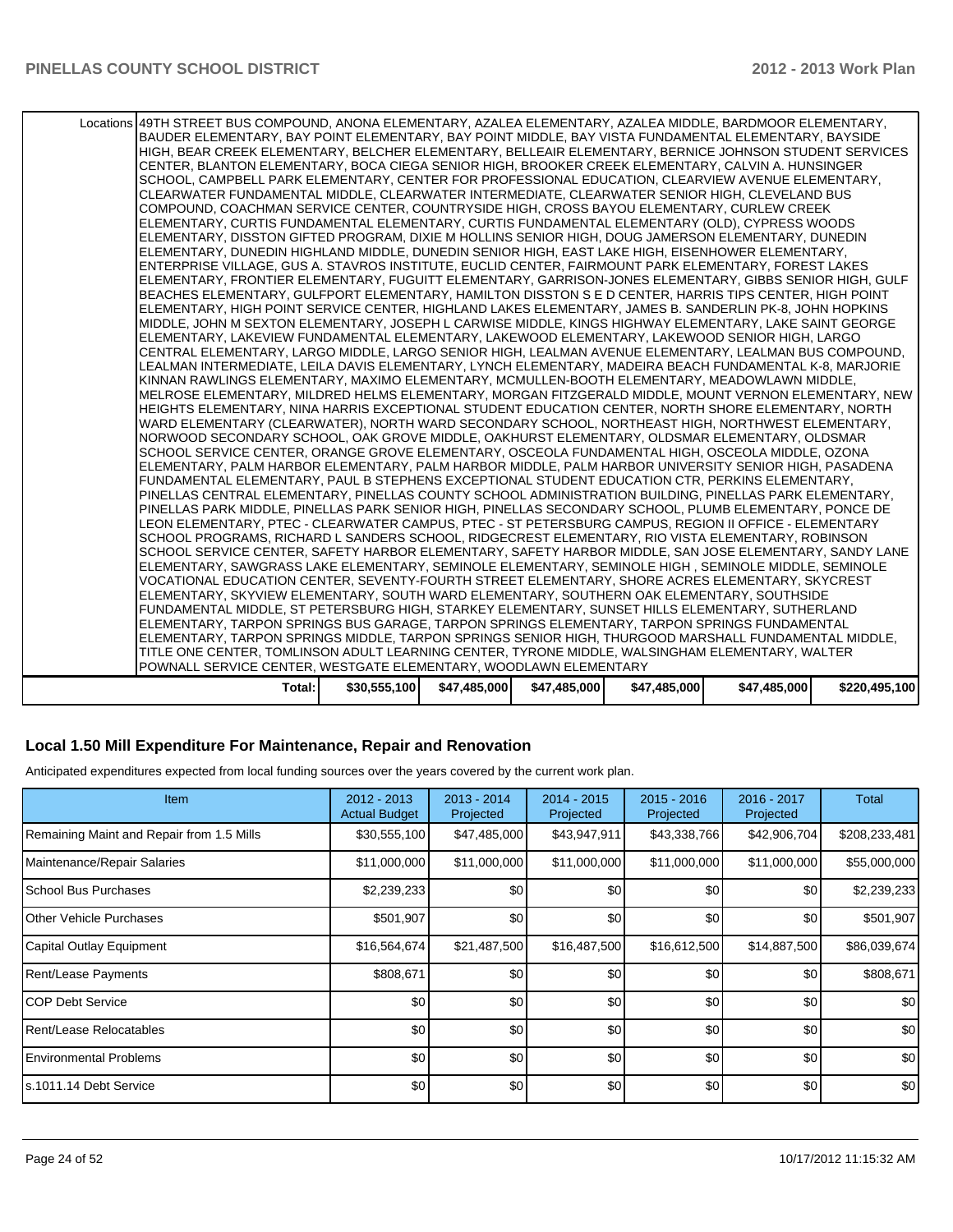#### **Local 1.50 Mill Expenditure For Maintenance, Repair and Renovation**

Anticipated expenditures expected from local funding sources over the years covered by the current work plan.

| Item                                      | 2012 - 2013<br><b>Actual Budget</b> | 2013 - 2014<br>Projected | 2014 - 2015<br>Projected | $2015 - 2016$<br>Projected | 2016 - 2017<br>Projected | <b>Total</b>     |
|-------------------------------------------|-------------------------------------|--------------------------|--------------------------|----------------------------|--------------------------|------------------|
| Remaining Maint and Repair from 1.5 Mills | \$30,555,100                        | \$47,485,000             | \$43,947,911             | \$43,338,766               | \$42,906,704             | \$208,233,481    |
| Maintenance/Repair Salaries               | \$11,000,000                        | \$11,000,000             | \$11,000,000             | \$11,000,000               | \$11,000,000             | \$55,000,000     |
| <b>School Bus Purchases</b>               | \$2,239,233                         | \$0                      | \$0                      | \$0                        | \$0                      | \$2,239,233      |
| <b>IOther Vehicle Purchases</b>           | \$501,907                           | \$0                      | \$0                      | \$0                        | \$0                      | \$501,907        |
| Capital Outlay Equipment                  | \$16,564,674                        | \$21,487,500             | \$16,487,500             | \$16,612,500               | \$14,887,500             | \$86,039,674     |
| <b>Rent/Lease Payments</b>                | \$808,671                           | \$0                      | \$0                      | \$0                        | \$0                      | \$808,671        |
| ICOP Debt Service                         | \$0                                 | \$0                      | \$0                      | \$0                        | \$0                      | \$0 <sub>1</sub> |
| Rent/Lease Relocatables                   | \$0 <sub>1</sub>                    | \$0                      | \$0                      | \$0                        | \$0                      | \$0              |
| <b>IEnvironmental Problems</b>            | \$0 <sub>1</sub>                    | \$0                      | \$0                      | \$0                        | \$0                      | \$0              |
| s.1011.14 Debt Service                    | \$0                                 | \$0                      | \$0                      | \$0                        | \$0                      | \$0              |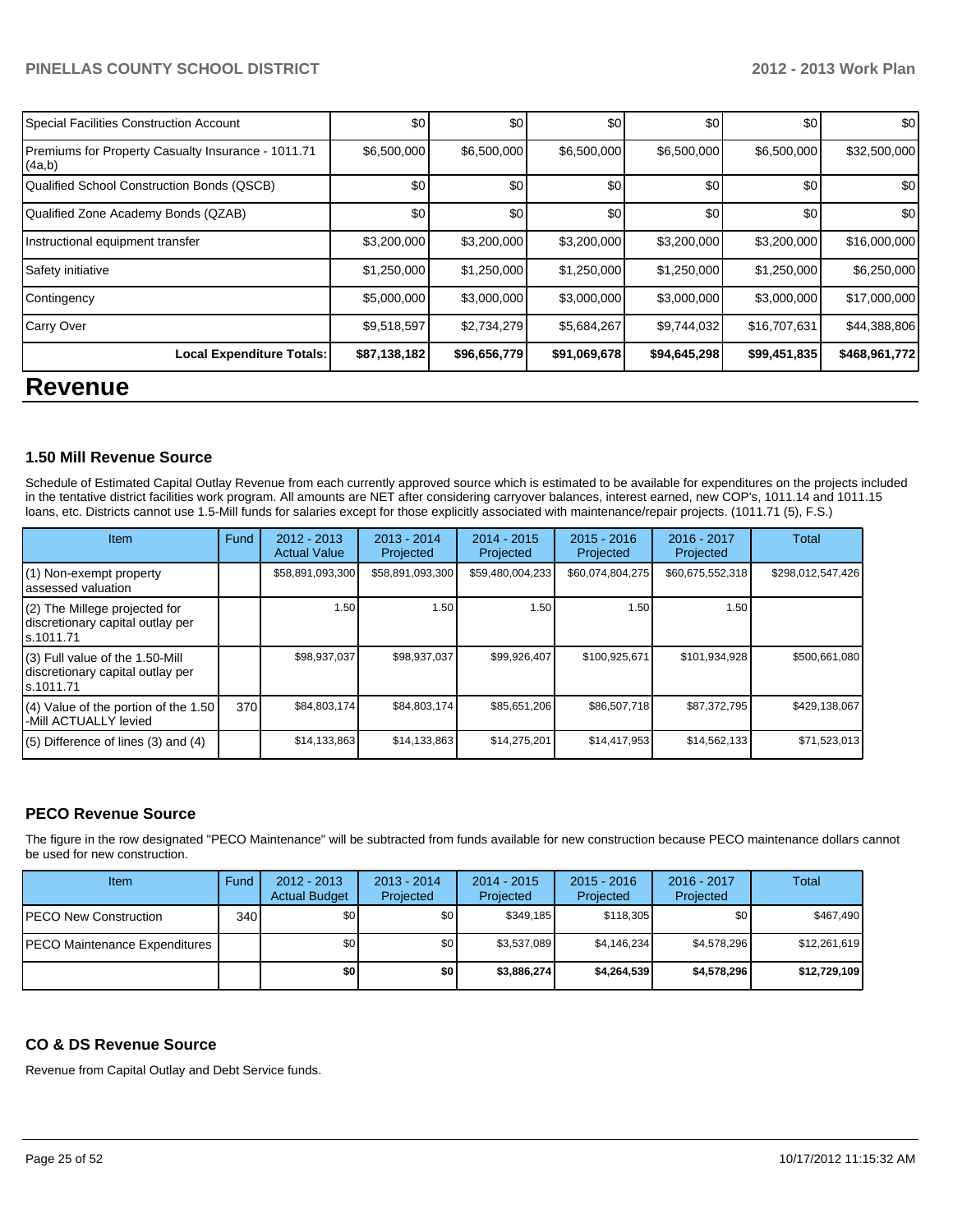| <b>Revenue</b>                                               |              |              |              |              |              |                  |
|--------------------------------------------------------------|--------------|--------------|--------------|--------------|--------------|------------------|
| <b>Local Expenditure Totals:</b>                             | \$87,138,182 | \$96,656,779 | \$91,069,678 | \$94,645,298 | \$99,451,835 | \$468,961,772    |
| Carry Over                                                   | \$9,518,597  | \$2,734,279  | \$5,684,267  | \$9,744,032  | \$16,707,631 | \$44,388,806     |
| Contingency                                                  | \$5,000,000  | \$3,000,000  | \$3,000,000  | \$3,000,000  | \$3,000,000  | \$17,000,000     |
| Safety initiative                                            | \$1,250,000  | \$1,250,000  | \$1,250,000  | \$1,250,000  | \$1,250,000  | \$6,250,000      |
| Instructional equipment transfer                             | \$3,200,000  | \$3,200,000  | \$3,200,000  | \$3,200,000  | \$3,200,000  | \$16,000,000     |
| Qualified Zone Academy Bonds (QZAB)                          | \$0          | \$0          | \$0          | \$0          | \$0          | \$0              |
| Qualified School Construction Bonds (QSCB)                   | \$0          | \$0          | \$0          | \$0          | \$0          | \$0 <sub>1</sub> |
| Premiums for Property Casualty Insurance - 1011.71<br>(4a,b) | \$6,500,000  | \$6,500,000  | \$6,500,000  | \$6,500,000  | \$6,500,000  | \$32,500,000     |
| Special Facilities Construction Account                      | \$0          | \$0          | \$0          | \$0          | \$0          | \$0              |

#### **1.50 Mill Revenue Source**

Schedule of Estimated Capital Outlay Revenue from each currently approved source which is estimated to be available for expenditures on the projects included in the tentative district facilities work program. All amounts are NET after considering carryover balances, interest earned, new COP's, 1011.14 and 1011.15 loans, etc. Districts cannot use 1.5-Mill funds for salaries except for those explicitly associated with maintenance/repair projects. (1011.71 (5), F.S.)

| Item                                                                              | Fund | $2012 - 2013$<br><b>Actual Value</b> | $2013 - 2014$<br>Projected | $2014 - 2015$<br>Projected | $2015 - 2016$<br>Projected | $2016 - 2017$<br>Projected | Total             |
|-----------------------------------------------------------------------------------|------|--------------------------------------|----------------------------|----------------------------|----------------------------|----------------------------|-------------------|
| (1) Non-exempt property<br>lassessed valuation                                    |      | \$58,891,093,300                     | \$58,891,093,300           | \$59,480,004,233           | \$60,074,804,275           | \$60,675,552,318           | \$298,012,547,426 |
| (2) The Millege projected for<br>discretionary capital outlay per<br>ls.1011.71   |      | 1.50                                 | 1.50 l                     | 1.50                       | 1.50                       | 1.50                       |                   |
| (3) Full value of the 1.50-Mill<br>discretionary capital outlay per<br>ls.1011.71 |      | \$98,937,037                         | \$98,937,037               | \$99,926,407               | \$100,925,671              | \$101,934,928              | \$500,661,080     |
| $(4)$ Value of the portion of the 1.50<br>-Mill ACTUALLY levied                   | 370  | \$84,803,174                         | \$84,803,174               | \$85,651,206               | \$86,507,718               | \$87,372,795               | \$429,138,067     |
| $(5)$ Difference of lines (3) and (4)                                             |      | \$14,133,863                         | \$14,133,863               | \$14,275,201               | \$14,417,953               | \$14,562,133               | \$71,523,013      |

#### **PECO Revenue Source**

The figure in the row designated "PECO Maintenance" will be subtracted from funds available for new construction because PECO maintenance dollars cannot be used for new construction.

| <b>Item</b>                           | Fund | $2012 - 2013$<br><b>Actual Budget</b> | $2013 - 2014$<br>Projected | $2014 - 2015$<br>Projected | $2015 - 2016$<br>Projected | 2016 - 2017<br>Projected | Total        |
|---------------------------------------|------|---------------------------------------|----------------------------|----------------------------|----------------------------|--------------------------|--------------|
| <b>IPECO New Construction</b>         | 340  | \$0 <sub>1</sub>                      | \$0 <sub>1</sub>           | \$349.185                  | \$118.305                  | \$0                      | \$467,490    |
| <b>IPECO Maintenance Expenditures</b> |      | \$0 <sub>0</sub>                      | \$0 I                      | \$3,537,089                | \$4,146,234                | \$4.578.296              | \$12,261,619 |
|                                       |      | \$0                                   | \$0 I                      | \$3,886,274                | \$4,264,539                | \$4,578,296              | \$12,729,109 |

#### **CO & DS Revenue Source**

Revenue from Capital Outlay and Debt Service funds.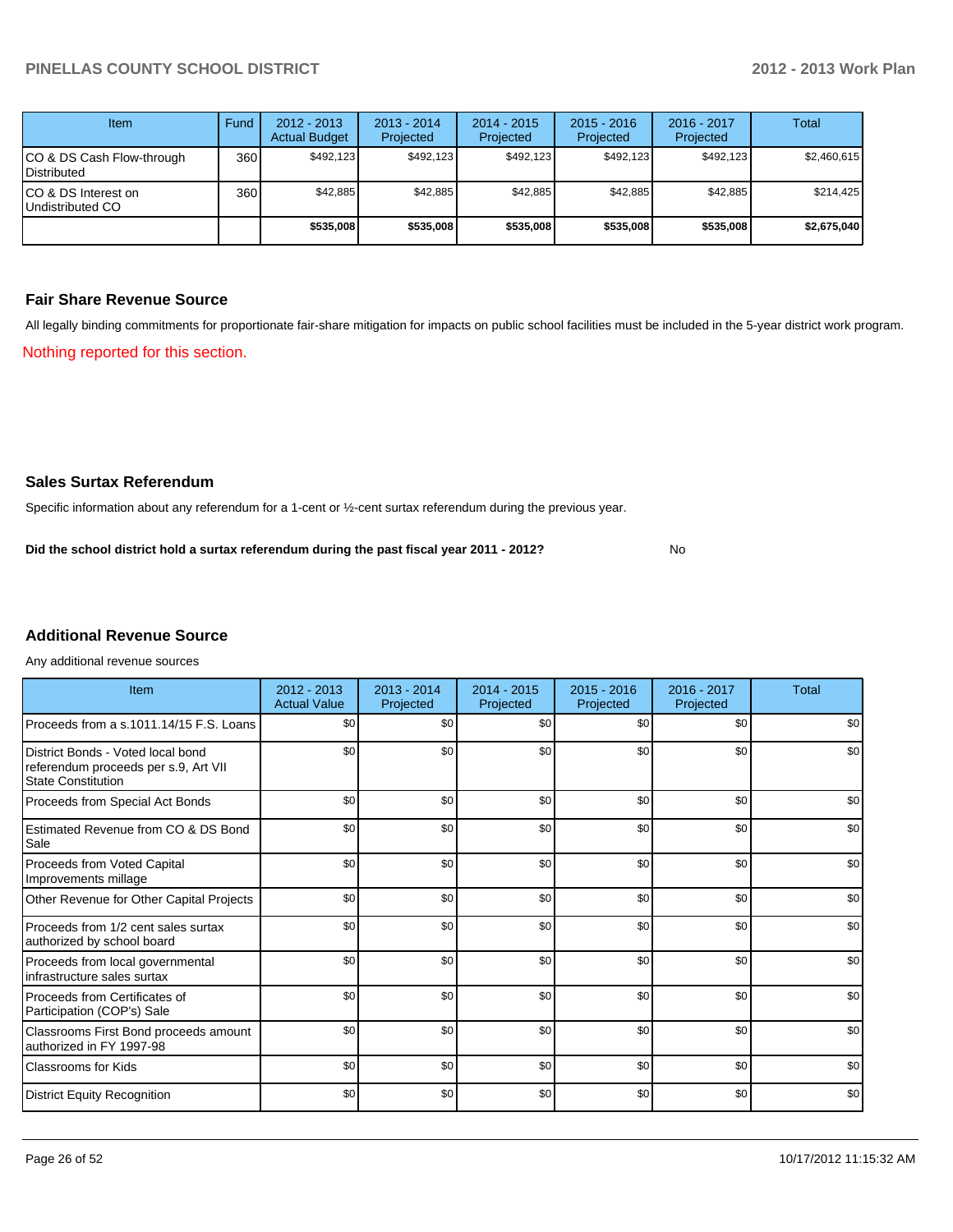| Item                                     | Fund | $2012 - 2013$<br><b>Actual Budget</b> | $2013 - 2014$<br>Projected | $2014 - 2015$<br>Projected | $2015 - 2016$<br>Projected | $2016 - 2017$<br>Projected | Total       |
|------------------------------------------|------|---------------------------------------|----------------------------|----------------------------|----------------------------|----------------------------|-------------|
| CO & DS Cash Flow-through<br>Distributed | 360  | \$492,123                             | \$492,123                  | \$492.123                  | \$492.123                  | \$492,123                  | \$2,460,615 |
| CO & DS Interest on<br>Undistributed CO  | 360  | \$42,885                              | \$42,885                   | \$42,885                   | \$42,885                   | \$42,885                   | \$214,425   |
|                                          |      | \$535,008                             | \$535,008                  | \$535,008                  | \$535,008                  | \$535,008                  | \$2,675,040 |

#### **Fair Share Revenue Source**

Nothing reported for this section. All legally binding commitments for proportionate fair-share mitigation for impacts on public school facilities must be included in the 5-year district work program.

#### **Sales Surtax Referendum**

Specific information about any referendum for a 1-cent or ½-cent surtax referendum during the previous year.

No **Did the school district hold a surtax referendum during the past fiscal year 2011 - 2012?**

# **Additional Revenue Source**

Any additional revenue sources

| Item                                                                                                   | $2012 - 2013$<br><b>Actual Value</b> | $2013 - 2014$<br>Projected | $2014 - 2015$<br>Projected | $2015 - 2016$<br>Projected | 2016 - 2017<br>Projected | Total |
|--------------------------------------------------------------------------------------------------------|--------------------------------------|----------------------------|----------------------------|----------------------------|--------------------------|-------|
| Proceeds from a s.1011.14/15 F.S. Loans                                                                | \$0                                  | \$0                        | \$0                        | \$0                        | \$0                      | \$0   |
| District Bonds - Voted local bond<br>referendum proceeds per s.9, Art VII<br><b>State Constitution</b> | \$0                                  | \$0                        | \$0                        | \$0                        | \$0                      | \$0   |
| Proceeds from Special Act Bonds                                                                        | \$0                                  | \$0                        | \$0                        | \$0                        | \$0                      | \$0   |
| <b>Estimated Revenue from CO &amp; DS Bond</b><br>Sale                                                 | \$0                                  | \$0                        | \$0                        | \$0                        | \$0                      | \$0   |
| <b>Proceeds from Voted Capital</b><br>Improvements millage                                             | \$0                                  | \$0                        | \$0                        | \$0                        | \$0                      | \$0   |
| Other Revenue for Other Capital Projects                                                               | \$0                                  | \$0                        | \$0                        | \$0                        | \$0                      | \$0   |
| Proceeds from 1/2 cent sales surtax<br>authorized by school board                                      | \$0                                  | \$0                        | \$0                        | \$0                        | \$0                      | \$0   |
| Proceeds from local governmental<br>infrastructure sales surtax                                        | \$0                                  | \$0                        | \$0                        | \$0                        | \$0                      | \$0   |
| Proceeds from Certificates of<br>Participation (COP's) Sale                                            | \$0                                  | \$0                        | \$0                        | \$0                        | \$0                      | \$0   |
| Classrooms First Bond proceeds amount<br>authorized in FY 1997-98                                      | \$0                                  | \$0                        | \$0                        | \$0                        | \$0                      | \$0   |
| Classrooms for Kids                                                                                    | \$0                                  | \$0                        | \$0                        | \$0                        | \$0                      | \$0   |
| <b>District Equity Recognition</b>                                                                     | \$0                                  | \$0                        | \$0                        | \$0                        | \$0                      | \$0   |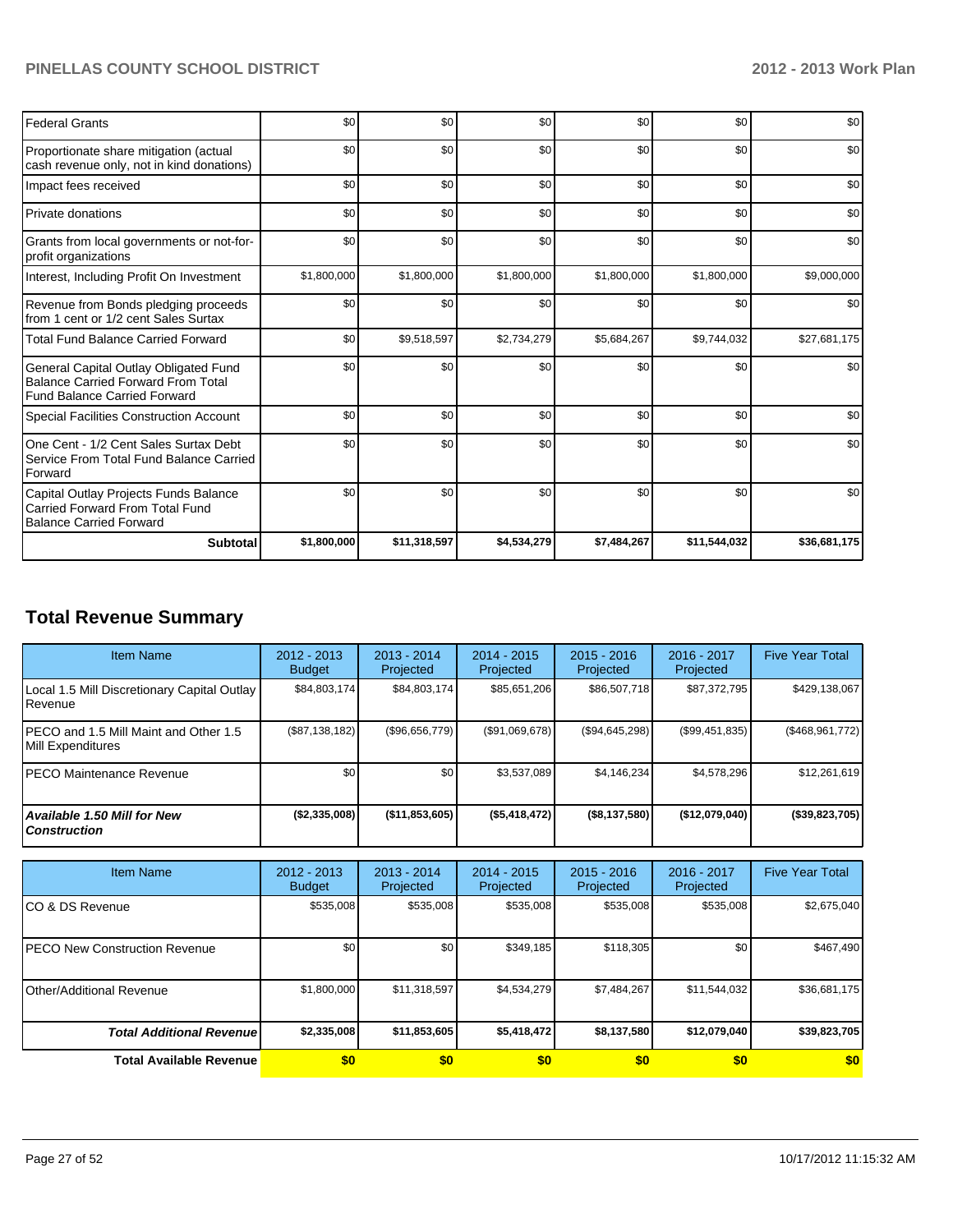| <b>Federal Grants</b>                                                                                                     | \$0         | \$0          | \$0         | \$0         | \$0          | \$0          |
|---------------------------------------------------------------------------------------------------------------------------|-------------|--------------|-------------|-------------|--------------|--------------|
| Proportionate share mitigation (actual<br>cash revenue only, not in kind donations)                                       | \$0         | \$0          | \$0         | \$0         | \$0          | \$0          |
| Impact fees received                                                                                                      | \$0         | \$0          | \$0         | \$0         | \$0          | \$0          |
| Private donations                                                                                                         | \$0         | \$0          | \$0         | \$0         | \$0          | \$0          |
| Grants from local governments or not-for-<br>profit organizations                                                         | \$0         | \$0          | \$0         | \$0         | \$0          | \$0          |
| Interest, Including Profit On Investment                                                                                  | \$1,800,000 | \$1,800,000  | \$1,800,000 | \$1,800,000 | \$1,800,000  | \$9,000,000  |
| Revenue from Bonds pledging proceeds<br>from 1 cent or 1/2 cent Sales Surtax                                              | \$0         | \$0          | \$0         | \$0         | \$0          | \$0          |
| <b>Total Fund Balance Carried Forward</b>                                                                                 | \$0         | \$9,518,597  | \$2,734,279 | \$5,684,267 | \$9,744,032  | \$27,681,175 |
| General Capital Outlay Obligated Fund<br><b>Balance Carried Forward From Total</b><br><b>Fund Balance Carried Forward</b> | \$0         | \$0          | \$0         | \$0         | \$0          | \$0          |
| <b>Special Facilities Construction Account</b>                                                                            | \$0         | \$0          | \$0         | \$0         | \$0          | \$0          |
| One Cent - 1/2 Cent Sales Surtax Debt<br>Service From Total Fund Balance Carried<br>Forward                               | \$0         | \$0          | \$0         | \$0         | \$0          | \$0          |
| Capital Outlay Projects Funds Balance<br>Carried Forward From Total Fund<br><b>Balance Carried Forward</b>                | \$0         | \$0          | \$0         | \$0         | \$0          | \$0          |
| Subtotal                                                                                                                  | \$1,800,000 | \$11,318,597 | \$4,534,279 | \$7,484,267 | \$11,544,032 | \$36,681,175 |

# **Total Revenue Summary**

| <b>Item Name</b>                                           | 2012 - 2013<br><b>Budget</b> | $2013 - 2014$<br>Projected | 2014 - 2015<br>Projected | $2015 - 2016$<br>Projected | $2016 - 2017$<br>Projected | <b>Five Year Total</b> |
|------------------------------------------------------------|------------------------------|----------------------------|--------------------------|----------------------------|----------------------------|------------------------|
| Local 1.5 Mill Discretionary Capital Outlay<br>l Revenue   | \$84,803,174                 | \$84,803,174               | \$85,651,206             | \$86,507,718               | \$87,372,795               | \$429,138,067          |
| PECO and 1.5 Mill Maint and Other 1.5<br>Mill Expenditures | (S87, 138, 182)              | $($ \$96,656,779) $ $      | (S91,069,678)            | (S94, 645, 298)            | (S99, 451, 835)            | (\$468,961,772)        |
| IPECO Maintenance Revenue                                  | \$0 <sub>1</sub>             | \$0                        | \$3,537,089              | \$4,146,234                | \$4,578,296                | \$12,261,619           |
| <b>Available 1.50 Mill for New</b><br><b>Construction</b>  | (S2, 335, 008)               | $($ \$11,853,605)          | ( \$5,418,472]           | ( \$8,137,580)             | (\$12,079,040)             | $($ \$39,823,705)      |

| <b>Item Name</b>                 | 2012 - 2013<br><b>Budget</b> | $2013 - 2014$<br>Projected | $2014 - 2015$<br>Projected | $2015 - 2016$<br>Projected | 2016 - 2017<br>Projected | <b>Five Year Total</b> |
|----------------------------------|------------------------------|----------------------------|----------------------------|----------------------------|--------------------------|------------------------|
| ICO & DS Revenue                 | \$535,008                    | \$535,008                  | \$535,008                  | \$535,008                  | \$535,008                | \$2,675,040            |
| IPECO New Construction Revenue   | \$0                          | \$0                        | \$349,185                  | \$118,305                  | \$0                      | \$467,490              |
| Other/Additional Revenue         | \$1,800,000                  | \$11.318.597               | \$4,534,279                | \$7,484,267                | \$11,544,032             | \$36,681,175           |
| <b>Total Additional Revenuel</b> | \$2,335,008                  | \$11,853,605               | \$5,418,472                | \$8,137,580                | \$12,079,040             | \$39,823,705           |
| <b>Total Available Revenue</b>   | \$0                          | \$0                        | \$0                        | \$0                        | \$0                      | \$0                    |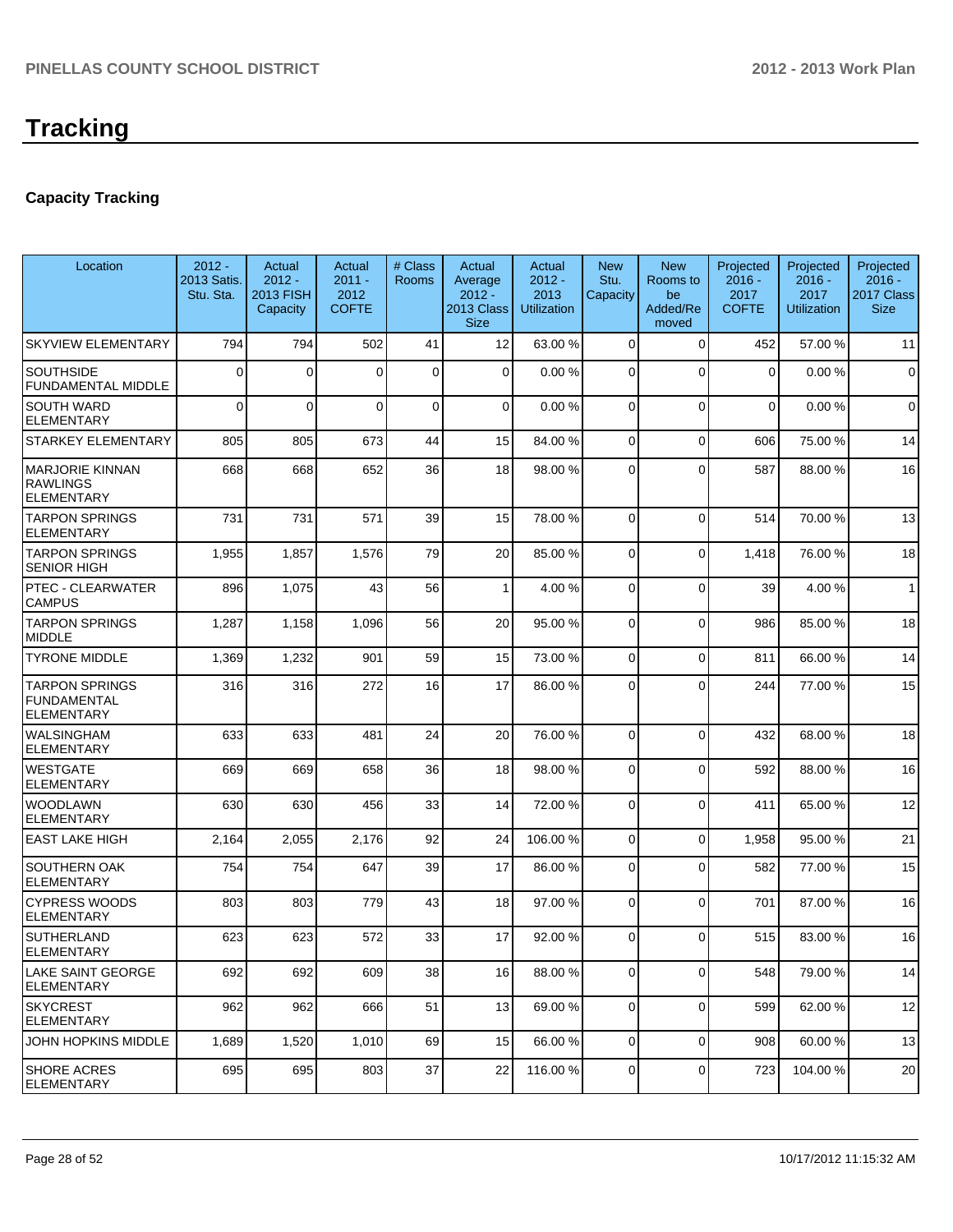# **Capacity Tracking**

| Location                                                         | $2012 -$<br>2013 Satis.<br>Stu. Sta. | Actual<br>$2012 -$<br><b>2013 FISH</b><br>Capacity | Actual<br>$2011 -$<br>2012<br><b>COFTE</b> | # Class<br><b>Rooms</b> | Actual<br>Average<br>$2012 -$<br>2013 Class<br><b>Size</b> | Actual<br>$2012 -$<br>2013<br><b>Utilization</b> | <b>New</b><br>Stu.<br>Capacity | <b>New</b><br>Rooms to<br>be<br>Added/Re<br>moved | Projected<br>$2016 -$<br>2017<br><b>COFTE</b> | Projected<br>$2016 -$<br>2017<br><b>Utilization</b> | Projected<br>$2016 -$<br>2017 Class<br><b>Size</b> |
|------------------------------------------------------------------|--------------------------------------|----------------------------------------------------|--------------------------------------------|-------------------------|------------------------------------------------------------|--------------------------------------------------|--------------------------------|---------------------------------------------------|-----------------------------------------------|-----------------------------------------------------|----------------------------------------------------|
| <b>SKYVIEW ELEMENTARY</b>                                        | 794                                  | 794                                                | 502                                        | 41                      | 12                                                         | 63.00 %                                          | $\Omega$                       | $\Omega$                                          | 452                                           | 57.00 %                                             | 11                                                 |
| <b>SOUTHSIDE</b><br><b>FUNDAMENTAL MIDDLE</b>                    | $\Omega$                             | $\Omega$                                           | 0                                          | $\mathbf 0$             | 0                                                          | 0.00%                                            | $\Omega$                       | $\Omega$                                          | 0                                             | 0.00%                                               | $\mathbf 0$                                        |
| <b>SOUTH WARD</b><br><b>ELEMENTARY</b>                           | $\Omega$                             | $\Omega$                                           | 0                                          | $\mathbf 0$             | 0                                                          | 0.00%                                            | $\Omega$                       | $\Omega$                                          | 0                                             | 0.00%                                               | $\mathbf 0$                                        |
| <b>STARKEY ELEMENTARY</b>                                        | 805                                  | 805                                                | 673                                        | 44                      | 15                                                         | 84.00 %                                          | $\mathbf 0$                    | $\Omega$                                          | 606                                           | 75.00 %                                             | 14                                                 |
| <b>MARJORIE KINNAN</b><br><b>RAWLINGS</b><br><b>ELEMENTARY</b>   | 668                                  | 668                                                | 652                                        | 36                      | 18                                                         | 98.00 %                                          | $\Omega$                       | $\Omega$                                          | 587                                           | 88.00 %                                             | 16                                                 |
| <b>TARPON SPRINGS</b><br><b>ELEMENTARY</b>                       | 731                                  | 731                                                | 571                                        | 39                      | 15                                                         | 78.00 %                                          | $\Omega$                       | $\Omega$                                          | 514                                           | 70.00%                                              | 13                                                 |
| <b>TARPON SPRINGS</b><br><b>SENIOR HIGH</b>                      | 1,955                                | 1,857                                              | 1,576                                      | 79                      | 20                                                         | 85.00 %                                          | $\Omega$                       | $\Omega$                                          | 1,418                                         | 76.00 %                                             | 18                                                 |
| <b>PTEC - CLEARWATER</b><br><b>CAMPUS</b>                        | 896                                  | 1,075                                              | 43                                         | 56                      | 1                                                          | 4.00 %                                           | $\mathbf 0$                    | $\Omega$                                          | 39                                            | 4.00%                                               | $\mathbf{1}$                                       |
| <b>TARPON SPRINGS</b><br><b>MIDDLE</b>                           | 1,287                                | 1,158                                              | 1,096                                      | 56                      | 20                                                         | 95.00 %                                          | $\mathbf 0$                    | $\Omega$                                          | 986                                           | 85.00 %                                             | 18                                                 |
| <b>TYRONE MIDDLE</b>                                             | 1,369                                | 1,232                                              | 901                                        | 59                      | 15                                                         | 73.00 %                                          | $\mathbf 0$                    | $\Omega$                                          | 811                                           | 66.00%                                              | 14                                                 |
| <b>TARPON SPRINGS</b><br><b>FUNDAMENTAL</b><br><b>ELEMENTARY</b> | 316                                  | 316                                                | 272                                        | 16                      | 17                                                         | 86.00 %                                          | $\mathbf 0$                    | $\Omega$                                          | 244                                           | 77.00 %                                             | 15                                                 |
| <b>WALSINGHAM</b><br><b>ELEMENTARY</b>                           | 633                                  | 633                                                | 481                                        | 24                      | 20                                                         | 76.00 %                                          | $\mathbf 0$                    | $\Omega$                                          | 432                                           | 68.00%                                              | 18                                                 |
| <b>WESTGATE</b><br><b>ELEMENTARY</b>                             | 669                                  | 669                                                | 658                                        | 36                      | 18                                                         | 98.00 %                                          | $\mathbf 0$                    | $\Omega$                                          | 592                                           | 88.00 %                                             | 16                                                 |
| <b>WOODLAWN</b><br><b>ELEMENTARY</b>                             | 630                                  | 630                                                | 456                                        | 33                      | 14                                                         | 72.00 %                                          | $\mathbf 0$                    | $\Omega$                                          | 411                                           | 65.00%                                              | 12                                                 |
| <b>EAST LAKE HIGH</b>                                            | 2,164                                | 2,055                                              | 2,176                                      | 92                      | 24                                                         | 106.00 %                                         | $\mathbf 0$                    | $\Omega$                                          | 1,958                                         | 95.00 %                                             | 21                                                 |
| <b>SOUTHERN OAK</b><br><b>ELEMENTARY</b>                         | 754                                  | 754                                                | 647                                        | 39                      | 17                                                         | 86.00 %                                          | $\mathbf 0$                    | $\Omega$                                          | 582                                           | 77.00 %                                             | 15                                                 |
| <b>CYPRESS WOODS</b><br><b>ELEMENTARY</b>                        | 803                                  | 803                                                | 779                                        | 43                      | 18                                                         | 97.00 %                                          | $\mathbf 0$                    | $\Omega$                                          | 701                                           | 87.00 %                                             | 16                                                 |
| <b>SUTHERLAND</b><br><b>ELEMENTARY</b>                           | 623                                  | 623                                                | 572                                        | 33                      | 17                                                         | 92.00 %                                          | $\Omega$                       | $\Omega$                                          | 515                                           | 83.00 %                                             | 16                                                 |
| <b>LAKE SAINT GEORGE</b><br><b>ELEMENTARY</b>                    | 692                                  | 692                                                | 609                                        | 38                      | 16                                                         | 88.00 %                                          | $\mathbf 0$                    | $\overline{0}$                                    | 548                                           | 79.00 %                                             | 14                                                 |
| <b>SKYCREST</b><br><b>ELEMENTARY</b>                             | 962                                  | 962                                                | 666                                        | 51                      | 13                                                         | 69.00 %                                          | $\overline{0}$                 | $\Omega$                                          | 599                                           | 62.00%                                              | 12                                                 |
| JOHN HOPKINS MIDDLE                                              | 1,689                                | 1,520                                              | 1,010                                      | 69                      | 15                                                         | 66.00 %                                          | $\pmb{0}$                      | $\overline{0}$                                    | 908                                           | 60.00%                                              | 13                                                 |
| <b>SHORE ACRES</b><br><b>ELEMENTARY</b>                          | 695                                  | 695                                                | 803                                        | 37                      | 22                                                         | 116.00 %                                         | 0                              | $\overline{0}$                                    | 723                                           | 104.00%                                             | 20                                                 |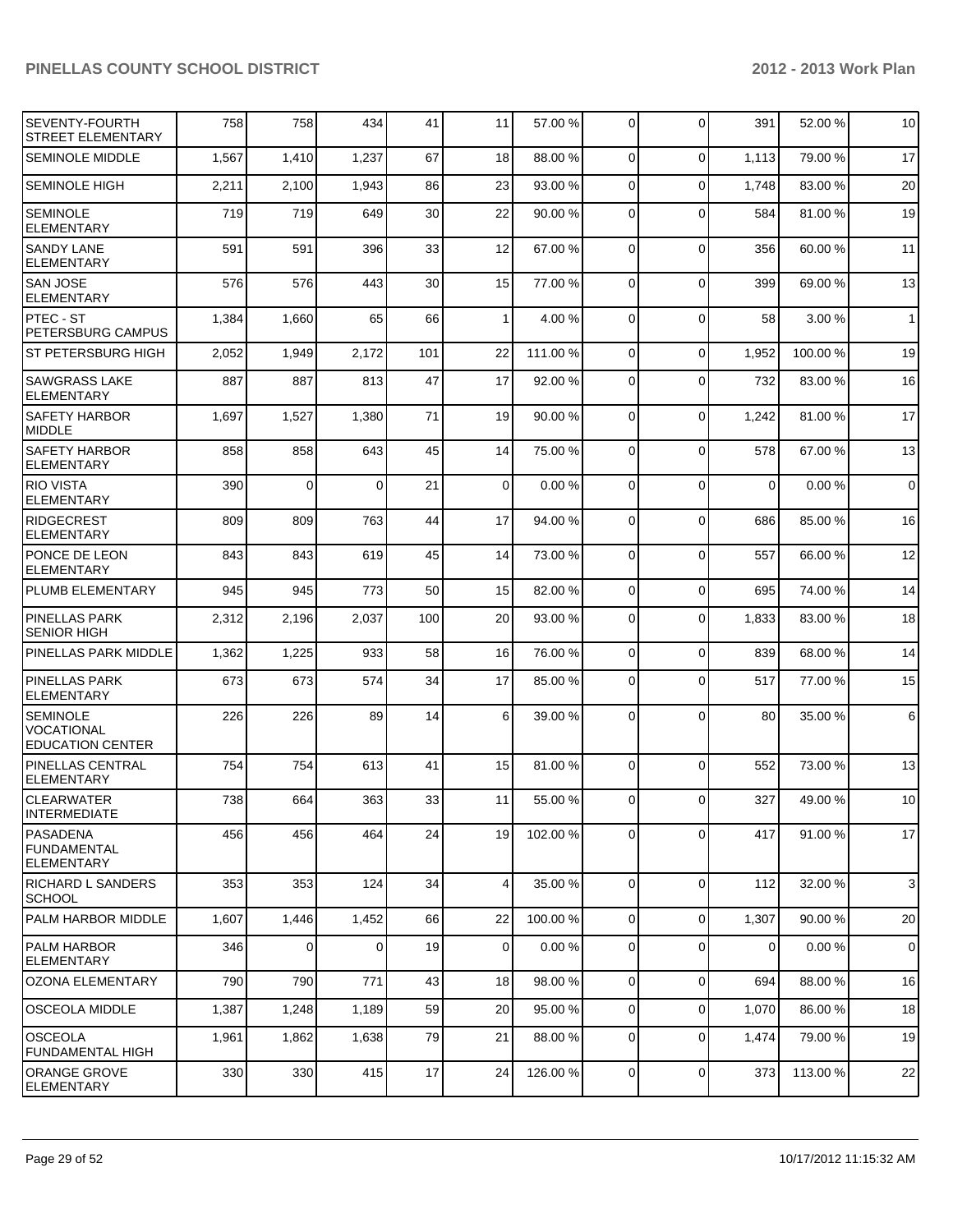| SEVENTY-FOURTH<br>STREET ELEMENTARY                             | 758   | 758   | 434   | 41  | 11             | 57.00 %  | $\overline{0}$ | $\mathbf 0$    | 391         | 52.00 %  | 10           |
|-----------------------------------------------------------------|-------|-------|-------|-----|----------------|----------|----------------|----------------|-------------|----------|--------------|
| <b>SEMINOLE MIDDLE</b>                                          | 1,567 | 1,410 | 1,237 | 67  | 18             | 88.00 %  | $\overline{0}$ | $\mathbf 0$    | 1,113       | 79.00 %  | 17           |
| SEMINOLE HIGH                                                   | 2,211 | 2,100 | 1,943 | 86  | 23             | 93.00 %  | $\overline{0}$ | $\Omega$       | 1,748       | 83.00 %  | 20           |
| <b>SEMINOLE</b><br><b>ELEMENTARY</b>                            | 719   | 719   | 649   | 30  | 22             | 90.00 %  | 0              | $\Omega$       | 584         | 81.00%   | 19           |
| <b>SANDY LANE</b><br><b>ELEMENTARY</b>                          | 591   | 591   | 396   | 33  | 12             | 67.00 %  | $\overline{0}$ | $\mathbf 0$    | 356         | 60.00%   | 11           |
| SAN JOSE<br><b>ELEMENTARY</b>                                   | 576   | 576   | 443   | 30  | 15             | 77.00 %  | $\Omega$       | $\mathbf 0$    | 399         | 69.00 %  | 13           |
| IPTEC - ST<br>PETERSBURG CAMPUS                                 | 1,384 | 1,660 | 65    | 66  | $\mathbf{1}$   | 4.00 %   | $\Omega$       | $\mathbf 0$    | 58          | 3.00%    | $\mathbf{1}$ |
| <b>ST PETERSBURG HIGH</b>                                       | 2,052 | 1,949 | 2,172 | 101 | 22             | 111.00 % | $\Omega$       | $\mathbf 0$    | 1,952       | 100.00%  | 19           |
| <b>SAWGRASS LAKE</b><br><b>ELEMENTARY</b>                       | 887   | 887   | 813   | 47  | 17             | 92.00 %  | $\Omega$       | $\mathbf 0$    | 732         | 83.00 %  | 16           |
| <b>SAFETY HARBOR</b><br><b>MIDDLE</b>                           | 1,697 | 1,527 | 1,380 | 71  | 19             | 90.00 %  | $\Omega$       | $\mathbf 0$    | 1,242       | 81.00 %  | 17           |
| <b>SAFETY HARBOR</b><br><b>ELEMENTARY</b>                       | 858   | 858   | 643   | 45  | 14             | 75.00 %  | $\Omega$       | $\Omega$       | 578         | 67.00%   | 13           |
| <b>RIO VISTA</b><br><b>ELEMENTARY</b>                           | 390   | 0     | 0     | 21  | $\overline{0}$ | 0.00%    | 0              | $\mathbf 0$    | $\mathbf 0$ | 0.00%    | $\mathbf 0$  |
| <b>RIDGECREST</b><br><b>ELEMENTARY</b>                          | 809   | 809   | 763   | 44  | 17             | 94.00 %  | $\Omega$       | $\mathbf 0$    | 686         | 85.00 %  | 16           |
| PONCE DE LEON<br><b>ELEMENTARY</b>                              | 843   | 843   | 619   | 45  | 14             | 73.00 %  | $\overline{0}$ | $\Omega$       | 557         | 66.00 %  | 12           |
| PLUMB ELEMENTARY                                                | 945   | 945   | 773   | 50  | 15             | 82.00 %  | $\overline{0}$ | $\Omega$       | 695         | 74.00%   | 14           |
| <b>PINELLAS PARK</b><br><b>SENIOR HIGH</b>                      | 2,312 | 2,196 | 2,037 | 100 | 20             | 93.00 %  | $\overline{0}$ | $\Omega$       | 1,833       | 83.00 %  | 18           |
| PINELLAS PARK MIDDLE                                            | 1,362 | 1,225 | 933   | 58  | 16             | 76.00 %  | $\overline{0}$ | $\Omega$       | 839         | 68.00 %  | 14           |
| PINELLAS PARK<br><b>ELEMENTARY</b>                              | 673   | 673   | 574   | 34  | 17             | 85.00 %  | 0              | $\Omega$       | 517         | 77.00 %  | 15           |
| <b>SEMINOLE</b><br><b>VOCATIONAL</b><br><b>EDUCATION CENTER</b> | 226   | 226   | 89    | 14  | $6 \mid$       | 39.00 %  | $\Omega$       | $\Omega$       | 80          | 35.00 %  | 6            |
| <b>PINELLAS CENTRAL</b><br><b>ELEMENTARY</b>                    | 754   | 754   | 613   | 41  | 15             | 81.00 %  | $\Omega$       | $\Omega$       | 552         | 73.00 %  | 13           |
| CLEARWATER<br>IINTERMEDIATE                                     | 738   | 664   | 363   | 33  | 11             | 55.00 %  | $\overline{0}$ | $\overline{0}$ | 327         | 49.00 %  | 10           |
| PASADENA<br><b>FUNDAMENTAL</b><br><b>ELEMENTARY</b>             | 456   | 456   | 464   | 24  | 19             | 102.00 % | $\overline{0}$ | $\mathbf 0$    | 417         | 91.00 %  | 17           |
| <b>RICHARD L SANDERS</b><br><b>SCHOOL</b>                       | 353   | 353   | 124   | 34  | 4              | 35.00 %  | $\Omega$       | $\Omega$       | 112         | 32.00 %  | 3            |
| <b>PALM HARBOR MIDDLE</b>                                       | 1,607 | 1,446 | 1,452 | 66  | 22             | 100.00 % | $\overline{0}$ | $\mathbf 0$    | 1,307       | 90.00 %  | 20           |
| IPALM HARBOR<br><b>ELEMENTARY</b>                               | 346   | 0     | 0     | 19  | $\overline{0}$ | 0.00%    | $\overline{0}$ | 0              | 0           | 0.00%    | 0            |
| OZONA ELEMENTARY                                                | 790   | 790   | 771   | 43  | 18             | 98.00 %  | $\overline{0}$ | $\mathbf 0$    | 694         | 88.00%   | 16           |
| OSCEOLA MIDDLE                                                  | 1,387 | 1,248 | 1,189 | 59  | 20             | 95.00 %  | $\overline{0}$ | $\mathbf 0$    | 1,070       | 86.00 %  | 18           |
| <b>OSCEOLA</b><br><b>FUNDAMENTAL HIGH</b>                       | 1,961 | 1,862 | 1,638 | 79  | 21             | 88.00 %  | $\overline{0}$ | $\mathbf 0$    | 1,474       | 79.00 %  | 19           |
| ORANGE GROVE<br><b>ELEMENTARY</b>                               | 330   | 330   | 415   | 17  | 24             | 126.00 % | 0              | $\mathbf 0$    | 373         | 113.00 % | 22           |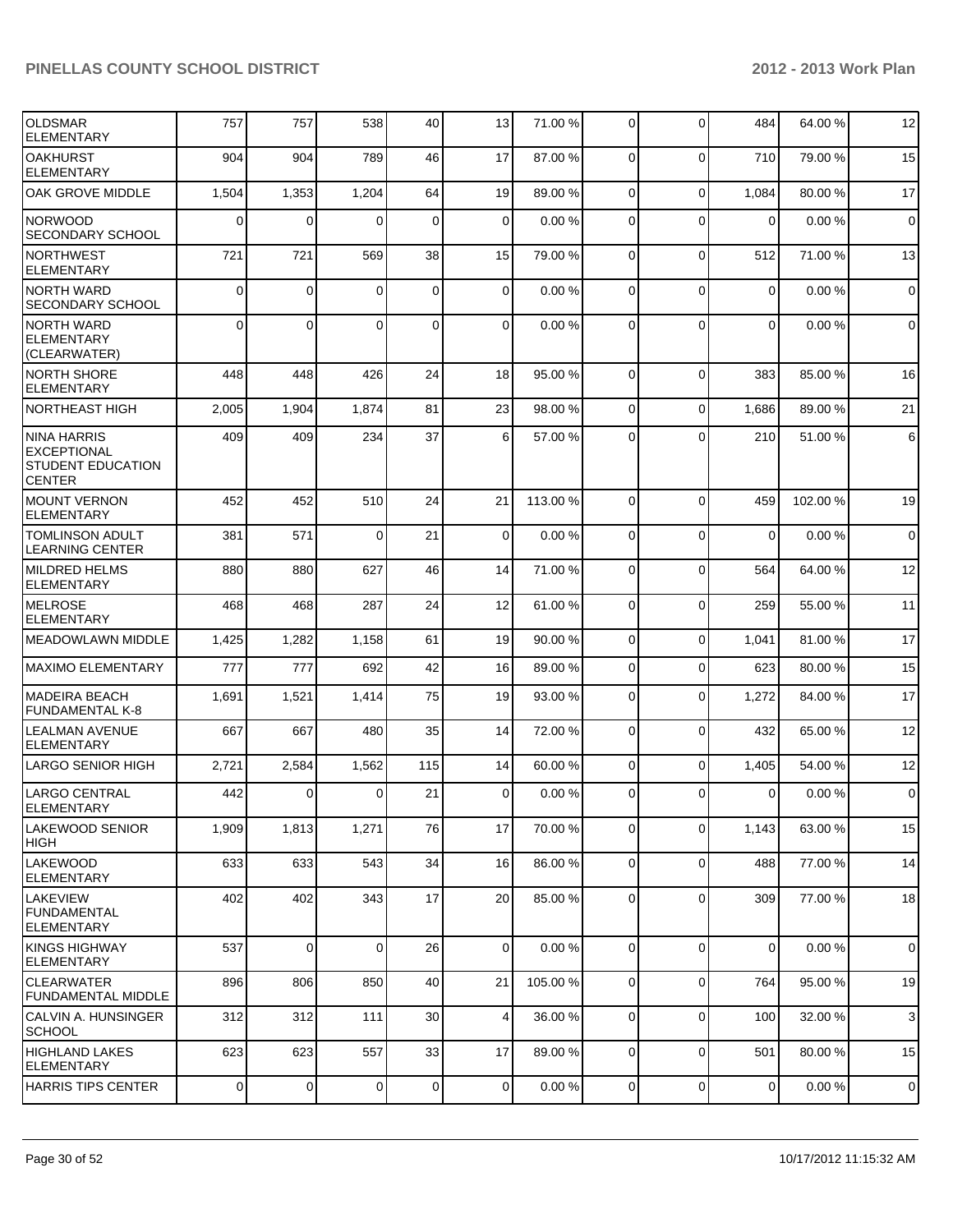| IOLDSMAR<br><b>ELEMENTARY</b>                                                  | 757            | 757         | 538            | 40          | 13             | 71.00 %  | $\overline{0}$ | $\Omega$       | 484            | 64.00%  | 12                  |
|--------------------------------------------------------------------------------|----------------|-------------|----------------|-------------|----------------|----------|----------------|----------------|----------------|---------|---------------------|
| <b>OAKHURST</b><br><b>ELEMENTARY</b>                                           | 904            | 904         | 789            | 46          | 17             | 87.00 %  | $\Omega$       | $\Omega$       | 710            | 79.00 % | 15                  |
| OAK GROVE MIDDLE                                                               | 1,504          | 1,353       | 1,204          | 64          | 19             | 89.00 %  | $\overline{0}$ | $\mathbf 0$    | 1,084          | 80.00%  | 17                  |
| <b>NORWOOD</b><br><b>SECONDARY SCHOOL</b>                                      | 0              | 0           | 0              | $\mathbf 0$ | $\overline{0}$ | 0.00%    | $\Omega$       | $\Omega$       | $\mathbf 0$    | 0.00%   | $\overline{0}$      |
| <b>NORTHWEST</b><br><b>ELEMENTARY</b>                                          | 721            | 721         | 569            | 38          | 15             | 79.00 %  | $\Omega$       | 0              | 512            | 71.00%  | 13                  |
| <b>NORTH WARD</b><br><b>SECONDARY SCHOOL</b>                                   | 0              | $\mathbf 0$ | $\Omega$       | $\mathbf 0$ | $\overline{0}$ | 0.00%    | $\overline{0}$ | $\mathbf 0$    | $\mathbf 0$    | 0.00%   | $\mathbf 0$         |
| <b>NORTH WARD</b><br><b>ELEMENTARY</b><br>(CLEARWATER)                         | $\Omega$       | $\Omega$    | $\Omega$       | $\mathbf 0$ | $\Omega$       | 0.00%    | $\Omega$       | $\Omega$       | $\mathbf 0$    | 0.00%   | $\mathbf 0$         |
| NORTH SHORE<br><b>ELEMENTARY</b>                                               | 448            | 448         | 426            | 24          | 18             | 95.00 %  | $\Omega$       | $\Omega$       | 383            | 85.00 % | 16                  |
| NORTHEAST HIGH                                                                 | 2,005          | 1,904       | 1,874          | 81          | 23             | 98.00 %  | $\Omega$       | 0              | 1,686          | 89.00 % | 21                  |
| NINA HARRIS<br><b>EXCEPTIONAL</b><br><b>STUDENT EDUCATION</b><br><b>CENTER</b> | 409            | 409         | 234            | 37          | 6 <sup>1</sup> | 57.00 %  | $\Omega$       | $\mathbf{0}$   | 210            | 51.00 % | 6                   |
| <b>MOUNT VERNON</b><br><b>ELEMENTARY</b>                                       | 452            | 452         | 510            | 24          | 21             | 113.00 % | $\Omega$       | $\Omega$       | 459            | 102.00% | 19                  |
| <b>TOMLINSON ADULT</b><br><b>LEARNING CENTER</b>                               | 381            | 571         | $\Omega$       | 21          | $\overline{0}$ | 0.00%    | $\Omega$       | $\mathbf{0}$   | $\mathbf 0$    | 0.00%   | $\overline{0}$      |
| <b>MILDRED HELMS</b><br><b>ELEMENTARY</b>                                      | 880            | 880         | 627            | 46          | 14             | 71.00 %  | 0              | $\mathbf 0$    | 564            | 64.00%  | 12                  |
| MELROSE<br><b>ELEMENTARY</b>                                                   | 468            | 468         | 287            | 24          | 12             | 61.00 %  | $\Omega$       | 0              | 259            | 55.00 % | 11                  |
| <b>MEADOWLAWN MIDDLE</b>                                                       | 1,425          | 1,282       | 1,158          | 61          | 19             | 90.00 %  | $\overline{0}$ | $\mathbf 0$    | 1,041          | 81.00%  | 17                  |
| MAXIMO ELEMENTARY                                                              | 777            | 777         | 692            | 42          | 16             | 89.00 %  | $\overline{0}$ | $\mathbf 0$    | 623            | 80.00 % | 15                  |
| <b>MADEIRA BEACH</b><br><b>FUNDAMENTAL K-8</b>                                 | 1,691          | 1,521       | 1,414          | 75          | 19             | 93.00 %  | $\Omega$       | $\overline{0}$ | 1,272          | 84.00 % | 17                  |
| LEALMAN AVENUE<br><b>ELEMENTARY</b>                                            | 667            | 667         | 480            | 35          | 14             | 72.00 %  | $\Omega$       | $\mathbf 0$    | 432            | 65.00 % | 12                  |
| LARGO SENIOR HIGH                                                              | 2,721          | 2,584       | 1,562          | 115         | 14             | 60.00 %  | $\Omega$       | $\Omega$       | 1,405          | 54.00 % | 12                  |
| <b>LARGO CENTRAL</b><br><b>ELEMENTARY</b>                                      | 442            | $\mathbf 0$ | 0              | 21          | $\Omega$       | 0.00%    | 0              | $\mathbf 0$    | $\mathbf 0$    | 0.00%   | $\mathsf{O}\xspace$ |
| llakewood senior<br>IHIGH                                                      | 1,909          | 1,813       | 1,271          | 76          | 17             | 70.00 %  | $\Omega$       | $\Omega$       | 1,143          | 63.00 % | 15                  |
| <b>LAKEWOOD</b><br><b>ELEMENTARY</b>                                           | 633            | 633         | 543            | 34          | 16             | 86.00 %  | $\overline{0}$ | 0              | 488            | 77.00 % | 14                  |
| ILAKEVIEW<br><b>FUNDAMENTAL</b><br>ELEMENTARY                                  | 402            | 402         | 343            | 17          | 20             | 85.00 %  | $\overline{0}$ | 0              | 309            | 77.00 % | 18                  |
| KINGS HIGHWAY<br><b>ELEMENTARY</b>                                             | 537            | $\mathbf 0$ | $\Omega$       | 26          | $\overline{0}$ | 0.00%    | $\overline{0}$ | $\mathbf 0$    | $\overline{0}$ | 0.00%   | $\Omega$            |
| ICLEARWATER<br><b>FUNDAMENTAL MIDDLE</b>                                       | 896            | 806         | 850            | 40          | 21             | 105.00 % | $\overline{0}$ | 0              | 764            | 95.00 % | 19                  |
| CALVIN A. HUNSINGER <br> SCHOOL                                                | 312            | 312         | 111            | 30          | $\vert$        | 36.00 %  | 0              | $\mathbf 0$    | 100            | 32.00 % | $\mathbf{3}$        |
| HIGHLAND LAKES<br>ELEMENTARY                                                   | 623            | 623         | 557            | 33          | 17             | 89.00 %  | $\Omega$       | 0              | 501            | 80.00%  | 15                  |
| <b>HARRIS TIPS CENTER</b>                                                      | $\overline{0}$ | 0           | $\overline{0}$ | $\pmb{0}$   | $\overline{0}$ | 0.00%    | $\overline{0}$ | 0              | $\overline{0}$ | 0.00%   | $\mathbf 0$         |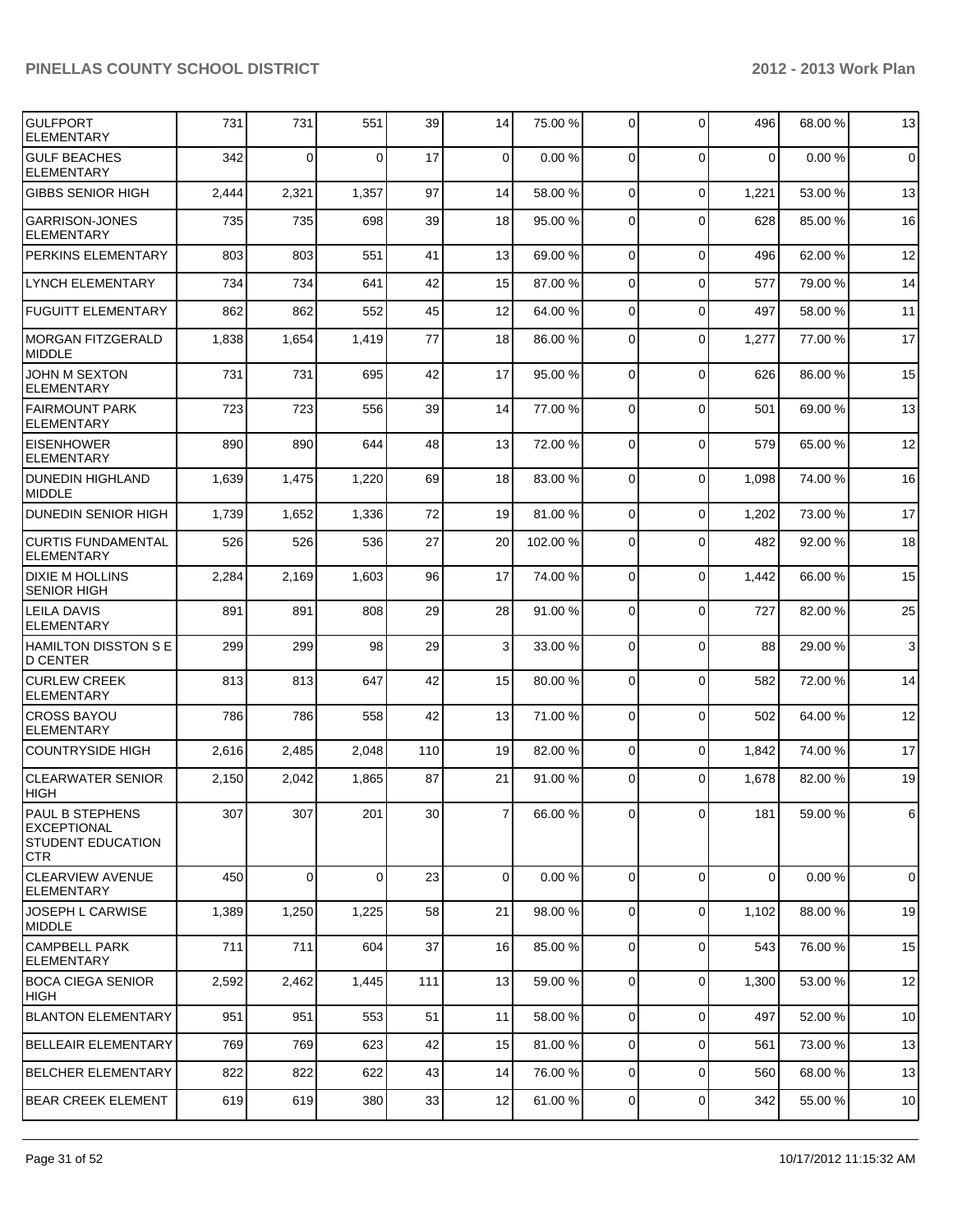| <b>GULFPORT</b><br><b>ELEMENTARY</b>                                            | 731   | 731            | 551   | 39  | 14 | 75.00 %  | 0              | $\Omega$       | 496         | 68.00 % | 13           |
|---------------------------------------------------------------------------------|-------|----------------|-------|-----|----|----------|----------------|----------------|-------------|---------|--------------|
| <b>GULF BEACHES</b><br><b>ELEMENTARY</b>                                        | 342   | $\mathbf 0$    | 0     | 17  | 0  | 0.00%    | 0              | $\Omega$       | $\mathbf 0$ | 0.00%   | $\mathbf 0$  |
| <b>GIBBS SENIOR HIGH</b>                                                        | 2,444 | 2,321          | 1,357 | 97  | 14 | 58.00 %  | $\mathbf 0$    | $\mathbf 0$    | 1,221       | 53.00 % | 13           |
| <b>GARRISON-JONES</b><br><b>ELEMENTARY</b>                                      | 735   | 735            | 698   | 39  | 18 | 95.00 %  | 0              | $\Omega$       | 628         | 85.00 % | 16           |
| PERKINS ELEMENTARY                                                              | 803   | 803            | 551   | 41  | 13 | 69.00 %  | $\mathbf 0$    | $\Omega$       | 496         | 62.00%  | 12           |
| <b>LYNCH ELEMENTARY</b>                                                         | 734   | 734            | 641   | 42  | 15 | 87.00 %  | $\mathbf 0$    | $\Omega$       | 577         | 79.00 % | 14           |
| <b>FUGUITT ELEMENTARY</b>                                                       | 862   | 862            | 552   | 45  | 12 | 64.00 %  | $\mathbf 0$    | $\Omega$       | 497         | 58.00 % | 11           |
| MORGAN FITZGERALD<br><b>MIDDLE</b>                                              | 1,838 | 1,654          | 1,419 | 77  | 18 | 86.00 %  | 0              | $\Omega$       | 1,277       | 77.00 % | 17           |
| <b>JOHN M SEXTON</b><br><b>ELEMENTARY</b>                                       | 731   | 731            | 695   | 42  | 17 | 95.00 %  | 0              | $\Omega$       | 626         | 86.00 % | 15           |
| <b>FAIRMOUNT PARK</b><br><b>ELEMENTARY</b>                                      | 723   | 723            | 556   | 39  | 14 | 77.00 %  | $\Omega$       | $\Omega$       | 501         | 69.00 % | 13           |
| <b>EISENHOWER</b><br><b>ELEMENTARY</b>                                          | 890   | 890            | 644   | 48  | 13 | 72.00 %  | $\mathbf 0$    | $\Omega$       | 579         | 65.00 % | 12           |
| <b>DUNEDIN HIGHLAND</b><br><b>MIDDLE</b>                                        | 1,639 | 1,475          | 1,220 | 69  | 18 | 83.00 %  | $\Omega$       | $\Omega$       | 1,098       | 74.00%  | 16           |
| <b>DUNEDIN SENIOR HIGH</b>                                                      | 1,739 | 1,652          | 1,336 | 72  | 19 | 81.00 %  | 0              | $\Omega$       | 1,202       | 73.00 % | 17           |
| <b>CURTIS FUNDAMENTAL</b><br><b>ELEMENTARY</b>                                  | 526   | 526            | 536   | 27  | 20 | 102.00 % | $\Omega$       | $\Omega$       | 482         | 92.00 % | 18           |
| <b>DIXIE M HOLLINS</b><br><b>SENIOR HIGH</b>                                    | 2,284 | 2,169          | 1,603 | 96  | 17 | 74.00 %  | $\Omega$       | $\Omega$       | 1,442       | 66.00 % | 15           |
| <b>LEILA DAVIS</b><br><b>ELEMENTARY</b>                                         | 891   | 891            | 808   | 29  | 28 | 91.00 %  | 0              | $\Omega$       | 727         | 82.00 % | 25           |
| HAMILTON DISSTON S E<br><b>D CENTER</b>                                         | 299   | 299            | 98    | 29  | 3  | 33.00 %  | 0              | $\Omega$       | 88          | 29.00 % | $\mathbf{3}$ |
| <b>CURLEW CREEK</b><br><b>ELEMENTARY</b>                                        | 813   | 813            | 647   | 42  | 15 | 80.00 %  | 0              | $\Omega$       | 582         | 72.00 % | 14           |
| <b>CROSS BAYOU</b><br><b>ELEMENTARY</b>                                         | 786   | 786            | 558   | 42  | 13 | 71.00 %  | $\Omega$       | $\Omega$       | 502         | 64.00 % | 12           |
| <b>COUNTRYSIDE HIGH</b>                                                         | 2,616 | 2,485          | 2,048 | 110 | 19 | 82.00 %  | 0              | $\Omega$       | 1,842       | 74.00 % | 17           |
| <b>CLEARWATER SENIOR</b><br>HIGH                                                | 2,150 | 2,042          | 1,865 | 87  | 21 | 91.00 %  | 0              | $\Omega$       | 1,678       | 82.00 % | 19           |
| PAUL B STEPHENS<br><b>EXCEPTIONAL</b><br><b>STUDENT EDUCATION</b><br><b>CTR</b> | 307   | 307            | 201   | 30  | 7  | 66.00 %  | 0              | $\overline{0}$ | 181         | 59.00 % | 6            |
| <b>CLEARVIEW AVENUE</b><br><b>ELEMENTARY</b>                                    | 450   | $\overline{0}$ | 0     | 23  | 0  | 0.00%    | 0              | $\Omega$       | $\mathbf 0$ | 0.00%   | 0            |
| JOSEPH L CARWISE<br><b>MIDDLE</b>                                               | 1,389 | 1,250          | 1,225 | 58  | 21 | 98.00 %  | 0              | $\Omega$       | 1,102       | 88.00 % | 19           |
| CAMPBELL PARK<br><b>ELEMENTARY</b>                                              | 711   | 711            | 604   | 37  | 16 | 85.00 %  | $\overline{0}$ | 0              | 543         | 76.00 % | 15           |
| <b>BOCA CIEGA SENIOR</b><br> HIGH                                               | 2,592 | 2,462          | 1,445 | 111 | 13 | 59.00 %  | 0              | $\mathbf 0$    | 1,300       | 53.00 % | 12           |
| <b>BLANTON ELEMENTARY</b>                                                       | 951   | 951            | 553   | 51  | 11 | 58.00 %  | 0              | $\Omega$       | 497         | 52.00 % | 10           |
| <b>BELLEAIR ELEMENTARY</b>                                                      | 769   | 769            | 623   | 42  | 15 | 81.00 %  | 0              | $\Omega$       | 561         | 73.00 % | 13           |
| <b>BELCHER ELEMENTARY</b>                                                       | 822   | 822            | 622   | 43  | 14 | 76.00 %  | 0              | $\mathbf 0$    | 560         | 68.00 % | 13           |
| <b>BEAR CREEK ELEMENT</b>                                                       | 619   | 619            | 380   | 33  | 12 | 61.00 %  | 0              | 0              | 342         | 55.00 % | 10           |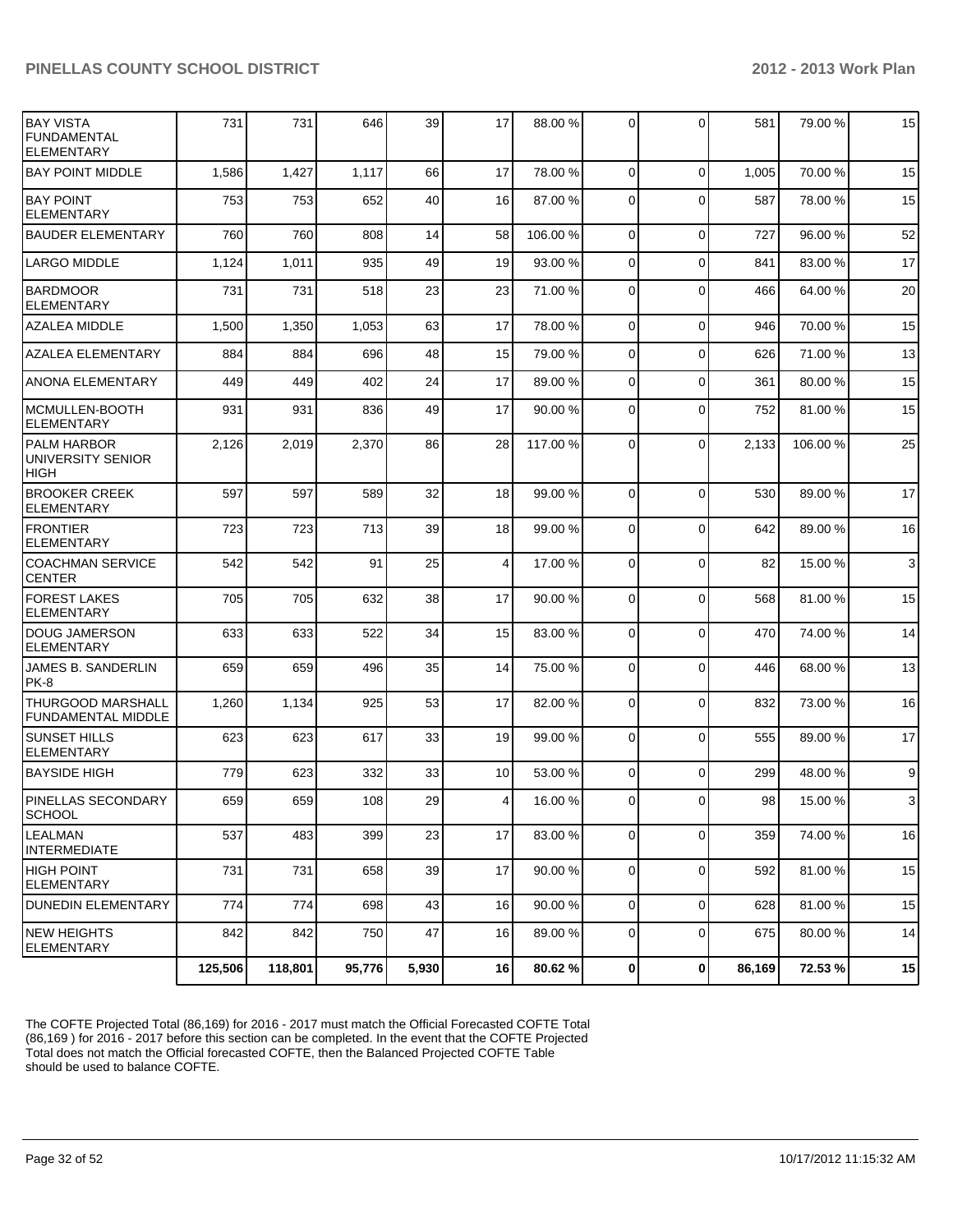| <b>BAY VISTA</b><br><b>FUNDAMENTAL</b><br><b>ELEMENTARY</b> | 731     | 731     | 646    | 39    | 17              | 88.00 %  | $\Omega$       | $\mathbf{0}$   | 581    | 79.00 % | 15             |
|-------------------------------------------------------------|---------|---------|--------|-------|-----------------|----------|----------------|----------------|--------|---------|----------------|
| <b>BAY POINT MIDDLE</b>                                     | 1,586   | 1,427   | 1,117  | 66    | 17              | 78.00 %  | $\Omega$       | $\overline{0}$ | 1,005  | 70.00%  | 15             |
| <b>BAY POINT</b><br><b>ELEMENTARY</b>                       | 753     | 753     | 652    | 40    | 16              | 87.00 %  | 0              | $\overline{0}$ | 587    | 78.00 % | 15             |
| <b>BAUDER ELEMENTARY</b>                                    | 760     | 760     | 808    | 14    | 58              | 106.00 % | $\overline{0}$ | 0              | 727    | 96.00 % | 52             |
| <b>LARGO MIDDLE</b>                                         | 1,124   | 1,011   | 935    | 49    | 19              | 93.00 %  | $\Omega$       | 0              | 841    | 83.00 % | 17             |
| <b>BARDMOOR</b><br><b>ELEMENTARY</b>                        | 731     | 731     | 518    | 23    | 23              | 71.00 %  | $\Omega$       | 0              | 466    | 64.00%  | 20             |
| <b>AZALEA MIDDLE</b>                                        | 1,500   | 1,350   | 1,053  | 63    | 17              | 78.00 %  | $\overline{0}$ | 0              | 946    | 70.00 % | 15             |
| <b>AZALEA ELEMENTARY</b>                                    | 884     | 884     | 696    | 48    | 15              | 79.00 %  | $\overline{0}$ | 0              | 626    | 71.00 % | 13             |
| ANONA ELEMENTARY                                            | 449     | 449     | 402    | 24    | 17              | 89.00 %  | $\overline{0}$ | $\overline{0}$ | 361    | 80.00 % | 15             |
| MCMULLEN-BOOTH<br><b>ELEMENTARY</b>                         | 931     | 931     | 836    | 49    | 17              | 90.00 %  | $\Omega$       | $\overline{0}$ | 752    | 81.00%  | 15             |
| <b>PALM HARBOR</b><br>UNIVERSITY SENIOR<br><b>HIGH</b>      | 2,126   | 2,019   | 2,370  | 86    | 28              | 117.00 % | $\Omega$       | $\Omega$       | 2,133  | 106.00% | 25             |
| <b>BROOKER CREEK</b><br><b>ELEMENTARY</b>                   | 597     | 597     | 589    | 32    | 18              | 99.00 %  | $\Omega$       | $\overline{0}$ | 530    | 89.00 % | 17             |
| <b>IFRONTIER</b><br>ELEMENTARY                              | 723     | 723     | 713    | 39    | 18              | 99.00 %  | $\overline{0}$ | 0              | 642    | 89.00 % | 16             |
| <b>COACHMAN SERVICE</b><br><b>CENTER</b>                    | 542     | 542     | 91     | 25    | $\vert 4 \vert$ | 17.00 %  | $\mathbf 0$    | $\mathbf 0$    | 82     | 15.00 % | 3 <sup>1</sup> |
| <b>FOREST LAKES</b><br><b>ELEMENTARY</b>                    | 705     | 705     | 632    | 38    | 17              | 90.00 %  | $\Omega$       | 0              | 568    | 81.00%  | 15             |
| <b>DOUG JAMERSON</b><br><b>ELEMENTARY</b>                   | 633     | 633     | 522    | 34    | 15              | 83.00 %  | $\Omega$       | $\overline{0}$ | 470    | 74.00 % | 14             |
| JAMES B. SANDERLIN<br>PK-8                                  | 659     | 659     | 496    | 35    | 14              | 75.00 %  | $\Omega$       | $\mathbf{0}$   | 446    | 68.00 % | 13             |
| <b>THURGOOD MARSHALL</b><br><b>FUNDAMENTAL MIDDLE</b>       | 1,260   | 1,134   | 925    | 53    | 17              | 82.00 %  | $\Omega$       | $\Omega$       | 832    | 73.00 % | 16             |
| <b>SUNSET HILLS</b><br><b>ELEMENTARY</b>                    | 623     | 623     | 617    | 33    | 19              | 99.00 %  | $\Omega$       | $\mathbf{0}$   | 555    | 89.00 % | 17             |
| <b>BAYSIDE HIGH</b>                                         | 779     | 623     | 332    | 33    | 10 <sup>1</sup> | 53.00 %  | $\overline{0}$ | $\mathbf 0$    | 299    | 48.00 % | 9              |
| <b>PINELLAS SECONDARY</b><br>SCHOOL                         | 659     | 659     | 108    | 29    | $\vert 4 \vert$ | 16.00 %  | $\overline{0}$ | 0              | 98     | 15.00 % | 3              |
| <b>LEALMAN</b><br><b>INTERMEDIATE</b>                       | 537     | 483     | 399    | 23    | 17              | 83.00 %  | $\overline{0}$ | 0              | 359    | 74.00 % | 16             |
| HIGH POINT<br><b>ELEMENTARY</b>                             | 731     | 731     | 658    | 39    | 17              | 90.00%   | $\overline{0}$ | 0              | 592    | 81.00 % | 15             |
| <b>DUNEDIN ELEMENTARY</b>                                   | 774     | 774     | 698    | 43    | 16              | 90.00 %  | $\overline{0}$ | $\overline{0}$ | 628    | 81.00%  | 15             |
| <b>NEW HEIGHTS</b><br><b>ELEMENTARY</b>                     | 842     | 842     | 750    | 47    | 16              | 89.00 %  | $\overline{0}$ | 0              | 675    | 80.00 % | 14             |
|                                                             | 125,506 | 118,801 | 95,776 | 5,930 | 16              | 80.62%   | 0              | $\mathbf{0}$   | 86,169 | 72.53 % | 15             |

The COFTE Projected Total (86,169) for 2016 - 2017 must match the Official Forecasted COFTE Total (86,169 ) for 2016 - 2017 before this section can be completed. In the event that the COFTE Projected Total does not match the Official forecasted COFTE, then the Balanced Projected COFTE Table should be used to balance COFTE.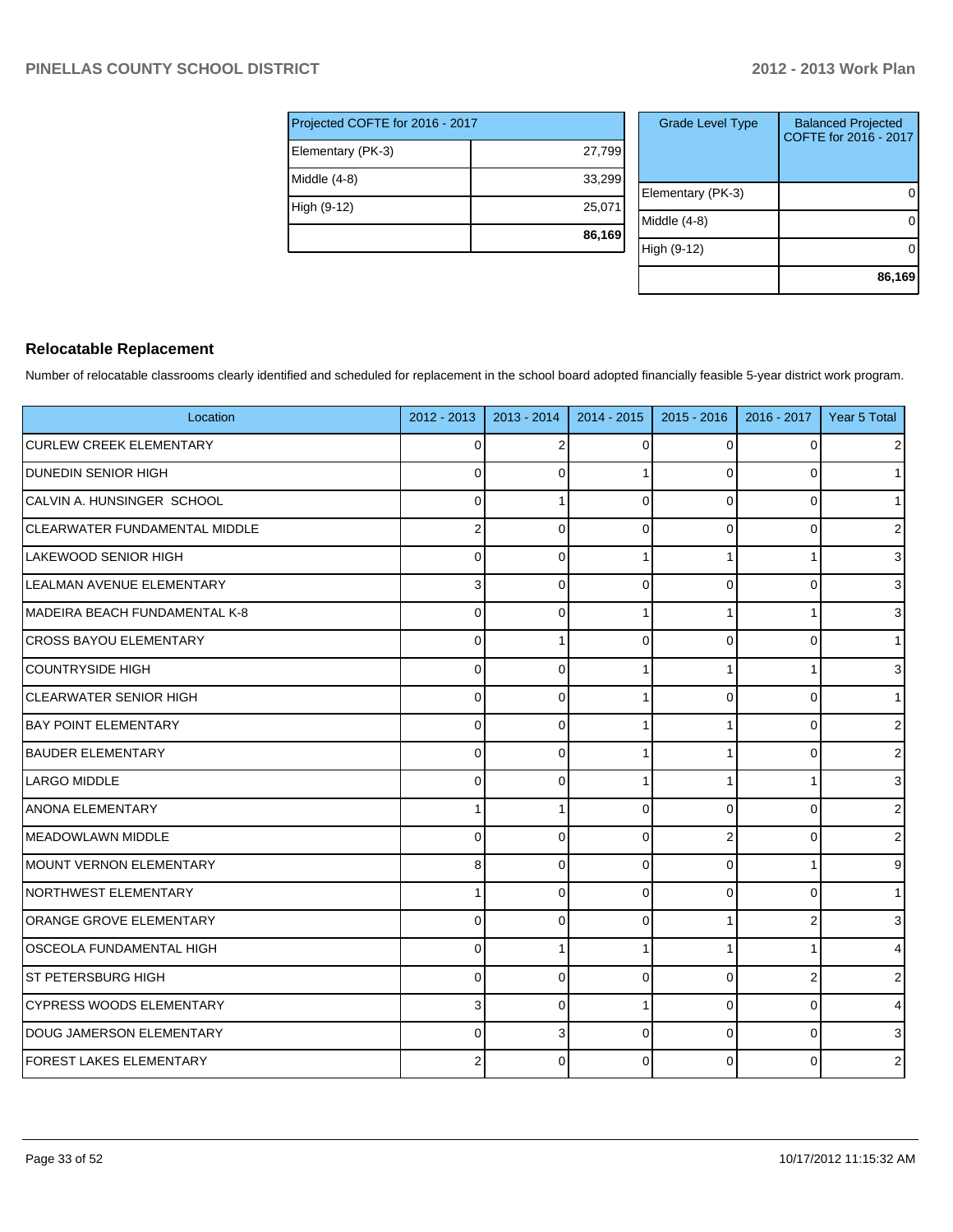| Projected COFTE for 2016 - 2017 |        |
|---------------------------------|--------|
| Elementary (PK-3)               | 27,799 |
| Middle (4-8)                    | 33,299 |
| High (9-12)                     | 25,071 |
|                                 | 86,169 |

| <b>Grade Level Type</b> | <b>Balanced Projected</b><br>COFTE for 2016 - 2017 |
|-------------------------|----------------------------------------------------|
| Elementary (PK-3)       |                                                    |
| Middle (4-8)            |                                                    |
| High (9-12)             |                                                    |
|                         | 86,169                                             |

#### **Relocatable Replacement**

Number of relocatable classrooms clearly identified and scheduled for replacement in the school board adopted financially feasible 5-year district work program.

| Location                       | $2012 - 2013$ | $2013 - 2014$  | $2014 - 2015$ | $2015 - 2016$ | 2016 - 2017    | Year 5 Total   |
|--------------------------------|---------------|----------------|---------------|---------------|----------------|----------------|
| <b>CURLEW CREEK ELEMENTARY</b> | $\mathbf 0$   | $\overline{2}$ | $\Omega$      | 0             | $\Omega$       | $\overline{2}$ |
| IDUNEDIN SENIOR HIGH           | $\mathbf 0$   | $\Omega$       | $\mathbf{1}$  | 0             | $\overline{0}$ | 1              |
| CALVIN A. HUNSINGER SCHOOL     | $\Omega$      |                | $\Omega$      | $\Omega$      | 0              | 1              |
| CLEARWATER FUNDAMENTAL MIDDLE  | 2             | $\Omega$       | $\Omega$      | $\mathbf 0$   | $\Omega$       | $\overline{2}$ |
| LAKEWOOD SENIOR HIGH           | 0             | $\Omega$       |               |               |                | 3 <sup>1</sup> |
| LEALMAN AVENUE ELEMENTARY      | 3             | $\Omega$       | $\Omega$      | $\Omega$      | $\Omega$       | $\overline{3}$ |
| MADEIRA BEACH FUNDAMENTAL K-8  | 0             | $\Omega$       |               |               |                | 3 <sup>1</sup> |
| <b>CROSS BAYOU ELEMENTARY</b>  | $\Omega$      |                | 0             | 0             | $\Omega$       | 1              |
| <b>COUNTRYSIDE HIGH</b>        | 0             | $\Omega$       |               |               |                | 3 <sup>1</sup> |
| <b>CLEARWATER SENIOR HIGH</b>  | $\Omega$      | $\Omega$       |               | $\Omega$      | $\Omega$       | 1              |
| <b>BAY POINT ELEMENTARY</b>    | $\mathbf 0$   | $\Omega$       |               |               | 0              | $\mathsf{2}$   |
| <b>BAUDER ELEMENTARY</b>       | $\Omega$      | $\Omega$       |               | 1             | 0              | $\overline{2}$ |
| LARGO MIDDLE                   | $\mathbf 0$   | $\mathbf 0$    | 1             |               |                | $\overline{3}$ |
| <b>ANONA ELEMENTARY</b>        |               |                | $\Omega$      | $\Omega$      | $\Omega$       | $\overline{2}$ |
| MEADOWLAWN MIDDLE              | $\Omega$      | $\Omega$       | $\Omega$      | 2             | $\Omega$       | $\overline{2}$ |
| MOUNT VERNON ELEMENTARY        | 8             | $\Omega$       | $\Omega$      | $\Omega$      |                | 9              |
| <b>NORTHWEST ELEMENTARY</b>    |               | $\Omega$       | $\Omega$      | $\Omega$      | $\Omega$       | $\mathbf{1}$   |
| <b>ORANGE GROVE ELEMENTARY</b> | 0             | $\Omega$       | $\Omega$      |               | 2              | 3              |
| OSCEOLA FUNDAMENTAL HIGH       | $\Omega$      |                |               |               |                | $\overline{4}$ |
| ST PETERSBURG HIGH             | $\Omega$      | $\Omega$       | $\Omega$      | $\Omega$      | 2              | 2 <sub>1</sub> |
| CYPRESS WOODS ELEMENTARY       | 3             | $\Omega$       |               | $\Omega$      | $\Omega$       | $\overline{4}$ |
| DOUG JAMERSON ELEMENTARY       | 0             | 3              | $\Omega$      | $\Omega$      | 0              | $\overline{3}$ |
| <b>FOREST LAKES ELEMENTARY</b> |               | $\Omega$       | U             | $\Omega$      | 0              | $\overline{2}$ |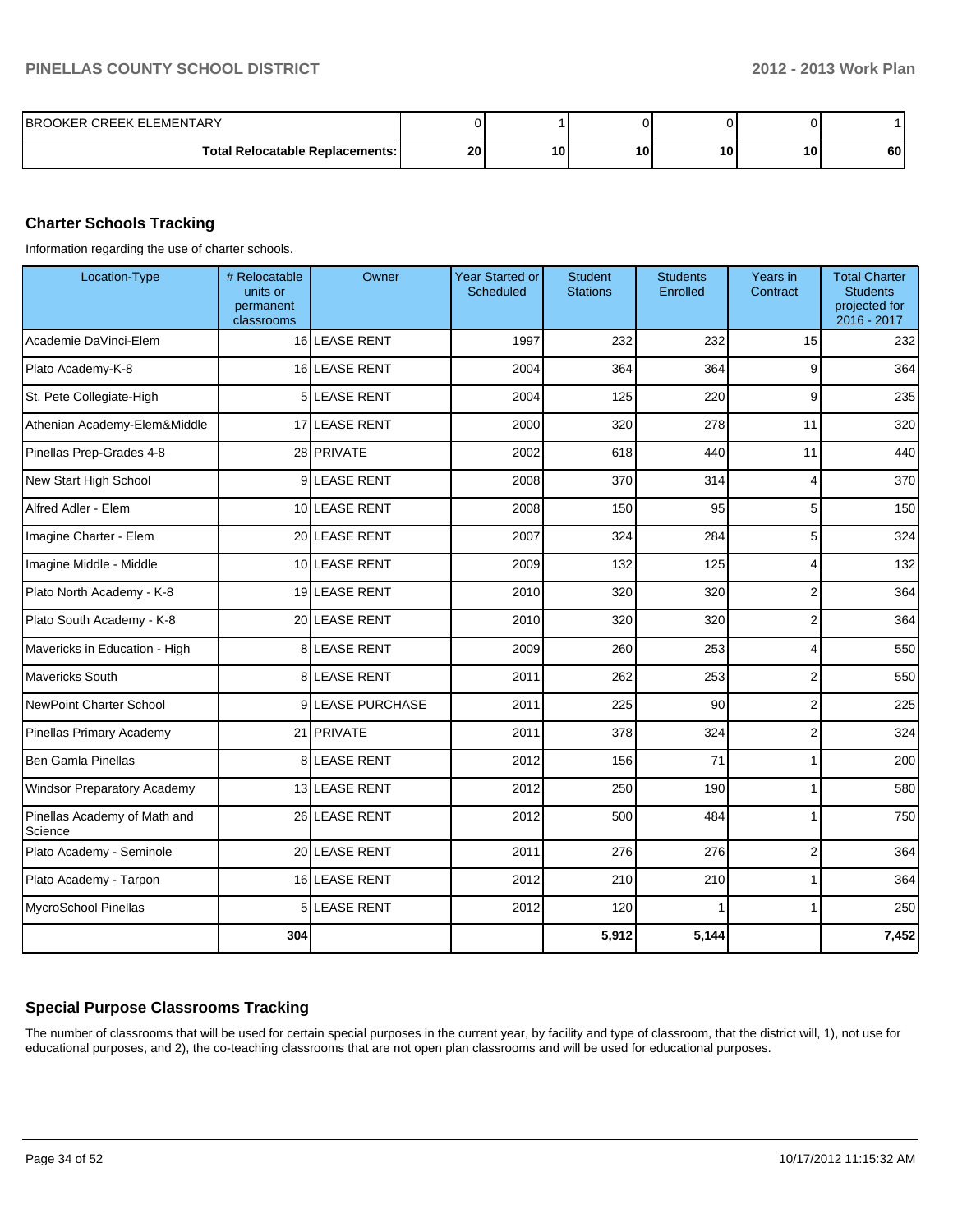| IBROOKER CREEK ELEMENTARY       |                 |    |    |    |    |      |
|---------------------------------|-----------------|----|----|----|----|------|
| Total Relocatable Replacements: | 20 <sub>1</sub> | ۱0 | 10 | 10 | 10 | 60 l |

## **Charter Schools Tracking**

Information regarding the use of charter schools.

| Location-Type                           | # Relocatable<br>units or<br>permanent<br>classrooms | Owner               | <b>Year Started or</b><br><b>Scheduled</b> | <b>Student</b><br><b>Stations</b> | <b>Students</b><br><b>Enrolled</b> | Years in<br>Contract | <b>Total Charter</b><br><b>Students</b><br>projected for<br>2016 - 2017 |
|-----------------------------------------|------------------------------------------------------|---------------------|--------------------------------------------|-----------------------------------|------------------------------------|----------------------|-------------------------------------------------------------------------|
| Academie DaVinci-Elem                   |                                                      | 16 LEASE RENT       | 1997                                       | 232                               | 232                                | 15                   | 232                                                                     |
| Plato Academy-K-8                       |                                                      | 16 LEASE RENT       | 2004                                       | 364                               | 364                                | 9                    | 364                                                                     |
| St. Pete Collegiate-High                | 5                                                    | <b>LEASE RENT</b>   | 2004                                       | 125                               | 220                                | 9                    | 235                                                                     |
| Athenian Academy-Elem&Middle            |                                                      | 17 LEASE RENT       | 2000                                       | 320                               | 278                                | 11                   | 320                                                                     |
| Pinellas Prep-Grades 4-8                |                                                      | 28 PRIVATE          | 2002                                       | 618                               | 440                                | 11                   | 440                                                                     |
| New Start High School                   | $\overline{9}$                                       | <b>LEASE RENT</b>   | 2008                                       | 370                               | 314                                | $\overline{4}$       | 370                                                                     |
| Alfred Adler - Elem                     |                                                      | 10 LEASE RENT       | 2008                                       | 150                               | 95                                 | 5                    | 150                                                                     |
| Imagine Charter - Elem                  |                                                      | 20 LEASE RENT       | 2007                                       | 324                               | 284                                | 5                    | 324                                                                     |
| Imagine Middle - Middle                 |                                                      | 10 LEASE RENT       | 2009                                       | 132                               | 125                                | 4                    | 132                                                                     |
| Plato North Academy - K-8               |                                                      | 19 LEASE RENT       | 2010                                       | 320                               | 320                                | $\overline{c}$       | 364                                                                     |
| Plato South Academy - K-8               | 20 <sup>1</sup>                                      | LEASE RENT          | 2010                                       | 320                               | 320                                | $\overline{c}$       | 364                                                                     |
| Mavericks in Education - High           |                                                      | 8LEASE RENT         | 2009                                       | 260                               | 253                                | 4                    | 550                                                                     |
| Mavericks South                         |                                                      | <b>8ILEASE RENT</b> | 2011                                       | 262                               | 253                                | $\overline{2}$       | 550                                                                     |
| NewPoint Charter School                 |                                                      | 9 LEASE PURCHASE    | 2011                                       | 225                               | 90                                 | $\overline{2}$       | 225                                                                     |
| Pinellas Primary Academy                |                                                      | 21 PRIVATE          | 2011                                       | 378                               | 324                                | $\overline{2}$       | 324                                                                     |
| <b>Ben Gamla Pinellas</b>               |                                                      | 8LEASE RENT         | 2012                                       | 156                               | 71                                 | $\mathbf{1}$         | 200                                                                     |
| Windsor Preparatory Academy             |                                                      | 13 LEASE RENT       | 2012                                       | 250                               | 190                                | 1                    | 580                                                                     |
| Pinellas Academy of Math and<br>Science |                                                      | 26 LEASE RENT       | 2012                                       | 500                               | 484                                | 1                    | 750                                                                     |
| Plato Academy - Seminole                |                                                      | 20 LEASE RENT       | 2011                                       | 276                               | 276                                | $\overline{c}$       | 364                                                                     |
| Plato Academy - Tarpon                  |                                                      | 16 LEASE RENT       | 2012                                       | 210                               | 210                                | 1                    | 364                                                                     |
| MycroSchool Pinellas                    | 5 <sup>1</sup>                                       | LEASE RENT          | 2012                                       | 120                               |                                    | 1                    | 250                                                                     |
|                                         | 304                                                  |                     |                                            | 5,912                             | 5,144                              |                      | 7,452                                                                   |

#### **Special Purpose Classrooms Tracking**

The number of classrooms that will be used for certain special purposes in the current year, by facility and type of classroom, that the district will, 1), not use for educational purposes, and 2), the co-teaching classrooms that are not open plan classrooms and will be used for educational purposes.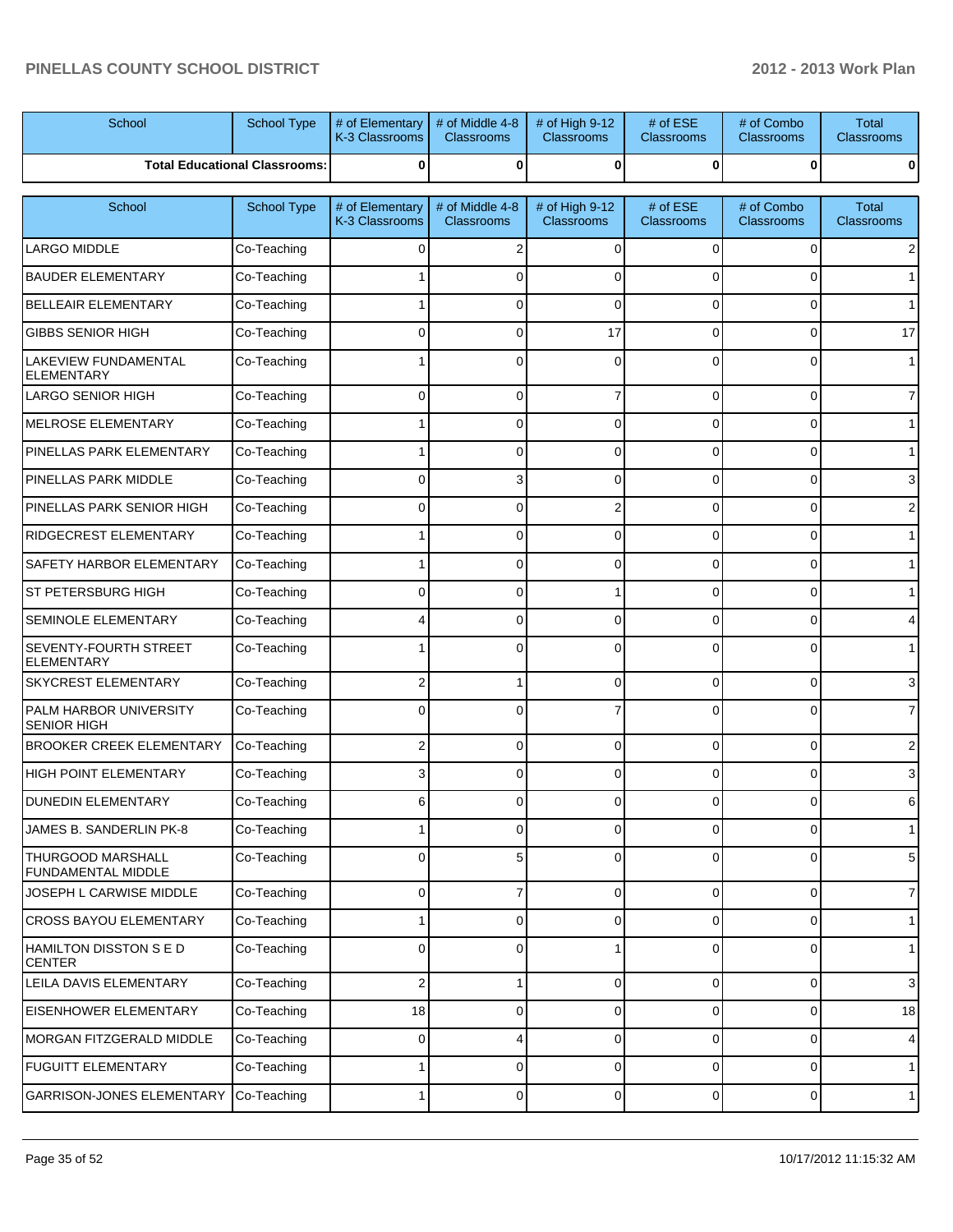| School                                                | School Type                          | # of Elementary<br>K-3 Classrooms | # of Middle 4-8<br>Classrooms        | # of High 9-12<br>Classrooms        | # of ESE<br>Classrooms | # of Combo<br>Classrooms        | <b>Total</b><br><b>Classrooms</b> |
|-------------------------------------------------------|--------------------------------------|-----------------------------------|--------------------------------------|-------------------------------------|------------------------|---------------------------------|-----------------------------------|
|                                                       | <b>Total Educational Classrooms:</b> | $\Omega$                          | 0                                    | $\bf{0}$                            | $\Omega$               | $\bf{0}$                        | 0                                 |
| School                                                | School Type                          | # of Elementary<br>K-3 Classrooms | # of Middle 4-8<br><b>Classrooms</b> | # of High 9-12<br><b>Classrooms</b> | # of ESE<br>Classrooms | # of Combo<br><b>Classrooms</b> | <b>Total</b><br><b>Classrooms</b> |
| LARGO MIDDLE                                          | Co-Teaching                          | $\Omega$                          | 2                                    | $\mathbf{0}$                        | $\Omega$               | $\Omega$                        | 2                                 |
| <b>BAUDER ELEMENTARY</b>                              | Co-Teaching                          |                                   | $\Omega$                             | O                                   | $\Omega$               |                                 |                                   |
| <b>BELLEAIR ELEMENTARY</b>                            | Co-Teaching                          |                                   | $\Omega$                             | $\Omega$                            | $\Omega$               | $\Omega$                        |                                   |
| <b>GIBBS SENIOR HIGH</b>                              | Co-Teaching                          | $\Omega$                          | $\Omega$                             | 17                                  | $\Omega$               | $\Omega$                        | 17                                |
| <b>LAKEVIEW FUNDAMENTAL</b><br><b>ELEMENTARY</b>      | Co-Teaching                          |                                   | $\Omega$                             | $\Omega$                            | $\Omega$               | $\Omega$                        |                                   |
| <b>LARGO SENIOR HIGH</b>                              | Co-Teaching                          | $\Omega$                          | 0                                    | 7                                   | $\Omega$               | 0                               | 7                                 |
| <b>MELROSE ELEMENTARY</b>                             | Co-Teaching                          |                                   | 0                                    | U                                   | $\Omega$               | $\Omega$                        | 1                                 |
| PINELLAS PARK ELEMENTARY                              | Co-Teaching                          |                                   | 0                                    | 0                                   | $\Omega$               | $\Omega$                        | 1                                 |
| PINELLAS PARK MIDDLE                                  | Co-Teaching                          | $\Omega$                          | 3                                    | O                                   | $\Omega$               | $\Omega$                        | 3                                 |
| PINELLAS PARK SENIOR HIGH                             | Co-Teaching                          | $\Omega$                          | 0                                    |                                     | $\Omega$               | 0                               | $\overline{2}$                    |
| <b>RIDGECREST ELEMENTARY</b>                          | Co-Teaching                          |                                   | 0                                    | O                                   | $\Omega$               | $\Omega$                        | 1                                 |
| <b>SAFETY HARBOR ELEMENTARY</b>                       | Co-Teaching                          |                                   | 0                                    | O                                   | $\Omega$               | 0                               | 1                                 |
| <b>ST PETERSBURG HIGH</b>                             | Co-Teaching                          | 0                                 | 0                                    |                                     | $\Omega$               | 0                               | 1                                 |
| <b>SEMINOLE ELEMENTARY</b>                            | Co-Teaching                          |                                   | 0                                    | 0                                   | $\Omega$               | 0                               | 4                                 |
| SEVENTY-FOURTH STREET<br><b>ELEMENTARY</b>            | Co-Teaching                          |                                   | 0                                    | O                                   | $\Omega$               | 0                               | 1                                 |
| <b>SKYCREST ELEMENTARY</b>                            | Co-Teaching                          | 2                                 |                                      | $\Omega$                            | $\Omega$               | $\Omega$                        | 3                                 |
| PALM HARBOR UNIVERSITY<br><b>SENIOR HIGH</b>          | Co-Teaching                          | $\Omega$                          | $\Omega$                             |                                     | $\Omega$               | $\Omega$                        | $\overline{7}$                    |
| <b>BROOKER CREEK ELEMENTARY</b>                       | Co-Teaching                          | $\overline{2}$                    | 0                                    | 0                                   | $\mathbf 0$            | 0                               | $\overline{2}$                    |
| HIGH POINT ELEMENTARY                                 | Co-Teaching                          | 3                                 | $\Omega$                             | $\Omega$                            | $\Omega$               | $\Omega$                        | 3                                 |
| <b>DUNEDIN ELEMENTARY</b>                             | Co-Teaching                          | 6                                 | 0                                    | $\Omega$                            | $\Omega$               | 0                               | 6                                 |
| JAMES B. SANDERLIN PK-8                               | Co-Teaching                          |                                   | 0                                    | 0                                   | $\Omega$               | 0                               | 1                                 |
| <b>THURGOOD MARSHALL</b><br><b>FUNDAMENTAL MIDDLE</b> | Co-Teaching                          | $\mathbf 0$                       | 5                                    | 0                                   | $\Omega$               | 0                               | $5\phantom{.0}$                   |
| JOSEPH L CARWISE MIDDLE                               | Co-Teaching                          | $\mathbf 0$                       | 7                                    | 0                                   | $\mathbf 0$            | 0                               | $\overline{7}$                    |
| <b>CROSS BAYOU ELEMENTARY</b>                         | Co-Teaching                          |                                   | 0                                    | 0                                   | $\Omega$               | 0                               | 1                                 |
| HAMILTON DISSTON S E D<br><b>CENTER</b>               | Co-Teaching                          | $\mathbf 0$                       | 0                                    |                                     | $\Omega$               | 0                               | 1                                 |
| LEILA DAVIS ELEMENTARY                                | Co-Teaching                          | $\overline{c}$                    | 1.                                   | 0                                   | $\mathbf 0$            | 0                               | 3                                 |
| <b>EISENHOWER ELEMENTARY</b>                          | Co-Teaching                          | 18                                | 0                                    | 0                                   | $\mathbf 0$            | 0                               | 18                                |
| <b>MORGAN FITZGERALD MIDDLE</b>                       | Co-Teaching                          | 0                                 | 4                                    | 0                                   | 0                      | 0                               | $\overline{4}$                    |
| <b>FUGUITT ELEMENTARY</b>                             | Co-Teaching                          |                                   | 0                                    | 0                                   | $\mathbf 0$            | 0                               | 1                                 |
| GARRISON-JONES ELEMENTARY                             | Co-Teaching                          | 1                                 | 0                                    | 0                                   | $\mathbf 0$            | 0                               | 1                                 |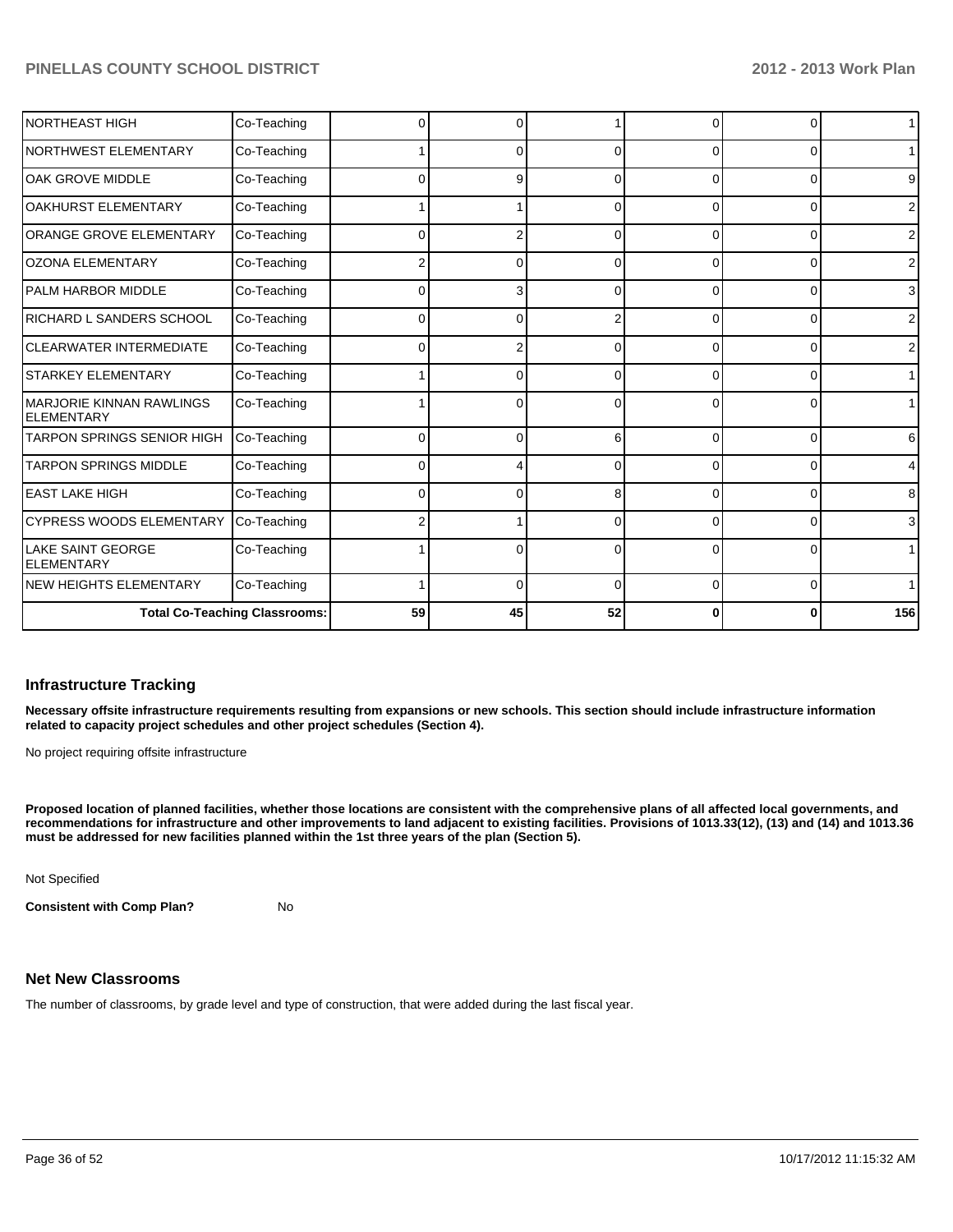| <b>NORTHEAST HIGH</b>                         | Co-Teaching                          | 0  | n        |          |          | ∩        | 1              |
|-----------------------------------------------|--------------------------------------|----|----------|----------|----------|----------|----------------|
| NORTHWEST ELEMENTARY                          | Co-Teaching                          |    | 0        | 0        | $\Omega$ | 0        | $\mathbf{1}$   |
| OAK GROVE MIDDLE                              | Co-Teaching                          | 0  | 9        | 0        | $\Omega$ | $\Omega$ | 9              |
| <b>OAKHURST ELEMENTARY</b>                    | Co-Teaching                          |    |          | 0        | $\Omega$ | 0        | $\overline{2}$ |
| ORANGE GROVE ELEMENTARY                       | Co-Teaching                          | 0  | 2        | 0        | $\Omega$ | 0        | $\overline{2}$ |
| <b>OZONA ELEMENTARY</b>                       | Co-Teaching                          |    | 0        | 0        | 0        | 0        | $\overline{2}$ |
| <b>PALM HARBOR MIDDLE</b>                     | Co-Teaching                          | 0  | 3        | 0        | 0        | $\Omega$ | 3              |
| <b>RICHARD L SANDERS SCHOOL</b>               | Co-Teaching                          | 0  | 0        | 2        | 0        | 0        | $\overline{2}$ |
| <b>CLEARWATER INTERMEDIATE</b>                | Co-Teaching                          | 0  | 2        | 0        | 0        | 0        | $\overline{2}$ |
| <b>STARKEY ELEMENTARY</b>                     | Co-Teaching                          |    | 0        | ∩        | 0        | $\Omega$ | 1 <sup>1</sup> |
| MARJORIE KINNAN RAWLINGS<br><b>ELEMENTARY</b> | Co-Teaching                          |    | 0        | ∩        | 0        | $\Omega$ | 1              |
| <b>TARPON SPRINGS SENIOR HIGH</b>             | Co-Teaching                          | 0  | 0        | 6        | U        | $\Omega$ | 6              |
| <b>TARPON SPRINGS MIDDLE</b>                  | Co-Teaching                          | 0  |          |          |          | 0        | $\overline{4}$ |
| IEAST LAKE HIGH                               | Co-Teaching                          | 0  | U        | 8        | 0        | 0        | 8              |
| CYPRESS WOODS ELEMENTARY                      | Co-Teaching                          |    |          | O        | 0        | 0        | $\overline{3}$ |
| LLAKE SAINT GEORGE<br><b>ELEMENTARY</b>       | Co-Teaching                          |    | 0        | 0        | $\Omega$ | 0        | 1 <sup>1</sup> |
| NEW HEIGHTS ELEMENTARY                        | Co-Teaching                          |    | $\Omega$ | $\Omega$ | $\Omega$ | $\Omega$ | 1              |
|                                               | <b>Total Co-Teaching Classrooms:</b> | 59 | 45       | 52       |          |          | 156            |

#### **Infrastructure Tracking**

**Necessary offsite infrastructure requirements resulting from expansions or new schools. This section should include infrastructure information related to capacity project schedules and other project schedules (Section 4).**

No project requiring offsite infrastructure

**Proposed location of planned facilities, whether those locations are consistent with the comprehensive plans of all affected local governments, and recommendations for infrastructure and other improvements to land adjacent to existing facilities. Provisions of 1013.33(12), (13) and (14) and 1013.36 must be addressed for new facilities planned within the 1st three years of the plan (Section 5).**

Not Specified

**Consistent with Comp Plan?** No

#### **Net New Classrooms**

The number of classrooms, by grade level and type of construction, that were added during the last fiscal year.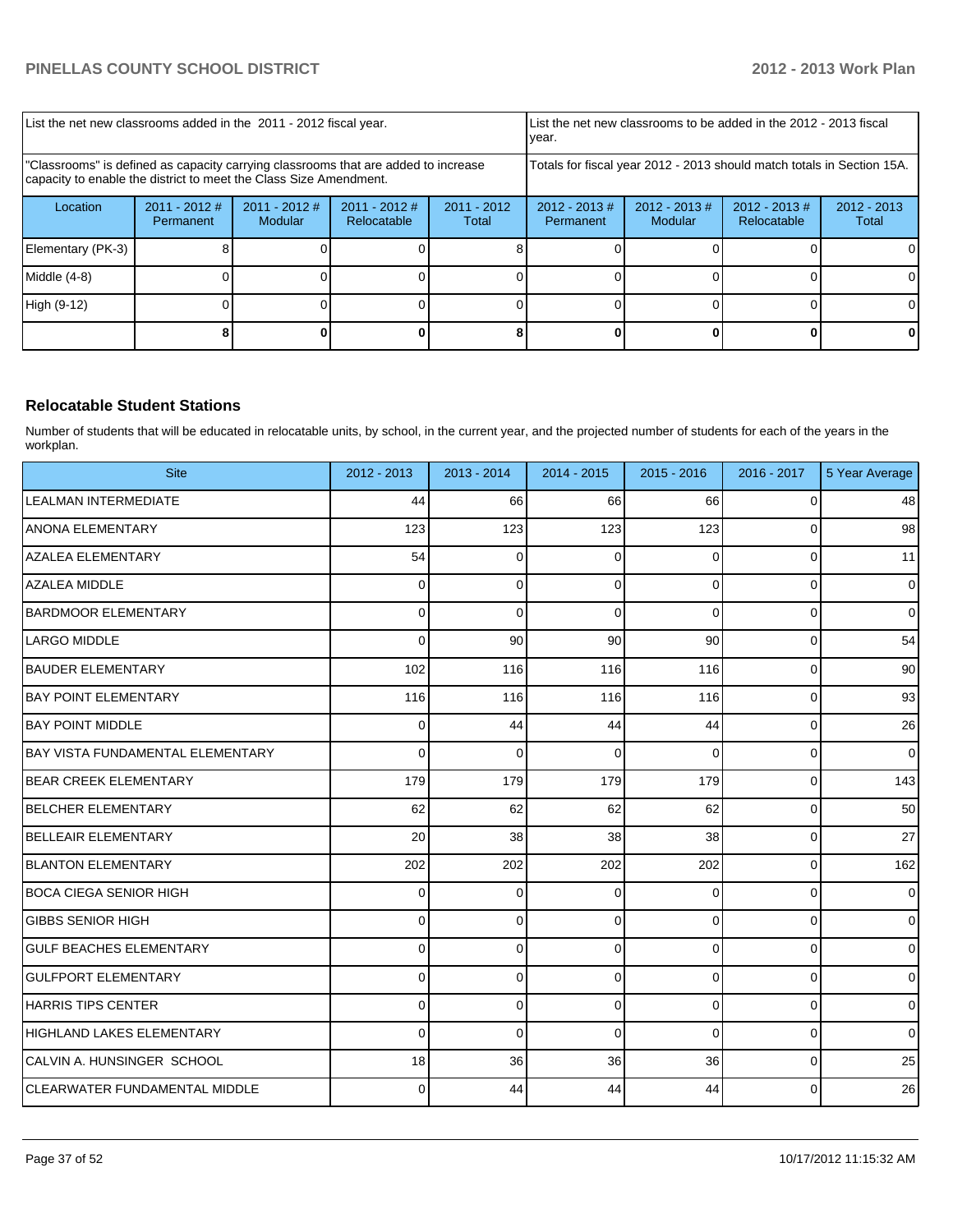| List the net new classrooms added in the 2011 - 2012 fiscal year.                                                                                       |                              |                            | Ivear.                         |                        | List the net new classrooms to be added in the 2012 - 2013 fiscal      |                             |                                |                        |
|---------------------------------------------------------------------------------------------------------------------------------------------------------|------------------------------|----------------------------|--------------------------------|------------------------|------------------------------------------------------------------------|-----------------------------|--------------------------------|------------------------|
| "Classrooms" is defined as capacity carrying classrooms that are added to increase<br>capacity to enable the district to meet the Class Size Amendment. |                              |                            |                                |                        | Totals for fiscal year 2012 - 2013 should match totals in Section 15A. |                             |                                |                        |
| Location                                                                                                                                                | $2011 - 2012$ #<br>Permanent | $2011 - 2012$ #<br>Modular | $2011 - 2012$ #<br>Relocatable | $2011 - 2012$<br>Total | $2012 - 2013$ #<br>Permanent                                           | $2012 - 2013 \#$<br>Modular | $2012 - 2013$ #<br>Relocatable | $2012 - 2013$<br>Total |
| Elementary (PK-3)                                                                                                                                       |                              |                            |                                |                        |                                                                        |                             |                                |                        |
| Middle (4-8)                                                                                                                                            |                              |                            |                                |                        |                                                                        |                             |                                |                        |
| High (9-12)                                                                                                                                             |                              |                            |                                |                        |                                                                        |                             |                                |                        |
|                                                                                                                                                         |                              |                            |                                |                        |                                                                        |                             |                                |                        |

#### **Relocatable Student Stations**

Number of students that will be educated in relocatable units, by school, in the current year, and the projected number of students for each of the years in the workplan.

| <b>Site</b>                      | 2012 - 2013 | 2013 - 2014 | 2014 - 2015 | $2015 - 2016$ | 2016 - 2017    | 5 Year Average |
|----------------------------------|-------------|-------------|-------------|---------------|----------------|----------------|
| <b>LEALMAN INTERMEDIATE</b>      | 44          | 66          | 66          | 66            | 0              | 48             |
| <b>ANONA ELEMENTARY</b>          | 123         | 123         | 123         | 123           | $\overline{0}$ | 98             |
| <b>AZALEA ELEMENTARY</b>         | 54          | 0           | $\Omega$    | 0             | 0              | 11             |
| AZALEA MIDDLE                    | 0           | 0           | 0           | 0             | 0              | $\pmb{0}$      |
| <b>BARDMOOR ELEMENTARY</b>       | 0           | $\mathbf 0$ | $\Omega$    | $\Omega$      | 0              | $\mathbf 0$    |
| <b>LARGO MIDDLE</b>              | 0           | 90          | 90          | 90            | $\overline{0}$ | 54             |
| <b>BAUDER ELEMENTARY</b>         | 102         | 116         | 116         | 116           | 0              | 90             |
| <b>IBAY POINT ELEMENTARY</b>     | 116         | 116         | 116         | 116           | 0              | 93             |
| <b>BAY POINT MIDDLE</b>          | 0           | 44          | 44          | 44            | 0              | 26             |
| BAY VISTA FUNDAMENTAL ELEMENTARY | 0           | $\Omega$    | $\Omega$    | $\Omega$      | 0              | $\mathbf 0$    |
| <b>IBEAR CREEK ELEMENTARY</b>    | 179         | 179         | 179         | 179           | 0              | 143            |
| <b>BELCHER ELEMENTARY</b>        | 62          | 62          | 62          | 62            | 0              | 50             |
| BELLEAIR ELEMENTARY              | 20          | 38          | 38          | 38            | 0              | 27             |
| <b>BLANTON ELEMENTARY</b>        | 202         | 202         | 202         | 202           | 0              | 162            |
| BOCA CIEGA SENIOR HIGH           | 0           | $\mathbf 0$ | 0           | 0             | 0              | $\mathbf 0$    |
| <b>GIBBS SENIOR HIGH</b>         | $\Omega$    | $\Omega$    | $\Omega$    | $\Omega$      | $\Omega$       | $\Omega$       |
| <b>GULF BEACHES ELEMENTARY</b>   | 0           | 0           | $\Omega$    | 0             | 0              | $\mathbf 0$    |
| <b>GULFPORT ELEMENTARY</b>       | 0           | $\mathbf 0$ | $\Omega$    | $\Omega$      | 0              | $\mathbf 0$    |
| HARRIS TIPS CENTER               | 0           | 0           | $\Omega$    | $\Omega$      | 0              | $\mathbf 0$    |
| HIGHLAND LAKES ELEMENTARY        | 0           | 0           | $\Omega$    | 0             | 0              | $\mathbf 0$    |
| CALVIN A. HUNSINGER SCHOOL       | 18          | 36          | 36          | 36            | 0              | 25             |
| ICLEARWATER FUNDAMENTAL MIDDLE   | 0           | 44          | 44          | 44            | $\overline{0}$ | 26             |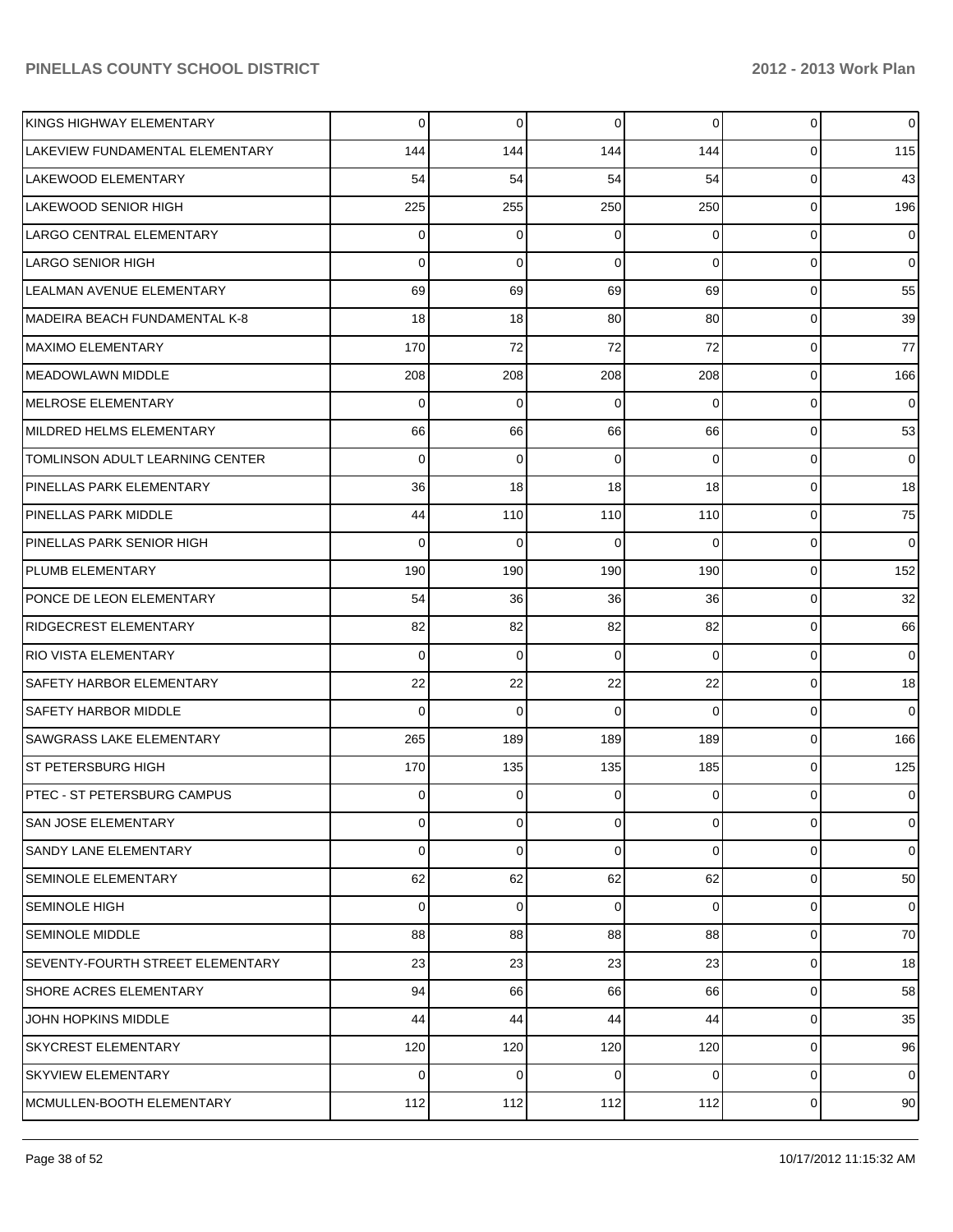| KINGS HIGHWAY ELEMENTARY           | $\Omega$       | 0           | 0           | $\overline{0}$ | $\overline{0}$ | $\overline{0}$ |
|------------------------------------|----------------|-------------|-------------|----------------|----------------|----------------|
| LAKEVIEW FUNDAMENTAL ELEMENTARY    | 144            | 144         | 144         | 144            | $\mathbf{0}$   | 115            |
| LAKEWOOD ELEMENTARY                | 54             | 54          | 54          | 54             | $\overline{0}$ | 43             |
| LAKEWOOD SENIOR HIGH               | 225            | 255         | 250         | 250            | $\overline{0}$ | 196            |
| LARGO CENTRAL ELEMENTARY           | 0              | 0           | 0           | $\Omega$       | $\overline{0}$ | $\overline{0}$ |
| <b>LARGO SENIOR HIGH</b>           | 0              | $\mathbf 0$ | 0           | $\Omega$       | $\overline{0}$ | $\overline{0}$ |
| LEALMAN AVENUE ELEMENTARY          | 69             | 69          | 69          | 69             | $\overline{0}$ | 55             |
| MADEIRA BEACH FUNDAMENTAL K-8      | 18             | 18          | 80          | 80             | $\overline{0}$ | 39             |
| <b>MAXIMO ELEMENTARY</b>           | 170            | 72          | 72          | 72             | $\overline{0}$ | 77             |
| <b>MEADOWLAWN MIDDLE</b>           | 208            | 208         | 208         | 208            | $\overline{0}$ | 166            |
| MELROSE ELEMENTARY                 | 0              | 0           | 0           | $\Omega$       | $\overline{0}$ | $\overline{0}$ |
| MILDRED HELMS ELEMENTARY           | 66             | 66          | 66          | 66             | $\overline{0}$ | 53             |
| TOMLINSON ADULT LEARNING CENTER    | 0              | 0           | 0           | $\Omega$       | $\overline{0}$ | $\overline{0}$ |
| PINELLAS PARK ELEMENTARY           | 36             | 18          | 18          | 18             | $\overline{0}$ | 18             |
| PINELLAS PARK MIDDLE               | 44             | 110         | 110         | 110            | $\overline{0}$ | 75             |
| PINELLAS PARK SENIOR HIGH          | 0              | $\mathbf 0$ | 0           | $\Omega$       | $\overline{0}$ | $\overline{0}$ |
| PLUMB ELEMENTARY                   | 190            | 190         | 190         | 190            | $\overline{0}$ | 152            |
| PONCE DE LEON ELEMENTARY           | 54             | 36          | 36          | 36             | $\overline{0}$ | 32             |
| <b>RIDGECREST ELEMENTARY</b>       | 82             | 82          | 82          | 82             | $\overline{0}$ | 66             |
| <b>RIO VISTA ELEMENTARY</b>        | 0              | 0           | $\mathbf 0$ | $\Omega$       | $\overline{0}$ | $\overline{0}$ |
| SAFETY HARBOR ELEMENTARY           | 22             | 22          | 22          | 22             | $\overline{0}$ | 18             |
| <b>SAFETY HARBOR MIDDLE</b>        | 0              | 0           | 0           | $\Omega$       | $\overline{0}$ | $\overline{0}$ |
| <b>SAWGRASS LAKE ELEMENTARY</b>    | 265            | 189         | 189         | 189            | $\overline{0}$ | 166            |
| <b>ST PETERSBURG HIGH</b>          | 170            | 135         | 135         | 185            | $\overline{0}$ | 125            |
| <b>PTEC - ST PETERSBURG CAMPUS</b> | 0              | 0           | 0           | 0              | 0              | $\overline{0}$ |
| SAN JOSE ELEMENTARY                | $\overline{0}$ | 0           | 0           | $\overline{0}$ | $\mathbf 0$    | $\overline{0}$ |
| SANDY LANE ELEMENTARY              | 0              | 0           | 0           | $\overline{0}$ | $\mathbf{0}$   | $\overline{0}$ |
| SEMINOLE ELEMENTARY                | 62             | 62          | 62          | 62             | $\mathbf 0$    | 50             |
| <b>SEMINOLE HIGH</b>               | 0              | $\mathbf 0$ | 0           | $\overline{0}$ | $\mathbf 0$    | $\overline{0}$ |
| <b>SEMINOLE MIDDLE</b>             | 88             | 88          | 88          | 88             | $\mathbf 0$    | 70             |
| SEVENTY-FOURTH STREET ELEMENTARY   | 23             | 23          | 23          | 23             | $\mathbf{0}$   | 18             |
| SHORE ACRES ELEMENTARY             | 94             | 66          | 66          | 66             | $\mathbf 0$    | 58             |
| JOHN HOPKINS MIDDLE                | 44             | 44          | 44          | 44             | $\mathbf 0$    | 35             |
| <b>SKYCREST ELEMENTARY</b>         | 120            | 120         | 120         | 120            | 0              | 96             |
| SKYVIEW ELEMENTARY                 | $\Omega$       | 0           | 0           | $\overline{0}$ | 0              | $\overline{0}$ |
| MCMULLEN-BOOTH ELEMENTARY          | 112            | 112         | 112         | 112            | $\mathbf 0$    | 90             |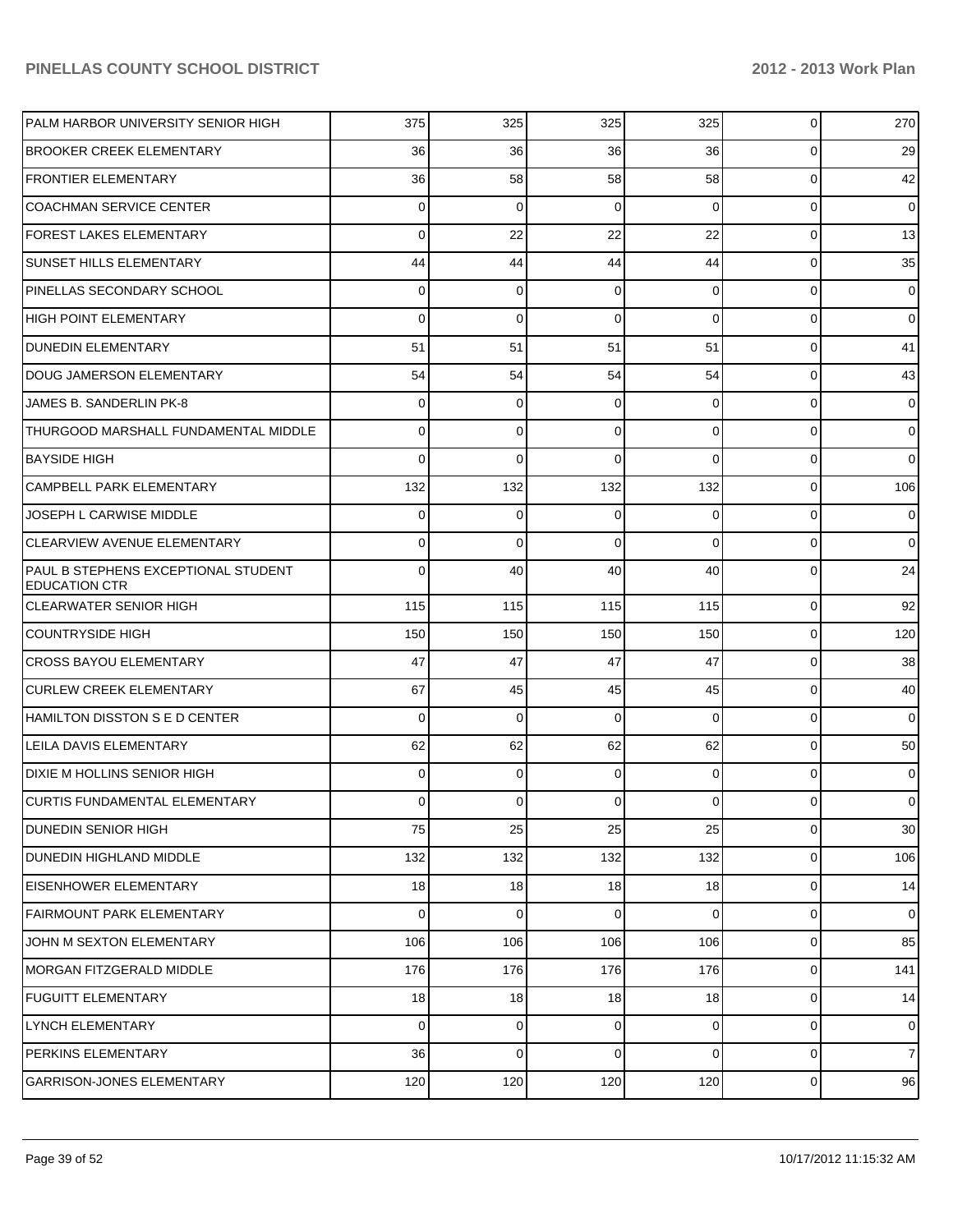| PALM HARBOR UNIVERSITY SENIOR HIGH                          | 375            | 325            | 325            | 325            | $\overline{0}$ | 270            |
|-------------------------------------------------------------|----------------|----------------|----------------|----------------|----------------|----------------|
| <b>BROOKER CREEK ELEMENTARY</b>                             | 36             | 36             | 36             | 36             | $\overline{0}$ | 29             |
| <b>FRONTIER ELEMENTARY</b>                                  | 36             | 58             | 58             | 58             | $\overline{0}$ | 42             |
| <b>COACHMAN SERVICE CENTER</b>                              | $\Omega$       | $\mathbf 0$    | 0              | $\Omega$       | $\overline{0}$ | $\overline{0}$ |
| <b>FOREST LAKES ELEMENTARY</b>                              | $\Omega$       | 22             | 22             | 22             | $\overline{0}$ | 13             |
| <b>SUNSET HILLS ELEMENTARY</b>                              | 44             | 44             | 44             | 44             | $\overline{0}$ | 35             |
| PINELLAS SECONDARY SCHOOL                                   | $\Omega$       | 0              | $\Omega$       | $\Omega$       | $\overline{0}$ | $\overline{0}$ |
| HIGH POINT ELEMENTARY                                       | $\Omega$       | 0              | $\Omega$       | $\Omega$       | $\overline{0}$ | $\overline{0}$ |
| <b>DUNEDIN ELEMENTARY</b>                                   | 51             | 51             | 51             | 51             | $\overline{0}$ | 41             |
| DOUG JAMERSON ELEMENTARY                                    | 54             | 54             | 54             | 54             | $\overline{0}$ | 43             |
| JAMES B. SANDERLIN PK-8                                     | $\Omega$       | 0              | $\Omega$       | $\Omega$       | $\overline{0}$ | $\overline{0}$ |
| THURGOOD MARSHALL FUNDAMENTAL MIDDLE                        | $\Omega$       | 0              | $\Omega$       | $\Omega$       | $\overline{0}$ | $\overline{0}$ |
| <b>BAYSIDE HIGH</b>                                         | $\Omega$       | 0              | $\Omega$       | $\Omega$       | $\overline{0}$ | $\overline{0}$ |
| <b>CAMPBELL PARK ELEMENTARY</b>                             | 132            | 132            | 132            | 132            | $\overline{0}$ | 106            |
| JOSEPH L CARWISE MIDDLE                                     | $\Omega$       | 0              | $\Omega$       | $\Omega$       | $\overline{0}$ | $\overline{0}$ |
| <b>CLEARVIEW AVENUE ELEMENTARY</b>                          | $\Omega$       | $\mathbf 0$    | $\Omega$       | $\Omega$       | $\overline{0}$ | $\overline{0}$ |
| PAUL B STEPHENS EXCEPTIONAL STUDENT<br><b>EDUCATION CTR</b> | $\Omega$       | 40             | 40             | 40             | $\overline{0}$ | 24             |
| <b>CLEARWATER SENIOR HIGH</b>                               | 115            | 115            | 115            | 115            | $\overline{0}$ | 92             |
| COUNTRYSIDE HIGH                                            | 150            | 150            | 150            | 150            | $\overline{0}$ | 120            |
| <b>CROSS BAYOU ELEMENTARY</b>                               | 47             | 47             | 47             | 47             | $\overline{0}$ | 38             |
| <b>CURLEW CREEK ELEMENTARY</b>                              | 67             | 45             | 45             | 45             | $\overline{0}$ | 40             |
| HAMILTON DISSTON S E D CENTER                               | $\Omega$       | 0              | $\Omega$       | $\Omega$       | $\overline{0}$ | $\overline{0}$ |
| LEILA DAVIS ELEMENTARY                                      | 62             | 62             | 62             | 62             | $\overline{0}$ | 50             |
| DIXIE M HOLLINS SENIOR HIGH                                 | $\Omega$       | $\mathbf 0$    | $\Omega$       | $\Omega$       | $\overline{0}$ | $\overline{0}$ |
| CURTIS FUNDAMENTAL ELEMENTARY                               | $\overline{0}$ | $\overline{0}$ | $\overline{0}$ | $\overline{0}$ | $\overline{0}$ | $\mathbf 0$    |
| DUNEDIN SENIOR HIGH                                         | 75             | 25             | 25             | 25             | $\overline{0}$ | 30             |
| DUNEDIN HIGHLAND MIDDLE                                     | 132            | 132            | 132            | 132            | $\overline{0}$ | 106            |
| EISENHOWER ELEMENTARY                                       | 18             | 18             | 18             | 18             | $\overline{0}$ | 14             |
| FAIRMOUNT PARK ELEMENTARY                                   | $\Omega$       | $\mathbf 0$    | $\mathbf 0$    | $\overline{0}$ | $\overline{0}$ | $\overline{0}$ |
| JOHN M SEXTON ELEMENTARY                                    | 106            | 106            | 106            | 106            | $\overline{0}$ | 85             |
| MORGAN FITZGERALD MIDDLE                                    | 176            | 176            | 176            | 176            | $\overline{0}$ | 141            |
| <b>FUGUITT ELEMENTARY</b>                                   | 18             | 18             | 18             | 18             | $\overline{0}$ | 14             |
| LYNCH ELEMENTARY                                            | $\Omega$       | $\overline{0}$ | $\mathbf 0$    | $\overline{0}$ | $\overline{0}$ | $\overline{0}$ |
| <b>PERKINS ELEMENTARY</b>                                   | 36             | 0              | $\mathbf 0$    | $\Omega$       | $\overline{0}$ | $\overline{7}$ |
| <b>GARRISON-JONES ELEMENTARY</b>                            | 120            | 120            | 120            | 120            | $\mathbf 0$    | 96             |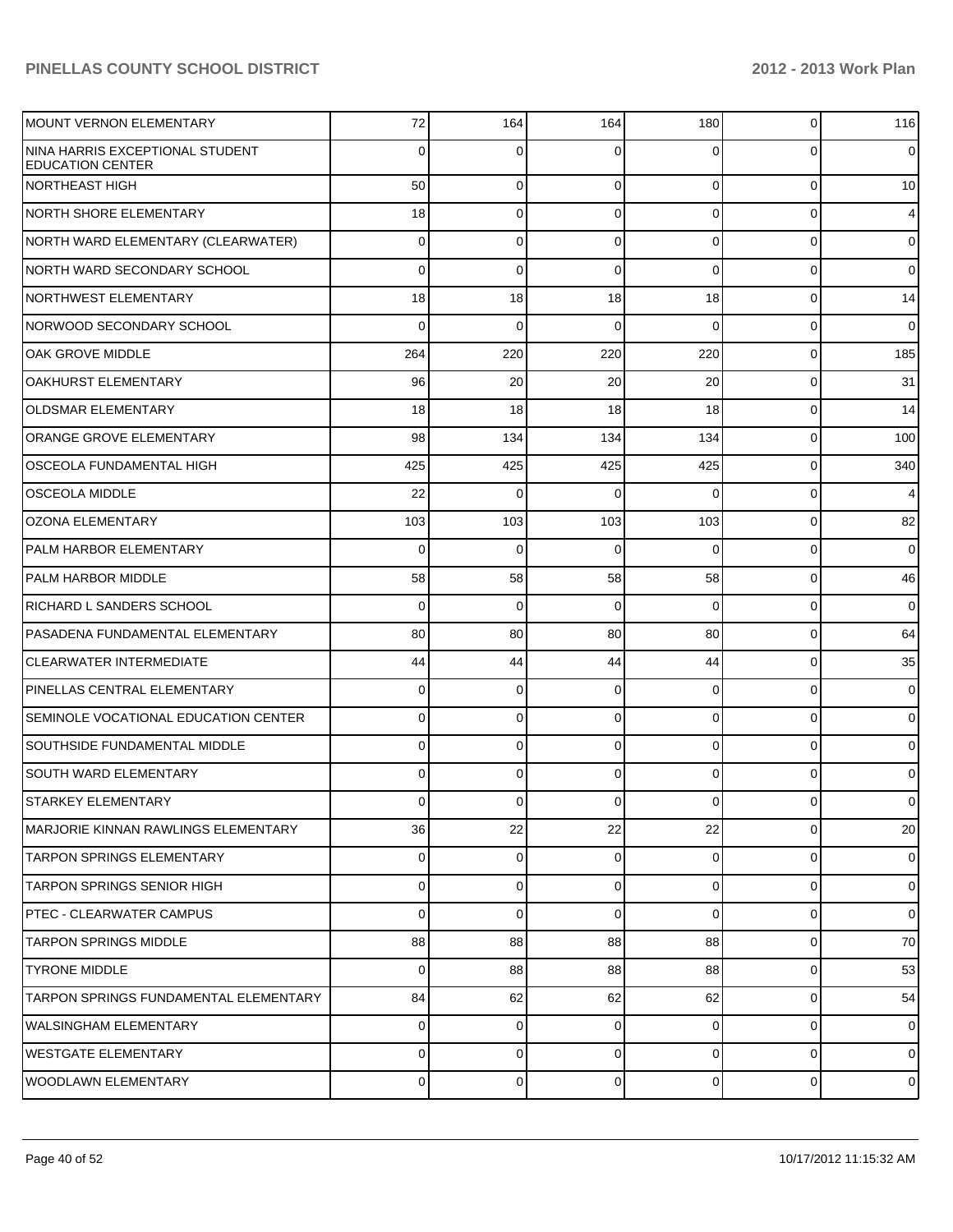| MOUNT VERNON ELEMENTARY                                    | 72             | 164            | 164            | 180            | $\overline{0}$ | 116            |
|------------------------------------------------------------|----------------|----------------|----------------|----------------|----------------|----------------|
| NINA HARRIS EXCEPTIONAL STUDENT<br><b>EDUCATION CENTER</b> | 0              | $\Omega$       | 0              |                | $\Omega$       | $\overline{0}$ |
| NORTHEAST HIGH                                             | 50             | $\mathbf 0$    | 0              | $\Omega$       | $\Omega$       | 10             |
| NORTH SHORE ELEMENTARY                                     | 18             | $\mathbf 0$    | 0              | $\Omega$       | $\Omega$       | $\overline{4}$ |
| NORTH WARD ELEMENTARY (CLEARWATER)                         | 0              | $\mathbf 0$    | 0              | $\overline{0}$ | $\Omega$       | 0              |
| INORTH WARD SECONDARY SCHOOL                               | $\Omega$       | $\mathbf 0$    | 0              | $\Omega$       | $\Omega$       | $\overline{0}$ |
| NORTHWEST ELEMENTARY                                       | 18             | 18             | 18             | 18             | $\mathbf 0$    | 14             |
| NORWOOD SECONDARY SCHOOL                                   | $\Omega$       | $\Omega$       | 0              | $\Omega$       | $\Omega$       | $\mathbf 0$    |
| <b>OAK GROVE MIDDLE</b>                                    | 264            | 220            | 220            | 220            | $\Omega$       | 185            |
| <b>OAKHURST ELEMENTARY</b>                                 | 96             | 20             | 20             | 20             | $\Omega$       | 31             |
| <b>OLDSMAR ELEMENTARY</b>                                  | 18             | 18             | 18             | 18             | $\Omega$       | 14             |
| <b>ORANGE GROVE ELEMENTARY</b>                             | 98             | 134            | 134            | 134            | $\Omega$       | 100            |
| <b>OSCEOLA FUNDAMENTAL HIGH</b>                            | 425            | 425            | 425            | 425            | $\mathbf 0$    | 340            |
| <b>OSCEOLA MIDDLE</b>                                      | 22             | $\Omega$       | 0              | $\Omega$       | $\Omega$       | $\overline{4}$ |
| <b>OZONA ELEMENTARY</b>                                    | 103            | 103            | 103            | 103            | $\mathbf 0$    | 82             |
| PALM HARBOR ELEMENTARY                                     | $\Omega$       | $\mathbf 0$    | $\Omega$       | $\Omega$       | $\Omega$       | $\mathbf 0$    |
| <b>PALM HARBOR MIDDLE</b>                                  | 58             | 58             | 58             | 58             | $\Omega$       | 46             |
| RICHARD L SANDERS SCHOOL                                   | 0              | 0              | 0              | $\Omega$       | $\Omega$       | $\mathbf 0$    |
| PASADENA FUNDAMENTAL ELEMENTARY                            | 80             | 80             | 80             | 80             | $\mathbf 0$    | 64             |
| <b>CLEARWATER INTERMEDIATE</b>                             | 44             | 44             | 44             | 44             | $\Omega$       | 35             |
| PINELLAS CENTRAL ELEMENTARY                                | 0              | $\mathbf 0$    | 0              | $\overline{0}$ | $\Omega$       | 0              |
| SEMINOLE VOCATIONAL EDUCATION CENTER                       | 0              | 0              | 0              | $\Omega$       | $\Omega$       | $\overline{0}$ |
| SOUTHSIDE FUNDAMENTAL MIDDLE                               | 0              | $\mathbf 0$    | 0              | $\Omega$       | $\Omega$       | 0              |
| <b>SOUTH WARD ELEMENTARY</b>                               | 0              | 0              | 0              | $\Omega$       | $\mathbf 0$    | 0              |
| <b>STARKEY ELEMENTARY</b>                                  | $\Omega$       | 0              | 0              | $\overline{0}$ | 0              | $\overline{0}$ |
| MARJORIE KINNAN RAWLINGS ELEMENTARY                        | 36             | 22             | 22             | 22             | 0              | 20             |
| <b>TARPON SPRINGS ELEMENTARY</b>                           | $\Omega$       | $\overline{0}$ | $\overline{0}$ | $\overline{0}$ | $\mathbf 0$    | $\overline{0}$ |
| <b>TARPON SPRINGS SENIOR HIGH</b>                          | $\Omega$       | $\mathbf 0$    | 0              | $\overline{0}$ | 0              | $\overline{0}$ |
| PTEC - CLEARWATER CAMPUS                                   | $\Omega$       | 0              | 0              | $\Omega$       | 0              | $\overline{0}$ |
| <b>TARPON SPRINGS MIDDLE</b>                               | 88             | 88             | 88             | 88             | $\mathbf 0$    | 70             |
| <b>TYRONE MIDDLE</b>                                       | $\Omega$       | 88             | 88             | 88             | $\mathbf 0$    | 53             |
| TARPON SPRINGS FUNDAMENTAL ELEMENTARY                      | 84             | 62             | 62             | 62             | 0              | 54             |
| WALSINGHAM ELEMENTARY                                      | $\Omega$       | $\mathbf 0$    | 0              | $\overline{0}$ | 0              | $\overline{0}$ |
| WESTGATE ELEMENTARY                                        | 0              | $\mathbf 0$    | 0              | $\overline{0}$ | $\mathbf 0$    | $\overline{0}$ |
| WOODLAWN ELEMENTARY                                        | $\overline{0}$ | $\mathbf 0$    | 0              | $\overline{0}$ | 0              | $\overline{0}$ |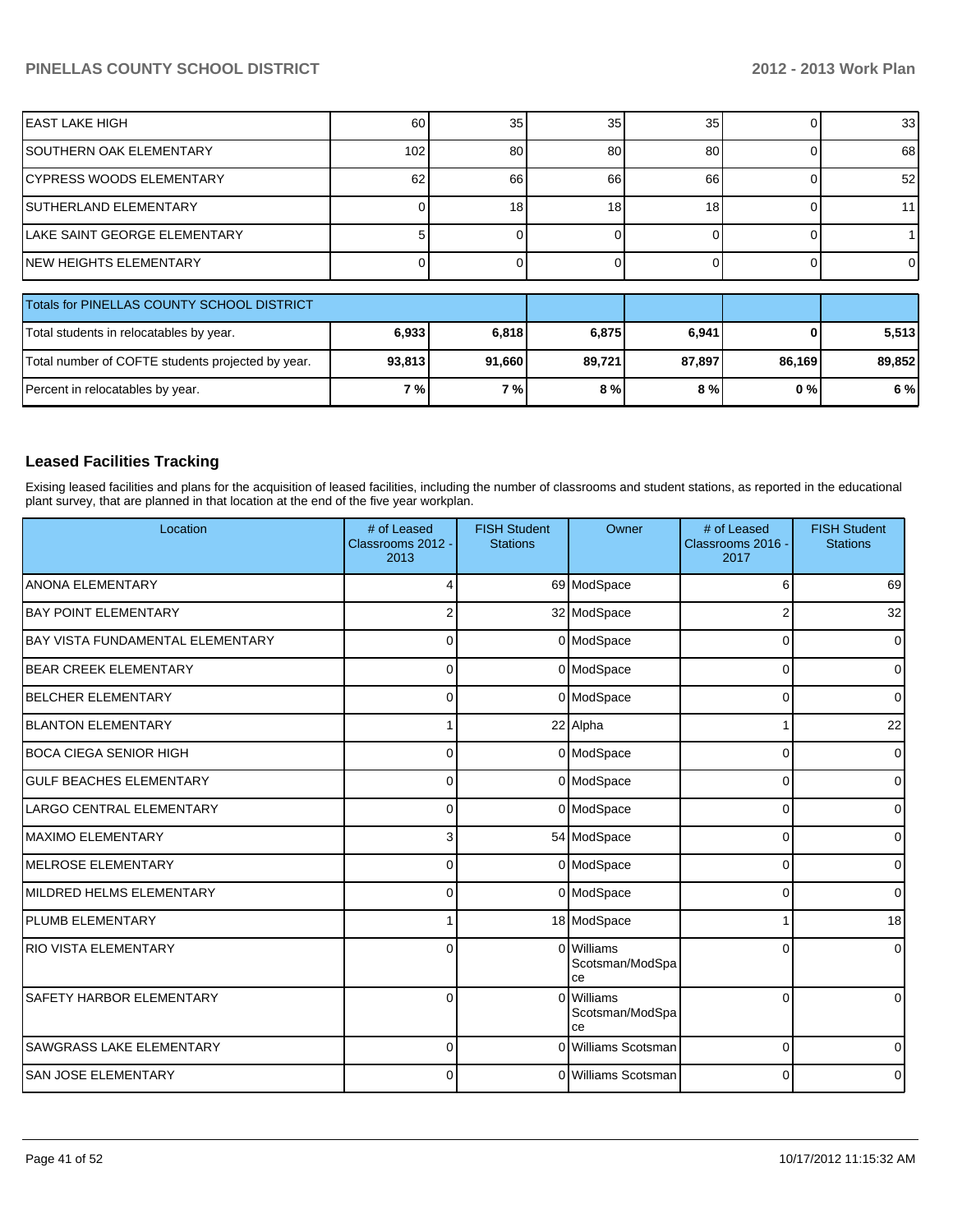| <b>IEAST LAKE HIGH</b>                            | 60     | 35     | 35     | 35     |        | 33     |
|---------------------------------------------------|--------|--------|--------|--------|--------|--------|
| ISOUTHERN OAK ELEMENTARY                          | 102    | 80     | 80     | 80     |        | 68     |
| <b>CYPRESS WOODS ELEMENTARY</b>                   | 62     | 66     | 66     | 66     |        | 52     |
| <b>SUTHERLAND ELEMENTARY</b>                      |        | 18     | 18     | 18     |        |        |
| llake SAINT GEORGE ELEMENTARY                     |        |        |        |        |        |        |
| INEW HEIGHTS ELEMENTARY                           |        |        |        |        |        |        |
| Totals for PINELLAS COUNTY SCHOOL DISTRICT        |        |        |        |        |        |        |
| Total students in relocatables by year.           | 6,933  | 6,818  | 6,875  | 6,941  |        | 5,513  |
| Total number of COFTE students projected by year. | 93,813 | 91,660 | 89,721 | 87,897 | 86,169 | 89,852 |
| Percent in relocatables by year.                  | 7%     | 7%     | 8%     | 8%     | 0%     | 6 %    |

#### **Leased Facilities Tracking**

Exising leased facilities and plans for the acquisition of leased facilities, including the number of classrooms and student stations, as reported in the educational plant survey, that are planned in that location at the end of the five year workplan.

| Location                                | # of Leased<br>Classrooms 2012 -<br>2013 | <b>FISH Student</b><br><b>Stations</b> | Owner                               | # of Leased<br>Classrooms 2016 -<br>2017 | <b>FISH Student</b><br><b>Stations</b> |
|-----------------------------------------|------------------------------------------|----------------------------------------|-------------------------------------|------------------------------------------|----------------------------------------|
| <b>ANONA ELEMENTARY</b>                 |                                          |                                        | 69 ModSpace                         | 6                                        | 69                                     |
| <b>BAY POINT ELEMENTARY</b>             | 2                                        |                                        | 32 ModSpace                         | $\overline{2}$                           | 32                                     |
| <b>BAY VISTA FUNDAMENTAL ELEMENTARY</b> | 0                                        |                                        | 0 ModSpace                          | $\Omega$                                 | 0                                      |
| <b>BEAR CREEK ELEMENTARY</b>            | 0                                        |                                        | 0 ModSpace                          | $\Omega$                                 | 0                                      |
| <b>BELCHER ELEMENTARY</b>               | 0                                        |                                        | 0 ModSpace                          | $\Omega$                                 |                                        |
| <b>BLANTON ELEMENTARY</b>               | 1                                        |                                        | 22 Alpha                            | 1                                        | 22                                     |
| <b>BOCA CIEGA SENIOR HIGH</b>           | 0                                        |                                        | 0 ModSpace                          | $\mathbf 0$                              | $\Omega$                               |
| <b>GULF BEACHES ELEMENTARY</b>          | $\Omega$                                 |                                        | 0 ModSpace                          | $\Omega$                                 | 0                                      |
| LARGO CENTRAL ELEMENTARY                | 0                                        |                                        | 0 ModSpace                          | $\mathbf 0$                              | 0                                      |
| <b>MAXIMO ELEMENTARY</b>                | 3                                        |                                        | 54 ModSpace                         | $\Omega$                                 | $\Omega$                               |
| <b>MELROSE ELEMENTARY</b>               | $\Omega$                                 |                                        | 0 ModSpace                          | $\Omega$                                 | $\Omega$                               |
| MILDRED HELMS ELEMENTARY                | 0                                        |                                        | 0 ModSpace                          | $\Omega$                                 | 0                                      |
| PLUMB ELEMENTARY                        |                                          |                                        | 18 ModSpace                         |                                          | 18                                     |
| <b>RIO VISTA ELEMENTARY</b>             | $\Omega$                                 |                                        | 0 Williams<br>Scotsman/ModSpa<br>ce | $\Omega$                                 | $\Omega$                               |
| <b>SAFETY HARBOR ELEMENTARY</b>         | $\Omega$                                 |                                        | 0 Williams<br>Scotsman/ModSpa<br>ce | $\Omega$                                 |                                        |
| SAWGRASS LAKE ELEMENTARY                | 0                                        |                                        | 0 Williams Scotsman                 | 0                                        |                                        |
| <b>SAN JOSE ELEMENTARY</b>              | $\Omega$                                 |                                        | 0 Williams Scotsman                 | 0                                        |                                        |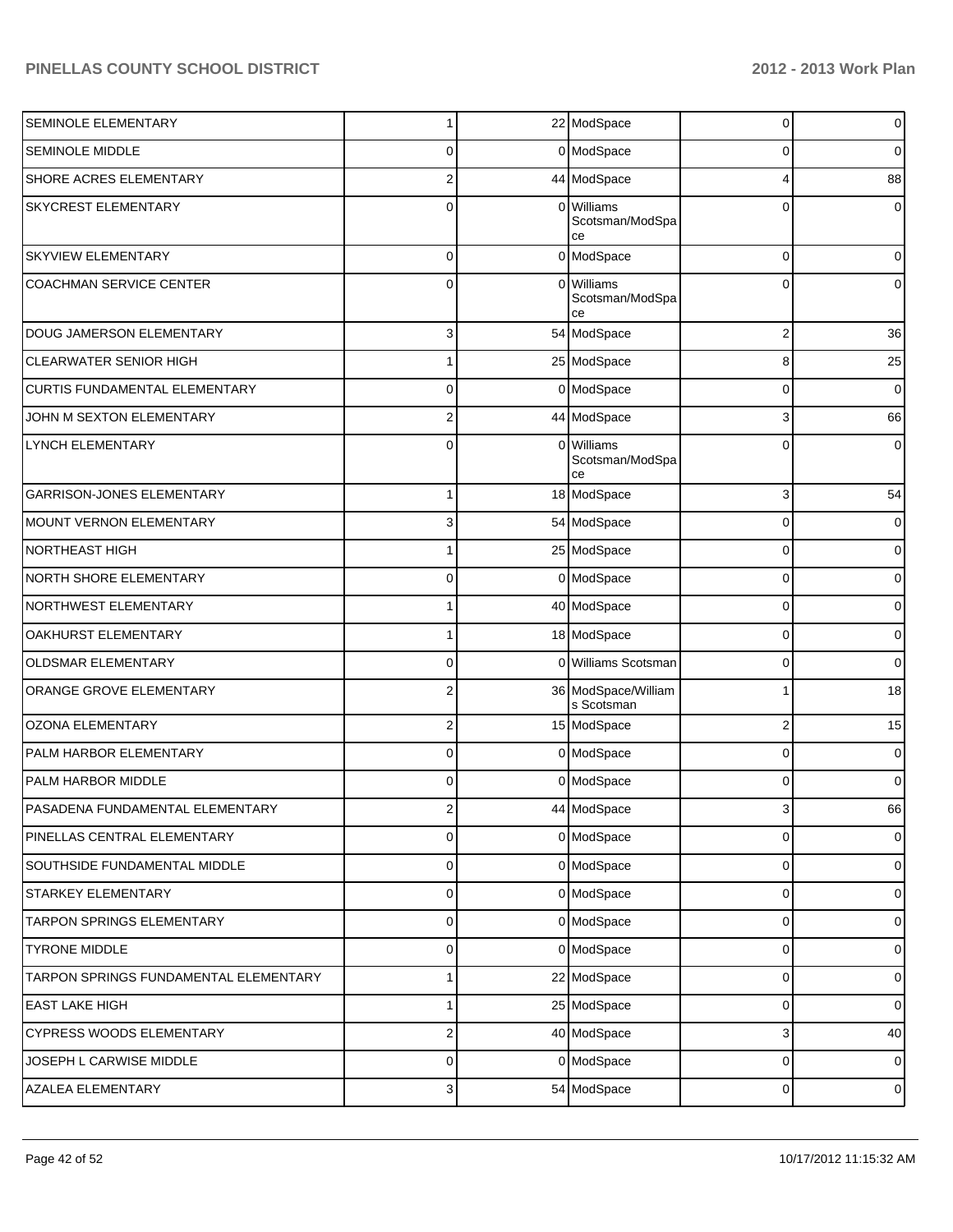| SEMINOLE ELEMENTARY                   | 1              |          | 22 ModSpace                         | 0              | $\mathbf 0$    |
|---------------------------------------|----------------|----------|-------------------------------------|----------------|----------------|
| <b>SEMINOLE MIDDLE</b>                | 0              |          | 0 ModSpace                          | 0              | $\overline{0}$ |
| SHORE ACRES ELEMENTARY                | $\overline{2}$ |          | 44 ModSpace                         | 4              | 88             |
| <b>SKYCREST ELEMENTARY</b>            | $\Omega$       | $\Omega$ | Williams<br>Scotsman/ModSpa<br>ce   | $\Omega$       | 0              |
| <b>SKYVIEW ELEMENTARY</b>             | $\Omega$       |          | 0 ModSpace                          | $\mathbf 0$    | $\overline{0}$ |
| <b>COACHMAN SERVICE CENTER</b>        | 0              | $\Omega$ | Williams<br>Scotsman/ModSpa<br>cе   | $\Omega$       | 0              |
| DOUG JAMERSON ELEMENTARY              | 3              |          | 54 ModSpace                         | $\overline{2}$ | 36             |
| <b>CLEARWATER SENIOR HIGH</b>         | 1              |          | 25 ModSpace                         | 8              | 25             |
| <b>CURTIS FUNDAMENTAL ELEMENTARY</b>  | 0              |          | 0 ModSpace                          | $\mathbf 0$    | $\overline{0}$ |
| JOHN M SEXTON ELEMENTARY              | $\overline{2}$ |          | 44 ModSpace                         | 3              | 66             |
| LYNCH ELEMENTARY                      | $\Omega$       |          | 0 Williams<br>Scotsman/ModSpa<br>ce | $\Omega$       | 0              |
| <b>GARRISON-JONES ELEMENTARY</b>      | 1              |          | 18 ModSpace                         | 3              | 54             |
| <b>MOUNT VERNON ELEMENTARY</b>        | 3              |          | 54 ModSpace                         | 0              | $\overline{0}$ |
| <b>NORTHEAST HIGH</b>                 |                |          | 25 ModSpace                         | 0              | $\overline{0}$ |
| NORTH SHORE ELEMENTARY                | 0              |          | 0 ModSpace                          | 0              | $\overline{0}$ |
| NORTHWEST ELEMENTARY                  |                |          | 40 ModSpace                         | 0              | $\overline{0}$ |
| OAKHURST ELEMENTARY                   |                |          | 18 ModSpace                         | 0              | $\overline{0}$ |
| <b>OLDSMAR ELEMENTARY</b>             | $\Omega$       |          | 0 Williams Scotsman                 | 0              | $\overline{0}$ |
| ORANGE GROVE ELEMENTARY               | $\overline{2}$ |          | 36 ModSpace/William<br>s Scotsman   | 1              | 18             |
| <b>OZONA ELEMENTARY</b>               | $\overline{2}$ |          | 15 ModSpace                         | $\mathbf 2$    | 15             |
| PALM HARBOR ELEMENTARY                | 0              |          | 0 ModSpace                          | 0              | 0              |
| PALM HARBOR MIDDLE                    | 0              |          | 0 ModSpace                          | $\mathbf 0$    | 0              |
| PASADENA FUNDAMENTAL ELEMENTARY       | C<br>۷         |          | 44 ModSpace                         | 3              | 66             |
| PINELLAS CENTRAL ELEMENTARY           | 0              |          | 0 ModSpace                          | 0              | $\overline{0}$ |
| SOUTHSIDE FUNDAMENTAL MIDDLE          | $\overline{0}$ |          | 0 ModSpace                          | 0              | $\overline{0}$ |
| STARKEY ELEMENTARY                    | 0              |          | 0 ModSpace                          | 0              | $\overline{0}$ |
| TARPON SPRINGS ELEMENTARY             | 0              |          | 0 ModSpace                          | 0              | $\overline{0}$ |
| <b>TYRONE MIDDLE</b>                  | 0              |          | 0 ModSpace                          | 0              | $\overline{0}$ |
| TARPON SPRINGS FUNDAMENTAL ELEMENTARY | 1 <sup>1</sup> |          | 22 ModSpace                         | 0              | $\overline{0}$ |
| <b>EAST LAKE HIGH</b>                 | 1 <sup>1</sup> |          | 25 ModSpace                         | 0              | $\overline{0}$ |
| <b>CYPRESS WOODS ELEMENTARY</b>       | $\overline{2}$ |          | 40 ModSpace                         | $\mathbf{3}$   | 40             |
| JOSEPH L CARWISE MIDDLE               | 0              |          | 0 ModSpace                          | 0              | $\overline{0}$ |
| <b>AZALEA ELEMENTARY</b>              | $\overline{3}$ |          | 54 ModSpace                         | 0              | $\circ$        |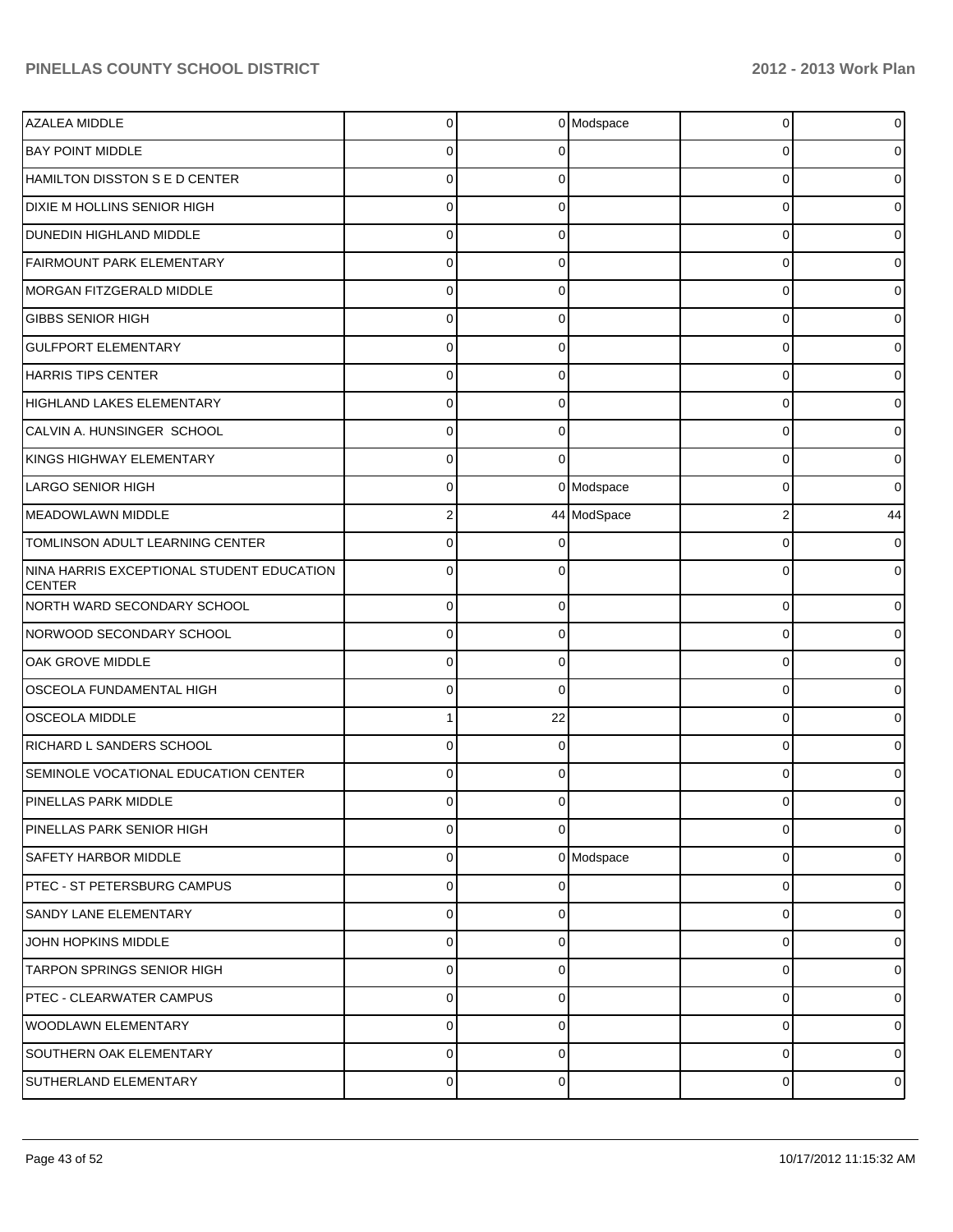| AZALEA MIDDLE                                              | $\Omega$    |          | 0 Modspace  | 0           | $\overline{0}$ |
|------------------------------------------------------------|-------------|----------|-------------|-------------|----------------|
| <b>BAY POINT MIDDLE</b>                                    | 0           |          |             | 0           | 0              |
| HAMILTON DISSTON S E D CENTER                              | U           |          |             | 0           | 0              |
| DIXIE M HOLLINS SENIOR HIGH                                | U           |          |             | 0           | 0              |
| DUNEDIN HIGHLAND MIDDLE                                    | U           |          |             | 0           | 0              |
| FAIRMOUNT PARK ELEMENTARY                                  | 0           |          |             | 0           | 0              |
| MORGAN FITZGERALD MIDDLE                                   | U           |          |             | 0           | 0              |
| <b>GIBBS SENIOR HIGH</b>                                   | 0           |          |             | 0           | 0              |
| <b>GULFPORT ELEMENTARY</b>                                 | U           |          |             | 0           | 0              |
| HARRIS TIPS CENTER                                         | 0           | ſ        |             | 0           | 01             |
| HIGHLAND LAKES ELEMENTARY                                  | O           |          |             | 0           | 0              |
| CALVIN A. HUNSINGER SCHOOL                                 | 0           | ∩        |             | 0           | 0              |
| KINGS HIGHWAY ELEMENTARY                                   | U           | ∩        |             | 0           | 0              |
| <b>LARGO SENIOR HIGH</b>                                   | 0           |          | 0 Modspace  | 0           | 0              |
| MEADOWLAWN MIDDLE                                          |             |          | 44 ModSpace | 2           | 44             |
| TOMLINSON ADULT LEARNING CENTER                            | U           |          |             | $\Omega$    | 01             |
| NINA HARRIS EXCEPTIONAL STUDENT EDUCATION<br><b>CENTER</b> | 0           |          |             | 0           | 0              |
| NORTH WARD SECONDARY SCHOOL                                | $\Omega$    | $\Omega$ |             | 0           | 0              |
| NORWOOD SECONDARY SCHOOL                                   | $\Omega$    | $\Omega$ |             | 0           | 0              |
| OAK GROVE MIDDLE                                           | 0           | $\Omega$ |             | 0           | 0              |
| OSCEOLA FUNDAMENTAL HIGH                                   | $\Omega$    | $\Omega$ |             | 0           | 0              |
| <b>OSCEOLA MIDDLE</b>                                      |             | 22       |             | 0           | 0              |
| RICHARD L SANDERS SCHOOL                                   | $\Omega$    | $\Omega$ |             | 0           | 0              |
| SEMINOLE VOCATIONAL EDUCATION CENTER                       | 0           |          |             | $\Omega$    | 0              |
| PINELLAS PARK MIDDLE                                       | $\Omega$    | $\Omega$ |             | 0           | 01             |
| PINELLAS PARK SENIOR HIGH                                  | 0           | $\Omega$ |             | 0           | 0              |
| <b>SAFETY HARBOR MIDDLE</b>                                | 0           |          | 0 Modspace  | 0           | $\overline{0}$ |
| PTEC - ST PETERSBURG CAMPUS                                | 0           | $\Omega$ |             | $\mathbf 0$ | $\overline{0}$ |
| <b>SANDY LANE ELEMENTARY</b>                               | 0           | $\Omega$ |             | 0           | 0              |
| JOHN HOPKINS MIDDLE                                        | 0           | $\Omega$ |             | $\mathbf 0$ | $\overline{0}$ |
| <b>TARPON SPRINGS SENIOR HIGH</b>                          | 0           | $\Omega$ |             | 0           | $\overline{0}$ |
| <b>PTEC - CLEARWATER CAMPUS</b>                            | 0           | $\Omega$ |             | $\mathbf 0$ | $\overline{0}$ |
| <b>WOODLAWN ELEMENTARY</b>                                 | 0           | $\Omega$ |             | 0           | $\overline{0}$ |
| <b>SOUTHERN OAK ELEMENTARY</b>                             | 0           | $\Omega$ |             | $\mathbf 0$ | $\overline{0}$ |
| SUTHERLAND ELEMENTARY                                      | $\mathbf 0$ | $\Omega$ |             | 0           | $\overline{0}$ |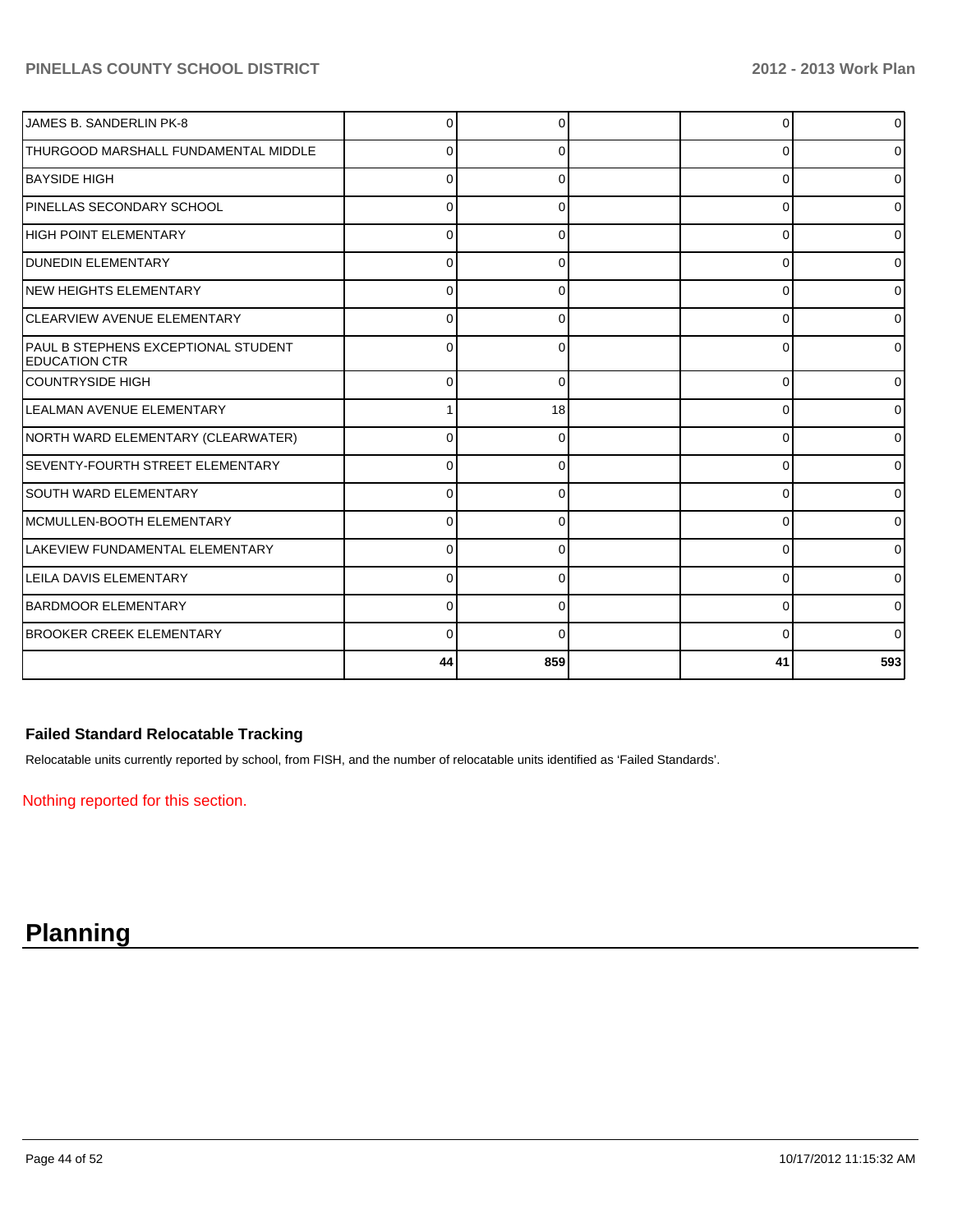| JAMES B. SANDERLIN PK-8                                      |          |     |    | $\overline{0}$ |
|--------------------------------------------------------------|----------|-----|----|----------------|
| <b>THURGOOD MARSHALL FUNDAMENTAL MIDDLE</b>                  | ŋ        |     | ∩  | $\overline{0}$ |
| IBAYSIDE HIGH                                                | 0        |     | n  | $\overline{0}$ |
| PINELLAS SECONDARY SCHOOL                                    | $\Omega$ | O   | ∩  | $\overline{0}$ |
| HIGH POINT ELEMENTARY                                        | 0        |     | 0  | 0              |
| IDUNEDIN ELEMENTARY                                          | O        |     | ŋ  | 0              |
| <b>INEW HEIGHTS ELEMENTARY</b>                               |          |     | C  | 01             |
| <b>ICLEARVIEW AVENUE ELEMENTARY</b>                          |          |     |    | $\overline{0}$ |
| PAUL B STEPHENS EXCEPTIONAL STUDENT<br><b>IEDUCATION CTR</b> |          |     |    | 01             |
| ICOUNTRYSIDE HIGH                                            | ∩        | ŋ   | 0  | $\overline{0}$ |
| LEALMAN AVENUE ELEMENTARY                                    |          | 18  | C  | $\overline{0}$ |
| NORTH WARD ELEMENTARY (CLEARWATER)                           | U        |     |    | 0              |
| SEVENTY-FOURTH STREET ELEMENTARY                             | O        |     | ŋ  | 0              |
| ISOUTH WARD ELEMENTARY                                       | 0        | 0   | 0  | 0              |
| IMCMULLEN-BOOTH ELEMENTARY                                   | $\Omega$ |     | 0  | 01             |
| LAKEVIEW FUNDAMENTAL ELEMENTARY                              | 0        |     | 0  | $\overline{0}$ |
| LEILA DAVIS ELEMENTARY                                       | U        |     | ŋ  | $\overline{0}$ |
| <b>BARDMOOR ELEMENTARY</b>                                   | ∩        |     |    | 01             |
| <b>IBROOKER CREEK ELEMENTARY</b>                             | $\Omega$ |     | 0  | 0              |
|                                                              | 44       | 859 | 41 | 593            |

# **Failed Standard Relocatable Tracking**

Relocatable units currently reported by school, from FISH, and the number of relocatable units identified as 'Failed Standards'.

Nothing reported for this section.

# **Planning**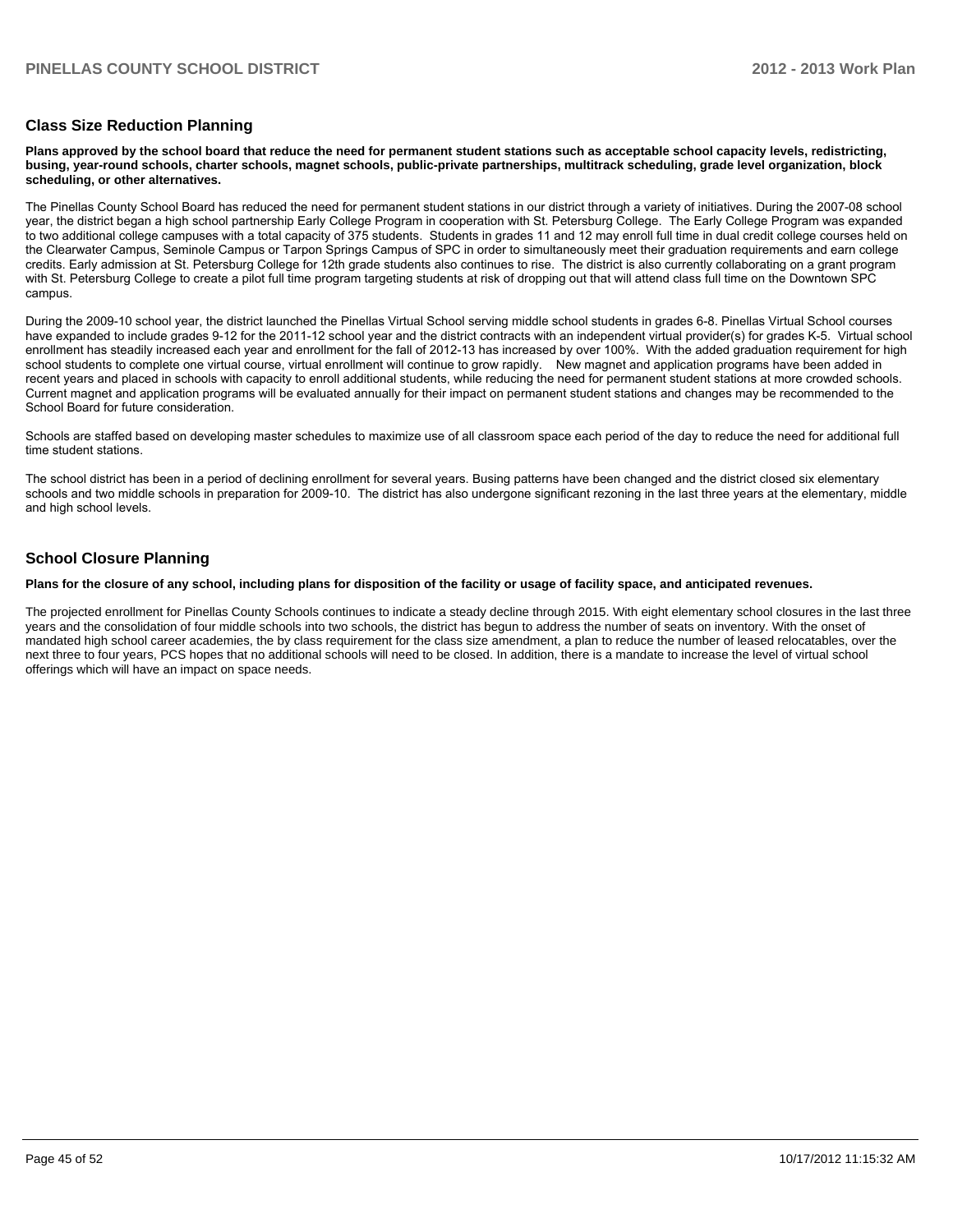#### **Class Size Reduction Planning**

**Plans approved by the school board that reduce the need for permanent student stations such as acceptable school capacity levels, redistricting, busing, year-round schools, charter schools, magnet schools, public-private partnerships, multitrack scheduling, grade level organization, block scheduling, or other alternatives.**

The Pinellas County School Board has reduced the need for permanent student stations in our district through a variety of initiatives. During the 2007-08 school year, the district began a high school partnership Early College Program in cooperation with St. Petersburg College. The Early College Program was expanded to two additional college campuses with a total capacity of 375 students. Students in grades 11 and 12 may enroll full time in dual credit college courses held on the Clearwater Campus, Seminole Campus or Tarpon Springs Campus of SPC in order to simultaneously meet their graduation requirements and earn college credits. Early admission at St. Petersburg College for 12th grade students also continues to rise. The district is also currently collaborating on a grant program with St. Petersburg College to create a pilot full time program targeting students at risk of dropping out that will attend class full time on the Downtown SPC campus

During the 2009-10 school vear, the district launched the Pinellas Virtual School serving middle school students in grades 6-8. Pinellas Virtual School courses have expanded to include grades 9-12 for the 2011-12 school year and the district contracts with an independent virtual provider(s) for grades K-5. Virtual school enrollment has steadily increased each year and enrollment for the fall of 2012-13 has increased by over 100%. With the added graduation requirement for high school students to complete one virtual course, virtual enrollment will continue to grow rapidly. New magnet and application programs have been added in recent years and placed in schools with capacity to enroll additional students, while reducing the need for permanent student stations at more crowded schools. Current magnet and application programs will be evaluated annually for their impact on permanent student stations and changes may be recommended to the School Board for future consideration.

Schools are staffed based on developing master schedules to maximize use of all classroom space each period of the day to reduce the need for additional full time student stations

The school district has been in a period of declining enrollment for several years. Busing patterns have been changed and the district closed six elementary schools and two middle schools in preparation for 2009-10. The district has also undergone significant rezoning in the last three years at the elementary, middle and high school levels

#### **School Closure Planning**

**Plans for the closure of any school, including plans for disposition of the facility or usage of facility space, and anticipated revenues.**

The projected enrollment for Pinellas County Schools continues to indicate a steady decline through 2015. With eight elementary school closures in the last three years and the consolidation of four middle schools into two schools, the district has begun to address the number of seats on inventory. With the onset of mandated high school career academies, the by class requirement for the class size amendment, a plan to reduce the number of leased relocatables, over the next three to four years, PCS hopes that no additional schools will need to be closed. In addition, there is a mandate to increase the level of virtual school offerings which will have an impact on space needs.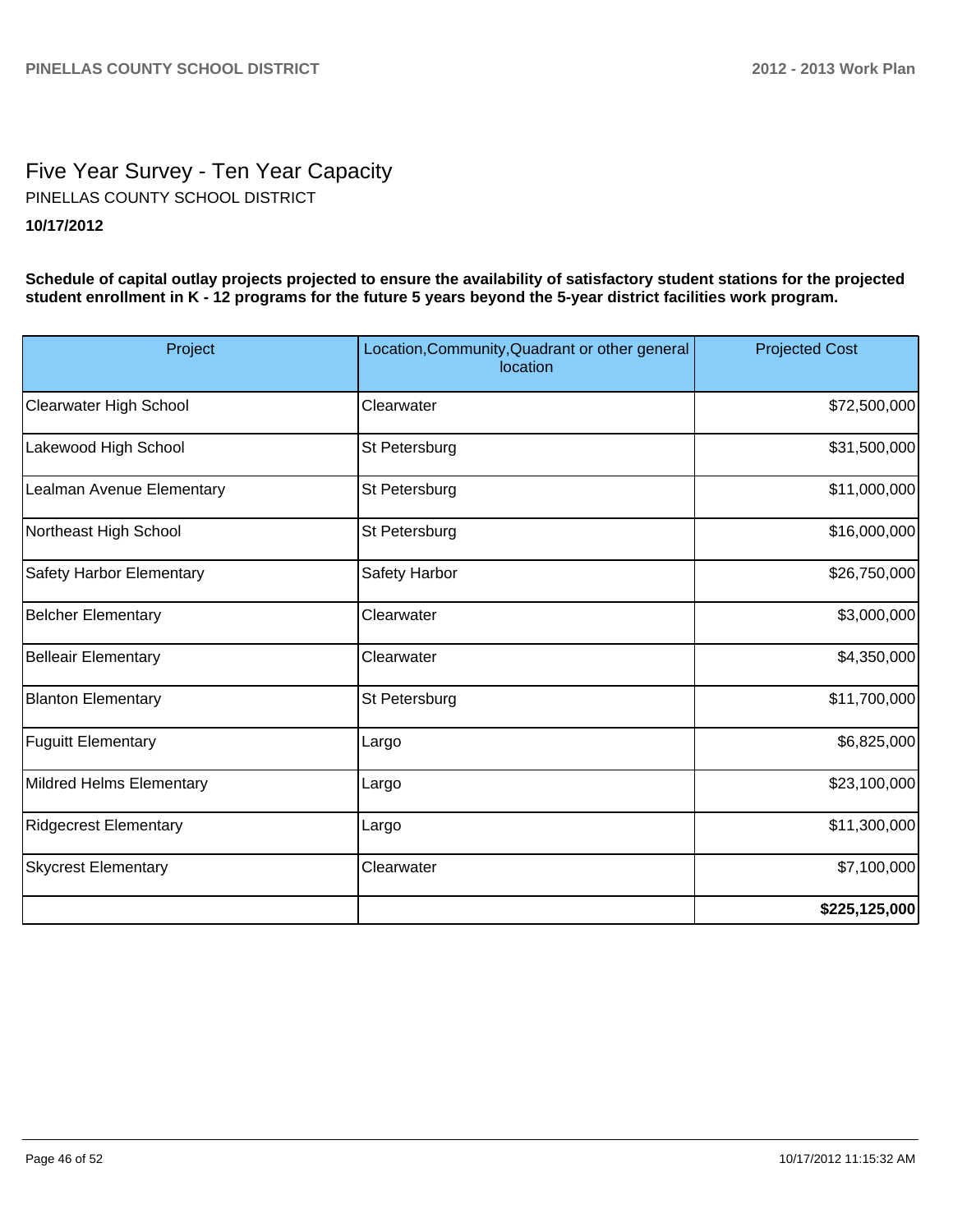# Five Year Survey - Ten Year Capacity **10/17/2012** PINELLAS COUNTY SCHOOL DISTRICT

**Schedule of capital outlay projects projected to ensure the availability of satisfactory student stations for the projected student enrollment in K - 12 programs for the future 5 years beyond the 5-year district facilities work program.**

| Project                    | Location, Community, Quadrant or other general<br>location | <b>Projected Cost</b> |
|----------------------------|------------------------------------------------------------|-----------------------|
| Clearwater High School     | Clearwater                                                 | \$72,500,000          |
| Lakewood High School       | St Petersburg                                              | \$31,500,000          |
| Lealman Avenue Elementary  | St Petersburg                                              | \$11,000,000          |
| Northeast High School      | St Petersburg                                              | \$16,000,000          |
| Safety Harbor Elementary   | Safety Harbor                                              | \$26,750,000          |
| Belcher Elementary         | Clearwater                                                 | \$3,000,000           |
| Belleair Elementary        | Clearwater                                                 | \$4,350,000           |
| <b>Blanton Elementary</b>  | St Petersburg                                              | \$11,700,000          |
| <b>Fuguitt Elementary</b>  | Largo                                                      | \$6,825,000           |
| Mildred Helms Elementary   | Largo                                                      | \$23,100,000          |
| Ridgecrest Elementary      | Largo                                                      | \$11,300,000          |
| <b>Skycrest Elementary</b> | Clearwater                                                 | \$7,100,000           |
|                            |                                                            | \$225,125,000         |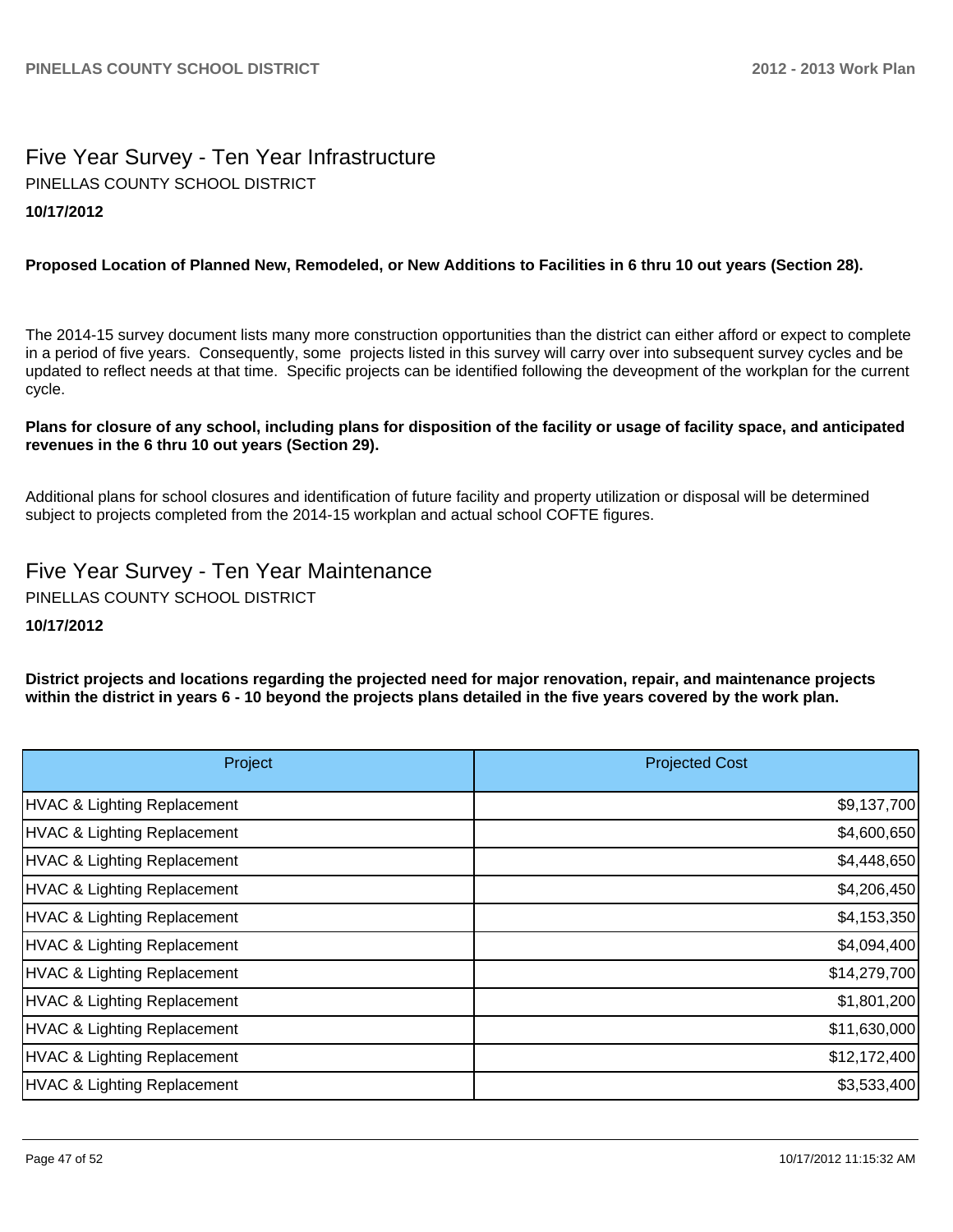# Five Year Survey - Ten Year Infrastructure **10/17/2012** PINELLAS COUNTY SCHOOL DISTRICT

#### **Proposed Location of Planned New, Remodeled, or New Additions to Facilities in 6 thru 10 out years (Section 28).**

The 2014-15 survey document lists many more construction opportunities than the district can either afford or expect to complete in a period of five years. Consequently, some projects listed in this survey will carry over into subsequent survey cycles and be updated to reflect needs at that time. Specific projects can be identified following the deveopment of the workplan for the current cycle.

#### **Plans for closure of any school, including plans for disposition of the facility or usage of facility space, and anticipated revenues in the 6 thru 10 out years (Section 29).**

Additional plans for school closures and identification of future facility and property utilization or disposal will be determined subject to projects completed from the 2014-15 workplan and actual school COFTE figures.

Five Year Survey - Ten Year Maintenance PINELLAS COUNTY SCHOOL DISTRICT

#### **10/17/2012**

**District projects and locations regarding the projected need for major renovation, repair, and maintenance projects within the district in years 6 - 10 beyond the projects plans detailed in the five years covered by the work plan.**

| Project                     | <b>Projected Cost</b> |
|-----------------------------|-----------------------|
| HVAC & Lighting Replacement | \$9,137,700           |
| HVAC & Lighting Replacement | \$4,600,650           |
| HVAC & Lighting Replacement | \$4,448,650           |
| HVAC & Lighting Replacement | \$4,206,450           |
| HVAC & Lighting Replacement | \$4,153,350           |
| HVAC & Lighting Replacement | \$4,094,400           |
| HVAC & Lighting Replacement | \$14,279,700          |
| HVAC & Lighting Replacement | \$1,801,200           |
| HVAC & Lighting Replacement | \$11,630,000          |
| HVAC & Lighting Replacement | \$12,172,400          |
| HVAC & Lighting Replacement | \$3,533,400           |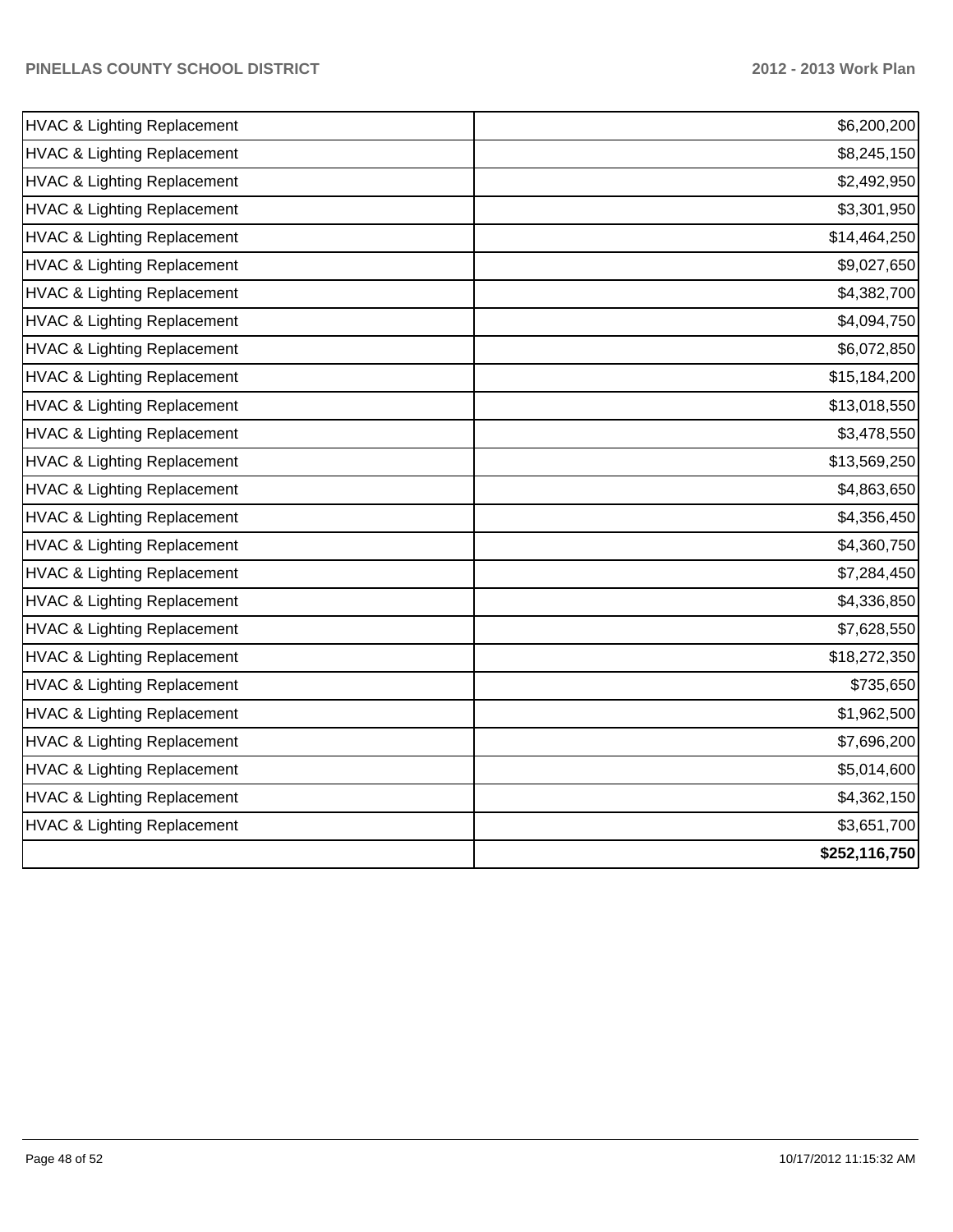| \$6,200,200   |
|---------------|
| \$8,245,150   |
| \$2,492,950   |
| \$3,301,950   |
| \$14,464,250  |
| \$9,027,650   |
| \$4,382,700   |
| \$4,094,750   |
| \$6,072,850   |
| \$15,184,200  |
| \$13,018,550  |
| \$3,478,550   |
| \$13,569,250  |
| \$4,863,650   |
| \$4,356,450   |
| \$4,360,750   |
| \$7,284,450   |
| \$4,336,850   |
| \$7,628,550   |
| \$18,272,350  |
| \$735,650     |
| \$1,962,500   |
| \$7,696,200   |
| \$5,014,600   |
| \$4,362,150   |
| \$3,651,700   |
| \$252,116,750 |
|               |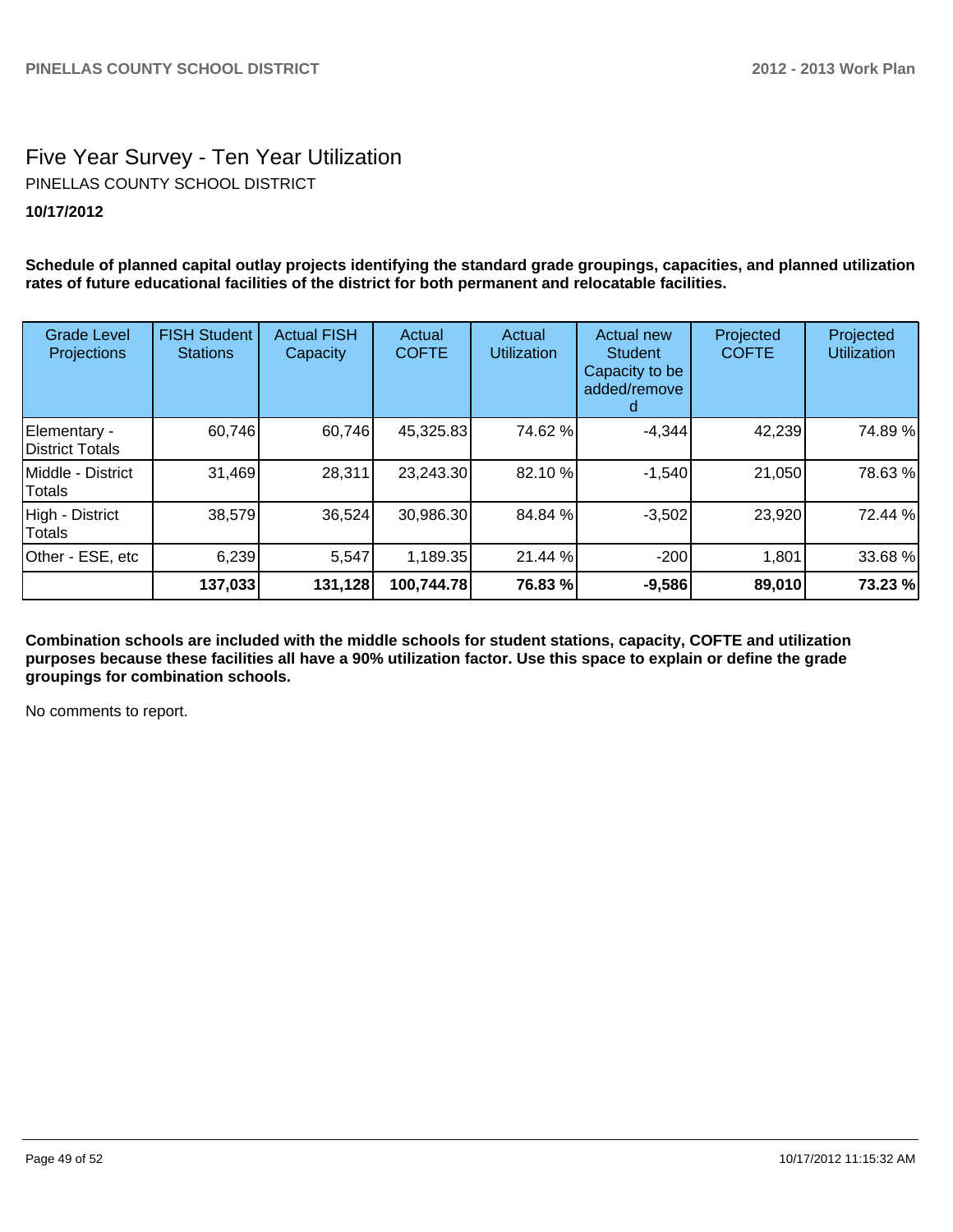# Five Year Survey - Ten Year Utilization **10/17/2012** PINELLAS COUNTY SCHOOL DISTRICT

**Schedule of planned capital outlay projects identifying the standard grade groupings, capacities, and planned utilization rates of future educational facilities of the district for both permanent and relocatable facilities.**

| <b>Grade Level</b><br>Projections      | <b>FISH Student</b><br><b>Stations</b> | <b>Actual FISH</b><br>Capacity | Actual<br><b>COFTE</b> | Actual<br><b>Utilization</b> | <b>Actual new</b><br><b>Student</b><br>Capacity to be<br>added/remove | Projected<br><b>COFTE</b> | Projected<br><b>Utilization</b> |
|----------------------------------------|----------------------------------------|--------------------------------|------------------------|------------------------------|-----------------------------------------------------------------------|---------------------------|---------------------------------|
| Elementary -<br><b>District Totals</b> | 60,746                                 | 60,746                         | 45,325.83              | 74.62 %                      | $-4,344$                                                              | 42,239                    | 74.89%                          |
| Middle - District<br>Totals            | 31,469                                 | 28,311                         | 23,243.30              | 82.10 %                      | $-1,540$                                                              | 21,050                    | 78.63%                          |
| High - District<br>Totals              | 38,579                                 | 36,524                         | 30,986.30              | 84.84 %                      | $-3,502$                                                              | 23,920                    | 72.44 %                         |
| Other - ESE, etc                       | 6,239                                  | 5,547                          | 1,189.35               | 21.44 %                      | $-200$                                                                | 1,801                     | 33.68 %                         |
|                                        | 137,033                                | 131,128                        | 100,744.78             | 76.83 %                      | $-9,586$                                                              | 89,010                    | 73.23 %                         |

**Combination schools are included with the middle schools for student stations, capacity, COFTE and utilization purposes because these facilities all have a 90% utilization factor. Use this space to explain or define the grade groupings for combination schools.**

No comments to report.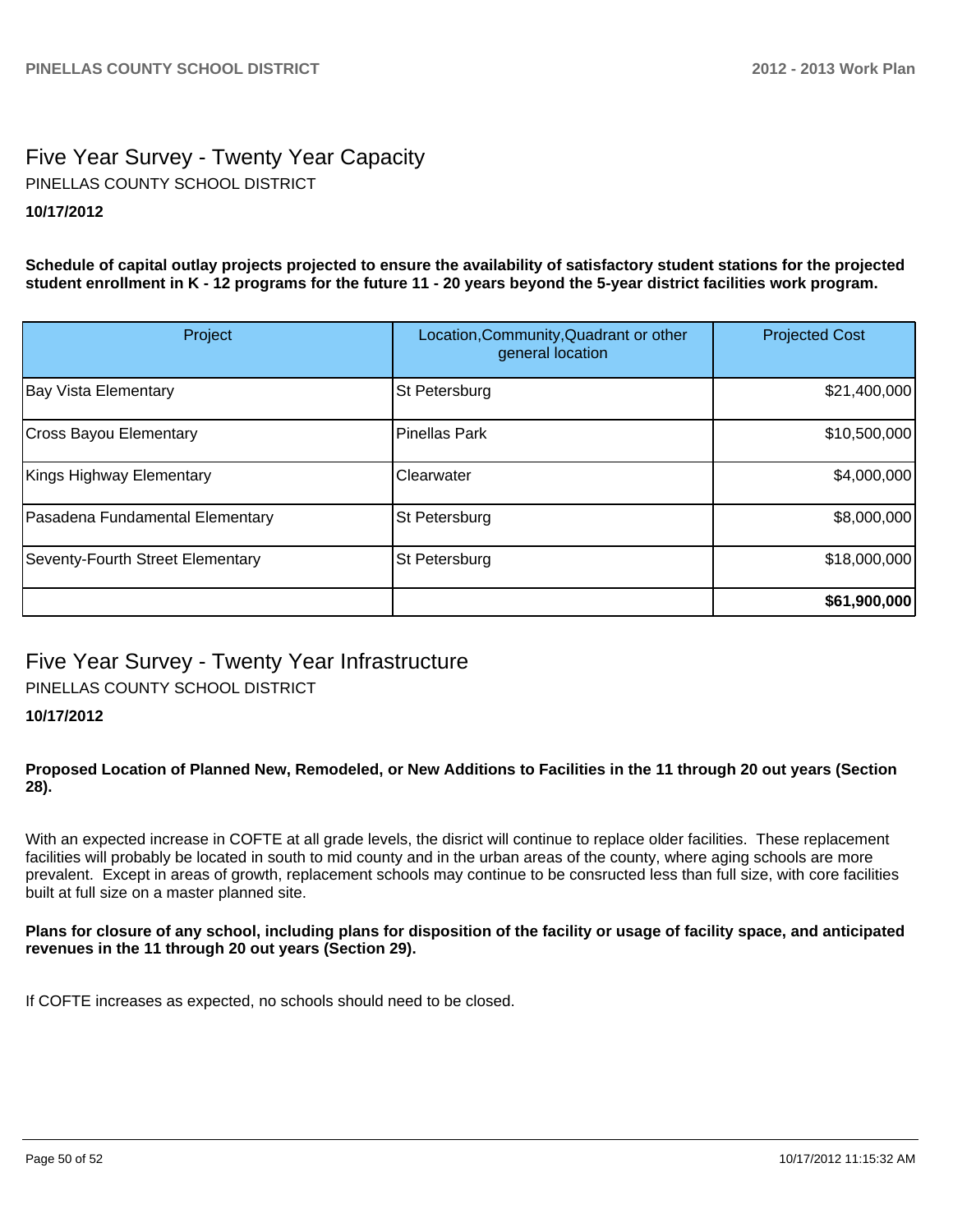# Five Year Survey - Twenty Year Capacity **10/17/2012** PINELLAS COUNTY SCHOOL DISTRICT

**Schedule of capital outlay projects projected to ensure the availability of satisfactory student stations for the projected student enrollment in K - 12 programs for the future 11 - 20 years beyond the 5-year district facilities work program.**

| Project                          | Location, Community, Quadrant or other<br>general location | <b>Projected Cost</b> |
|----------------------------------|------------------------------------------------------------|-----------------------|
| <b>Bay Vista Elementary</b>      | St Petersburg                                              | \$21,400,000          |
| Cross Bayou Elementary           | Pinellas Park                                              | \$10,500,000          |
| Kings Highway Elementary         | Clearwater                                                 | \$4,000,000           |
| Pasadena Fundamental Elementary  | St Petersburg                                              | \$8,000,000           |
| Seventy-Fourth Street Elementary | St Petersburg                                              | \$18,000,000          |
|                                  |                                                            | \$61,900,000          |

# Five Year Survey - Twenty Year Infrastructure PINELLAS COUNTY SCHOOL DISTRICT

# **10/17/2012**

#### **Proposed Location of Planned New, Remodeled, or New Additions to Facilities in the 11 through 20 out years (Section 28).**

With an expected increase in COFTE at all grade levels, the disrict will continue to replace older facilities. These replacement facilities will probably be located in south to mid county and in the urban areas of the county, where aging schools are more prevalent. Except in areas of growth, replacement schools may continue to be consructed less than full size, with core facilities built at full size on a master planned site.

#### **Plans for closure of any school, including plans for disposition of the facility or usage of facility space, and anticipated revenues in the 11 through 20 out years (Section 29).**

If COFTE increases as expected, no schools should need to be closed.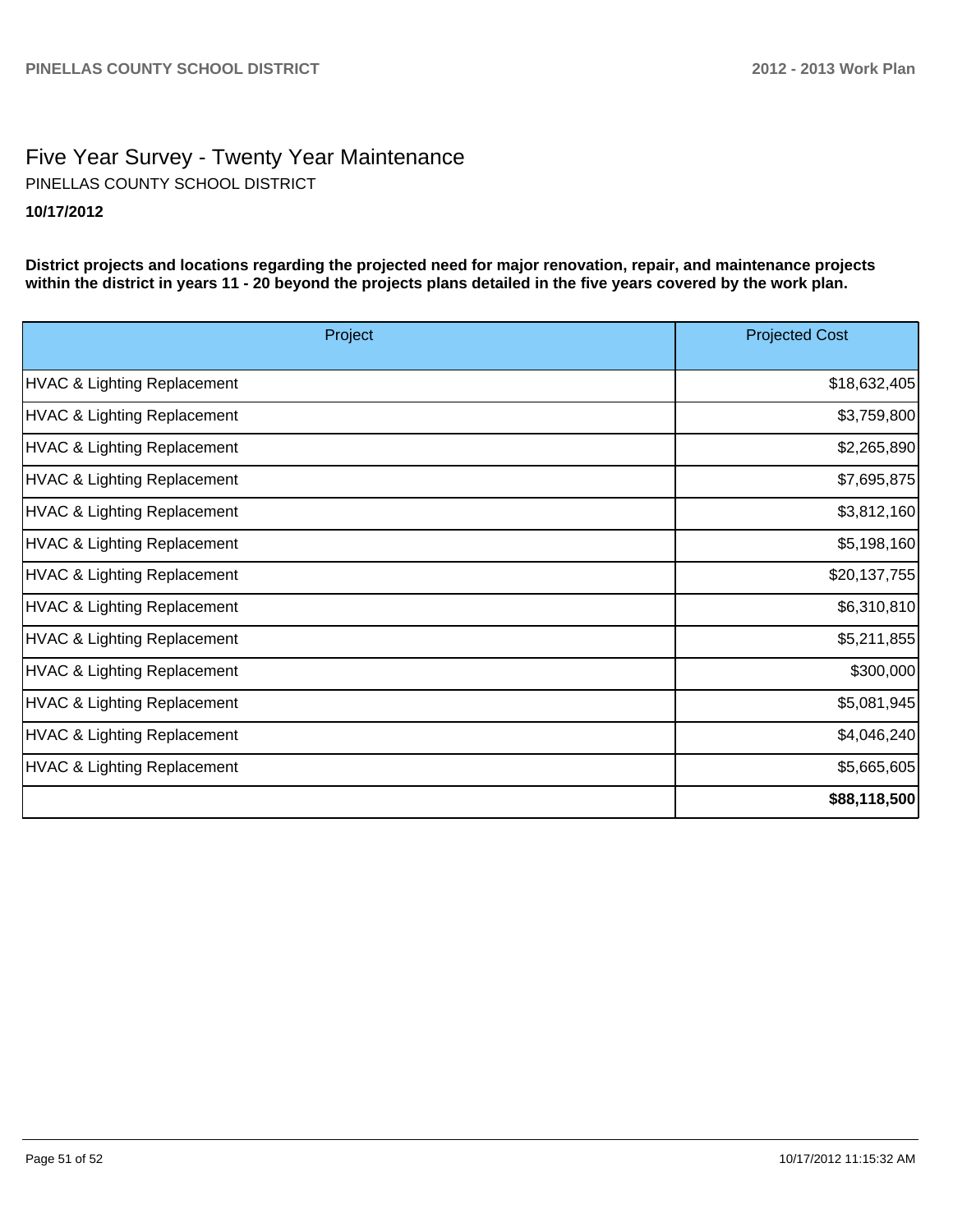# Five Year Survey - Twenty Year Maintenance **10/17/2012** PINELLAS COUNTY SCHOOL DISTRICT

**District projects and locations regarding the projected need for major renovation, repair, and maintenance projects within the district in years 11 - 20 beyond the projects plans detailed in the five years covered by the work plan.**

| Project                                | <b>Projected Cost</b> |
|----------------------------------------|-----------------------|
| HVAC & Lighting Replacement            | \$18,632,405          |
| HVAC & Lighting Replacement            | \$3,759,800           |
| HVAC & Lighting Replacement            | \$2,265,890           |
| HVAC & Lighting Replacement            | \$7,695,875           |
| <b>HVAC &amp; Lighting Replacement</b> | \$3,812,160           |
| HVAC & Lighting Replacement            | \$5,198,160           |
| HVAC & Lighting Replacement            | \$20,137,755          |
| HVAC & Lighting Replacement            | \$6,310,810           |
| HVAC & Lighting Replacement            | \$5,211,855           |
| HVAC & Lighting Replacement            | \$300,000             |
| HVAC & Lighting Replacement            | \$5,081,945           |
| HVAC & Lighting Replacement            | \$4,046,240           |
| HVAC & Lighting Replacement            | \$5,665,605           |
|                                        | \$88,118,500          |